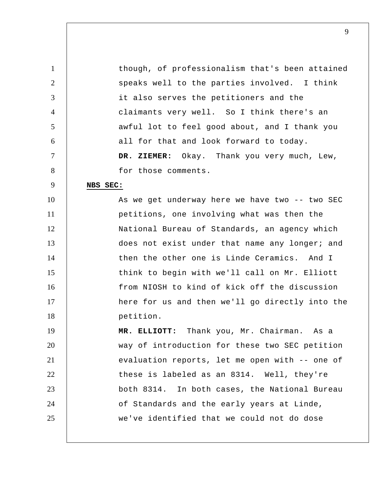1 2 3 4 5 6 7 8 9 10 11 12 13 14 15 16 17 18 19 20 21 22 23 24 25 though, of professionalism that's been attained speaks well to the parties involved. I think it also serves the petitioners and the claimants very well. So I think there's an awful lot to feel good about, and I thank you all for that and look forward to today.  **DR. ZIEMER:** Okay. Thank you very much, Lew, for those comments. **NBS SEC:**  As we get underway here we have two -- two SEC petitions, one involving what was then the National Bureau of Standards, an agency which does not exist under that name any longer; and then the other one is Linde Ceramics. And I think to begin with we'll call on Mr. Elliott from NIOSH to kind of kick off the discussion here for us and then we'll go directly into the petition.  **MR. ELLIOTT:** Thank you, Mr. Chairman. As a way of introduction for these two SEC petition evaluation reports, let me open with -- one of these is labeled as an 8314. Well, they're both 8314. In both cases, the National Bureau of Standards and the early years at Linde, we've identified that we could not do dose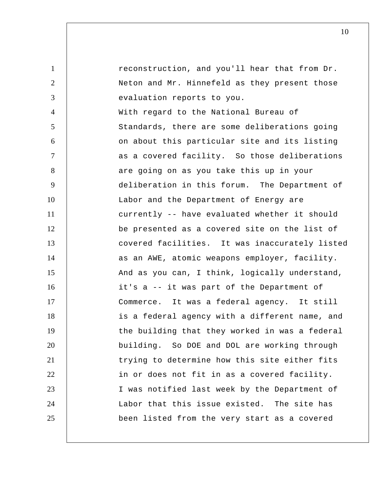1 2 3 4 5 6 7 8 9 10 11 12 13 14 15 16 17 18 19 20 21 22 23 24 25 reconstruction, and you'll hear that from Dr. Neton and Mr. Hinnefeld as they present those evaluation reports to you. With regard to the National Bureau of Standards, there are some deliberations going on about this particular site and its listing as a covered facility. So those deliberations are going on as you take this up in your deliberation in this forum. The Department of Labor and the Department of Energy are currently -- have evaluated whether it should be presented as a covered site on the list of covered facilities. It was inaccurately listed as an AWE, atomic weapons employer, facility. And as you can, I think, logically understand, it's a -- it was part of the Department of Commerce. It was a federal agency. It still is a federal agency with a different name, and the building that they worked in was a federal building. So DOE and DOL are working through trying to determine how this site either fits in or does not fit in as a covered facility. I was notified last week by the Department of Labor that this issue existed. The site has been listed from the very start as a covered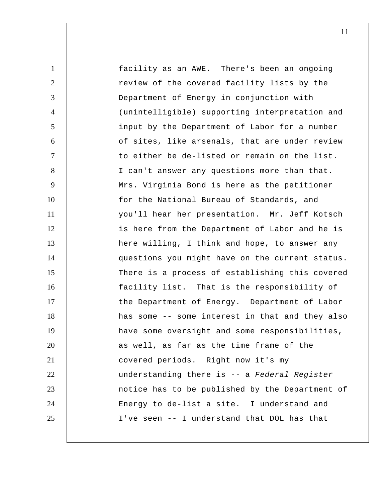1 2 3 4 5 6 7 8 9 10 11 12 13 14 15 16 17 18 19 20 21 22 23 24 25 facility as an AWE. There's been an ongoing review of the covered facility lists by the Department of Energy in conjunction with (unintelligible) supporting interpretation and input by the Department of Labor for a number of sites, like arsenals, that are under review to either be de-listed or remain on the list. I can't answer any questions more than that. Mrs. Virginia Bond is here as the petitioner for the National Bureau of Standards, and you'll hear her presentation. Mr. Jeff Kotsch is here from the Department of Labor and he is here willing, I think and hope, to answer any questions you might have on the current status. There is a process of establishing this covered facility list. That is the responsibility of the Department of Energy. Department of Labor has some -- some interest in that and they also have some oversight and some responsibilities, as well, as far as the time frame of the covered periods. Right now it's my understanding there is -- a *Federal Register*  notice has to be published by the Department of Energy to de-list a site. I understand and I've seen -- I understand that DOL has that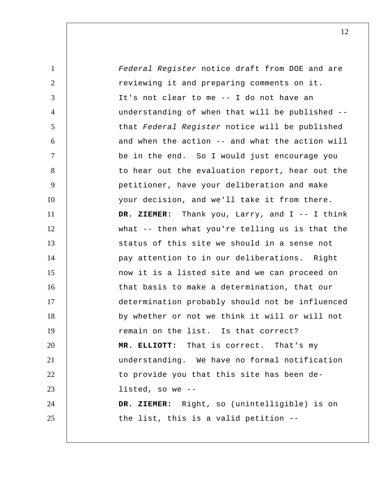| $\mathbf{1}$   | Federal Register notice draft from DOE and are    |
|----------------|---------------------------------------------------|
| 2              | reviewing it and preparing comments on it.        |
| 3              | It's not clear to me -- I do not have an          |
| $\overline{4}$ | understanding of when that will be published --   |
| 5              | that Federal Register notice will be published    |
| 6              | and when the action -- and what the action will   |
| $\overline{7}$ | be in the end. So I would just encourage you      |
| 8              | to hear out the evaluation report, hear out the   |
| 9              | petitioner, have your deliberation and make       |
| 10             | your decision, and we'll take it from there.      |
| 11             | DR. ZIEMER: Thank you, Larry, and $I - - I$ think |
| 12             | what -- then what you're telling us is that the   |
| 13             | status of this site we should in a sense not      |
| 14             | pay attention to in our deliberations. Right      |
| 15             | now it is a listed site and we can proceed on     |
| 16             | that basis to make a determination, that our      |
| 17             | determination probably should not be influenced   |
| 18             | by whether or not we think it will or will not    |
| 19             | remain on the list. Is that correct?              |
| 20             | MR. ELLIOTT: That is correct. That's my           |
| 21             | understanding. We have no formal notification     |
| 22             | to provide you that this site has been de-        |
| 23             | listed, so we --                                  |
| 24             | DR. ZIEMER: Right, so (unintelligible) is on      |
| 25             | the list, this is a valid petition --             |
|                |                                                   |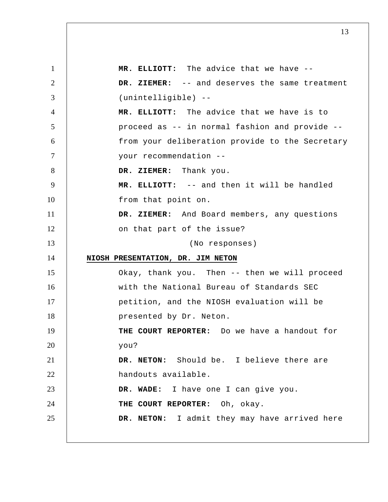1 2 3 4 5 6 7 8 9 10 11 12 13 14 15 16 17 18 19 20 21 22 23 24 25  **MR. ELLIOTT:** The advice that we have --  **DR. ZIEMER:** -- and deserves the same treatment (unintelligible) --  **MR. ELLIOTT:** The advice that we have is to proceed as -- in normal fashion and provide - from your deliberation provide to the Secretary your recommendation --  **DR. ZIEMER:** Thank you.  **MR. ELLIOTT:** -- and then it will be handled from that point on.  **DR. ZIEMER:** And Board members, any questions on that part of the issue? (No responses) **NIOSH PRESENTATION, DR. JIM NETON**  Okay, thank you. Then -- then we will proceed with the National Bureau of Standards SEC petition, and the NIOSH evaluation will be presented by Dr. Neton. **THE COURT REPORTER:** Do we have a handout for you? **DR. NETON:** Should be. I believe there are handouts available.  **DR. WADE:** I have one I can give you. **THE COURT REPORTER:** Oh, okay. **DR. NETON:** I admit they may have arrived here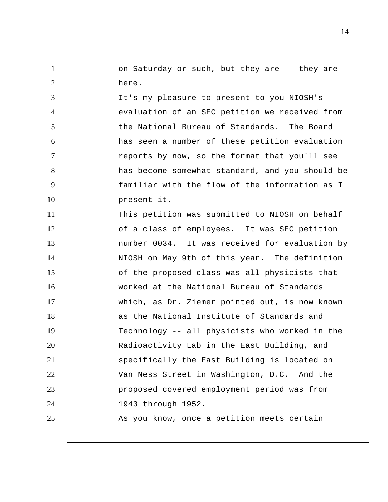on Saturday or such, but they are -- they are here.

1

2

3

4

5

6

7

8

9

10

It's my pleasure to present to you NIOSH's evaluation of an SEC petition we received from the National Bureau of Standards. The Board has seen a number of these petition evaluation reports by now, so the format that you'll see has become somewhat standard, and you should be familiar with the flow of the information as I present it.

11 12 13 14 15 16 17 18 19 20 21 22 23 24 25 This petition was submitted to NIOSH on behalf of a class of employees. It was SEC petition number 0034. It was received for evaluation by NIOSH on May 9th of this year. The definition of the proposed class was all physicists that worked at the National Bureau of Standards which, as Dr. Ziemer pointed out, is now known as the National Institute of Standards and Technology -- all physicists who worked in the Radioactivity Lab in the East Building, and specifically the East Building is located on Van Ness Street in Washington, D.C. And the proposed covered employment period was from 1943 through 1952. As you know, once a petition meets certain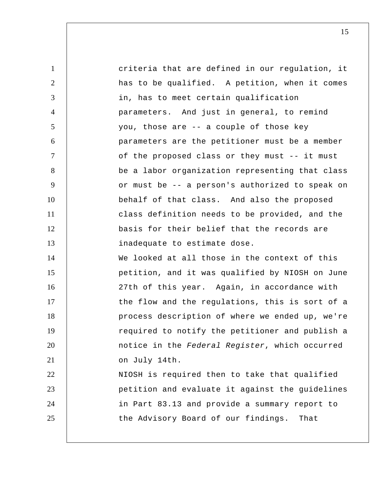1 2 3 4 5 6 7 8 9 10 11 12 13 14 15 16 17 18 19 20 21 22 23 24 25 criteria that are defined in our regulation, it has to be qualified. A petition, when it comes in, has to meet certain qualification parameters. And just in general, to remind you, those are -- a couple of those key parameters are the petitioner must be a member of the proposed class or they must -- it must be a labor organization representing that class or must be -- a person's authorized to speak on behalf of that class. And also the proposed class definition needs to be provided, and the basis for their belief that the records are inadequate to estimate dose. We looked at all those in the context of this petition, and it was qualified by NIOSH on June 27th of this year. Again, in accordance with the flow and the regulations, this is sort of a process description of where we ended up, we're required to notify the petitioner and publish a notice in the *Federal Register*, which occurred on July 14th. NIOSH is required then to take that qualified petition and evaluate it against the guidelines in Part 83.13 and provide a summary report to the Advisory Board of our findings. That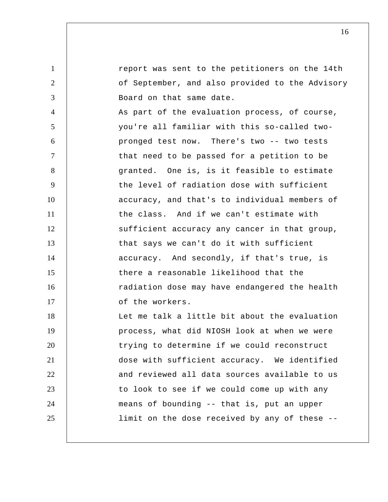1 2 3 4 5 6 7 8 9 10 11 12 13 14 15 16 17 18 19 20 21 22 23 24 25 report was sent to the petitioners on the 14th of September, and also provided to the Advisory Board on that same date. As part of the evaluation process, of course, you're all familiar with this so-called twopronged test now. There's two -- two tests that need to be passed for a petition to be granted. One is, is it feasible to estimate the level of radiation dose with sufficient accuracy, and that's to individual members of the class. And if we can't estimate with sufficient accuracy any cancer in that group, that says we can't do it with sufficient accuracy. And secondly, if that's true, is there a reasonable likelihood that the radiation dose may have endangered the health of the workers. Let me talk a little bit about the evaluation process, what did NIOSH look at when we were trying to determine if we could reconstruct dose with sufficient accuracy. We identified and reviewed all data sources available to us to look to see if we could come up with any means of bounding -- that is, put an upper limit on the dose received by any of these --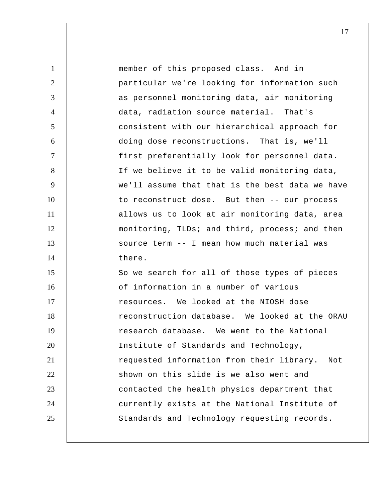| $\mathbf{1}$   | member of this proposed class. And in            |
|----------------|--------------------------------------------------|
| 2              | particular we're looking for information such    |
| 3              | as personnel monitoring data, air monitoring     |
| $\overline{4}$ | data, radiation source material. That's          |
| 5              | consistent with our hierarchical approach for    |
| 6              | doing dose reconstructions. That is, we'll       |
| $\tau$         | first preferentially look for personnel data.    |
| 8              | If we believe it to be valid monitoring data,    |
| 9              | we'll assume that that is the best data we have  |
| 10             | to reconstruct dose. But then -- our process     |
| 11             | allows us to look at air monitoring data, area   |
| 12             | monitoring, TLDs; and third, process; and then   |
| 13             | source term -- I mean how much material was      |
| 14             | there.                                           |
| 15             | So we search for all of those types of pieces    |
| 16             | of information in a number of various            |
| 17             | resources. We looked at the NIOSH dose           |
| 18             | reconstruction database. We looked at the ORAU   |
| 19             | research database. We went to the National       |
| 20             | Institute of Standards and Technology,           |
| 21             | requested information from their library.<br>Not |
| 22             | shown on this slide is we also went and          |
| 23             | contacted the health physics department that     |
| 24             | currently exists at the National Institute of    |
| 25             | Standards and Technology requesting records.     |
|                |                                                  |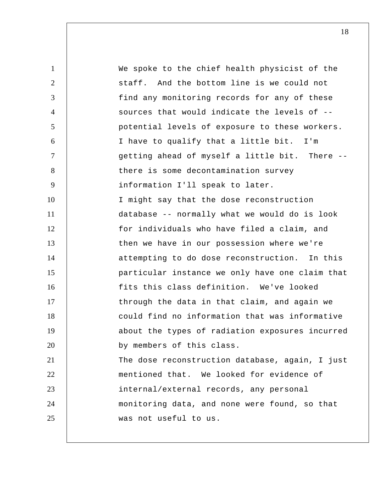1 2 3 4 5 6 7 8 9 10 11 12 13 14 15 16 17 18 19 20 21 22 23 24 25 We spoke to the chief health physicist of the staff. And the bottom line is we could not find any monitoring records for any of these sources that would indicate the levels of - potential levels of exposure to these workers. I have to qualify that a little bit. I'm getting ahead of myself a little bit. There - there is some decontamination survey information I'll speak to later. I might say that the dose reconstruction database -- normally what we would do is look for individuals who have filed a claim, and then we have in our possession where we're attempting to do dose reconstruction. In this particular instance we only have one claim that fits this class definition. We've looked through the data in that claim, and again we could find no information that was informative about the types of radiation exposures incurred by members of this class. The dose reconstruction database, again, I just mentioned that. We looked for evidence of internal/external records, any personal monitoring data, and none were found, so that was not useful to us.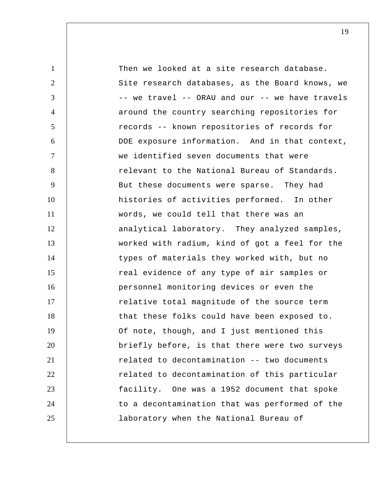| $\mathbf{1}$   | Then we looked at a site research database.     |
|----------------|-------------------------------------------------|
| $\overline{2}$ | Site research databases, as the Board knows, we |
| 3              | -- we travel -- ORAU and our -- we have travels |
| 4              | around the country searching repositories for   |
| 5              | records -- known repositories of records for    |
| 6              | DOE exposure information. And in that context,  |
| $\overline{7}$ | we identified seven documents that were         |
| 8              | relevant to the National Bureau of Standards.   |
| 9              | But these documents were sparse. They had       |
| 10             | histories of activities performed. In other     |
| 11             | words, we could tell that there was an          |
| 12             | analytical laboratory. They analyzed samples,   |
| 13             | worked with radium, kind of got a feel for the  |
| 14             | types of materials they worked with, but no     |
| 15             | real evidence of any type of air samples or     |
| 16             | personnel monitoring devices or even the        |
| 17             | relative total magnitude of the source term     |
| 18             | that these folks could have been exposed to.    |
| 19             | Of note, though, and I just mentioned this      |
| 20             | briefly before, is that there were two surveys  |
| 21             | related to decontamination -- two documents     |
| 22             | related to decontamination of this particular   |
| 23             | facility. One was a 1952 document that spoke    |
| 24             | to a decontamination that was performed of the  |
| 25             | laboratory when the National Bureau of          |
|                |                                                 |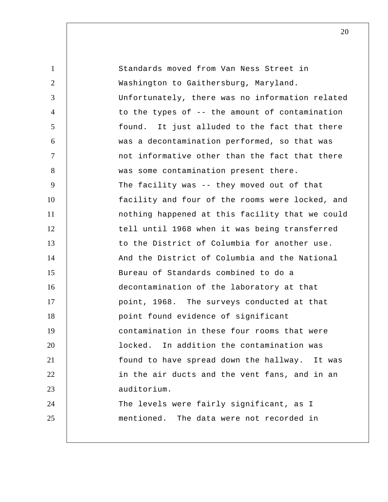1 2 3 4 5 6 7 8 9 10 11 12 13 14 15 16 17 18 19 20 21 22 23 24 25 Standards moved from Van Ness Street in Washington to Gaithersburg, Maryland. Unfortunately, there was no information related to the types of -- the amount of contamination found. It just alluded to the fact that there was a decontamination performed, so that was not informative other than the fact that there was some contamination present there. The facility was -- they moved out of that facility and four of the rooms were locked, and nothing happened at this facility that we could tell until 1968 when it was being transferred to the District of Columbia for another use. And the District of Columbia and the National Bureau of Standards combined to do a decontamination of the laboratory at that point, 1968. The surveys conducted at that point found evidence of significant contamination in these four rooms that were locked. In addition the contamination was found to have spread down the hallway. It was in the air ducts and the vent fans, and in an auditorium. The levels were fairly significant, as I mentioned. The data were not recorded in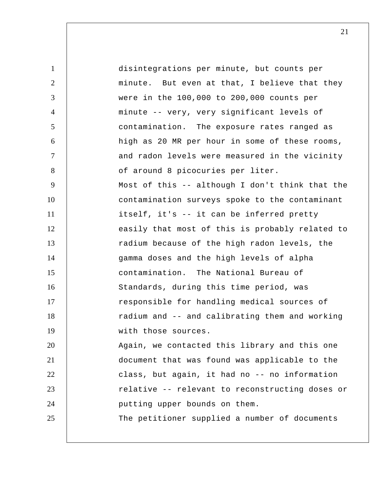| $\mathbf{1}$   | disintegrations per minute, but counts per      |
|----------------|-------------------------------------------------|
| 2              | minute. But even at that, I believe that they   |
| 3              | were in the 100,000 to 200,000 counts per       |
| $\overline{4}$ | minute -- very, very significant levels of      |
| 5              | contamination. The exposure rates ranged as     |
| 6              | high as 20 MR per hour in some of these rooms,  |
| $\tau$         | and radon levels were measured in the vicinity  |
| 8              | of around 8 picocuries per liter.               |
| 9              | Most of this -- although I don't think that the |
| 10             | contamination surveys spoke to the contaminant  |
| 11             | itself, it's -- it can be inferred pretty       |
| 12             | easily that most of this is probably related to |
| 13             | radium because of the high radon levels, the    |
| 14             | gamma doses and the high levels of alpha        |
| 15             | contamination. The National Bureau of           |
| 16             | Standards, during this time period, was         |
| 17             | responsible for handling medical sources of     |
| 18             | radium and -- and calibrating them and working  |
| 19             | with those sources.                             |
| 20             | Again, we contacted this library and this one   |
| 21             | document that was found was applicable to the   |
| 22             | class, but again, it had no -- no information   |
| 23             | relative -- relevant to reconstructing doses or |
| 24             | putting upper bounds on them.                   |
| 25             | The petitioner supplied a number of documents   |
|                |                                                 |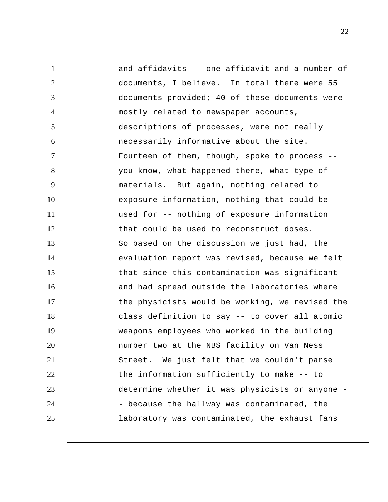1 2 3 4 5 6 7 8 9 10 11 12 13 14 15 16 17 18 19 20 21 22 23 24 25 and affidavits -- one affidavit and a number of documents, I believe. In total there were 55 documents provided; 40 of these documents were mostly related to newspaper accounts, descriptions of processes, were not really necessarily informative about the site. Fourteen of them, though, spoke to process - you know, what happened there, what type of materials. But again, nothing related to exposure information, nothing that could be used for -- nothing of exposure information that could be used to reconstruct doses. So based on the discussion we just had, the evaluation report was revised, because we felt that since this contamination was significant and had spread outside the laboratories where the physicists would be working, we revised the class definition to say -- to cover all atomic weapons employees who worked in the building number two at the NBS facility on Van Ness Street. We just felt that we couldn't parse the information sufficiently to make -- to determine whether it was physicists or anyone - - because the hallway was contaminated, the laboratory was contaminated, the exhaust fans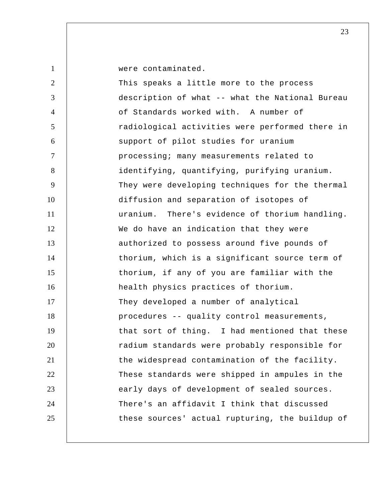were contaminated.

2 3 4 5 6 7 8 9 10 11 12 13 14 15 16 17 18 19 20 21 22 23 24 25 This speaks a little more to the process description of what -- what the National Bureau of Standards worked with. A number of radiological activities were performed there in support of pilot studies for uranium processing; many measurements related to identifying, quantifying, purifying uranium. They were developing techniques for the thermal diffusion and separation of isotopes of uranium. There's evidence of thorium handling. We do have an indication that they were authorized to possess around five pounds of thorium, which is a significant source term of thorium, if any of you are familiar with the health physics practices of thorium. They developed a number of analytical procedures -- quality control measurements, that sort of thing. I had mentioned that these radium standards were probably responsible for the widespread contamination of the facility. These standards were shipped in ampules in the early days of development of sealed sources. There's an affidavit I think that discussed these sources' actual rupturing, the buildup of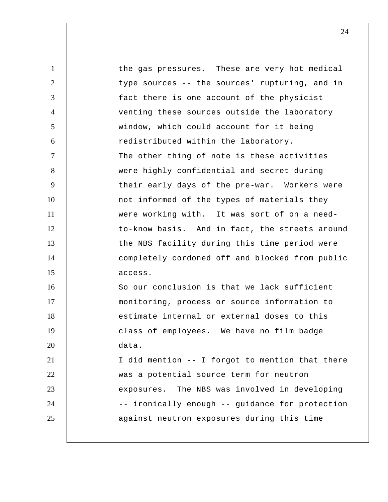| $\mathbf{1}$   | the gas pressures. These are very hot medical   |
|----------------|-------------------------------------------------|
| $\overline{2}$ | type sources -- the sources' rupturing, and in  |
| 3              | fact there is one account of the physicist      |
| $\overline{4}$ | venting these sources outside the laboratory    |
| 5              | window, which could account for it being        |
| 6              | redistributed within the laboratory.            |
| $\tau$         | The other thing of note is these activities     |
| 8              | were highly confidential and secret during      |
| 9              | their early days of the pre-war. Workers were   |
| 10             | not informed of the types of materials they     |
| 11             | were working with. It was sort of on a need-    |
| 12             | to-know basis. And in fact, the streets around  |
| 13             | the NBS facility during this time period were   |
| 14             | completely cordoned off and blocked from public |
| 15             | access.                                         |
| 16             | So our conclusion is that we lack sufficient    |
| 17             | monitoring, process or source information to    |
| 18             | estimate internal or external doses to this     |
| 19             | class of employees. We have no film badge       |
| 20             | data.                                           |
| 21             | I did mention -- I forgot to mention that there |
| 22             | was a potential source term for neutron         |
| 23             | exposures. The NBS was involved in developing   |
| 24             | -- ironically enough -- guidance for protection |
| 25             | against neutron exposures during this time      |
|                |                                                 |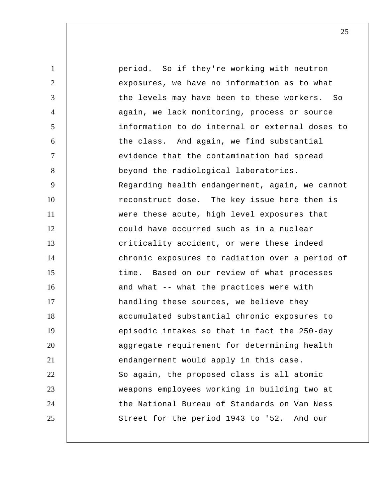1 2 3 4 5 6 7 8 9 10 11 12 13 14 15 16 17 18 19 20 21 22 23 24 25 period. So if they're working with neutron exposures, we have no information as to what the levels may have been to these workers. So again, we lack monitoring, process or source information to do internal or external doses to the class. And again, we find substantial evidence that the contamination had spread beyond the radiological laboratories. Regarding health endangerment, again, we cannot reconstruct dose. The key issue here then is were these acute, high level exposures that could have occurred such as in a nuclear criticality accident, or were these indeed chronic exposures to radiation over a period of time. Based on our review of what processes and what -- what the practices were with handling these sources, we believe they accumulated substantial chronic exposures to episodic intakes so that in fact the 250-day aggregate requirement for determining health endangerment would apply in this case. So again, the proposed class is all atomic weapons employees working in building two at the National Bureau of Standards on Van Ness Street for the period 1943 to '52. And our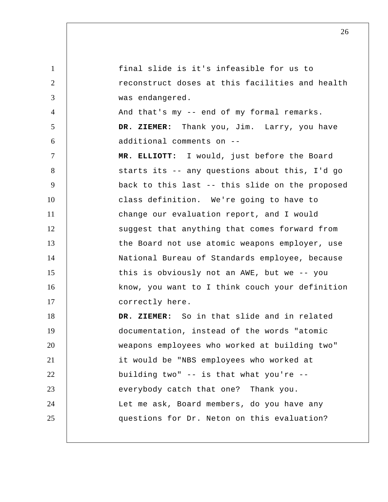1 2 3 4 5 6 7 8 9 10 11 12 13 14 15 16 17 18 19 20 21 22 23 24 25 final slide is it's infeasible for us to reconstruct doses at this facilities and health was endangered. And that's my -- end of my formal remarks.  **DR. ZIEMER:** Thank you, Jim. Larry, you have additional comments on --  **MR. ELLIOTT:** I would, just before the Board starts its -- any questions about this, I'd go back to this last -- this slide on the proposed class definition. We're going to have to change our evaluation report, and I would suggest that anything that comes forward from the Board not use atomic weapons employer, use National Bureau of Standards employee, because this is obviously not an AWE, but we -- you know, you want to I think couch your definition correctly here.  **DR. ZIEMER:** So in that slide and in related documentation, instead of the words "atomic weapons employees who worked at building two" it would be "NBS employees who worked at building two" -- is that what you're - everybody catch that one? Thank you. Let me ask, Board members, do you have any questions for Dr. Neton on this evaluation?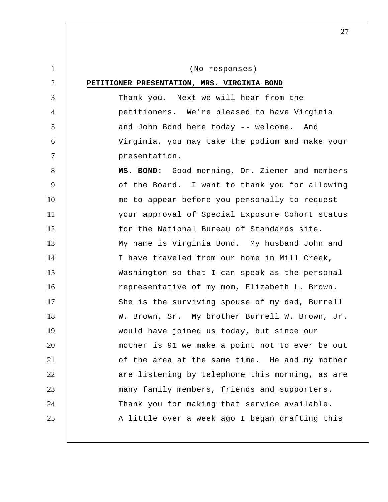1 2 3 4 5 6 7 8 9 10 11 12 13 14 15 16 17 18 19 20 21 22 23 24 25 (No responses) **PETITIONER PRESENTATION, MRS. VIRGINIA BOND**  Thank you. Next we will hear from the petitioners. We're pleased to have Virginia and John Bond here today -- welcome. And Virginia, you may take the podium and make your presentation.  **MS. BOND:** Good morning, Dr. Ziemer and members of the Board. I want to thank you for allowing me to appear before you personally to request your approval of Special Exposure Cohort status for the National Bureau of Standards site. My name is Virginia Bond. My husband John and I have traveled from our home in Mill Creek, Washington so that I can speak as the personal representative of my mom, Elizabeth L. Brown. She is the surviving spouse of my dad, Burrell W. Brown, Sr. My brother Burrell W. Brown, Jr. would have joined us today, but since our mother is 91 we make a point not to ever be out of the area at the same time. He and my mother are listening by telephone this morning, as are many family members, friends and supporters. Thank you for making that service available. A little over a week ago I began drafting this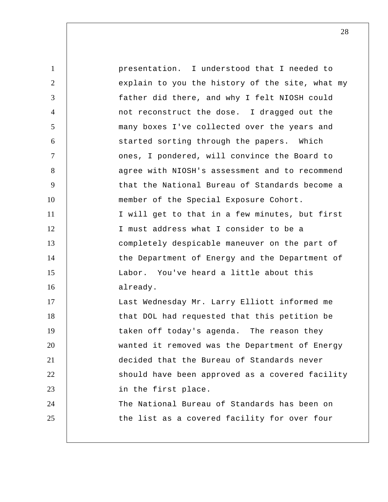| $\mathbf{1}$   | presentation. I understood that I needed to     |
|----------------|-------------------------------------------------|
| $\overline{2}$ | explain to you the history of the site, what my |
| 3              | father did there, and why I felt NIOSH could    |
| $\overline{4}$ | not reconstruct the dose. I dragged out the     |
| 5              | many boxes I've collected over the years and    |
| 6              | started sorting through the papers. Which       |
| $\tau$         | ones, I pondered, will convince the Board to    |
| 8              | agree with NIOSH's assessment and to recommend  |
| 9              | that the National Bureau of Standards become a  |
| 10             | member of the Special Exposure Cohort.          |
| 11             | I will get to that in a few minutes, but first  |
| 12             | I must address what I consider to be a          |
| 13             | completely despicable maneuver on the part of   |
| 14             | the Department of Energy and the Department of  |
| 15             | Labor. You've heard a little about this         |
| 16             | already.                                        |
| 17             | Last Wednesday Mr. Larry Elliott informed me    |
| 18             | that DOL had requested that this petition be    |
| 19             | taken off today's agenda. The reason they       |
| 20             | wanted it removed was the Department of Energy  |
| 21             | decided that the Bureau of Standards never      |
| 22             | should have been approved as a covered facility |
| 23             | in the first place.                             |
| 24             | The National Bureau of Standards has been on    |
| 25             | the list as a covered facility for over four    |
|                |                                                 |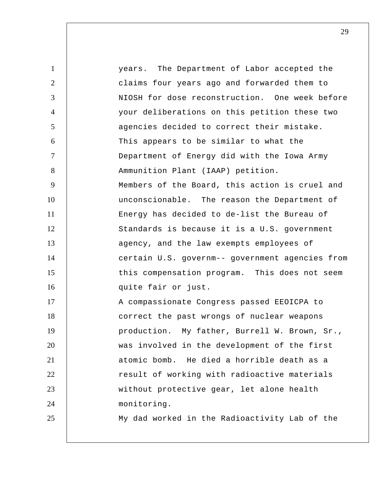1 2 3 4 5 6 7 8 9 10 11 12 13 14 15 16 17 18 19 20 21 22 23 24 25 years. The Department of Labor accepted the claims four years ago and forwarded them to NIOSH for dose reconstruction. One week before your deliberations on this petition these two agencies decided to correct their mistake. This appears to be similar to what the Department of Energy did with the Iowa Army Ammunition Plant (IAAP) petition. Members of the Board, this action is cruel and unconscionable. The reason the Department of Energy has decided to de-list the Bureau of Standards is because it is a U.S. government agency, and the law exempts employees of certain U.S. governm-- government agencies from this compensation program. This does not seem quite fair or just. A compassionate Congress passed EEOICPA to correct the past wrongs of nuclear weapons production. My father, Burrell W. Brown, Sr., was involved in the development of the first atomic bomb. He died a horrible death as a result of working with radioactive materials without protective gear, let alone health monitoring. My dad worked in the Radioactivity Lab of the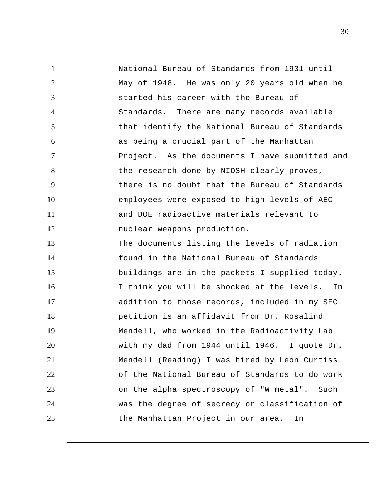| $\mathbf{1}$   | National Bureau of Standards from 1931 until   |
|----------------|------------------------------------------------|
| $\overline{2}$ | May of 1948. He was only 20 years old when he  |
| 3              | started his career with the Bureau of          |
| $\overline{4}$ | Standards. There are many records available    |
| 5              | that identify the National Bureau of Standards |
| 6              | as being a crucial part of the Manhattan       |
| $\overline{7}$ | Project. As the documents I have submitted and |
| 8              | the research done by NIOSH clearly proves,     |
| 9              | there is no doubt that the Bureau of Standards |
| 10             | employees were exposed to high levels of AEC   |
| 11             | and DOE radioactive materials relevant to      |
| 12             | nuclear weapons production.                    |
| 13             | The documents listing the levels of radiation  |
| 14             | found in the National Bureau of Standards      |
| 15             | buildings are in the packets I supplied today. |
| 16             | I think you will be shocked at the levels. In  |
| 17             | addition to those records, included in my SEC  |
| 18             | petition is an affidavit from Dr. Rosalind     |
| 19             | Mendell, who worked in the Radioactivity Lab   |
| 20             | with my dad from 1944 until 1946. I quote Dr.  |
| 21             | Mendell (Reading) I was hired by Leon Curtiss  |
| 22             | of the National Bureau of Standards to do work |
| 23             | on the alpha spectroscopy of "W metal". Such   |
| 24             | was the degree of secrecy or classification of |
| 25             | the Manhattan Project in our area.<br>In       |
|                |                                                |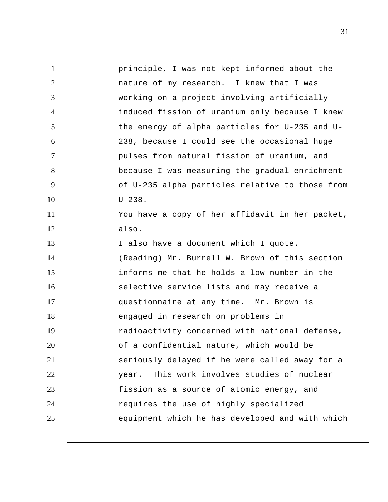| principle, I was not kept informed about the    |
|-------------------------------------------------|
| nature of my research. I knew that I was        |
| working on a project involving artificially-    |
| induced fission of uranium only because I knew  |
| the energy of alpha particles for U-235 and U-  |
| 238, because I could see the occasional huge    |
| pulses from natural fission of uranium, and     |
| because I was measuring the gradual enrichment  |
| of U-235 alpha particles relative to those from |
| $U - 238$ .                                     |
| You have a copy of her affidavit in her packet, |
| also.                                           |
| I also have a document which I quote.           |
| (Reading) Mr. Burrell W. Brown of this section  |
| informs me that he holds a low number in the    |
| selective service lists and may receive a       |
| questionnaire at any time. Mr. Brown is         |
| engaged in research on problems in              |
| radioactivity concerned with national defense,  |
| of a confidential nature, which would be        |
| seriously delayed if he were called away for a  |
| This work involves studies of nuclear<br>year.  |
| fission as a source of atomic energy, and       |
|                                                 |
| requires the use of highly specialized          |
|                                                 |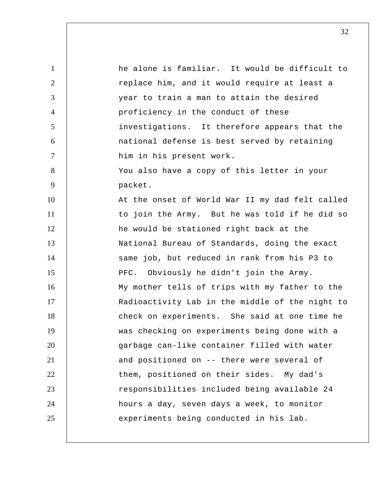1 2 3 4 5 6 7 8 9 10 11 12 13 14 15 16 17 18 19 20 21 22 23 24 25 he alone is familiar. It would be difficult to replace him, and it would require at least a year to train a man to attain the desired proficiency in the conduct of these investigations. It therefore appears that the national defense is best served by retaining him in his present work. You also have a copy of this letter in your packet. At the onset of World War II my dad felt called to join the Army. But he was told if he did so he would be stationed right back at the National Bureau of Standards, doing the exact same job, but reduced in rank from his P3 to PFC. Obviously he didn't join the Army. My mother tells of trips with my father to the Radioactivity Lab in the middle of the night to check on experiments. She said at one time he was checking on experiments being done with a garbage can-like container filled with water and positioned on -- there were several of them, positioned on their sides. My dad's responsibilities included being available 24 hours a day, seven days a week, to monitor experiments being conducted in his lab.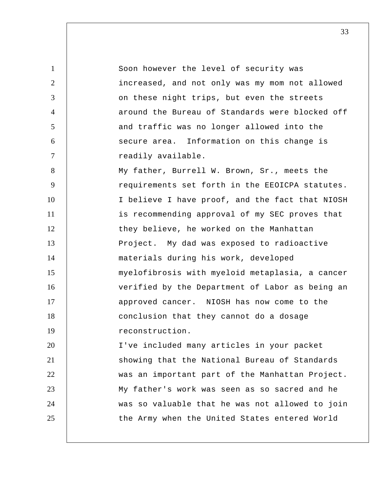1 2 3 4 5 6 7 8 9 10 11 12 13 14 15 16 17 18 19 20 21 22 23 24 25 Soon however the level of security was increased, and not only was my mom not allowed on these night trips, but even the streets around the Bureau of Standards were blocked off and traffic was no longer allowed into the secure area. Information on this change is readily available. My father, Burrell W. Brown, Sr., meets the requirements set forth in the EEOICPA statutes. I believe I have proof, and the fact that NIOSH is recommending approval of my SEC proves that they believe, he worked on the Manhattan Project. My dad was exposed to radioactive materials during his work, developed myelofibrosis with myeloid metaplasia, a cancer verified by the Department of Labor as being an approved cancer. NIOSH has now come to the conclusion that they cannot do a dosage reconstruction. I've included many articles in your packet showing that the National Bureau of Standards was an important part of the Manhattan Project. My father's work was seen as so sacred and he was so valuable that he was not allowed to join the Army when the United States entered World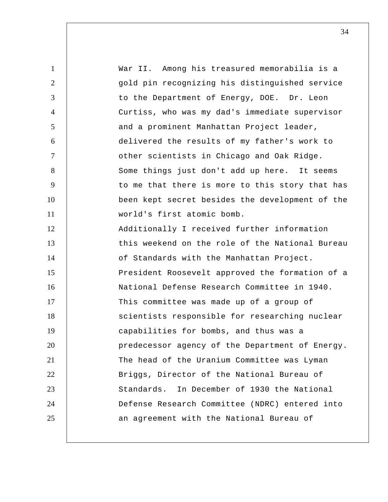1 2 3 4 5 6 7 8 9 10 11 12 13 14 15 16 17 18 19 20 21 22 23 24 25 War II. Among his treasured memorabilia is a gold pin recognizing his distinguished service to the Department of Energy, DOE. Dr. Leon Curtiss, who was my dad's immediate supervisor and a prominent Manhattan Project leader, delivered the results of my father's work to other scientists in Chicago and Oak Ridge. Some things just don't add up here. It seems to me that there is more to this story that has been kept secret besides the development of the world's first atomic bomb. Additionally I received further information this weekend on the role of the National Bureau of Standards with the Manhattan Project. President Roosevelt approved the formation of a National Defense Research Committee in 1940. This committee was made up of a group of scientists responsible for researching nuclear capabilities for bombs, and thus was a predecessor agency of the Department of Energy. The head of the Uranium Committee was Lyman Briggs, Director of the National Bureau of Standards. In December of 1930 the National Defense Research Committee (NDRC) entered into an agreement with the National Bureau of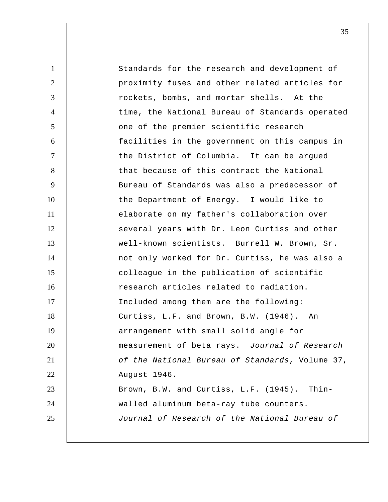1 2 3 4 5 6 7 8 9 10 11 12 13 14 15 16 17 18 19 20 21 22 23 24 25 Standards for the research and development of proximity fuses and other related articles for rockets, bombs, and mortar shells. At the time, the National Bureau of Standards operated one of the premier scientific research facilities in the government on this campus in the District of Columbia. It can be argued that because of this contract the National Bureau of Standards was also a predecessor of the Department of Energy. I would like to elaborate on my father's collaboration over several years with Dr. Leon Curtiss and other well-known scientists. Burrell W. Brown, Sr. not only worked for Dr. Curtiss, he was also a colleague in the publication of scientific research articles related to radiation. Included among them are the following: Curtiss, L.F. and Brown, B.W. (1946). An arrangement with small solid angle for measurement of beta rays. *Journal of Research of the National Bureau of Standards*, Volume 37, August 1946. Brown, B.W. and Curtiss, L.F. (1945). Thinwalled aluminum beta-ray tube counters. *Journal of Research of the National Bureau of*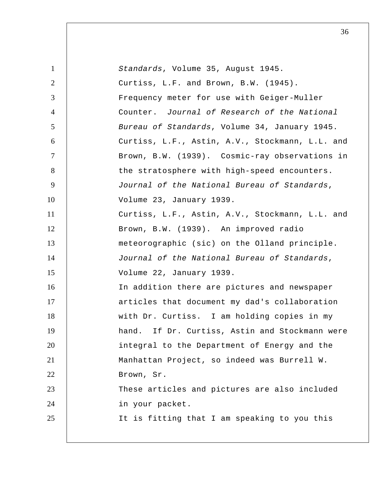| $\mathbf{1}$   | Standards, Volume 35, August 1945.                |
|----------------|---------------------------------------------------|
| 2              | Curtiss, L.F. and Brown, B.W. (1945).             |
| 3              | Frequency meter for use with Geiger-Muller        |
| $\overline{4}$ | Counter. Journal of Research of the National      |
| $\mathfrak{S}$ | Bureau of Standards, Volume 34, January 1945.     |
| 6              | Curtiss, L.F., Astin, A.V., Stockmann, L.L. and   |
| $\tau$         | Brown, B.W. (1939). Cosmic-ray observations in    |
| 8              | the stratosphere with high-speed encounters.      |
| 9              | Journal of the National Bureau of Standards,      |
| 10             | Volume 23, January 1939.                          |
| 11             | Curtiss, L.F., Astin, A.V., Stockmann, L.L. and   |
| 12             | Brown, B.W. (1939). An improved radio             |
| 13             | meteorographic (sic) on the Olland principle.     |
| 14             | Journal of the National Bureau of Standards,      |
| 15             | Volume 22, January 1939.                          |
| 16             | In addition there are pictures and newspaper      |
| 17             | articles that document my dad's collaboration     |
| 18             | with Dr. Curtiss. I am holding copies in my       |
| 19             | If Dr. Curtiss, Astin and Stockmann were<br>hand. |
| 20             | integral to the Department of Energy and the      |
| 21             | Manhattan Project, so indeed was Burrell W.       |
| 22             | Brown, Sr.                                        |
| 23             | These articles and pictures are also included     |
| 24             | in your packet.                                   |
| 25             | It is fitting that I am speaking to you this      |
|                |                                                   |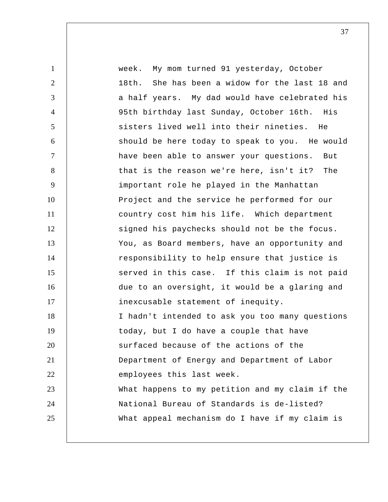1 2 3 4 5 6 7 8 9 10 11 12 13 14 15 16 17 18 19 20 21 22 23 24 25 week. My mom turned 91 yesterday, October 18th. She has been a widow for the last 18 and a half years. My dad would have celebrated his 95th birthday last Sunday, October 16th. His sisters lived well into their nineties. He should be here today to speak to you. He would have been able to answer your questions. But that is the reason we're here, isn't it? The important role he played in the Manhattan Project and the service he performed for our country cost him his life. Which department signed his paychecks should not be the focus. You, as Board members, have an opportunity and responsibility to help ensure that justice is served in this case. If this claim is not paid due to an oversight, it would be a glaring and inexcusable statement of inequity. I hadn't intended to ask you too many questions today, but I do have a couple that have surfaced because of the actions of the Department of Energy and Department of Labor employees this last week. What happens to my petition and my claim if the National Bureau of Standards is de-listed? What appeal mechanism do I have if my claim is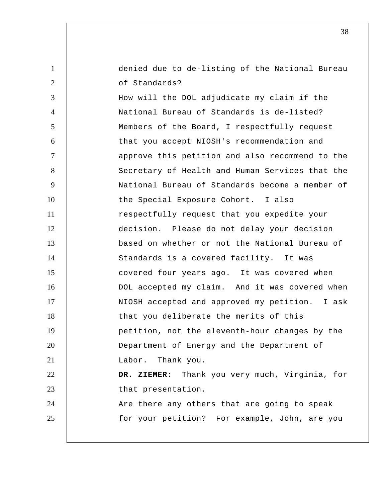denied due to de-listing of the National Bureau of Standards?

1

2

3 4 5 6 7 8 9 10 11 12 13 14 15 16 17 18 19 20 21 22 23 24 25 How will the DOL adjudicate my claim if the National Bureau of Standards is de-listed? Members of the Board, I respectfully request that you accept NIOSH's recommendation and approve this petition and also recommend to the Secretary of Health and Human Services that the National Bureau of Standards become a member of the Special Exposure Cohort. I also respectfully request that you expedite your decision. Please do not delay your decision based on whether or not the National Bureau of Standards is a covered facility. It was covered four years ago. It was covered when DOL accepted my claim. And it was covered when NIOSH accepted and approved my petition. I ask that you deliberate the merits of this petition, not the eleventh-hour changes by the Department of Energy and the Department of Labor. Thank you.  **DR. ZIEMER:** Thank you very much, Virginia, for that presentation. Are there any others that are going to speak for your petition? For example, John, are you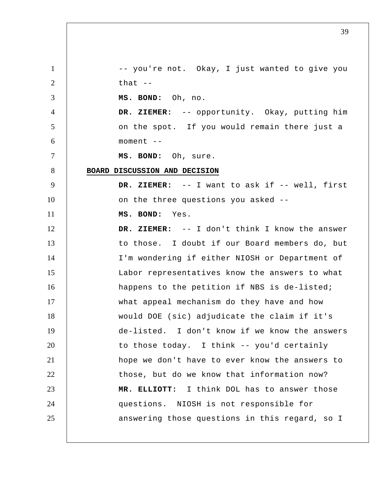1 2 3 4 5 6 7 8 9 10 11 12 13 14 15 16 17 18 19 20 21 22 23 24 25 -- you're not. Okay, I just wanted to give you that  $-$  **MS. BOND:** Oh, no.  **DR. ZIEMER:** -- opportunity. Okay, putting him on the spot. If you would remain there just a moment --  **MS. BOND:** Oh, sure. **BOARD DISCUSSION AND DECISION DR. ZIEMER:** -- I want to ask if -- well, first on the three questions you asked --  **MS. BOND:** Yes.  **DR. ZIEMER:** -- I don't think I know the answer to those. I doubt if our Board members do, but I'm wondering if either NIOSH or Department of Labor representatives know the answers to what happens to the petition if NBS is de-listed; what appeal mechanism do they have and how would DOE (sic) adjudicate the claim if it's de-listed. I don't know if we know the answers to those today. I think -- you'd certainly hope we don't have to ever know the answers to those, but do we know that information now?  **MR. ELLIOTT:** I think DOL has to answer those questions. NIOSH is not responsible for answering those questions in this regard, so I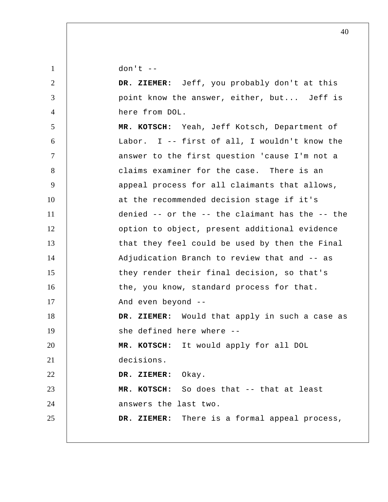$don't --$ 

1

2 3 4 5 6 7 8 9 10 11 12 13 14 15 16 17 18 19 20 21 22 23 24 25  **DR. ZIEMER:** Jeff, you probably don't at this point know the answer, either, but... Jeff is here from DOL.  **MR. KOTSCH:** Yeah, Jeff Kotsch, Department of Labor. I -- first of all, I wouldn't know the answer to the first question 'cause I'm not a claims examiner for the case. There is an appeal process for all claimants that allows, at the recommended decision stage if it's denied -- or the -- the claimant has the -- the option to object, present additional evidence that they feel could be used by then the Final Adjudication Branch to review that and -- as they render their final decision, so that's the, you know, standard process for that. And even beyond --  **DR. ZIEMER:** Would that apply in such a case as she defined here where --  **MR. KOTSCH:** It would apply for all DOL decisions.  **DR. ZIEMER:** Okay.  **MR. KOTSCH:** So does that -- that at least answers the last two.  **DR. ZIEMER:** There is a formal appeal process,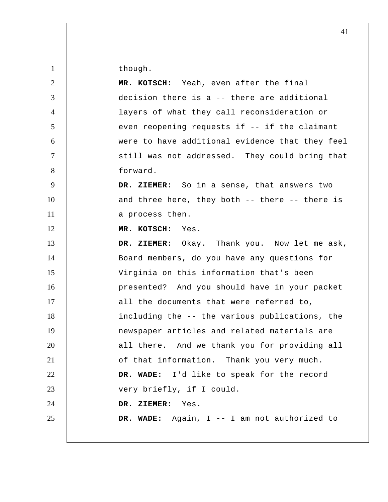though.

1

| $\overline{2}$ | MR. KOTSCH: Yeah, even after the final          |
|----------------|-------------------------------------------------|
| $\mathfrak{Z}$ | decision there is a -- there are additional     |
| $\overline{4}$ | layers of what they call reconsideration or     |
| 5 <sup>5</sup> | even reopening requests if -- if the claimant   |
| 6              | were to have additional evidence that they feel |
| $\overline{7}$ | still was not addressed. They could bring that  |
| 8              | forward.                                        |
| 9              | DR. ZIEMER: So in a sense, that answers two     |
| 10             | and three here, they both -- there -- there is  |
| 11             | a process then.                                 |
| 12             | MR. KOTSCH:<br>Yes.                             |
| 13             | DR. ZIEMER: Okay. Thank you. Now let me ask,    |
| 14             | Board members, do you have any questions for    |
| 15             | Virginia on this information that's been        |
| 16             | presented? And you should have in your packet   |
| 17             | all the documents that were referred to,        |
| 18             | including the -- the various publications, the  |
| 19             | newspaper articles and related materials are    |
| 20             | all there. And we thank you for providing all   |
| 21             | of that information. Thank you very much.       |
| 22             | DR. WADE: I'd like to speak for the record      |
| 23             | very briefly, if I could.                       |
| 24             | DR. ZIEMER: Yes.                                |
| 25             | DR. WADE: Again, I -- I am not authorized to    |
|                |                                                 |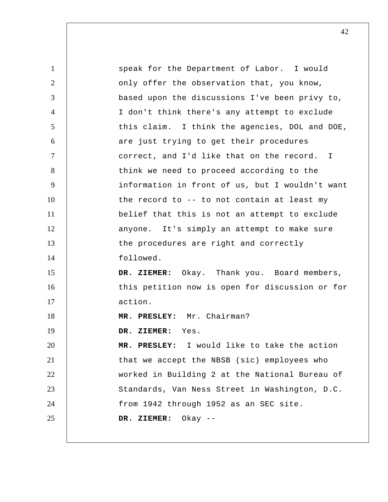1 2 3 4 5 6 7 8 9 10 11 12 13 14 15 16 17 18 19 20 21 22 23 24 25 speak for the Department of Labor. I would only offer the observation that, you know, based upon the discussions I've been privy to, I don't think there's any attempt to exclude this claim. I think the agencies, DOL and DOE, are just trying to get their procedures correct, and I'd like that on the record. I think we need to proceed according to the information in front of us, but I wouldn't want the record to -- to not contain at least my belief that this is not an attempt to exclude anyone. It's simply an attempt to make sure the procedures are right and correctly followed.  **DR. ZIEMER:** Okay. Thank you. Board members, this petition now is open for discussion or for action.  **MR. PRESLEY:** Mr. Chairman?  **DR. ZIEMER:** Yes.  **MR. PRESLEY:** I would like to take the action that we accept the NBSB (sic) employees who worked in Building 2 at the National Bureau of Standards, Van Ness Street in Washington, D.C. from 1942 through 1952 as an SEC site.  **DR. ZIEMER:** Okay --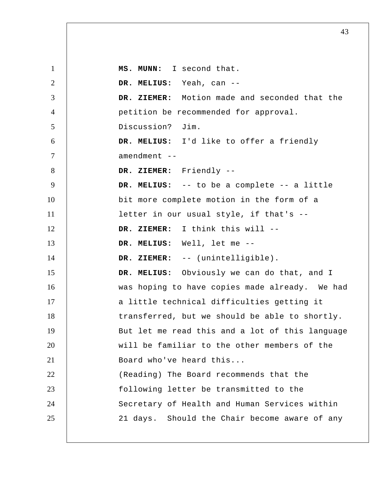1 2 3 4 5 6 7 8 9 10 11 12 13 14 15 16 17 18 19 20 21 22 23 24 25  **MS. MUNN:** I second that.  **DR. MELIUS:** Yeah, can --  **DR. ZIEMER:** Motion made and seconded that the petition be recommended for approval. Discussion? Jim.  **DR. MELIUS:** I'd like to offer a friendly amendment --  **DR. ZIEMER:** Friendly --  **DR. MELIUS:** -- to be a complete -- a little bit more complete motion in the form of a letter in our usual style, if that's --  **DR. ZIEMER:** I think this will --  **DR. MELIUS:** Well, let me -- DR. ZIEMER: -- (unintelligible).  **DR. MELIUS:** Obviously we can do that, and I was hoping to have copies made already. We had a little technical difficulties getting it transferred, but we should be able to shortly. But let me read this and a lot of this language will be familiar to the other members of the Board who've heard this... (Reading) The Board recommends that the following letter be transmitted to the Secretary of Health and Human Services within 21 days. Should the Chair become aware of any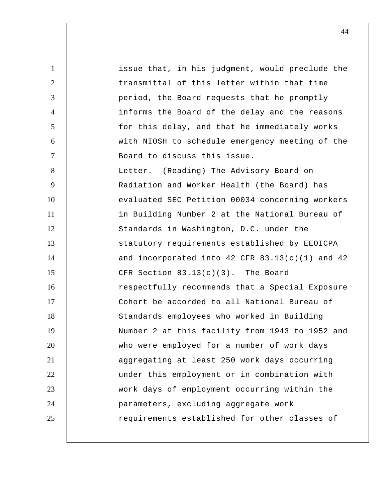1 2 3 4 5 6 7 8 9 10 11 12 13 14 15 16 17 18 19 20 21 22 23 24 25 issue that, in his judgment, would preclude the transmittal of this letter within that time period, the Board requests that he promptly informs the Board of the delay and the reasons for this delay, and that he immediately works with NIOSH to schedule emergency meeting of the Board to discuss this issue. Letter. (Reading) The Advisory Board on Radiation and Worker Health (the Board) has evaluated SEC Petition 00034 concerning workers in Building Number 2 at the National Bureau of Standards in Washington, D.C. under the statutory requirements established by EEOICPA and incorporated into  $42$  CFR  $83.13(c)(1)$  and  $42$ CFR Section 83.13(c)(3). The Board respectfully recommends that a Special Exposure Cohort be accorded to all National Bureau of Standards employees who worked in Building Number 2 at this facility from 1943 to 1952 and who were employed for a number of work days aggregating at least 250 work days occurring under this employment or in combination with work days of employment occurring within the parameters, excluding aggregate work requirements established for other classes of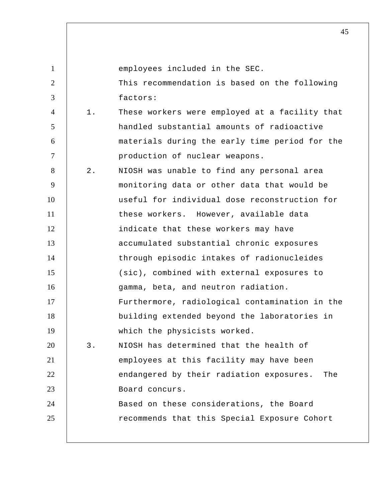| $\mathbf{1}$   |       | employees included in the SEC.                  |
|----------------|-------|-------------------------------------------------|
| $\overline{2}$ |       | This recommendation is based on the following   |
| 3              |       | factors:                                        |
| $\overline{4}$ | $1$ . | These workers were employed at a facility that  |
| 5              |       | handled substantial amounts of radioactive      |
| 6              |       | materials during the early time period for the  |
| $\tau$         |       | production of nuclear weapons.                  |
| 8              | $2$ . | NIOSH was unable to find any personal area      |
| 9              |       | monitoring data or other data that would be     |
| 10             |       | useful for individual dose reconstruction for   |
| 11             |       | these workers. However, available data          |
| 12             |       | indicate that these workers may have            |
| 13             |       | accumulated substantial chronic exposures       |
| 14             |       | through episodic intakes of radionucleides      |
| 15             |       | (sic), combined with external exposures to      |
| 16             |       | gamma, beta, and neutron radiation.             |
| 17             |       | Furthermore, radiological contamination in the  |
| 18             |       | building extended beyond the laboratories in    |
| 19             |       | which the physicists worked.                    |
| 20             | $3$ . | NIOSH has determined that the health of         |
| 21             |       | employees at this facility may have been        |
| 22             |       | endangered by their radiation exposures.<br>The |
| 23             |       | Board concurs.                                  |
| 24             |       | Based on these considerations, the Board        |
| 25             |       | recommends that this Special Exposure Cohort    |
|                |       |                                                 |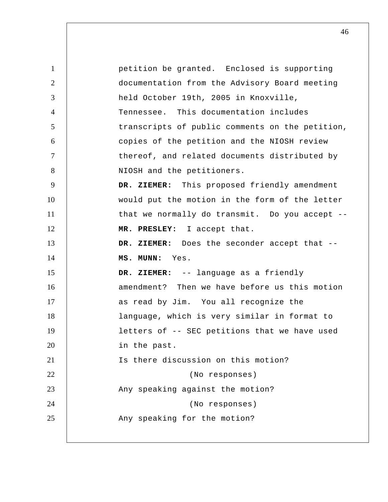1 2 3 4 5 6 7 8 9 10 11 12 13 14 15 16 17 18 19 20 21 22 23 24 25 petition be granted. Enclosed is supporting documentation from the Advisory Board meeting held October 19th, 2005 in Knoxville, Tennessee. This documentation includes transcripts of public comments on the petition, copies of the petition and the NIOSH review thereof, and related documents distributed by NIOSH and the petitioners.  **DR. ZIEMER:** This proposed friendly amendment would put the motion in the form of the letter that we normally do transmit. Do you accept --  **MR. PRESLEY:** I accept that.  **DR. ZIEMER:** Does the seconder accept that --  **MS. MUNN:** Yes.  **DR. ZIEMER:** -- language as a friendly amendment? Then we have before us this motion as read by Jim. You all recognize the language, which is very similar in format to letters of -- SEC petitions that we have used in the past. Is there discussion on this motion? (No responses) Any speaking against the motion? (No responses) Any speaking for the motion?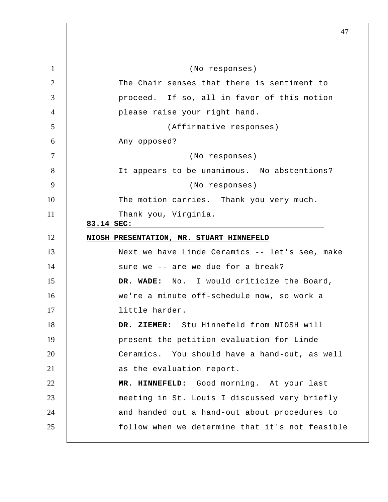5 10 15 20 25 1 2 3 4 6 7 8 9 11 12 13 14 16 17 18 19 21 22 23 24 (No responses) The Chair senses that there is sentiment to proceed. If so, all in favor of this motion please raise your right hand. (Affirmative responses) Any opposed? (No responses) It appears to be unanimous. No abstentions? (No responses) The motion carries. Thank you very much. Thank you, Virginia. **83.14 SEC: NIOSH PRESENTATION, MR. STUART HINNEFELD**  Next we have Linde Ceramics -- let's see, make sure we -- are we due for a break?  **DR. WADE:** No. I would criticize the Board, we're a minute off-schedule now, so work a little harder.  **DR. ZIEMER:** Stu Hinnefeld from NIOSH will present the petition evaluation for Linde Ceramics. You should have a hand-out, as well as the evaluation report.  **MR. HINNEFELD:** Good morning. At your last meeting in St. Louis I discussed very briefly and handed out a hand-out about procedures to follow when we determine that it's not feasible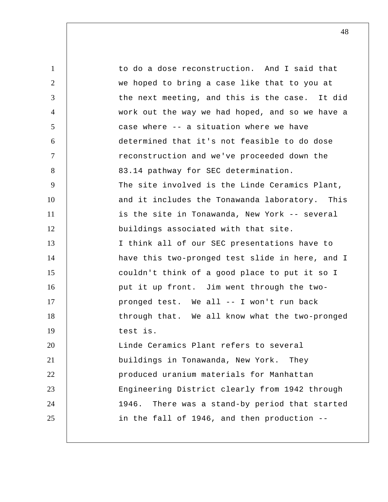1 2 3 4 5 6 7 8 9 10 11 12 13 14 15 16 17 18 19 20 21 22 23 24 25 to do a dose reconstruction. And I said that we hoped to bring a case like that to you at the next meeting, and this is the case. It did work out the way we had hoped, and so we have a case where -- a situation where we have determined that it's not feasible to do dose reconstruction and we've proceeded down the 83.14 pathway for SEC determination. The site involved is the Linde Ceramics Plant, and it includes the Tonawanda laboratory. This is the site in Tonawanda, New York -- several buildings associated with that site. I think all of our SEC presentations have to have this two-pronged test slide in here, and I couldn't think of a good place to put it so I put it up front. Jim went through the twopronged test. We all -- I won't run back through that. We all know what the two-pronged test is. Linde Ceramics Plant refers to several buildings in Tonawanda, New York. They produced uranium materials for Manhattan Engineering District clearly from 1942 through 1946. There was a stand-by period that started in the fall of 1946, and then production --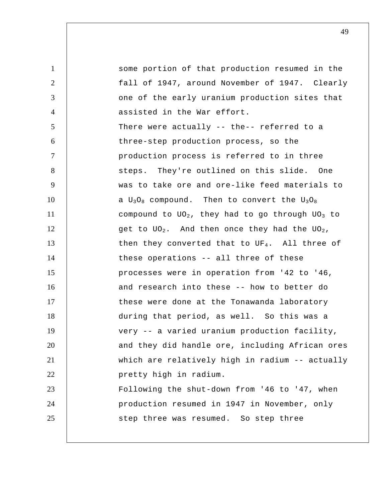1 2 3 4 5 6 7 8 9 10 11 12 13 14 15 16 17 18 19 20 21 22 23 24 25 some portion of that production resumed in the fall of 1947, around November of 1947. Clearly one of the early uranium production sites that assisted in the War effort. There were actually -- the-- referred to a three-step production process, so the production process is referred to in three steps. They're outlined on this slide. One was to take ore and ore-like feed materials to a  $U_3O_8$  compound. Then to convert the  $U_3O_8$ compound to  $UO_2$ , they had to go through  $UO_3$  to get to  $UO_2$ . And then once they had the  $UO_2$ , then they converted that to UF4. All three of these operations -- all three of these processes were in operation from '42 to '46, and research into these -- how to better do these were done at the Tonawanda laboratory during that period, as well. So this was a very -- a varied uranium production facility, and they did handle ore, including African ores which are relatively high in radium -- actually pretty high in radium. Following the shut-down from '46 to '47, when production resumed in 1947 in November, only step three was resumed. So step three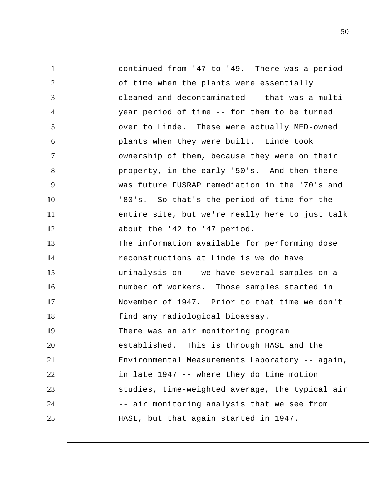1 2 3 4 5 6 7 8 9 10 11 12 13 14 15 16 17 18 19 20 21 22 23 24 25 continued from '47 to '49. There was a period of time when the plants were essentially cleaned and decontaminated -- that was a multiyear period of time -- for them to be turned over to Linde. These were actually MED-owned plants when they were built. Linde took ownership of them, because they were on their property, in the early '50's. And then there was future FUSRAP remediation in the '70's and '80's. So that's the period of time for the entire site, but we're really here to just talk about the '42 to '47 period. The information available for performing dose reconstructions at Linde is we do have urinalysis on -- we have several samples on a number of workers. Those samples started in November of 1947. Prior to that time we don't find any radiological bioassay. There was an air monitoring program established. This is through HASL and the Environmental Measurements Laboratory -- again, in late 1947 -- where they do time motion studies, time-weighted average, the typical air -- air monitoring analysis that we see from HASL, but that again started in 1947.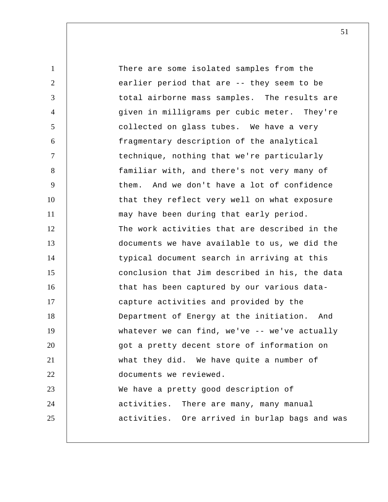1 2 3 4 5 6 7 8 9 10 11 12 13 14 15 16 17 18 19 20 21 22 23 24 25 There are some isolated samples from the earlier period that are -- they seem to be total airborne mass samples. The results are given in milligrams per cubic meter. They're collected on glass tubes. We have a very fragmentary description of the analytical technique, nothing that we're particularly familiar with, and there's not very many of them. And we don't have a lot of confidence that they reflect very well on what exposure may have been during that early period. The work activities that are described in the documents we have available to us, we did the typical document search in arriving at this conclusion that Jim described in his, the data that has been captured by our various datacapture activities and provided by the Department of Energy at the initiation. And whatever we can find, we've -- we've actually got a pretty decent store of information on what they did. We have quite a number of documents we reviewed. We have a pretty good description of activities. There are many, many manual activities. Ore arrived in burlap bags and was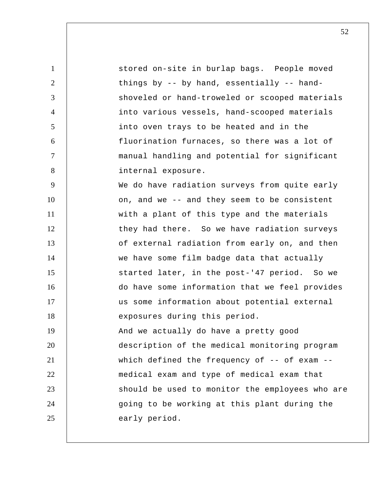| $\mathbf{1}$   | stored on-site in burlap bags. People moved        |
|----------------|----------------------------------------------------|
| $\overline{2}$ | things by -- by hand, essentially -- hand-         |
| 3              | shoveled or hand-troweled or scooped materials     |
| $\overline{4}$ | into various vessels, hand-scooped materials       |
| 5              | into oven trays to be heated and in the            |
| 6              | fluorination furnaces, so there was a lot of       |
| $\tau$         | manual handling and potential for significant      |
| 8              | internal exposure.                                 |
| 9              | We do have radiation surveys from quite early      |
| 10             | on, and we -- and they seem to be consistent       |
| 11             | with a plant of this type and the materials        |
| 12             | they had there. So we have radiation surveys       |
| 13             | of external radiation from early on, and then      |
| 14             | we have some film badge data that actually         |
| 15             | started later, in the post-'47 period. So we       |
| 16             | do have some information that we feel provides     |
| 17             | us some information about potential external       |
| 18             | exposures during this period.                      |
| 19             | And we actually do have a pretty good              |
| 20             | description of the medical monitoring program      |
| 21             | which defined the frequency of $-$ - of exam $-$ - |
| 22             | medical exam and type of medical exam that         |
| 23             | should be used to monitor the employees who are    |
| 24             | going to be working at this plant during the       |
| 25             | early period.                                      |
|                |                                                    |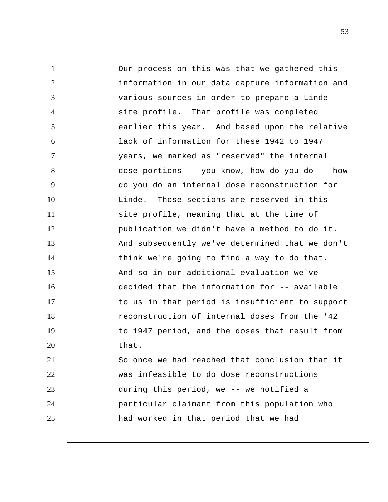1 2 3 4 5 6 7 8 9 10 11 12 13 14 15 16 17 18 19 20 21 22 23 24 25 Our process on this was that we gathered this information in our data capture information and various sources in order to prepare a Linde site profile. That profile was completed earlier this year. And based upon the relative lack of information for these 1942 to 1947 years, we marked as "reserved" the internal dose portions -- you know, how do you do -- how do you do an internal dose reconstruction for Linde. Those sections are reserved in this site profile, meaning that at the time of publication we didn't have a method to do it. And subsequently we've determined that we don't think we're going to find a way to do that. And so in our additional evaluation we've decided that the information for -- available to us in that period is insufficient to support reconstruction of internal doses from the '42 to 1947 period, and the doses that result from that. So once we had reached that conclusion that it was infeasible to do dose reconstructions during this period, we -- we notified a particular claimant from this population who had worked in that period that we had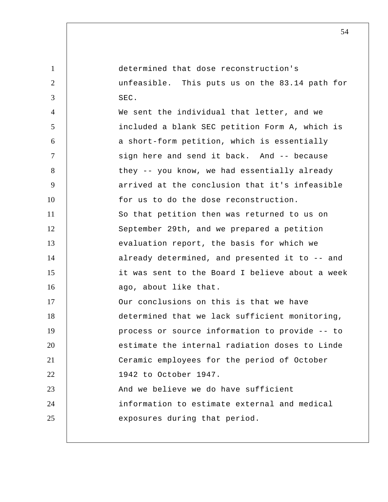1 2 3 4 5 6 7 8 9 10 11 12 13 14 15 16 17 18 19 20 21 22 23 24 25 determined that dose reconstruction's unfeasible. This puts us on the 83.14 path for SEC. We sent the individual that letter, and we included a blank SEC petition Form A, which is a short-form petition, which is essentially sign here and send it back. And -- because they -- you know, we had essentially already arrived at the conclusion that it's infeasible for us to do the dose reconstruction. So that petition then was returned to us on September 29th, and we prepared a petition evaluation report, the basis for which we already determined, and presented it to -- and it was sent to the Board I believe about a week ago, about like that. Our conclusions on this is that we have determined that we lack sufficient monitoring, process or source information to provide -- to estimate the internal radiation doses to Linde Ceramic employees for the period of October 1942 to October 1947. And we believe we do have sufficient information to estimate external and medical exposures during that period.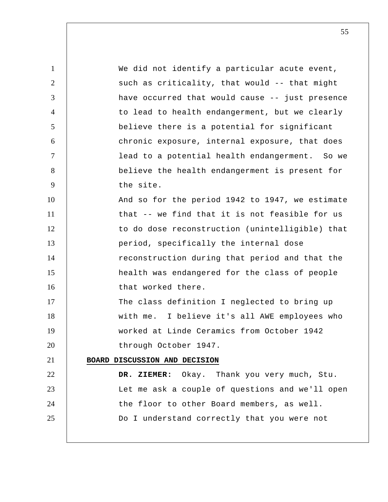1 2 3 4 5 6 7 8 9 10 11 12 13 14 15 16 17 18 19 20 21 22 23 24 25 We did not identify a particular acute event, such as criticality, that would -- that might have occurred that would cause -- just presence to lead to health endangerment, but we clearly believe there is a potential for significant chronic exposure, internal exposure, that does lead to a potential health endangerment. So we believe the health endangerment is present for the site. And so for the period 1942 to 1947, we estimate that -- we find that it is not feasible for us to do dose reconstruction (unintelligible) that period, specifically the internal dose reconstruction during that period and that the health was endangered for the class of people that worked there. The class definition I neglected to bring up with me. I believe it's all AWE employees who worked at Linde Ceramics from October 1942 through October 1947. **BOARD DISCUSSION AND DECISION DR. ZIEMER:** Okay. Thank you very much, Stu. Let me ask a couple of questions and we'll open the floor to other Board members, as well. Do I understand correctly that you were not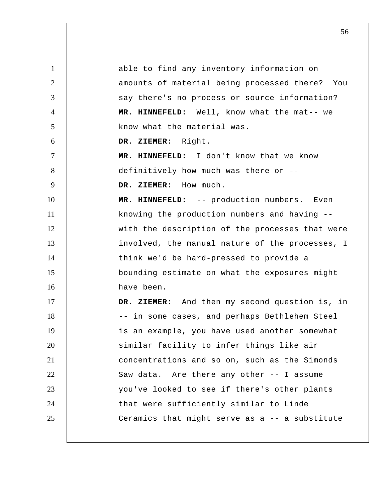1 2 3 4 5 6 7 8 9 10 11 12 13 14 15 16 17 18 19 20 21 22 23 24 25 able to find any inventory information on amounts of material being processed there? You say there's no process or source information?  **MR. HINNEFELD:** Well, know what the mat-- we know what the material was.  **DR. ZIEMER:** Right.  **MR. HINNEFELD:** I don't know that we know definitively how much was there or --  **DR. ZIEMER:** How much.  **MR. HINNEFELD:** -- production numbers. Even knowing the production numbers and having - with the description of the processes that were involved, the manual nature of the processes, I think we'd be hard-pressed to provide a bounding estimate on what the exposures might have been.  **DR. ZIEMER:** And then my second question is, in -- in some cases, and perhaps Bethlehem Steel is an example, you have used another somewhat similar facility to infer things like air concentrations and so on, such as the Simonds Saw data. Are there any other -- I assume you've looked to see if there's other plants that were sufficiently similar to Linde Ceramics that might serve as a -- a substitute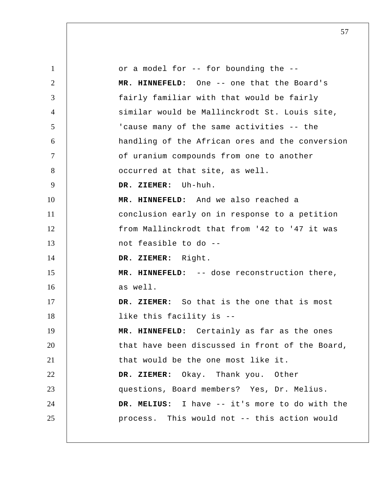1 2 3 4 5 6 7 8 9 10 11 12 13 14 15 16 17 18 19 20 21 22 23 24 25 or a model for -- for bounding the --  **MR. HINNEFELD:** One -- one that the Board's fairly familiar with that would be fairly similar would be Mallinckrodt St. Louis site, 'cause many of the same activities -- the handling of the African ores and the conversion of uranium compounds from one to another occurred at that site, as well.  **DR. ZIEMER:** Uh-huh.  **MR. HINNEFELD:** And we also reached a conclusion early on in response to a petition from Mallinckrodt that from '42 to '47 it was not feasible to do --  **DR. ZIEMER:** Right.  **MR. HINNEFELD:** -- dose reconstruction there, as well.  **DR. ZIEMER:** So that is the one that is most like this facility is --  **MR. HINNEFELD:** Certainly as far as the ones that have been discussed in front of the Board, that would be the one most like it.  **DR. ZIEMER:** Okay. Thank you. Other questions, Board members? Yes, Dr. Melius.  **DR. MELIUS:** I have -- it's more to do with the process. This would not -- this action would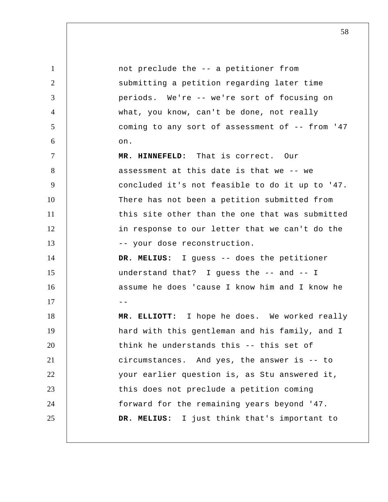1 2 3 4 5 6 7 8 9 10 11 12 13 14 15 16  $17$  --18 19 20 21 22 23 24 25 not preclude the -- a petitioner from submitting a petition regarding later time periods. We're -- we're sort of focusing on what, you know, can't be done, not really coming to any sort of assessment of -- from '47 on.  **MR. HINNEFELD:** That is correct. Our assessment at this date is that we -- we concluded it's not feasible to do it up to '47. There has not been a petition submitted from this site other than the one that was submitted in response to our letter that we can't do the -- your dose reconstruction.  **DR. MELIUS:** I guess -- does the petitioner understand that? I guess the -- and -- I assume he does 'cause I know him and I know he  **MR. ELLIOTT:** I hope he does. We worked really hard with this gentleman and his family, and I think he understands this -- this set of circumstances. And yes, the answer is -- to your earlier question is, as Stu answered it, this does not preclude a petition coming forward for the remaining years beyond '47.  **DR. MELIUS:** I just think that's important to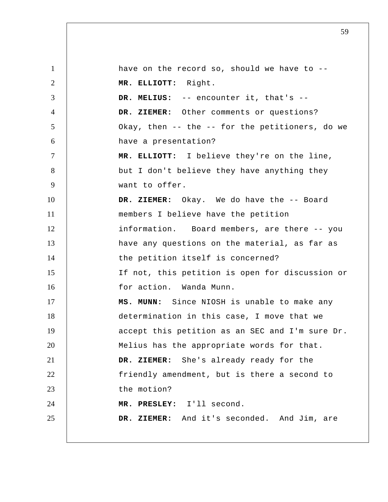1 2 3 4 5 6 7 8 9 10 11 12 13 14 15 16 17 18 19 20 21 22 23 24 25 have on the record so, should we have to --  **MR. ELLIOTT:** Right.  **DR. MELIUS:** -- encounter it, that's --  **DR. ZIEMER:** Other comments or questions? Okay, then -- the -- for the petitioners, do we have a presentation?  **MR. ELLIOTT:** I believe they're on the line, but I don't believe they have anything they want to offer.  **DR. ZIEMER:** Okay. We do have the -- Board members I believe have the petition information. Board members, are there -- you have any questions on the material, as far as the petition itself is concerned? If not, this petition is open for discussion or for action. Wanda Munn.  **MS. MUNN:** Since NIOSH is unable to make any determination in this case, I move that we accept this petition as an SEC and I'm sure Dr. Melius has the appropriate words for that.  **DR. ZIEMER:** She's already ready for the friendly amendment, but is there a second to the motion?  **MR. PRESLEY:** I'll second.  **DR. ZIEMER:** And it's seconded. And Jim, are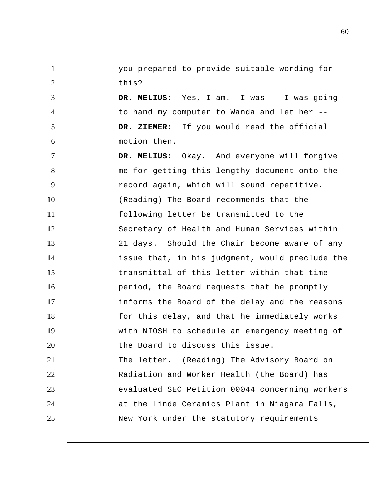you prepared to provide suitable wording for this?

1

2

3

4

5

6

 **DR. MELIUS:** Yes, I am. I was -- I was going to hand my computer to Wanda and let her --  **DR. ZIEMER:** If you would read the official motion then.

7 8 9 10 11 12 13 14 15 16 17 18 19 20 21 22 23 24 25  **DR. MELIUS:** Okay. And everyone will forgive me for getting this lengthy document onto the record again, which will sound repetitive. (Reading) The Board recommends that the following letter be transmitted to the Secretary of Health and Human Services within 21 days. Should the Chair become aware of any issue that, in his judgment, would preclude the transmittal of this letter within that time period, the Board requests that he promptly informs the Board of the delay and the reasons for this delay, and that he immediately works with NIOSH to schedule an emergency meeting of the Board to discuss this issue. The letter. (Reading) The Advisory Board on Radiation and Worker Health (the Board) has evaluated SEC Petition 00044 concerning workers at the Linde Ceramics Plant in Niagara Falls, New York under the statutory requirements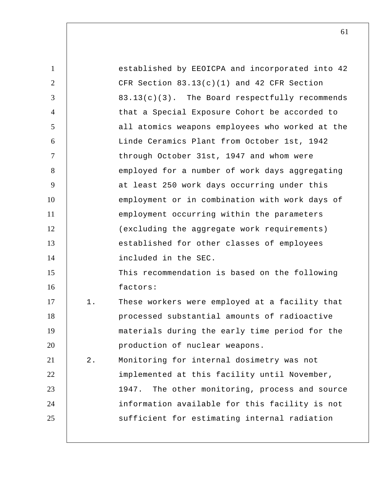| $\mathbf{1}$   |       | established by EEOICPA and incorporated into 42   |
|----------------|-------|---------------------------------------------------|
| $\overline{2}$ |       | CFR Section $83.13(c)(1)$ and $42$ CFR Section    |
| 3              |       | 83.13(c)(3). The Board respectfully recommends    |
| $\overline{4}$ |       | that a Special Exposure Cohort be accorded to     |
| 5              |       | all atomics weapons employees who worked at the   |
| 6              |       | Linde Ceramics Plant from October 1st, 1942       |
| $\tau$         |       | through October 31st, 1947 and whom were          |
| 8              |       | employed for a number of work days aggregating    |
| 9              |       | at least 250 work days occurring under this       |
| 10             |       | employment or in combination with work days of    |
| 11             |       | employment occurring within the parameters        |
| 12             |       | (excluding the aggregate work requirements)       |
| 13             |       | established for other classes of employees        |
| 14             |       | included in the SEC.                              |
| 15             |       | This recommendation is based on the following     |
| 16             |       | factors:                                          |
| 17             | $1$ . | These workers were employed at a facility that    |
| 18             |       | processed substantial amounts of radioactive      |
| 19             |       | materials during the early time period for the    |
| 20             |       | production of nuclear weapons.                    |
| 21             | $2$ . | Monitoring for internal dosimetry was not         |
| 22             |       | implemented at this facility until November,      |
| 23             |       | 1947.<br>The other monitoring, process and source |
| 24             |       | information available for this facility is not    |
| 25             |       | sufficient for estimating internal radiation      |
|                |       |                                                   |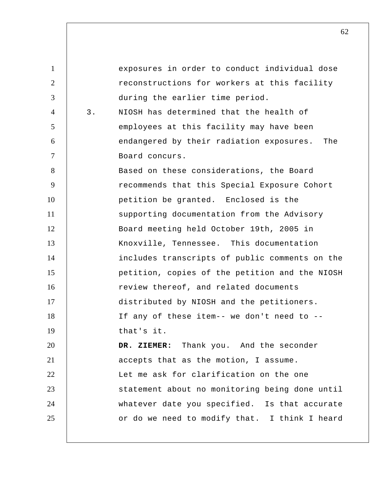1 2 3 4 5 6 7 8 9 10 11 12 13 14 15 16 17 18 19 20 21 22 23 24 25 exposures in order to conduct individual dose reconstructions for workers at this facility during the earlier time period. 3. NIOSH has determined that the health of employees at this facility may have been endangered by their radiation exposures. The Board concurs. Based on these considerations, the Board recommends that this Special Exposure Cohort petition be granted. Enclosed is the supporting documentation from the Advisory Board meeting held October 19th, 2005 in Knoxville, Tennessee. This documentation includes transcripts of public comments on the petition, copies of the petition and the NIOSH review thereof, and related documents distributed by NIOSH and the petitioners. If any of these item-- we don't need to - that's it.  **DR. ZIEMER:** Thank you. And the seconder accepts that as the motion, I assume. Let me ask for clarification on the one statement about no monitoring being done until whatever date you specified. Is that accurate or do we need to modify that. I think I heard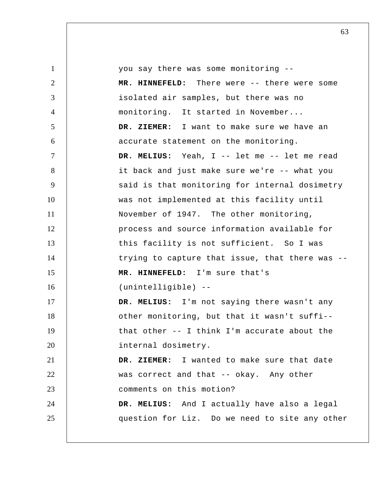| $\mathbf{1}$   | you say there was some monitoring --            |
|----------------|-------------------------------------------------|
| $\overline{2}$ | MR. HINNEFELD: There were -- there were some    |
| 3              | isolated air samples, but there was no          |
| $\overline{4}$ | monitoring. It started in November              |
| 5              | DR. ZIEMER: I want to make sure we have an      |
| 6              | accurate statement on the monitoring.           |
| $\tau$         | DR. MELIUS: Yeah, I -- let me -- let me read    |
| 8              | it back and just make sure we're -- what you    |
| 9              | said is that monitoring for internal dosimetry  |
| 10             | was not implemented at this facility until      |
| 11             | November of 1947. The other monitoring,         |
| 12             | process and source information available for    |
| 13             | this facility is not sufficient. So I was       |
| 14             | trying to capture that issue, that there was -- |
| 15             | MR. HINNEFELD: I'm sure that's                  |
| 16             | (unintelligible) --                             |
| 17             | DR. MELIUS: I'm not saying there wasn't any     |
| 18             | other monitoring, but that it wasn't suffi--    |
| 19             | that other -- I think I'm accurate about the    |
| 20             | internal dosimetry.                             |
| 21             | DR. ZIEMER: I wanted to make sure that date     |
| 22             | was correct and that -- okay. Any other         |
| 23             | comments on this motion?                        |
| 24             | DR. MELIUS: And I actually have also a legal    |
| 25             | question for Liz. Do we need to site any other  |
|                |                                                 |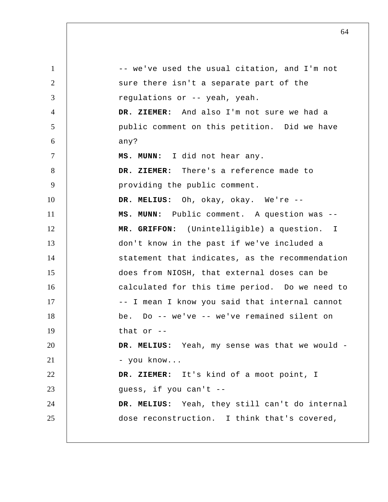1 2 3 4 5 6 7 8 9 10 11 12 13 14 15 16 17 18 19 20 21 22 23 24 25 -- we've used the usual citation, and I'm not sure there isn't a separate part of the regulations or -- yeah, yeah.  **DR. ZIEMER:** And also I'm not sure we had a public comment on this petition. Did we have any?  **MS. MUNN:** I did not hear any.  **DR. ZIEMER:** There's a reference made to providing the public comment.  **DR. MELIUS:** Oh, okay, okay. We're --  **MS. MUNN:** Public comment. A question was --  **MR. GRIFFON:** (Unintelligible) a question. I don't know in the past if we've included a statement that indicates, as the recommendation does from NIOSH, that external doses can be calculated for this time period. Do we need to -- I mean I know you said that internal cannot be. Do -- we've -- we've remained silent on that or  $-$  **DR. MELIUS:** Yeah, my sense was that we would - - you know...  **DR. ZIEMER:** It's kind of a moot point, I guess, if you can't --  **DR. MELIUS:** Yeah, they still can't do internal dose reconstruction. I think that's covered,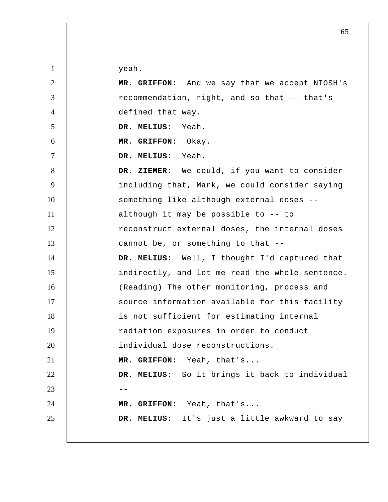yeah.

| $\overline{2}$ | MR. GRIFFON: And we say that we accept NIOSH's  |
|----------------|-------------------------------------------------|
| 3              | recommendation, right, and so that -- that's    |
| $\overline{4}$ | defined that way.                               |
| 5              | DR. MELIUS: Yeah.                               |
| 6              | MR. GRIFFON: Okay.                              |
| $\tau$         | DR. MELIUS: Yeah.                               |
| 8              | DR. ZIEMER: We could, if you want to consider   |
| 9              | including that, Mark, we could consider saying  |
| 10             | something like although external doses --       |
| 11             | although it may be possible to -- to            |
| 12             | reconstruct external doses, the internal doses  |
| 13             | cannot be, or something to that --              |
| 14             | DR. MELIUS: Well, I thought I'd captured that   |
| 15             | indirectly, and let me read the whole sentence. |
| 16             | (Reading) The other monitoring, process and     |
| 17             | source information available for this facility  |
| 18             | is not sufficient for estimating internal       |
| 19             | radiation exposures in order to conduct         |
| 20             | individual dose reconstructions.                |
| 21             | MR. GRIFFON: Yeah, that's                       |
| 22             | DR. MELIUS: So it brings it back to individual  |
| 23             |                                                 |
| 24             | MR. GRIFFON: Yeah, that's                       |
| 25             | DR. MELIUS: It's just a little awkward to say   |
|                |                                                 |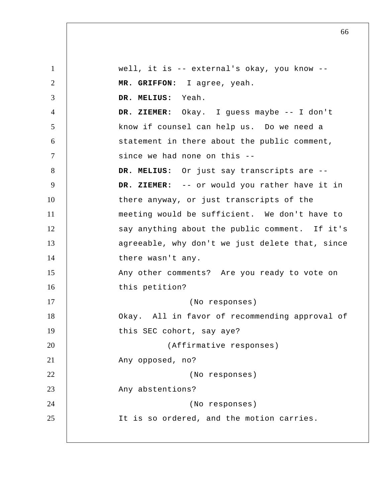1 2 3 4 5 6 7 8 9 10 11 12 13 14 15 16 17 18 19 20 21 22 23 24 25 well, it is -- external's okay, you know --  **MR. GRIFFON:** I agree, yeah.  **DR. MELIUS:** Yeah.  **DR. ZIEMER:** Okay. I guess maybe -- I don't know if counsel can help us. Do we need a statement in there about the public comment, since we had none on this --  **DR. MELIUS:** Or just say transcripts are --  **DR. ZIEMER:** -- or would you rather have it in there anyway, or just transcripts of the meeting would be sufficient. We don't have to say anything about the public comment. If it's agreeable, why don't we just delete that, since there wasn't any. Any other comments? Are you ready to vote on this petition? (No responses) Okay. All in favor of recommending approval of this SEC cohort, say aye? (Affirmative responses) Any opposed, no? (No responses) Any abstentions? (No responses) It is so ordered, and the motion carries.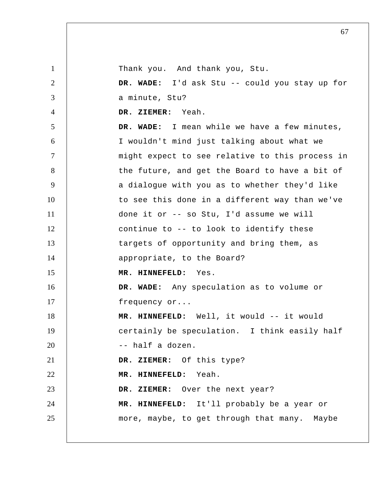1 2 3 4 5 6 7 8 9 10 11 12 13 14 15 16 17 18 19 20 21 22 23 24 25 Thank you. And thank you, Stu.  **DR. WADE:** I'd ask Stu -- could you stay up for a minute, Stu?  **DR. ZIEMER:** Yeah.  **DR. WADE:** I mean while we have a few minutes, I wouldn't mind just talking about what we might expect to see relative to this process in the future, and get the Board to have a bit of a dialogue with you as to whether they'd like to see this done in a different way than we've done it or -- so Stu, I'd assume we will continue to -- to look to identify these targets of opportunity and bring them, as appropriate, to the Board?  **MR. HINNEFELD:** Yes.  **DR. WADE:** Any speculation as to volume or frequency or...  **MR. HINNEFELD:** Well, it would -- it would certainly be speculation. I think easily half -- half a dozen.  **DR. ZIEMER:** Of this type?  **MR. HINNEFELD:** Yeah.  **DR. ZIEMER:** Over the next year?  **MR. HINNEFELD:** It'll probably be a year or more, maybe, to get through that many. Maybe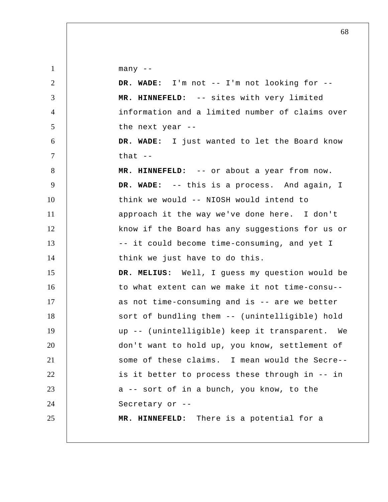many --

| $\overline{2}$ | DR. WADE: I'm not -- I'm not looking for --     |
|----------------|-------------------------------------------------|
| 3              | MR. HINNEFELD: -- sites with very limited       |
| $\overline{4}$ | information and a limited number of claims over |
| 5              | the next year --                                |
| 6              | DR. WADE: I just wanted to let the Board know   |
| $\tau$         | that $--$                                       |
| 8              | MR. HINNEFELD: -- or about a year from now.     |
| 9              | DR. WADE: -- this is a process. And again, I    |
| 10             | think we would -- NIOSH would intend to         |
| 11             | approach it the way we've done here. I don't    |
| 12             | know if the Board has any suggestions for us or |
| 13             | -- it could become time-consuming, and yet I    |
| 14             | think we just have to do this.                  |
| 15             | DR. MELIUS: Well, I guess my question would be  |
| 16             | to what extent can we make it not time-consu--  |
| 17             | as not time-consuming and is -- are we better   |
| 18             | sort of bundling them -- (unintelligible) hold  |
| 19             | up -- (unintelligible) keep it transparent. We  |
| 20             | don't want to hold up, you know, settlement of  |
| 21             | some of these claims. I mean would the Secre-   |
| 22             | is it better to process these through in -- in  |
| 23             | a -- sort of in a bunch, you know, to the       |
| 24             | Secretary or --                                 |
| 25             | MR. HINNEFELD: There is a potential for a       |
|                |                                                 |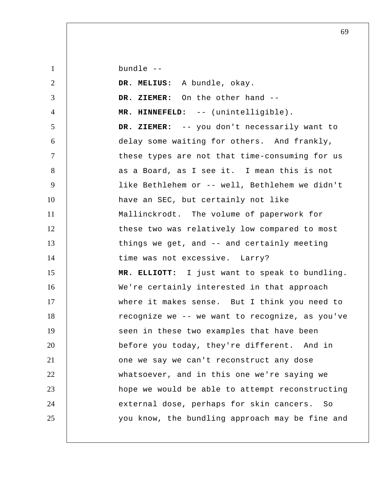bundle --

| $\overline{2}$ | DR. MELIUS: A bundle, okay.                     |
|----------------|-------------------------------------------------|
| 3              | DR. ZIEMER: On the other hand --                |
| $\overline{4}$ | MR. HINNEFELD: -- (unintelligible).             |
| 5              | DR. ZIEMER: -- you don't necessarily want to    |
| 6              | delay some waiting for others. And frankly,     |
| $\tau$         | these types are not that time-consuming for us  |
| 8              | as a Board, as I see it. I mean this is not     |
| 9              | like Bethlehem or -- well, Bethlehem we didn't  |
| 10             | have an SEC, but certainly not like             |
| 11             | Mallinckrodt. The volume of paperwork for       |
| 12             | these two was relatively low compared to most   |
| 13             | things we get, and -- and certainly meeting     |
| 14             | time was not excessive. Larry?                  |
| 15             | MR. ELLIOTT: I just want to speak to bundling.  |
| 16             | We're certainly interested in that approach     |
| 17             | where it makes sense. But I think you need to   |
| 18             | recognize we -- we want to recognize, as you've |
| 19             | seen in these two examples that have been       |
| 20             | before you today, they're different. And in     |
| 21             | one we say we can't reconstruct any dose        |
| 22             | whatsoever, and in this one we're saying we     |
| 23             | hope we would be able to attempt reconstructing |
| 24             | external dose, perhaps for skin cancers.<br>SO  |
| 25             | you know, the bundling approach may be fine and |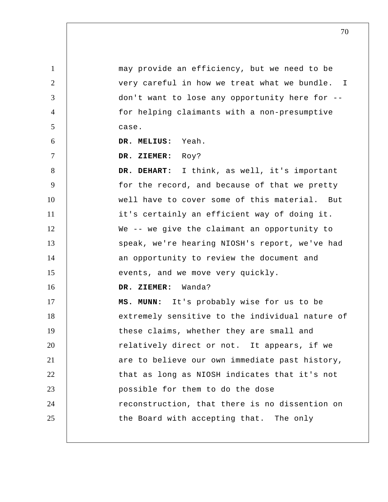1 2 3 4 5 6 7 8 9 10 11 12 13 14 15 16 17 18 19 20 21 22 23 24 25 I may provide an efficiency, but we need to be very careful in how we treat what we bundle. don't want to lose any opportunity here for - for helping claimants with a non-presumptive case.  **DR. MELIUS:** Yeah.  **DR. ZIEMER:** Roy?  **DR. DEHART:** I think, as well, it's important for the record, and because of that we pretty well have to cover some of this material. But it's certainly an efficient way of doing it. We -- we give the claimant an opportunity to speak, we're hearing NIOSH's report, we've had an opportunity to review the document and events, and we move very quickly.  **DR. ZIEMER:** Wanda?  **MS. MUNN:** It's probably wise for us to be extremely sensitive to the individual nature of these claims, whether they are small and relatively direct or not. It appears, if we are to believe our own immediate past history, that as long as NIOSH indicates that it's not possible for them to do the dose reconstruction, that there is no dissention on the Board with accepting that. The only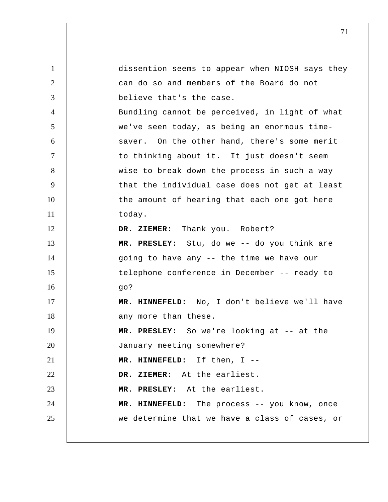1 2 3 4 5 6 7 8 9 10 11 12 13 14 15 16 17 18 19 20 21 22 23 24 25 dissention seems to appear when NIOSH says they can do so and members of the Board do not believe that's the case. Bundling cannot be perceived, in light of what we've seen today, as being an enormous timesaver. On the other hand, there's some merit to thinking about it. It just doesn't seem wise to break down the process in such a way that the individual case does not get at least the amount of hearing that each one got here today.  **DR. ZIEMER:** Thank you. Robert?  **MR. PRESLEY:** Stu, do we -- do you think are going to have any -- the time we have our telephone conference in December -- ready to go?  **MR. HINNEFELD:** No, I don't believe we'll have any more than these.  **MR. PRESLEY:** So we're looking at -- at the January meeting somewhere?  **MR. HINNEFELD:** If then, I --  **DR. ZIEMER:** At the earliest.  **MR. PRESLEY:** At the earliest.  **MR. HINNEFELD:** The process -- you know, once we determine that we have a class of cases, or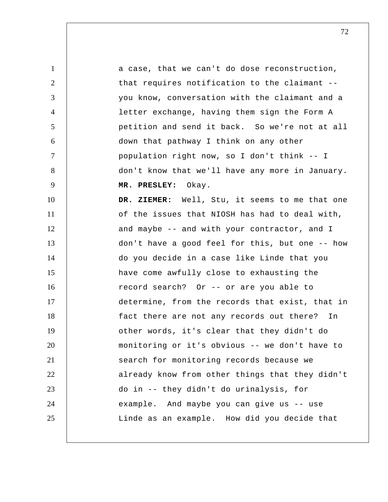1 2 3 4 5 6 7 8 9 10 11 12 13 14 15 16 17 18 19 20 21 22 23 24 25 a case, that we can't do dose reconstruction, that requires notification to the claimant - you know, conversation with the claimant and a letter exchange, having them sign the Form A petition and send it back. So we're not at all down that pathway I think on any other population right now, so I don't think -- I don't know that we'll have any more in January.  **MR. PRESLEY:** Okay.  **DR. ZIEMER:** Well, Stu, it seems to me that one of the issues that NIOSH has had to deal with, and maybe -- and with your contractor, and I don't have a good feel for this, but one -- how do you decide in a case like Linde that you have come awfully close to exhausting the record search? Or -- or are you able to determine, from the records that exist, that in fact there are not any records out there? In other words, it's clear that they didn't do monitoring or it's obvious -- we don't have to search for monitoring records because we already know from other things that they didn't do in -- they didn't do urinalysis, for example. And maybe you can give us -- use Linde as an example. How did you decide that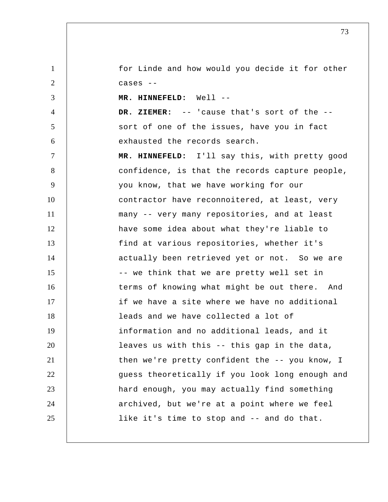1 2 for Linde and how would you decide it for other cases --

 **MR. HINNEFELD:** Well --

3

4

5

6  **DR. ZIEMER:** -- 'cause that's sort of the - sort of one of the issues, have you in fact exhausted the records search.

7 8 9 10 11 12 13 14 15 16 17 18 19 20 21 22 23 24 25  **MR. HINNEFELD:** I'll say this, with pretty good confidence, is that the records capture people, you know, that we have working for our contractor have reconnoitered, at least, very many -- very many repositories, and at least have some idea about what they're liable to find at various repositories, whether it's actually been retrieved yet or not. So we are -- we think that we are pretty well set in terms of knowing what might be out there. And if we have a site where we have no additional leads and we have collected a lot of information and no additional leads, and it leaves us with this -- this gap in the data, then we're pretty confident the -- you know, I guess theoretically if you look long enough and hard enough, you may actually find something archived, but we're at a point where we feel like it's time to stop and -- and do that.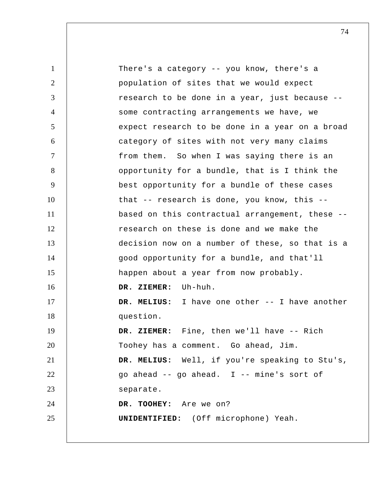1 2 3 4 5 6 7 8 9 10 11 12 13 14 15 16 17 18 19 20 21 22 23 24 25 There's a category -- you know, there's a population of sites that we would expect research to be done in a year, just because - some contracting arrangements we have, we expect research to be done in a year on a broad category of sites with not very many claims from them. So when I was saying there is an opportunity for a bundle, that is I think the best opportunity for a bundle of these cases that -- research is done, you know, this - based on this contractual arrangement, these - research on these is done and we make the decision now on a number of these, so that is a good opportunity for a bundle, and that'll happen about a year from now probably.  **DR. ZIEMER:** Uh-huh.  **DR. MELIUS:** I have one other -- I have another question.  **DR. ZIEMER:** Fine, then we'll have -- Rich Toohey has a comment. Go ahead, Jim.  **DR. MELIUS:** Well, if you're speaking to Stu's, go ahead -- go ahead. I -- mine's sort of separate.  **DR. TOOHEY:** Are we on? **UNIDENTIFIED:** (Off microphone) Yeah.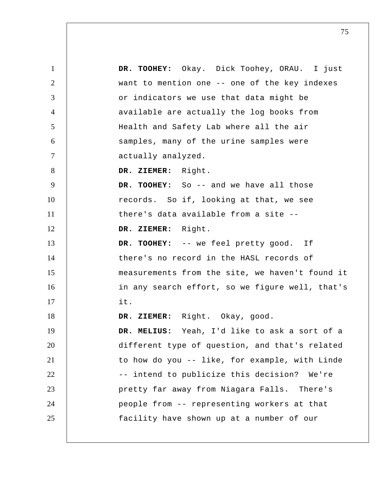1 2 3 4 5 6 7 8 9 10 11 12 13 14 15 16 17 18 19 20 21 22 23 24 25  **DR. TOOHEY:** Okay. Dick Toohey, ORAU. I just want to mention one -- one of the key indexes or indicators we use that data might be available are actually the log books from Health and Safety Lab where all the air samples, many of the urine samples were actually analyzed.  **DR. ZIEMER:** Right. DR. TOOHEY: So -- and we have all those records. So if, looking at that, we see there's data available from a site --  **DR. ZIEMER:** Right.  **DR. TOOHEY:** -- we feel pretty good. If there's no record in the HASL records of measurements from the site, we haven't found it in any search effort, so we figure well, that's it.  **DR. ZIEMER:** Right. Okay, good.  **DR. MELIUS:** Yeah, I'd like to ask a sort of a different type of question, and that's related to how do you -- like, for example, with Linde -- intend to publicize this decision? We're pretty far away from Niagara Falls. There's people from -- representing workers at that facility have shown up at a number of our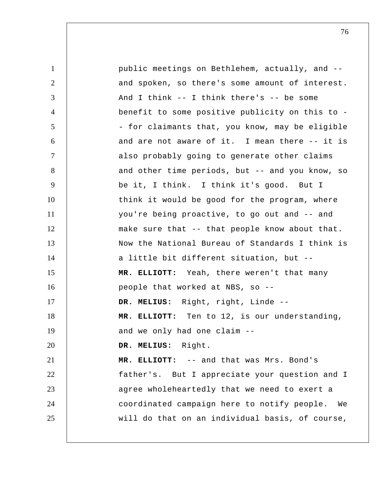| $\mathbf{1}$   | public meetings on Bethlehem, actually, and --    |
|----------------|---------------------------------------------------|
| $\overline{2}$ | and spoken, so there's some amount of interest.   |
| 3              | And I think $--$ I think there's $--$ be some     |
| $\overline{4}$ | benefit to some positive publicity on this to -   |
| 5              | - for claimants that, you know, may be eligible   |
| 6              | and are not aware of it. I mean there -- it is    |
| $\tau$         | also probably going to generate other claims      |
| 8              | and other time periods, but -- and you know, so   |
| 9              | be it, I think. I think it's good. But I          |
| 10             | think it would be good for the program, where     |
| 11             | you're being proactive, to go out and -- and      |
| 12             | make sure that -- that people know about that.    |
| 13             | Now the National Bureau of Standards I think is   |
| 14             | a little bit different situation, but --          |
| 15             | MR. ELLIOTT: Yeah, there weren't that many        |
| 16             | people that worked at NBS, so --                  |
| 17             | DR. MELIUS: Right, right, Linde --                |
| 18             | MR. ELLIOTT: Ten to 12, is our understanding,     |
| 19             | and we only had one claim --                      |
| 20             | DR. MELIUS: Right.                                |
| 21             | MR. ELLIOTT: -- and that was Mrs. Bond's          |
| 22             | father's. But I appreciate your question and I    |
| 23             | agree wholeheartedly that we need to exert a      |
| 24             | coordinated campaign here to notify people.<br>We |
| 25             | will do that on an individual basis, of course,   |
|                |                                                   |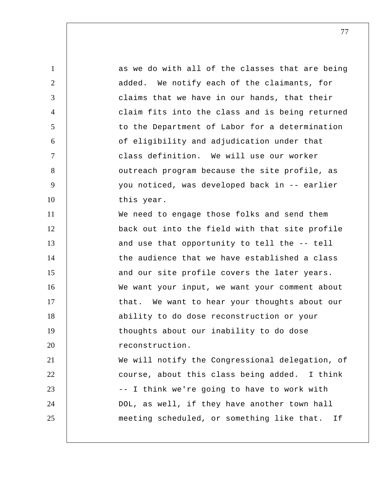1 2 3 4 5 6 7 8 9 10 11 12 13 14 15 16 17 18 19 20 21 22 23 24 25 as we do with all of the classes that are being added. We notify each of the claimants, for claims that we have in our hands, that their claim fits into the class and is being returned to the Department of Labor for a determination of eligibility and adjudication under that class definition. We will use our worker outreach program because the site profile, as you noticed, was developed back in -- earlier this year. We need to engage those folks and send them back out into the field with that site profile and use that opportunity to tell the -- tell the audience that we have established a class and our site profile covers the later years. We want your input, we want your comment about that. We want to hear your thoughts about our ability to do dose reconstruction or your thoughts about our inability to do dose reconstruction. We will notify the Congressional delegation, of course, about this class being added. I think -- I think we're going to have to work with DOL, as well, if they have another town hall meeting scheduled, or something like that. If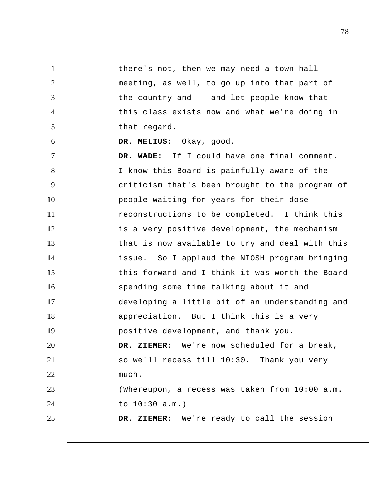1 2 3 4 5 6 7 8 9 10 11 12 13 14 15 16 17 18 19 20 21 22 23 24 25 there's not, then we may need a town hall meeting, as well, to go up into that part of the country and -- and let people know that this class exists now and what we're doing in that regard.  **DR. MELIUS:** Okay, good.  **DR. WADE:** If I could have one final comment. I know this Board is painfully aware of the criticism that's been brought to the program of people waiting for years for their dose reconstructions to be completed. I think this is a very positive development, the mechanism that is now available to try and deal with this issue. So I applaud the NIOSH program bringing this forward and I think it was worth the Board spending some time talking about it and developing a little bit of an understanding and appreciation. But I think this is a very positive development, and thank you.  **DR. ZIEMER:** We're now scheduled for a break, so we'll recess till 10:30. Thank you very much. (Whereupon, a recess was taken from 10:00 a.m. to 10:30 a.m.)  **DR. ZIEMER:** We're ready to call the session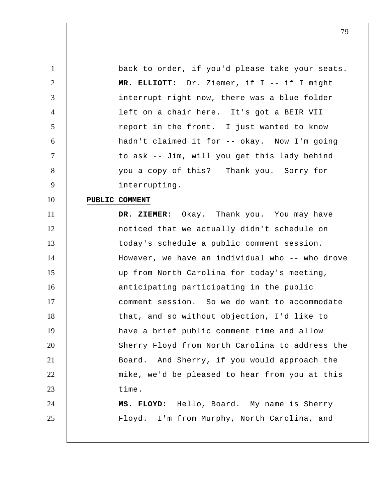back to order, if you'd please take your seats.  **MR. ELLIOTT:** Dr. Ziemer, if I -- if I might interrupt right now, there was a blue folder left on a chair here. It's got a BEIR VII report in the front. I just wanted to know hadn't claimed it for -- okay. Now I'm going to ask -- Jim, will you get this lady behind you a copy of this? Thank you. Sorry for interrupting.

## 10 **PUBLIC COMMENT**

1

2

3

4

5

6

7

8

9

11 12 13 14 15 16 17 18 19 20 21 22 23 24 25  **DR. ZIEMER:** Okay. Thank you. You may have noticed that we actually didn't schedule on today's schedule a public comment session. However, we have an individual who -- who drove up from North Carolina for today's meeting, anticipating participating in the public comment session. So we do want to accommodate that, and so without objection, I'd like to have a brief public comment time and allow Sherry Floyd from North Carolina to address the Board. And Sherry, if you would approach the mike, we'd be pleased to hear from you at this time. **MS. FLOYD:** Hello, Board. My name is Sherry Floyd. I'm from Murphy, North Carolina, and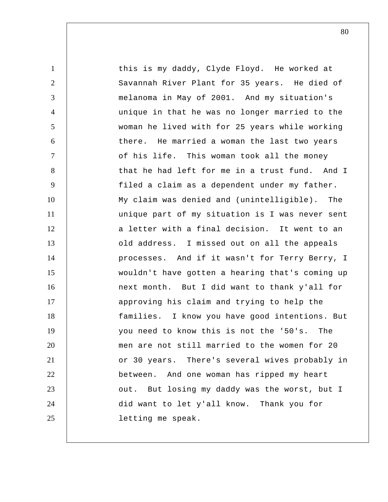1 2 3 4 5 6 7 8 9 10 11 12 13 14 15 16 17 18 19 20 21 22 23 24 25 this is my daddy, Clyde Floyd. He worked at Savannah River Plant for 35 years. He died of melanoma in May of 2001. And my situation's unique in that he was no longer married to the woman he lived with for 25 years while working there. He married a woman the last two years of his life. This woman took all the money that he had left for me in a trust fund. And I filed a claim as a dependent under my father. My claim was denied and (unintelligible). The unique part of my situation is I was never sent a letter with a final decision. It went to an old address. I missed out on all the appeals processes. And if it wasn't for Terry Berry, I wouldn't have gotten a hearing that's coming up next month. But I did want to thank y'all for approving his claim and trying to help the families. I know you have good intentions. But you need to know this is not the '50's. The men are not still married to the women for 20 or 30 years. There's several wives probably in between. And one woman has ripped my heart out. But losing my daddy was the worst, but I did want to let y'all know. Thank you for letting me speak.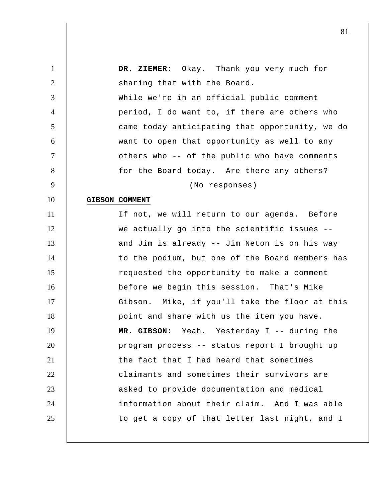| $\mathbf{1}$   | DR. ZIEMER: Okay. Thank you very much for       |
|----------------|-------------------------------------------------|
| $\overline{2}$ | sharing that with the Board.                    |
| 3              | While we're in an official public comment       |
| $\overline{4}$ | period, I do want to, if there are others who   |
| 5              | came today anticipating that opportunity, we do |
| 6              | want to open that opportunity as well to any    |
| $\overline{7}$ | others who -- of the public who have comments   |
| 8              | for the Board today. Are there any others?      |
| 9              | (No responses)                                  |
| 10             | <b>GIBSON COMMENT</b>                           |
| 11             | If not, we will return to our agenda. Before    |
| 12             | we actually go into the scientific issues --    |
| 13             | and Jim is already -- Jim Neton is on his way   |
| 14             | to the podium, but one of the Board members has |
| 15             | requested the opportunity to make a comment     |
| 16             | before we begin this session. That's Mike       |
| 17             | Gibson. Mike, if you'll take the floor at this  |
| 18             | point and share with us the item you have.      |
| 19             | MR. GIBSON:<br>Yeah. Yesterday I -- during the  |
| 20             | program process -- status report I brought up   |
| 21             | the fact that I had heard that sometimes        |
| 22             | claimants and sometimes their survivors are     |
| 23             | asked to provide documentation and medical      |
| 24             | information about their claim. And I was able   |
| 25             | to get a copy of that letter last night, and I  |
|                |                                                 |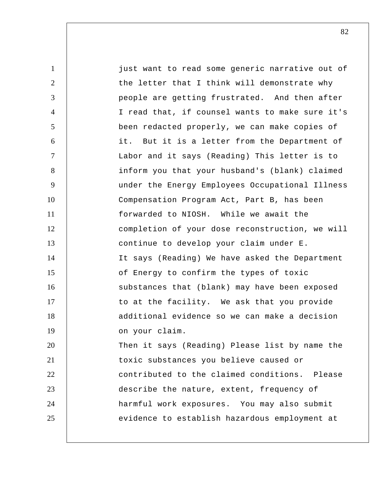1 2 3 4 5 6 7 8 9 10 11 12 13 14 15 16 17 18 19 20 21 22 23 24 25 just want to read some generic narrative out of the letter that I think will demonstrate why people are getting frustrated. And then after I read that, if counsel wants to make sure it's been redacted properly, we can make copies of it. But it is a letter from the Department of Labor and it says (Reading) This letter is to inform you that your husband's (blank) claimed under the Energy Employees Occupational Illness Compensation Program Act, Part B, has been forwarded to NIOSH. While we await the completion of your dose reconstruction, we will continue to develop your claim under E. It says (Reading) We have asked the Department of Energy to confirm the types of toxic substances that (blank) may have been exposed to at the facility. We ask that you provide additional evidence so we can make a decision on your claim. Then it says (Reading) Please list by name the toxic substances you believe caused or contributed to the claimed conditions. Please describe the nature, extent, frequency of harmful work exposures. You may also submit evidence to establish hazardous employment at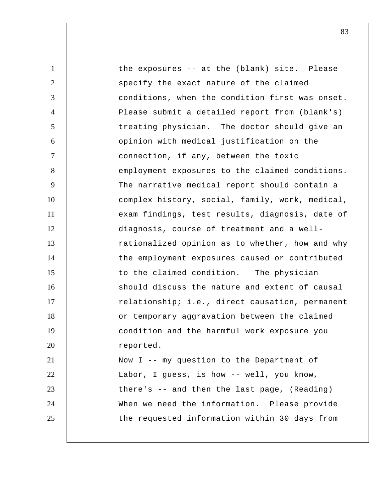1 2 3 4 5 6 7 8 9 10 11 12 13 14 15 16 17 18 19 20 21 22 23 24 25 the exposures -- at the (blank) site. Please specify the exact nature of the claimed conditions, when the condition first was onset. Please submit a detailed report from (blank's) treating physician. The doctor should give an opinion with medical justification on the connection, if any, between the toxic employment exposures to the claimed conditions. The narrative medical report should contain a complex history, social, family, work, medical, exam findings, test results, diagnosis, date of diagnosis, course of treatment and a wellrationalized opinion as to whether, how and why the employment exposures caused or contributed to the claimed condition. The physician should discuss the nature and extent of causal relationship; i.e., direct causation, permanent or temporary aggravation between the claimed condition and the harmful work exposure you reported. Now I -- my question to the Department of Labor, I guess, is how -- well, you know, there's -- and then the last page, (Reading) When we need the information. Please provide the requested information within 30 days from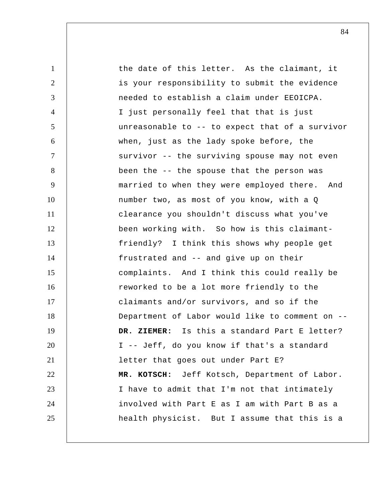1 2 3 4 5 6 7 8 9 10 11 12 13 14 15 16 17 18 19 20 21 22 23 24 25 the date of this letter. As the claimant, it is your responsibility to submit the evidence needed to establish a claim under EEOICPA. I just personally feel that that is just unreasonable to -- to expect that of a survivor when, just as the lady spoke before, the survivor -- the surviving spouse may not even been the -- the spouse that the person was married to when they were employed there. And number two, as most of you know, with a Q clearance you shouldn't discuss what you've been working with. So how is this claimantfriendly? I think this shows why people get frustrated and -- and give up on their complaints. And I think this could really be reworked to be a lot more friendly to the claimants and/or survivors, and so if the Department of Labor would like to comment on --  **DR. ZIEMER:** Is this a standard Part E letter? I -- Jeff, do you know if that's a standard letter that goes out under Part E?  **MR. KOTSCH:** Jeff Kotsch, Department of Labor. I have to admit that I'm not that intimately involved with Part E as I am with Part B as a health physicist. But I assume that this is a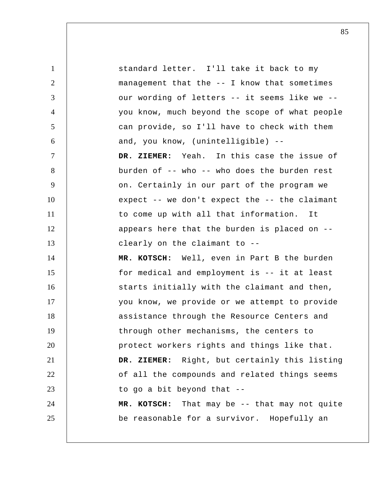1 2 3 4 5 6 7 8 9 10 11 12 13 14 15 16 17 18 19 20 21 22 23 24 25 standard letter. I'll take it back to my management that the -- I know that sometimes our wording of letters -- it seems like we - you know, much beyond the scope of what people can provide, so I'll have to check with them and, you know, (unintelligible) --  **DR. ZIEMER:** Yeah. In this case the issue of burden of -- who -- who does the burden rest on. Certainly in our part of the program we expect -- we don't expect the -- the claimant to come up with all that information. It appears here that the burden is placed on - clearly on the claimant to --  **MR. KOTSCH:** Well, even in Part B the burden for medical and employment is -- it at least starts initially with the claimant and then, you know, we provide or we attempt to provide assistance through the Resource Centers and through other mechanisms, the centers to protect workers rights and things like that.  **DR. ZIEMER:** Right, but certainly this listing of all the compounds and related things seems to go a bit beyond that --  **MR. KOTSCH:** That may be -- that may not quite be reasonable for a survivor. Hopefully an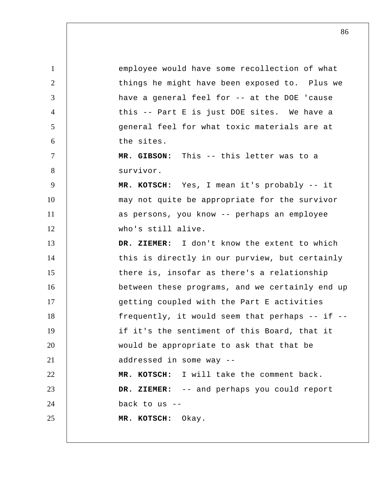1 2 3 4 5 6 7 8 9 10 11 12 13 14 15 16 17 18 19 20 21 22 23 24 25 employee would have some recollection of what things he might have been exposed to. Plus we have a general feel for -- at the DOE 'cause this -- Part E is just DOE sites. We have a general feel for what toxic materials are at the sites.  **MR. GIBSON:** This -- this letter was to a survivor.  **MR. KOTSCH:** Yes, I mean it's probably -- it may not quite be appropriate for the survivor as persons, you know -- perhaps an employee who's still alive.  **DR. ZIEMER:** I don't know the extent to which this is directly in our purview, but certainly there is, insofar as there's a relationship between these programs, and we certainly end up getting coupled with the Part E activities frequently, it would seem that perhaps -- if - if it's the sentiment of this Board, that it would be appropriate to ask that that be addressed in some way --  **MR. KOTSCH:** I will take the comment back.  **DR. ZIEMER:** -- and perhaps you could report back to us --  **MR. KOTSCH:** Okay.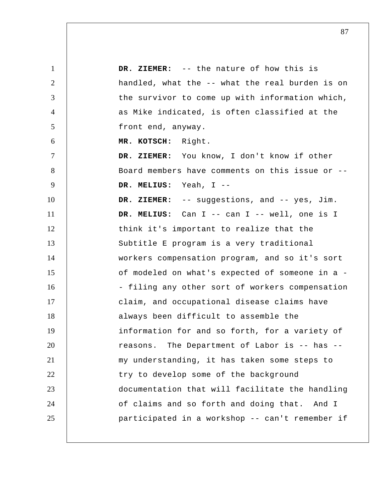| $\mathbf{1}$   | DR. ZIEMER: -- the nature of how this is        |
|----------------|-------------------------------------------------|
| $\overline{2}$ | handled, what the -- what the real burden is on |
| 3              | the survivor to come up with information which, |
| $\overline{4}$ | as Mike indicated, is often classified at the   |
| 5              | front end, anyway.                              |
| 6              | MR. KOTSCH: Right.                              |
| $\tau$         | DR. ZIEMER: You know, I don't know if other     |
| 8              | Board members have comments on this issue or -- |
| 9              | DR. MELIUS: Yeah, I --                          |
| 10             | DR. ZIEMER: -- suggestions, and -- yes, Jim.    |
| 11             | DR. MELIUS: Can I -- can I -- well, one is I    |
| 12             | think it's important to realize that the        |
| 13             | Subtitle E program is a very traditional        |
| 14             | workers compensation program, and so it's sort  |
| 15             | of modeled on what's expected of someone in a - |
| 16             | - filing any other sort of workers compensation |
| 17             | claim, and occupational disease claims have     |
| 18             | always been difficult to assemble the           |
| 19             | information for and so forth, for a variety of  |
| 20             | reasons. The Department of Labor is -- has --   |
| 21             | my understanding, it has taken some steps to    |
| 22             | try to develop some of the background           |
| 23             | documentation that will facilitate the handling |
| 24             | of claims and so forth and doing that. And I    |
| 25             | participated in a workshop -- can't remember if |
|                |                                                 |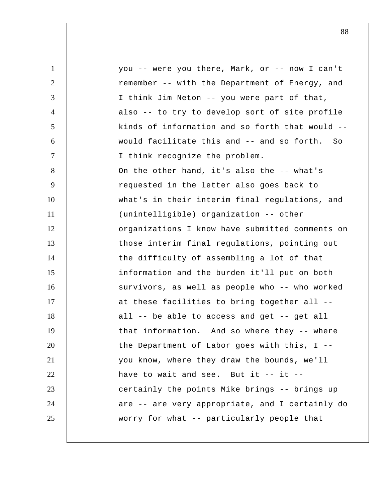| $\mathbf{1}$ | you -- were you there, Mark, or -- now I can't  |
|--------------|-------------------------------------------------|
| 2            | remember -- with the Department of Energy, and  |
| 3            | I think Jim Neton -- you were part of that,     |
| 4            | also -- to try to develop sort of site profile  |
| 5            | kinds of information and so forth that would -- |
| 6            | would facilitate this and -- and so forth. So   |
| $\tau$       | I think recognize the problem.                  |
| 8            | On the other hand, it's also the -- what's      |
| 9            | requested in the letter also goes back to       |
| 10           | what's in their interim final regulations, and  |
| 11           | (unintelligible) organization -- other          |
| 12           | organizations I know have submitted comments on |
| 13           | those interim final regulations, pointing out   |
| 14           | the difficulty of assembling a lot of that      |
| 15           | information and the burden it'll put on both    |
| 16           | survivors, as well as people who -- who worked  |
| 17           | at these facilities to bring together all --    |
| 18           | all -- be able to access and get -- get all     |
| 19           | that information. And so where they -- where    |
| 20           | the Department of Labor goes with this, I --    |
| 21           | you know, where they draw the bounds, we'll     |
| 22           | have to wait and see. But it $--$ it $--$       |
| 23           | certainly the points Mike brings -- brings up   |
| 24           | are -- are very appropriate, and I certainly do |
| 25           | worry for what -- particularly people that      |
|              |                                                 |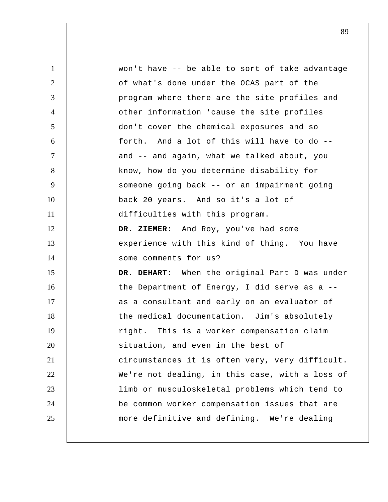1 2 3 4 5 6 7 8 9 10 11 12 13 14 15 16 17 18 19 20 21 22 23 24 25 won't have -- be able to sort of take advantage of what's done under the OCAS part of the program where there are the site profiles and other information 'cause the site profiles don't cover the chemical exposures and so forth. And a lot of this will have to do - and -- and again, what we talked about, you know, how do you determine disability for someone going back -- or an impairment going back 20 years. And so it's a lot of difficulties with this program.  **DR. ZIEMER:** And Roy, you've had some experience with this kind of thing. You have some comments for us?  **DR. DEHART:** When the original Part D was under the Department of Energy, I did serve as a - as a consultant and early on an evaluator of the medical documentation. Jim's absolutely right. This is a worker compensation claim situation, and even in the best of circumstances it is often very, very difficult. We're not dealing, in this case, with a loss of limb or musculoskeletal problems which tend to be common worker compensation issues that are more definitive and defining. We're dealing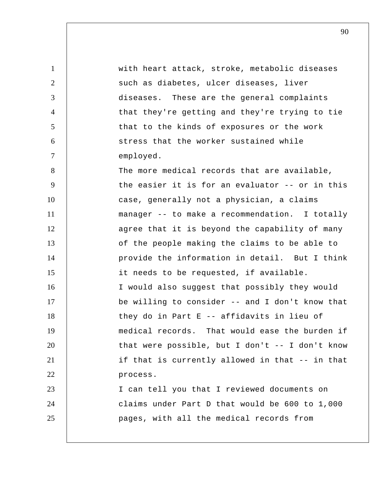1 2 3 4 5 6 7 8 9 10 11 12 13 14 15 16 17 18 19 20 21 22 23 24 25 with heart attack, stroke, metabolic diseases such as diabetes, ulcer diseases, liver diseases. These are the general complaints that they're getting and they're trying to tie that to the kinds of exposures or the work stress that the worker sustained while employed. The more medical records that are available, the easier it is for an evaluator -- or in this case, generally not a physician, a claims manager -- to make a recommendation. I totally agree that it is beyond the capability of many of the people making the claims to be able to provide the information in detail. But I think it needs to be requested, if available. I would also suggest that possibly they would be willing to consider -- and I don't know that they do in Part E -- affidavits in lieu of medical records. That would ease the burden if that were possible, but I don't -- I don't know if that is currently allowed in that -- in that process. I can tell you that I reviewed documents on claims under Part D that would be 600 to 1,000 pages, with all the medical records from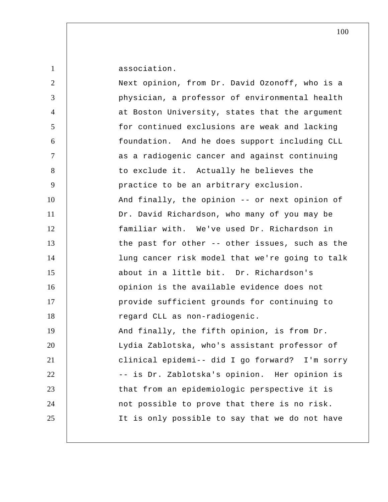| $\mathbf{1}$   | association.                                      |
|----------------|---------------------------------------------------|
| $\overline{2}$ | Next opinion, from Dr. David Ozonoff, who is a    |
| 3              | physician, a professor of environmental health    |
| 4              | at Boston University, states that the argument    |
| 5              | for continued exclusions are weak and lacking     |
| 6              | foundation. And he does support including CLL     |
| $\overline{7}$ | as a radiogenic cancer and against continuing     |
| 8              | to exclude it. Actually he believes the           |
| 9              | practice to be an arbitrary exclusion.            |
| 10             | And finally, the opinion -- or next opinion of    |
| 11             | Dr. David Richardson, who many of you may be      |
| 12             | familiar with. We've used Dr. Richardson in       |
| 13             | the past for other -- other issues, such as the   |
| 14             | lung cancer risk model that we're going to talk   |
| 15             | about in a little bit. Dr. Richardson's           |
| 16             | opinion is the available evidence does not        |
| 17             | provide sufficient grounds for continuing to      |
| 18             | regard CLL as non-radiogenic.                     |
| 19             | And finally, the fifth opinion, is from Dr.       |
| 20             | Lydia Zablotska, who's assistant professor of     |
| 21             | clinical epidemi-- did I go forward?<br>I'm sorry |
| 22             | -- is Dr. Zablotska's opinion. Her opinion is     |
| 23             | that from an epidemiologic perspective it is      |
| 24             | not possible to prove that there is no risk.      |
| 25             | It is only possible to say that we do not have    |
|                |                                                   |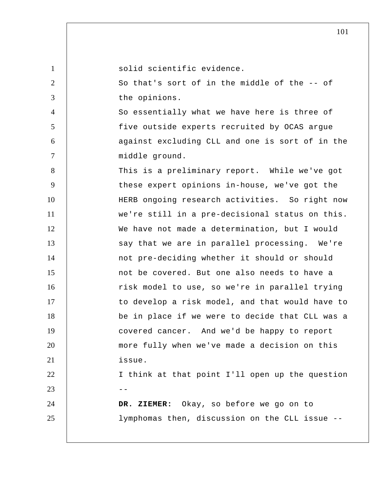| $\mathbf{1}$   | solid scientific evidence.                      |
|----------------|-------------------------------------------------|
| 2              | So that's sort of in the middle of the -- of    |
| 3              | the opinions.                                   |
| $\overline{4}$ | So essentially what we have here is three of    |
| 5              | five outside experts recruited by OCAS argue    |
| 6              | against excluding CLL and one is sort of in the |
| $\overline{7}$ | middle ground.                                  |
| 8              | This is a preliminary report. While we've got   |
| 9              | these expert opinions in-house, we've got the   |
| 10             | HERB ongoing research activities. So right now  |
| 11             | we're still in a pre-decisional status on this. |
| 12             | We have not made a determination, but I would   |
| 13             | say that we are in parallel processing. We're   |
| 14             | not pre-deciding whether it should or should    |
| 15             | not be covered. But one also needs to have a    |
| 16             | risk model to use, so we're in parallel trying  |
| 17             | to develop a risk model, and that would have to |
| 18             | be in place if we were to decide that CLL was a |
| 19             | covered cancer. And we'd be happy to report     |
| 20             | more fully when we've made a decision on this   |
| 21             | issue.                                          |
| 22             | I think at that point I'll open up the question |
| 23             |                                                 |
| 24             | DR. ZIEMER: Okay, so before we go on to         |
| 25             | lymphomas then, discussion on the CLL issue --  |
|                |                                                 |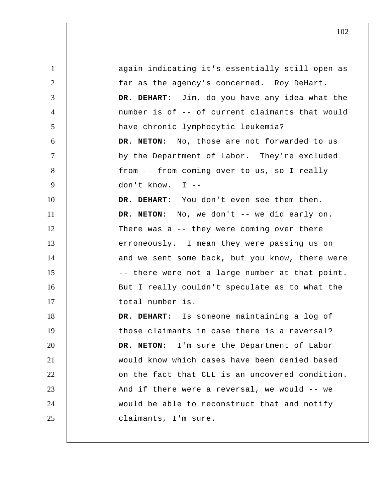1 2 3 4 5 6 7 8 9 10 11 12 13 14 15 16 17 18 19 20 21 22 23 24 25 again indicating it's essentially still open as far as the agency's concerned. Roy DeHart.  **DR. DEHART:** Jim, do you have any idea what the number is of -- of current claimants that would have chronic lymphocytic leukemia? **DR. NETON:** No, those are not forwarded to us by the Department of Labor. They're excluded from -- from coming over to us, so I really don't know. I --  **DR. DEHART:** You don't even see them then. **DR. NETON:** No, we don't -- we did early on. There was a -- they were coming over there erroneously. I mean they were passing us on and we sent some back, but you know, there were -- there were not a large number at that point. But I really couldn't speculate as to what the total number is.  **DR. DEHART:** Is someone maintaining a log of those claimants in case there is a reversal? **DR. NETON:** I'm sure the Department of Labor would know which cases have been denied based on the fact that CLL is an uncovered condition. And if there were a reversal, we would -- we would be able to reconstruct that and notify claimants, I'm sure.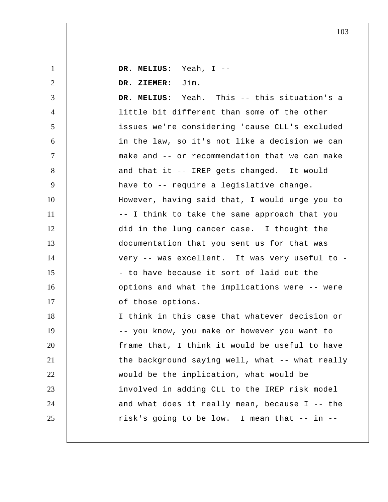1 2 3 4 5 6 7 8 9 10 11 12 13 14 15 16 17 18 19 20 21 22 23 24 25  **DR. MELIUS:** Yeah, I --  **DR. ZIEMER:** Jim.  **DR. MELIUS:** Yeah. This -- this situation's a little bit different than some of the other issues we're considering 'cause CLL's excluded in the law, so it's not like a decision we can make and -- or recommendation that we can make and that it -- IREP gets changed. It would have to -- require a legislative change. However, having said that, I would urge you to -- I think to take the same approach that you did in the lung cancer case. I thought the documentation that you sent us for that was very -- was excellent. It was very useful to - - to have because it sort of laid out the options and what the implications were -- were of those options. I think in this case that whatever decision or -- you know, you make or however you want to frame that, I think it would be useful to have the background saying well, what -- what really would be the implication, what would be involved in adding CLL to the IREP risk model and what does it really mean, because I -- the risk's going to be low. I mean that -- in --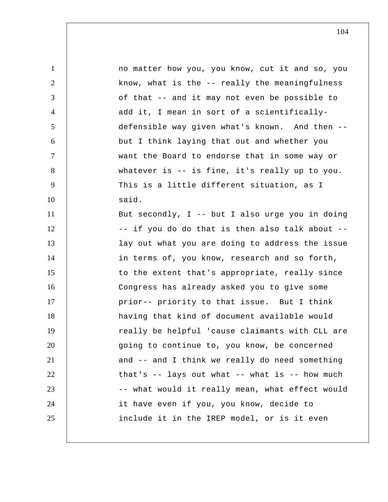| $\mathbf{1}$   | no matter how you, you know, cut it and so, you   |
|----------------|---------------------------------------------------|
| $\overline{2}$ | know, what is the -- really the meaningfulness    |
| 3              | of that -- and it may not even be possible to     |
| $\overline{4}$ | add it, I mean in sort of a scientifically-       |
| 5              | defensible way given what's known. And then --    |
| 6              | but I think laying that out and whether you       |
| $\tau$         | want the Board to endorse that in some way or     |
| 8              | whatever is -- is fine, it's really up to you.    |
| 9              | This is a little different situation, as I        |
| 10             | said.                                             |
| 11             | But secondly, I -- but I also urge you in doing   |
| 12             | -- if you do do that is then also talk about --   |
| 13             | lay out what you are doing to address the issue   |
| 14             | in terms of, you know, research and so forth,     |
| 15             | to the extent that's appropriate, really since    |
| 16             | Congress has already asked you to give some       |
| 17             | prior-- priority to that issue. But I think       |
| 18             | having that kind of document available would      |
| 19             | really be helpful 'cause claimants with CLL are   |
| 20             | going to continue to, you know, be concerned      |
| 21             | and -- and I think we really do need something    |
| 22             | that's $-$ lays out what $-$ what is $-$ how much |
| 23             | -- what would it really mean, what effect would   |
| 24             | it have even if you, you know, decide to          |
| 25             | include it in the IREP model, or is it even       |
|                |                                                   |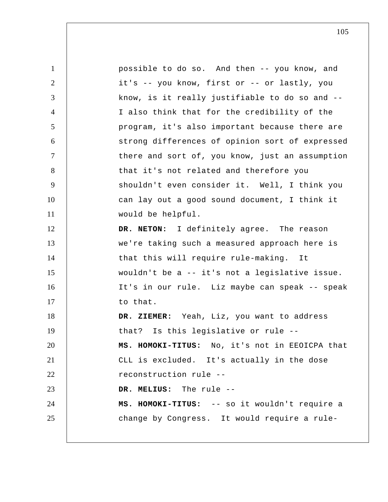1 2 3 4 5 6 7 8 9 10 11 12 13 14 15 16 17 18 19 20 21 22 23 24 25 possible to do so. And then -- you know, and it's -- you know, first or -- or lastly, you know, is it really justifiable to do so and -- I also think that for the credibility of the program, it's also important because there are strong differences of opinion sort of expressed there and sort of, you know, just an assumption that it's not related and therefore you shouldn't even consider it. Well, I think you can lay out a good sound document, I think it would be helpful. **DR. NETON:** I definitely agree. The reason we're taking such a measured approach here is that this will require rule-making. It wouldn't be a -- it's not a legislative issue. It's in our rule. Liz maybe can speak -- speak to that.  **DR. ZIEMER:** Yeah, Liz, you want to address that? Is this legislative or rule -- **MS. HOMOKI-TITUS:** No, it's not in EEOICPA that CLL is excluded. It's actually in the dose reconstruction rule --  **DR. MELIUS:** The rule -- **MS. HOMOKI-TITUS:** -- so it wouldn't require a change by Congress. It would require a rule-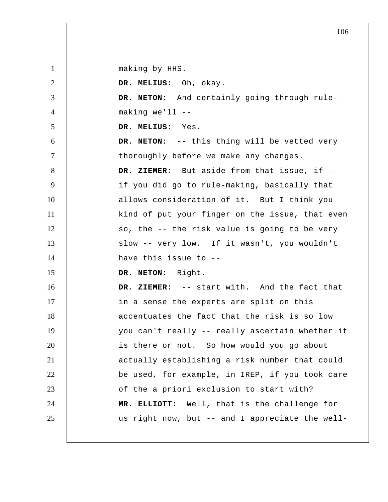making by HHS.

1

2 3 4 5 6 7 8 9 10 11 12 13 14 15 16 17 18 19 20 21 22 23 24 25  **DR. MELIUS:** Oh, okay. **DR. NETON:** And certainly going through rulemaking we'll --  **DR. MELIUS:** Yes. **DR. NETON:** -- this thing will be vetted very thoroughly before we make any changes.  **DR. ZIEMER:** But aside from that issue, if - if you did go to rule-making, basically that allows consideration of it. But I think you kind of put your finger on the issue, that even so, the -- the risk value is going to be very slow -- very low. If it wasn't, you wouldn't have this issue to -- **DR. NETON:** Right.  **DR. ZIEMER:** -- start with. And the fact that in a sense the experts are split on this accentuates the fact that the risk is so low you can't really -- really ascertain whether it is there or not. So how would you go about actually establishing a risk number that could be used, for example, in IREP, if you took care of the a priori exclusion to start with?  **MR. ELLIOTT:** Well, that is the challenge for us right now, but -- and I appreciate the well-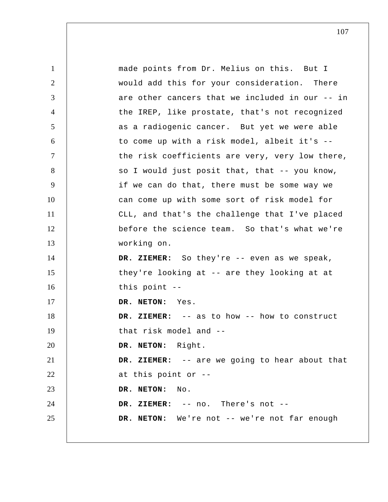1 2 3 4 5 6 7 8 9 10 11 12 13 14 15 16 17 18 19 20 21 22 23 24 25 made points from Dr. Melius on this. But I would add this for your consideration. There are other cancers that we included in our -- in the IREP, like prostate, that's not recognized as a radiogenic cancer. But yet we were able to come up with a risk model, albeit it's - the risk coefficients are very, very low there, so I would just posit that, that -- you know, if we can do that, there must be some way we can come up with some sort of risk model for CLL, and that's the challenge that I've placed before the science team. So that's what we're working on.  **DR. ZIEMER:** So they're -- even as we speak, they're looking at -- are they looking at at this point -- **DR. NETON:** Yes.  **DR. ZIEMER:** -- as to how -- how to construct that risk model and -- **DR. NETON:** Right.  **DR. ZIEMER:** -- are we going to hear about that at this point or -- **DR. NETON:** No.  **DR. ZIEMER:** -- no. There's not -- **DR. NETON:** We're not -- we're not far enough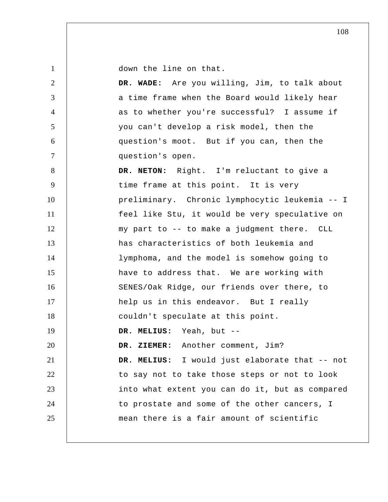down the line on that.

1

2 3 4 5 6 7 8 9 10 11 12 13 14 15 16 17 18 19 20 21 22 23 24 25  **DR. WADE:** Are you willing, Jim, to talk about a time frame when the Board would likely hear as to whether you're successful? I assume if you can't develop a risk model, then the question's moot. But if you can, then the question's open. **DR. NETON:** Right. I'm reluctant to give a time frame at this point. It is very preliminary. Chronic lymphocytic leukemia -- I feel like Stu, it would be very speculative on my part to -- to make a judgment there. CLL has characteristics of both leukemia and lymphoma, and the model is somehow going to have to address that. We are working with SENES/Oak Ridge, our friends over there, to help us in this endeavor. But I really couldn't speculate at this point.  **DR. MELIUS:** Yeah, but --  **DR. ZIEMER:** Another comment, Jim?  **DR. MELIUS:** I would just elaborate that -- not to say not to take those steps or not to look into what extent you can do it, but as compared to prostate and some of the other cancers, I mean there is a fair amount of scientific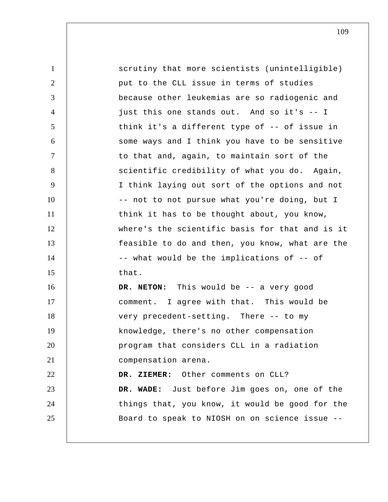| $\mathbf{1}$   | scrutiny that more scientists (unintelligible)  |
|----------------|-------------------------------------------------|
| 2              | put to the CLL issue in terms of studies        |
| 3              | because other leukemias are so radiogenic and   |
| $\overline{4}$ | just this one stands out. And so it's -- I      |
| 5              | think it's a different type of -- of issue in   |
| 6              | some ways and I think you have to be sensitive  |
| $\tau$         | to that and, again, to maintain sort of the     |
| 8              | scientific credibility of what you do. Again,   |
| 9              | I think laying out sort of the options and not  |
| 10             | -- not to not pursue what you're doing, but I   |
| 11             | think it has to be thought about, you know,     |
| 12             | where's the scientific basis for that and is it |
| 13             | feasible to do and then, you know, what are the |
| 14             | -- what would be the implications of -- of      |
| 15             | that.                                           |
| 16             | DR. NETON: This would be -- a very good         |
| 17             | comment. I agree with that. This would be       |
| 18             | very precedent-setting. There -- to my          |
| 19             | knowledge, there's no other compensation        |
| 20             | program that considers CLL in a radiation       |
| 21             | compensation arena.                             |
| 22             | DR. ZIEMER: Other comments on CLL?              |
| 23             | DR. WADE: Just before Jim goes on, one of the   |
| 24             | things that, you know, it would be good for the |
| 25             | Board to speak to NIOSH on on science issue --  |
|                |                                                 |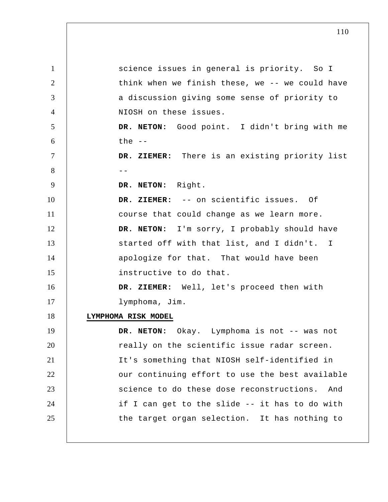| $\mathbf{1}$   | science issues in general is priority. So I      |
|----------------|--------------------------------------------------|
| $\overline{2}$ | think when we finish these, we -- we could have  |
| 3              | a discussion giving some sense of priority to    |
| $\overline{4}$ | NIOSH on these issues.                           |
| 5              | DR. NETON: Good point. I didn't bring with me    |
| 6              | the $--$                                         |
| 7              | DR. ZIEMER: There is an existing priority list   |
| 8              |                                                  |
| 9              | DR. NETON: Right.                                |
| 10             | DR. ZIEMER: -- on scientific issues. Of          |
| 11             | course that could change as we learn more.       |
| 12             | DR. NETON: I'm sorry, I probably should have     |
| 13             | started off with that list, and I didn't. I      |
| 14             | apologize for that. That would have been         |
| 15             | instructive to do that.                          |
| 16             | DR. ZIEMER: Well, let's proceed then with        |
| 17             | lymphoma, Jim.                                   |
| 18             | LYMPHOMA RISK MODEL                              |
| 19             | DR. NETON:<br>Okay. Lymphoma is not -- was not   |
| 20             | really on the scientific issue radar screen.     |
| 21             | It's something that NIOSH self-identified in     |
| 22             | our continuing effort to use the best available  |
| 23             | science to do these dose reconstructions.<br>And |
| 24             | if I can get to the slide -- it has to do with   |
| 25             | the target organ selection. It has nothing to    |
|                |                                                  |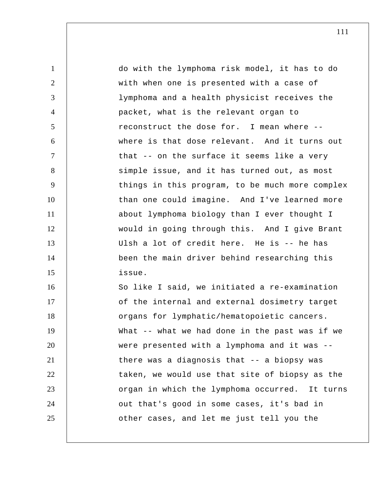1 2 3 4 5 6 7 8 9 10 11 12 13 14 15 16 17 18 19 20 21 22 23 24 25 do with the lymphoma risk model, it has to do with when one is presented with a case of lymphoma and a health physicist receives the packet, what is the relevant organ to reconstruct the dose for. I mean where - where is that dose relevant. And it turns out that -- on the surface it seems like a very simple issue, and it has turned out, as most things in this program, to be much more complex than one could imagine. And I've learned more about lymphoma biology than I ever thought I would in going through this. And I give Brant Ulsh a lot of credit here. He is -- he has been the main driver behind researching this issue. So like I said, we initiated a re-examination of the internal and external dosimetry target organs for lymphatic/hematopoietic cancers. What -- what we had done in the past was if we were presented with a lymphoma and it was - there was a diagnosis that -- a biopsy was taken, we would use that site of biopsy as the organ in which the lymphoma occurred. It turns out that's good in some cases, it's bad in other cases, and let me just tell you the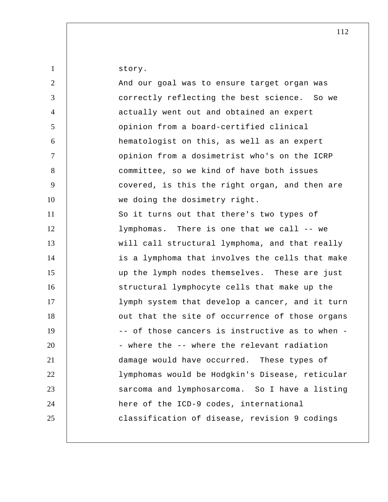1 2 3 4 5 6 7 8 9 10 11 12 13 14 15 16 17 18 19 20 21 22 23 24 25 story. And our goal was to ensure target organ was correctly reflecting the best science. So we actually went out and obtained an expert opinion from a board-certified clinical hematologist on this, as well as an expert opinion from a dosimetrist who's on the ICRP committee, so we kind of have both issues covered, is this the right organ, and then are we doing the dosimetry right. So it turns out that there's two types of lymphomas. There is one that we call -- we will call structural lymphoma, and that really is a lymphoma that involves the cells that make up the lymph nodes themselves. These are just structural lymphocyte cells that make up the lymph system that develop a cancer, and it turn out that the site of occurrence of those organs -- of those cancers is instructive as to when - - where the -- where the relevant radiation damage would have occurred. These types of lymphomas would be Hodgkin's Disease, reticular sarcoma and lymphosarcoma. So I have a listing here of the ICD-9 codes, international classification of disease, revision 9 codings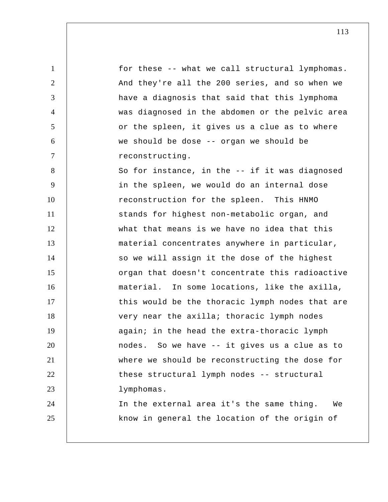1 2 3 4 5 6 7 8 9 10 11 12 13 14 15 16 17 18 19 20 21 22 23 24 25 for these -- what we call structural lymphomas. And they're all the 200 series, and so when we have a diagnosis that said that this lymphoma was diagnosed in the abdomen or the pelvic area or the spleen, it gives us a clue as to where we should be dose -- organ we should be reconstructing. So for instance, in the -- if it was diagnosed in the spleen, we would do an internal dose reconstruction for the spleen. This HNMO stands for highest non-metabolic organ, and what that means is we have no idea that this material concentrates anywhere in particular, so we will assign it the dose of the highest organ that doesn't concentrate this radioactive material. In some locations, like the axilla, this would be the thoracic lymph nodes that are very near the axilla; thoracic lymph nodes again; in the head the extra-thoracic lymph nodes. So we have -- it gives us a clue as to where we should be reconstructing the dose for these structural lymph nodes -- structural lymphomas. In the external area it's the same thing. We know in general the location of the origin of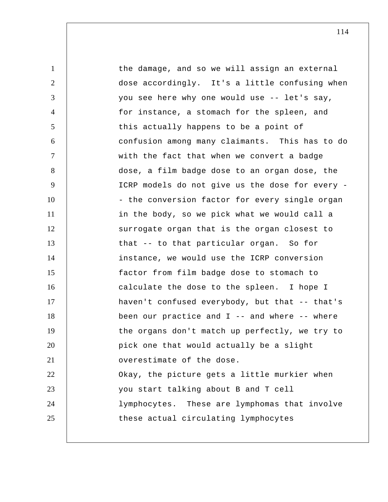1 2 3 4 5 6 7 8 9 10 11 12 13 14 15 16 17 18 19 20 21 22 23 24 25 the damage, and so we will assign an external dose accordingly. It's a little confusing when you see here why one would use -- let's say, for instance, a stomach for the spleen, and this actually happens to be a point of confusion among many claimants. This has to do with the fact that when we convert a badge dose, a film badge dose to an organ dose, the ICRP models do not give us the dose for every - - the conversion factor for every single organ in the body, so we pick what we would call a surrogate organ that is the organ closest to that -- to that particular organ. So for instance, we would use the ICRP conversion factor from film badge dose to stomach to calculate the dose to the spleen. I hope I haven't confused everybody, but that -- that's been our practice and  $I$  -- and where -- where the organs don't match up perfectly, we try to pick one that would actually be a slight overestimate of the dose. Okay, the picture gets a little murkier when you start talking about B and T cell lymphocytes. These are lymphomas that involve these actual circulating lymphocytes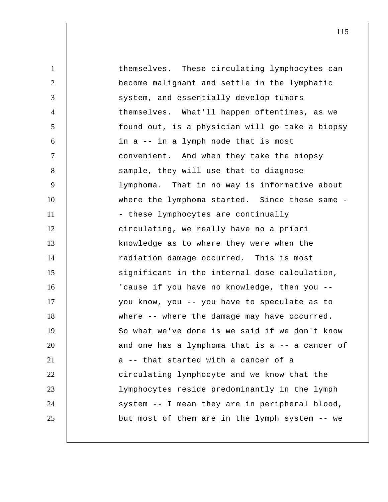| $\mathbf{1}$   | themselves. These circulating lymphocytes can   |
|----------------|-------------------------------------------------|
| $\overline{2}$ | become malignant and settle in the lymphatic    |
| 3              | system, and essentially develop tumors          |
| $\overline{4}$ | themselves. What'll happen oftentimes, as we    |
| 5              | found out, is a physician will go take a biopsy |
| 6              | in a -- in a lymph node that is most            |
| $\tau$         | convenient. And when they take the biopsy       |
| 8              | sample, they will use that to diagnose          |
| 9              | lymphoma. That in no way is informative about   |
| 10             | where the lymphoma started. Since these same -  |
| 11             | - these lymphocytes are continually             |
| 12             | circulating, we really have no a priori         |
| 13             | knowledge as to where they were when the        |
| 14             | radiation damage occurred. This is most         |
| 15             | significant in the internal dose calculation,   |
| 16             | 'cause if you have no knowledge, then you --    |
| 17             | you know, you -- you have to speculate as to    |
| 18             | where -- where the damage may have occurred.    |
| 19             | So what we've done is we said if we don't know  |
| 20             | and one has a lymphoma that is a -- a cancer of |
| 21             | a -- that started with a cancer of a            |
| 22             | circulating lymphocyte and we know that the     |
| 23             | lymphocytes reside predominantly in the lymph   |
| 24             | system -- I mean they are in peripheral blood,  |
| 25             | but most of them are in the lymph system -- we  |
|                |                                                 |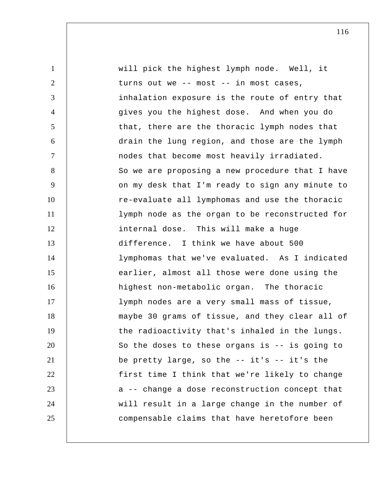| $\mathbf{1}$   | will pick the highest lymph node. Well, it      |
|----------------|-------------------------------------------------|
| $\overline{2}$ | turns out we -- most -- in most cases,          |
| 3              | inhalation exposure is the route of entry that  |
| $\overline{4}$ | gives you the highest dose. And when you do     |
| 5              | that, there are the thoracic lymph nodes that   |
| 6              | drain the lung region, and those are the lymph  |
| $\overline{7}$ | nodes that become most heavily irradiated.      |
| 8              | So we are proposing a new procedure that I have |
| 9              | on my desk that I'm ready to sign any minute to |
| 10             | re-evaluate all lymphomas and use the thoracic  |
| 11             | lymph node as the organ to be reconstructed for |
| 12             | internal dose. This will make a huge            |
| 13             | difference. I think we have about 500           |
| 14             | lymphomas that we've evaluated. As I indicated  |
| 15             | earlier, almost all those were done using the   |
| 16             | highest non-metabolic organ. The thoracic       |
| 17             | lymph nodes are a very small mass of tissue,    |
| 18             | maybe 30 grams of tissue, and they clear all of |
| 19             | the radioactivity that's inhaled in the lungs.  |
| 20             | So the doses to these organs is -- is going to  |
| 21             | be pretty large, so the $-$ it's $-$ it's the   |
| 22             | first time I think that we're likely to change  |
| 23             | a -- change a dose reconstruction concept that  |
| 24             | will result in a large change in the number of  |
| 25             | compensable claims that have heretofore been    |
|                |                                                 |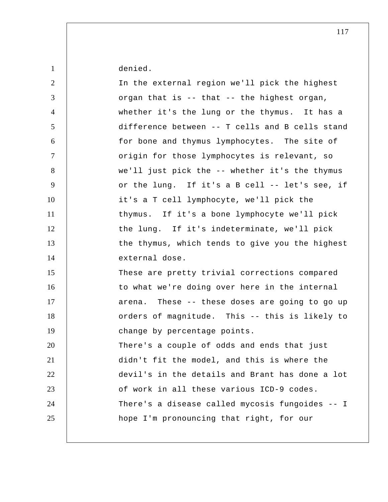denied.

1

| $\overline{2}$ | In the external region we'll pick the highest   |
|----------------|-------------------------------------------------|
| 3              | organ that is -- that -- the highest organ,     |
| $\overline{4}$ | whether it's the lung or the thymus. It has a   |
| 5              | difference between -- T cells and B cells stand |
| 6              | for bone and thymus lymphocytes. The site of    |
| $\tau$         | origin for those lymphocytes is relevant, so    |
| 8              | we'll just pick the -- whether it's the thymus  |
| 9              | or the lung. If it's a B cell -- let's see, if  |
| 10             | it's a T cell lymphocyte, we'll pick the        |
| 11             | thymus. If it's a bone lymphocyte we'll pick    |
| 12             | the lung. If it's indeterminate, we'll pick     |
| 13             | the thymus, which tends to give you the highest |
| 14             | external dose.                                  |
|                |                                                 |
| 15             | These are pretty trivial corrections compared   |
| 16             | to what we're doing over here in the internal   |
| 17             | arena. These -- these doses are going to go up  |
| 18             | orders of magnitude. This -- this is likely to  |
| 19             | change by percentage points.                    |
| 20             | There's a couple of odds and ends that just     |
| 21             | didn't fit the model, and this is where the     |
| 22             | devil's in the details and Brant has done a lot |
| 23             | of work in all these various ICD-9 codes.       |
| 24             | There's a disease called mycosis fungoides -- I |
| 25             | hope I'm pronouncing that right, for our        |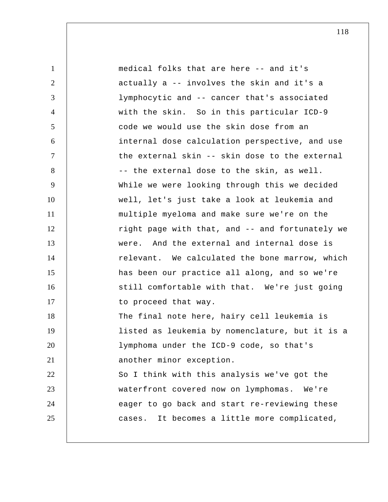| $\mathbf{1}$   | medical folks that are here -- and it's         |
|----------------|-------------------------------------------------|
| 2              | actually a -- involves the skin and it's a      |
| 3              | lymphocytic and -- cancer that's associated     |
| $\overline{4}$ | with the skin. So in this particular ICD-9      |
| 5              | code we would use the skin dose from an         |
| 6              | internal dose calculation perspective, and use  |
| $\tau$         | the external skin -- skin dose to the external  |
| 8              | -- the external dose to the skin, as well.      |
| 9              | While we were looking through this we decided   |
| 10             | well, let's just take a look at leukemia and    |
| 11             | multiple myeloma and make sure we're on the     |
| 12             | right page with that, and -- and fortunately we |
| 13             | were. And the external and internal dose is     |
| 14             | relevant. We calculated the bone marrow, which  |
| 15             | has been our practice all along, and so we're   |
| 16             | still comfortable with that. We're just going   |
| 17             | to proceed that way.                            |
| 18             | The final note here, hairy cell leukemia is     |
| 19             | listed as leukemia by nomenclature, but it is a |
| 20             | lymphoma under the ICD-9 code, so that's        |
| 21             | another minor exception.                        |
| 22             | So I think with this analysis we've got the     |
| 23             | waterfront covered now on lymphomas. We're      |
| 24             | eager to go back and start re-reviewing these   |
| 25             | It becomes a little more complicated,<br>cases. |
|                |                                                 |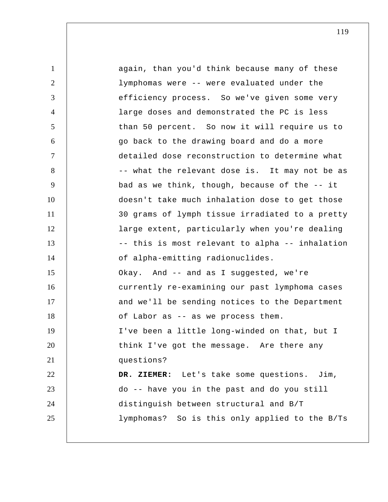| $\mathbf{1}$   | again, than you'd think because many of these   |
|----------------|-------------------------------------------------|
| $\overline{2}$ | lymphomas were -- were evaluated under the      |
| 3              | efficiency process. So we've given some very    |
| $\overline{4}$ | large doses and demonstrated the PC is less     |
| 5              | than 50 percent. So now it will require us to   |
| 6              | go back to the drawing board and do a more      |
| $\tau$         | detailed dose reconstruction to determine what  |
| 8              | -- what the relevant dose is. It may not be as  |
| 9              | bad as we think, though, because of the -- it   |
| 10             | doesn't take much inhalation dose to get those  |
| 11             | 30 grams of lymph tissue irradiated to a pretty |
| 12             | large extent, particularly when you're dealing  |
| 13             | -- this is most relevant to alpha -- inhalation |
| 14             | of alpha-emitting radionuclides.                |
| 15             | Okay. And -- and as I suggested, we're          |
| 16             | currently re-examining our past lymphoma cases  |
| 17             | and we'll be sending notices to the Department  |
| 18             | of Labor as -- as we process them.              |
| 19             | I've been a little long-winded on that, but I   |
| 20             | think I've got the message. Are there any       |
| 21             | questions?                                      |
| 22             | DR. ZIEMER: Let's take some questions. Jim,     |
| 23             | do -- have you in the past and do you still     |
| 24             | distinguish between structural and B/T          |
| 25             | lymphomas? So is this only applied to the B/Ts  |
|                |                                                 |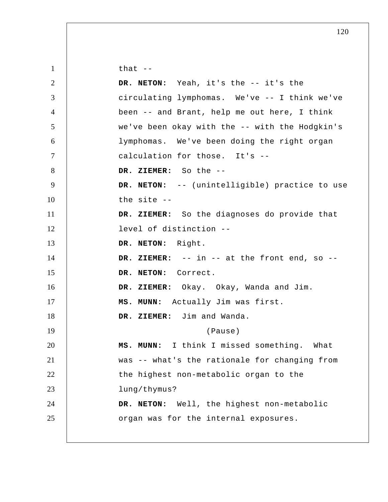| $\mathbf{1}$   | that $-$                                           |
|----------------|----------------------------------------------------|
| $\overline{2}$ | DR. NETON: Yeah, it's the -- it's the              |
| 3              | circulating lymphomas. We've -- I think we've      |
| $\overline{4}$ | been -- and Brant, help me out here, I think       |
| 5              | we've been okay with the -- with the Hodgkin's     |
| 6              | lymphomas. We've been doing the right organ        |
| $\overline{7}$ | calculation for those. It's --                     |
| 8              | DR. ZIEMER: So the --                              |
| 9              | DR. NETON: -- (unintelligible) practice to use     |
| 10             | the site $-$                                       |
| 11             | DR. ZIEMER: So the diagnoses do provide that       |
| 12             | level of distinction --                            |
| 13             | DR. NETON: Right.                                  |
| 14             | DR. ZIEMER: $--$ in $--$ at the front end, so $--$ |
| 15             | DR. NETON: Correct.                                |
| 16             | DR. ZIEMER: Okay. Okay, Wanda and Jim.             |
| 17             | MS. MUNN: Actually Jim was first.                  |
| 18             | DR. ZIEMER: Jim and Wanda.                         |
| 19             | (Pause)                                            |
| 20             | MS. MUNN: I think I missed something. What         |
| 21             | was -- what's the rationale for changing from      |
| 22             | the highest non-metabolic organ to the             |
| 23             | lung/thymus?                                       |
| 24             | DR. NETON: Well, the highest non-metabolic         |
| 25             | organ was for the internal exposures.              |
|                |                                                    |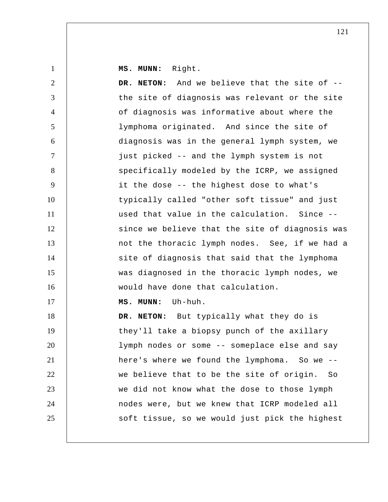**MS. MUNN:** Right.

| $\overline{2}$ | And we believe that the site of --<br>DR. NETON: |
|----------------|--------------------------------------------------|
| 3              | the site of diagnosis was relevant or the site   |
| $\overline{4}$ | of diagnosis was informative about where the     |
| 5              | lymphoma originated. And since the site of       |
| 6              | diagnosis was in the general lymph system, we    |
| $\tau$         | just picked -- and the lymph system is not       |
| 8              | specifically modeled by the ICRP, we assigned    |
| 9              | it the dose -- the highest dose to what's        |
| 10             | typically called "other soft tissue" and just    |
| 11             | used that value in the calculation. Since --     |
| 12             | since we believe that the site of diagnosis was  |
| 13             | not the thoracic lymph nodes. See, if we had a   |
| 14             | site of diagnosis that said that the lymphoma    |
| 15             | was diagnosed in the thoracic lymph nodes, we    |
| 16             | would have done that calculation.                |
| 17             | Uh-huh.<br>MS. MUNN:                             |
| 18             | DR. NETON: But typically what they do is         |
| 19             | they'll take a biopsy punch of the axillary      |
| 20             | lymph nodes or some -- someplace else and say    |
| 21             | here's where we found the lymphoma. So we --     |
| 22             | we believe that to be the site of origin.<br>So  |
| 23             | we did not know what the dose to those lymph     |
| 24             | nodes were, but we knew that ICRP modeled all    |
| 25             | soft tissue, so we would just pick the highest   |
|                |                                                  |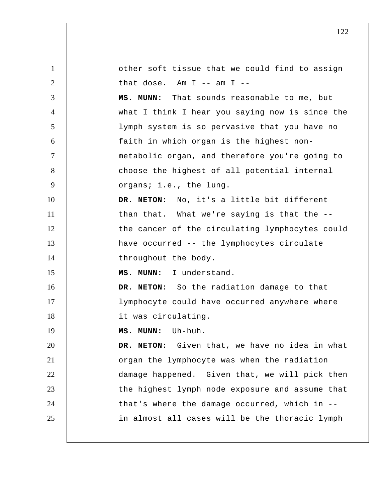1 2 3 4 5 6 7 8 9 10 11 12 13 14 15 16 17 18 19 20 21 22 23 24 25 other soft tissue that we could find to assign that dose. Am  $I$  -- am  $I$  -- **MS. MUNN:** That sounds reasonable to me, but what I think I hear you saying now is since the lymph system is so pervasive that you have no faith in which organ is the highest nonmetabolic organ, and therefore you're going to choose the highest of all potential internal organs; i.e., the lung. **DR. NETON:** No, it's a little bit different than that. What we're saying is that the - the cancer of the circulating lymphocytes could have occurred -- the lymphocytes circulate throughout the body.  **MS. MUNN:** I understand. **DR. NETON:** So the radiation damage to that lymphocyte could have occurred anywhere where it was circulating.  **MS. MUNN:** Uh-huh. **DR. NETON:** Given that, we have no idea in what organ the lymphocyte was when the radiation damage happened. Given that, we will pick then the highest lymph node exposure and assume that that's where the damage occurred, which in - in almost all cases will be the thoracic lymph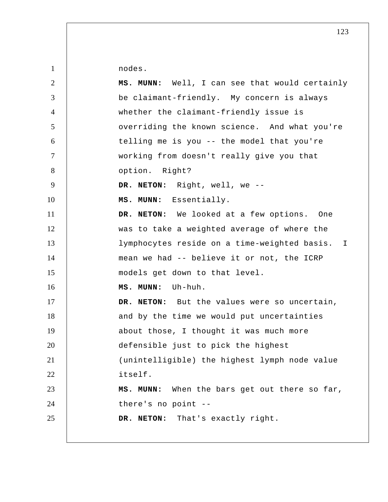nodes.

| $\overline{2}$   | MS. MUNN: Well, I can see that would certainly   |
|------------------|--------------------------------------------------|
| 3                | be claimant-friendly. My concern is always       |
| $\overline{4}$   | whether the claimant-friendly issue is           |
| 5                | overriding the known science. And what you're    |
| 6                | telling me is you -- the model that you're       |
| $\tau$           | working from doesn't really give you that        |
| 8                | option. Right?                                   |
| $\boldsymbol{9}$ | DR. NETON: Right, well, we --                    |
| 10               | MS. MUNN: Essentially.                           |
| 11               | DR. NETON: We looked at a few options. One       |
| 12               | was to take a weighted average of where the      |
| 13               | lymphocytes reside on a time-weighted basis. I   |
| 14               | mean we had -- believe it or not, the ICRP       |
| 15               | models get down to that level.                   |
| 16               | MS. MUNN: Uh-huh.                                |
| 17               | DR. NETON: But the values were so uncertain,     |
| 18               | and by the time we would put uncertainties       |
| 19               | about those, I thought it was much more          |
| 20               | defensible just to pick the highest              |
| 21               | (unintelligible) the highest lymph node value    |
| 22               | itself.                                          |
| 23               | When the bars get out there so far,<br>MS. MUNN: |
| 24               | there's no point --                              |
| 25               | DR. NETON: That's exactly right.                 |
|                  |                                                  |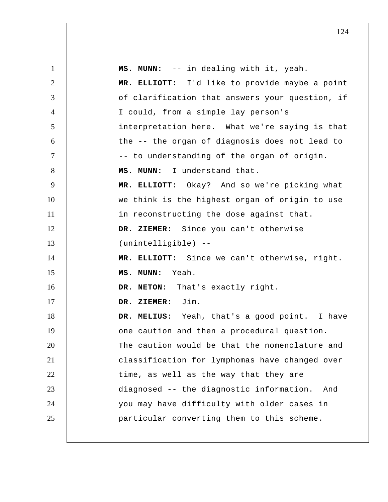| $\mathbf{1}$   | MS. MUNN: -- in dealing with it, yeah.          |
|----------------|-------------------------------------------------|
| $\overline{2}$ | MR. ELLIOTT: I'd like to provide maybe a point  |
| 3              | of clarification that answers your question, if |
| $\overline{4}$ | I could, from a simple lay person's             |
| 5              | interpretation here. What we're saying is that  |
| 6              | the -- the organ of diagnosis does not lead to  |
| $\tau$         | -- to understanding of the organ of origin.     |
| 8              | MS. MUNN: I understand that.                    |
| 9              | MR. ELLIOTT: Okay? And so we're picking what    |
| 10             | we think is the highest organ of origin to use  |
| 11             | in reconstructing the dose against that.        |
| 12             | DR. ZIEMER: Since you can't otherwise           |
| 13             | (unintelligible) --                             |
| 14             | MR. ELLIOTT: Since we can't otherwise, right.   |
| 15             | MS. MUNN: Yeah.                                 |
| 16             | DR. NETON: That's exactly right.                |
| 17             | DR. ZIEMER: Jim.                                |
| 18             | DR. MELIUS: Yeah, that's a good point. I have   |
| 19             | one caution and then a procedural question.     |
| 20             | The caution would be that the nomenclature and  |
| 21             | classification for lymphomas have changed over  |
| 22             | time, as well as the way that they are          |
| 23             | diagnosed -- the diagnostic information.<br>And |
| 24             | you may have difficulty with older cases in     |
| 25             | particular converting them to this scheme.      |
|                |                                                 |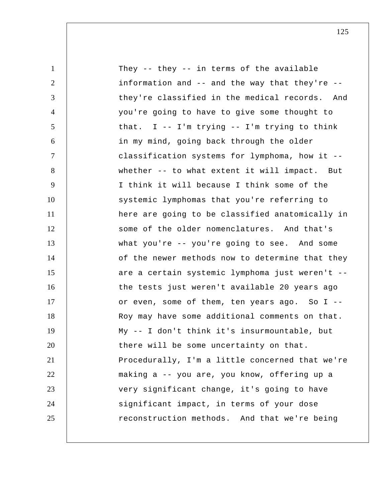| $\mathbf{1}$   | They -- they -- in terms of the available       |
|----------------|-------------------------------------------------|
| $\overline{2}$ | information and -- and the way that they're --  |
| 3              | they're classified in the medical records. And  |
| $\overline{4}$ | you're going to have to give some thought to    |
| 5              | that. $I - - I'm trying -- I'm trying to think$ |
| 6              | in my mind, going back through the older        |
| $\overline{7}$ | classification systems for lymphoma, how it --  |
| 8              | whether -- to what extent it will impact. But   |
| 9              | I think it will because I think some of the     |
| 10             | systemic lymphomas that you're referring to     |
| 11             | here are going to be classified anatomically in |
| 12             | some of the older nomenclatures. And that's     |
| 13             | what you're -- you're going to see. And some    |
| 14             | of the newer methods now to determine that they |
| 15             | are a certain systemic lymphoma just weren't -- |
| 16             | the tests just weren't available 20 years ago   |
| 17             | or even, some of them, ten years ago. So I --   |
| 18             | Roy may have some additional comments on that.  |
| 19             | My -- I don't think it's insurmountable, but    |
| 20             | there will be some uncertainty on that.         |
| 21             | Procedurally, I'm a little concerned that we're |
| 22             | making a -- you are, you know, offering up a    |
| 23             | very significant change, it's going to have     |
| 24             | significant impact, in terms of your dose       |
| 25             | reconstruction methods. And that we're being    |
|                |                                                 |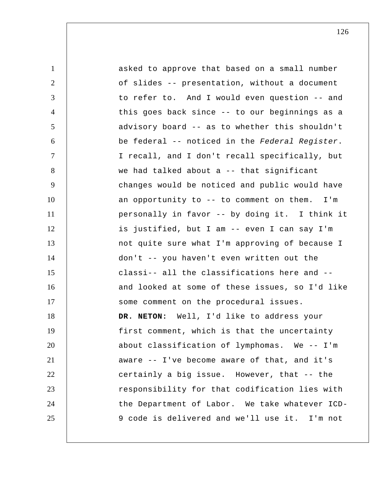| $\mathbf{1}$   | asked to approve that based on a small number   |
|----------------|-------------------------------------------------|
| $\overline{2}$ | of slides -- presentation, without a document   |
| 3              | to refer to. And I would even question -- and   |
| $\overline{4}$ | this goes back since -- to our beginnings as a  |
| 5              | advisory board -- as to whether this shouldn't  |
| 6              | be federal -- noticed in the Federal Register.  |
| $\tau$         | I recall, and I don't recall specifically, but  |
| 8              | we had talked about a -- that significant       |
| 9              | changes would be noticed and public would have  |
| 10             | an opportunity to -- to comment on them.<br>I'm |
| 11             | personally in favor -- by doing it. I think it  |
| 12             | is justified, but I am -- even I can say I'm    |
| 13             | not quite sure what I'm approving of because I  |
| 14             | don't -- you haven't even written out the       |
| 15             | classi-- all the classifications here and --    |
| 16             | and looked at some of these issues, so I'd like |
| 17             | some comment on the procedural issues.          |
| 18             | DR. NETON: Well, I'd like to address your       |
| 19             | first comment, which is that the uncertainty    |
| 20             | about classification of lymphomas. We -- I'm    |
| 21             | aware -- I've become aware of that, and it's    |
| 22             | certainly a big issue. However, that -- the     |
| 23             | responsibility for that codification lies with  |
| 24             | the Department of Labor. We take whatever ICD-  |
| 25             | 9 code is delivered and we'll use it. I'm not   |
|                |                                                 |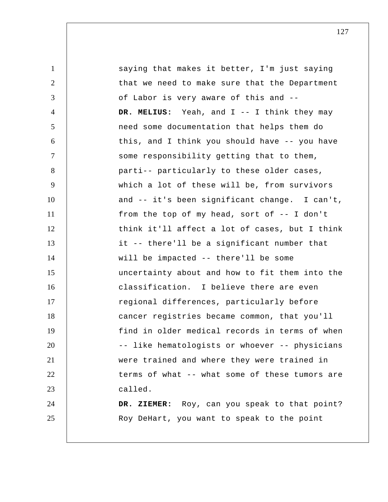1 2 3 4 5 6 7 8 9 10 11 12 13 14 15 16 17 18 19 20 21 22 23 24 25 saying that makes it better, I'm just saying that we need to make sure that the Department of Labor is very aware of this and --  **DR. MELIUS:** Yeah, and I -- I think they may need some documentation that helps them do this, and I think you should have -- you have some responsibility getting that to them, parti-- particularly to these older cases, which a lot of these will be, from survivors and -- it's been significant change. I can't, from the top of my head, sort of -- I don't think it'll affect a lot of cases, but I think it -- there'll be a significant number that will be impacted -- there'll be some uncertainty about and how to fit them into the classification. I believe there are even regional differences, particularly before cancer registries became common, that you'll find in older medical records in terms of when -- like hematologists or whoever -- physicians were trained and where they were trained in terms of what -- what some of these tumors are called.  **DR. ZIEMER:** Roy, can you speak to that point? Roy DeHart, you want to speak to the point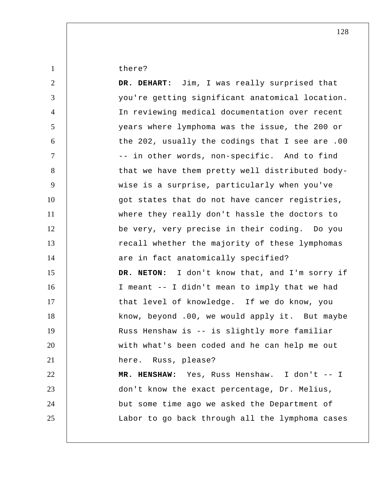there?

1

| DR. DEHART: Jim, I was really surprised that    |
|-------------------------------------------------|
| you're getting significant anatomical location. |
| In reviewing medical documentation over recent  |
| years where lymphoma was the issue, the 200 or  |
| the 202, usually the codings that I see are .00 |
| -- in other words, non-specific. And to find    |
| that we have them pretty well distributed body- |
| wise is a surprise, particularly when you've    |
| got states that do not have cancer registries,  |
| where they really don't hassle the doctors to   |
| be very, very precise in their coding. Do you   |
| recall whether the majority of these lymphomas  |
| are in fact anatomically specified?             |
| DR. NETON: I don't know that, and I'm sorry if  |
| I meant -- I didn't mean to imply that we had   |
| that level of knowledge. If we do know, you     |
| know, beyond .00, we would apply it. But maybe  |
| Russ Henshaw is -- is slightly more familiar    |
| with what's been coded and he can help me out   |
| here. Russ, please?                             |
| MR. HENSHAW: Yes, Russ Henshaw. I don't -- I    |
|                                                 |
| don't know the exact percentage, Dr. Melius,    |
| but some time ago we asked the Department of    |
|                                                 |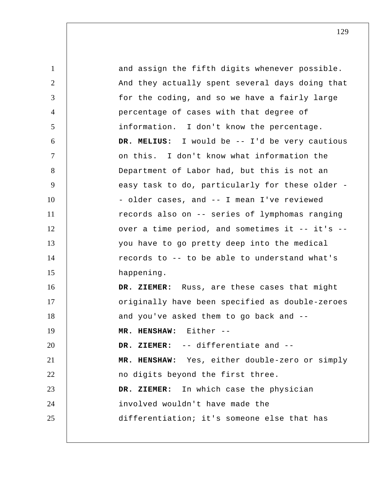1 2 3 4 5 6 7 8 9 10 11 12 13 14 15 16 17 18 19 20 21 22 23 24 25 and assign the fifth digits whenever possible. And they actually spent several days doing that for the coding, and so we have a fairly large percentage of cases with that degree of information. I don't know the percentage.  **DR. MELIUS:** I would be -- I'd be very cautious on this. I don't know what information the Department of Labor had, but this is not an easy task to do, particularly for these older - - older cases, and -- I mean I've reviewed records also on -- series of lymphomas ranging over a time period, and sometimes it -- it's - you have to go pretty deep into the medical records to -- to be able to understand what's happening.  **DR. ZIEMER:** Russ, are these cases that might originally have been specified as double-zeroes and you've asked them to go back and --  **MR. HENSHAW:** Either --  **DR. ZIEMER:** -- differentiate and --  **MR. HENSHAW:** Yes, either double-zero or simply no digits beyond the first three.  **DR. ZIEMER:** In which case the physician involved wouldn't have made the differentiation; it's someone else that has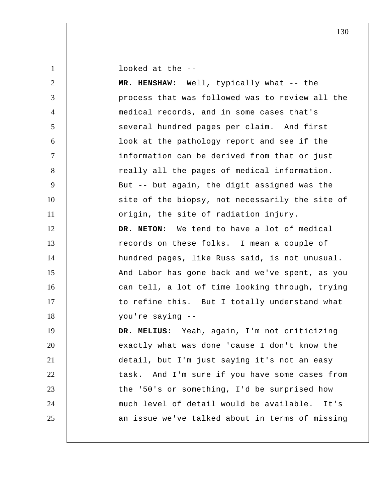looked at the --

| 2              | MR. HENSHAW: Well, typically what -- the        |
|----------------|-------------------------------------------------|
| 3              | process that was followed was to review all the |
| $\overline{4}$ | medical records, and in some cases that's       |
| 5              | several hundred pages per claim. And first      |
| 6              | look at the pathology report and see if the     |
| $\tau$         | information can be derived from that or just    |
| 8              | really all the pages of medical information.    |
| 9              | But -- but again, the digit assigned was the    |
| 10             | site of the biopsy, not necessarily the site of |
| 11             | origin, the site of radiation injury.           |
| 12             | DR. NETON: We tend to have a lot of medical     |
| 13             | records on these folks. I mean a couple of      |
| 14             | hundred pages, like Russ said, is not unusual.  |
| 15             | And Labor has gone back and we've spent, as you |
| 16             | can tell, a lot of time looking through, trying |
| 17             | to refine this. But I totally understand what   |
| 18             | you're saying --                                |
| 19             | DR. MELIUS: Yeah, again, I'm not criticizing    |
| 20             | exactly what was done 'cause I don't know the   |
| 21             | detail, but I'm just saying it's not an easy    |
| 22             | task. And I'm sure if you have some cases from  |
| 23             | the '50's or something, I'd be surprised how    |
| 24             | much level of detail would be available. It's   |
| 25             | an issue we've talked about in terms of missing |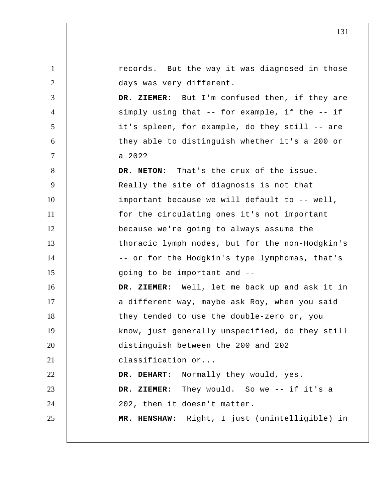| $\mathbf{1}$   | records. But the way it was diagnosed in those  |
|----------------|-------------------------------------------------|
| $\overline{2}$ | days was very different.                        |
| 3              | DR. ZIEMER: But I'm confused then, if they are  |
| $\overline{4}$ | simply using that -- for example, if the -- if  |
| $\mathfrak{S}$ | it's spleen, for example, do they still -- are  |
| 6              | they able to distinguish whether it's a 200 or  |
| $\tau$         | a 202?                                          |
| 8              | DR. NETON: That's the crux of the issue.        |
| $\overline{9}$ | Really the site of diagnosis is not that        |
| 10             | important because we will default to -- well,   |
| 11             | for the circulating ones it's not important     |
| 12             | because we're going to always assume the        |
| 13             | thoracic lymph nodes, but for the non-Hodgkin's |
| 14             | -- or for the Hodgkin's type lymphomas, that's  |
| 15             | going to be important and --                    |
| 16             | DR. ZIEMER: Well, let me back up and ask it in  |
| 17             | a different way, maybe ask Roy, when you said   |
| 18             | they tended to use the double-zero or, you      |
| 19             | know, just generally unspecified, do they still |
| 20             | distinguish between the 200 and 202             |
| 21             | classification or                               |
| 22             | DR. DEHART: Normally they would, yes.           |
| 23             | DR. ZIEMER: They would. So we -- if it's a      |
| 24             | 202, then it doesn't matter.                    |
| 25             | MR. HENSHAW: Right, I just (unintelligible) in  |
|                |                                                 |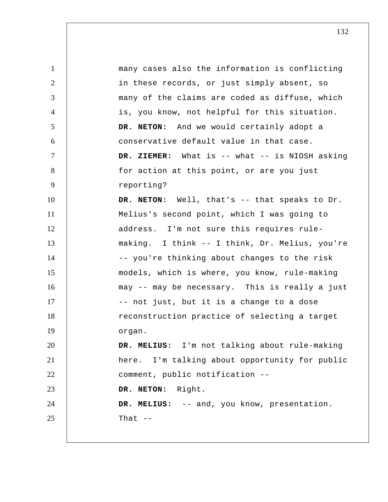1 2 3 4 5 6 7 8 9 10 11 12 13 14 15 16 17 18 19 20 21 22 23 24 25 many cases also the information is conflicting in these records, or just simply absent, so many of the claims are coded as diffuse, which is, you know, not helpful for this situation. **DR. NETON:** And we would certainly adopt a conservative default value in that case.  **DR. ZIEMER:** What is -- what -- is NIOSH asking for action at this point, or are you just reporting? **DR. NETON:** Well, that's -- that speaks to Dr. Melius's second point, which I was going to address. I'm not sure this requires rulemaking. I think -- I think, Dr. Melius, you're -- you're thinking about changes to the risk models, which is where, you know, rule-making may -- may be necessary. This is really a just -- not just, but it is a change to a dose reconstruction practice of selecting a target organ.  **DR. MELIUS:** I'm not talking about rule-making here. I'm talking about opportunity for public comment, public notification -- **DR. NETON:** Right.  **DR. MELIUS:** -- and, you know, presentation. That  $-$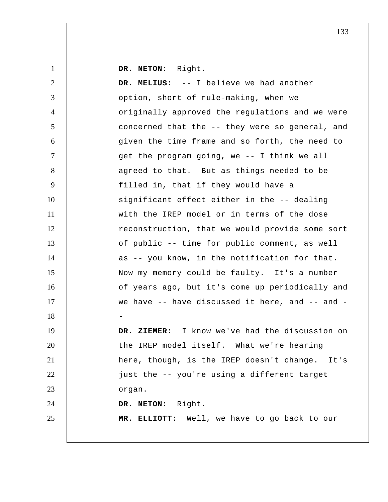**DR. NETON:** Right.

1

2 3 4 5 6 7 8 9 10 11 12 13 14 15 16 17 18 19 20 21 22 23 24 25  **DR. MELIUS:** -- I believe we had another option, short of rule-making, when we originally approved the regulations and we were concerned that the -- they were so general, and given the time frame and so forth, the need to get the program going, we -- I think we all agreed to that. But as things needed to be filled in, that if they would have a significant effect either in the -- dealing with the IREP model or in terms of the dose reconstruction, that we would provide some sort of public -- time for public comment, as well as -- you know, in the notification for that. Now my memory could be faulty. It's a number of years ago, but it's come up periodically and we have -- have discussed it here, and -- and - -  **DR. ZIEMER:** I know we've had the discussion on the IREP model itself. What we're hearing here, though, is the IREP doesn't change. It's just the -- you're using a different target organ. **DR. NETON:** Right.  **MR. ELLIOTT:** Well, we have to go back to our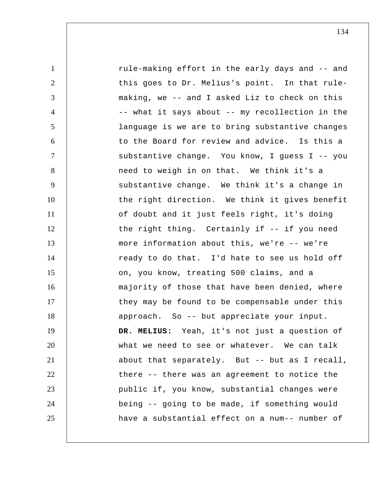| $\mathbf{1}$   | rule-making effort in the early days and -- and |
|----------------|-------------------------------------------------|
| $\overline{2}$ | this goes to Dr. Melius's point. In that rule-  |
| 3              | making, we -- and I asked Liz to check on this  |
| 4              | -- what it says about -- my recollection in the |
| 5              | language is we are to bring substantive changes |
| 6              | to the Board for review and advice. Is this a   |
| $\overline{7}$ | substantive change. You know, I guess I -- you  |
| 8              | need to weigh in on that. We think it's a       |
| 9              | substantive change. We think it's a change in   |
| 10             | the right direction. We think it gives benefit  |
| 11             | of doubt and it just feels right, it's doing    |
| 12             | the right thing. Certainly if -- if you need    |
| 13             | more information about this, we're -- we're     |
| 14             | ready to do that. I'd hate to see us hold off   |
| 15             | on, you know, treating 500 claims, and a        |
| 16             | majority of those that have been denied, where  |
| 17             | they may be found to be compensable under this  |
| 18             | approach. So -- but appreciate your input.      |
| 19             | DR. MELIUS: Yeah, it's not just a question of   |
| 20             | what we need to see or whatever. We can talk    |
| 21             | about that separately. But -- but as I recall,  |
| 22             | there -- there was an agreement to notice the   |
| 23             | public if, you know, substantial changes were   |
| 24             | being -- going to be made, if something would   |
| 25             | have a substantial effect on a num-- number of  |
|                |                                                 |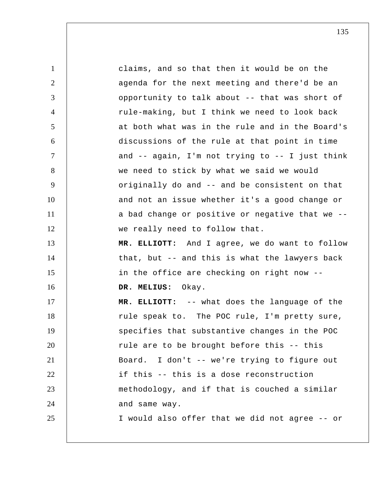1 2 3 4 5 6 7 8 9 10 11 12 13 14 15 16 17 18 19 20 21 22 23 24 25 claims, and so that then it would be on the agenda for the next meeting and there'd be an opportunity to talk about -- that was short of rule-making, but I think we need to look back at both what was in the rule and in the Board's discussions of the rule at that point in time and -- again, I'm not trying to -- I just think we need to stick by what we said we would originally do and -- and be consistent on that and not an issue whether it's a good change or a bad change or positive or negative that we - we really need to follow that.  **MR. ELLIOTT:** And I agree, we do want to follow that, but -- and this is what the lawyers back in the office are checking on right now --  **DR. MELIUS:** Okay.  **MR. ELLIOTT:** -- what does the language of the rule speak to. The POC rule, I'm pretty sure, specifies that substantive changes in the POC rule are to be brought before this -- this Board. I don't -- we're trying to figure out if this -- this is a dose reconstruction methodology, and if that is couched a similar and same way. I would also offer that we did not agree -- or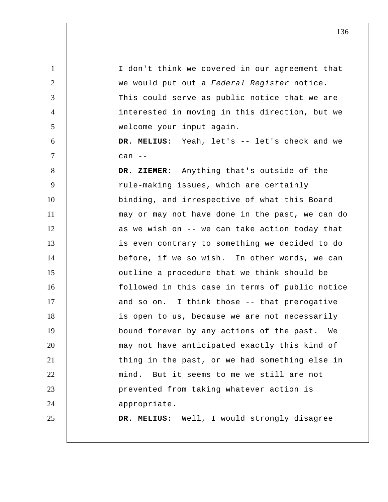1 2 3 4 5 6 7 8 9 10 11 12 13 14 15 16 17 18 19 20 21 22 23 24 25 I don't think we covered in our agreement that we would put out a *Federal Register* notice. This could serve as public notice that we are interested in moving in this direction, but we welcome your input again.  **DR. MELIUS:** Yeah, let's -- let's check and we  $can$   $-$  **DR. ZIEMER:** Anything that's outside of the rule-making issues, which are certainly binding, and irrespective of what this Board may or may not have done in the past, we can do as we wish on -- we can take action today that is even contrary to something we decided to do before, if we so wish. In other words, we can outline a procedure that we think should be followed in this case in terms of public notice and so on. I think those -- that prerogative is open to us, because we are not necessarily bound forever by any actions of the past. We may not have anticipated exactly this kind of thing in the past, or we had something else in mind. But it seems to me we still are not prevented from taking whatever action is appropriate.  **DR. MELIUS:** Well, I would strongly disagree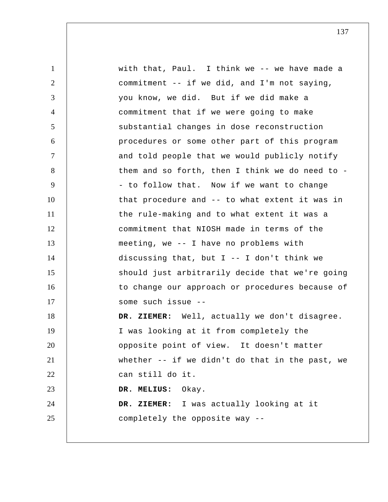1 2 3 4 5 6 7 8 9 10 11 12 13 14 15 16 17 18 19 20 21 22 23 24 25 with that, Paul. I think we -- we have made a commitment -- if we did, and I'm not saying, you know, we did. But if we did make a commitment that if we were going to make substantial changes in dose reconstruction procedures or some other part of this program and told people that we would publicly notify them and so forth, then I think we do need to - - to follow that. Now if we want to change that procedure and -- to what extent it was in the rule-making and to what extent it was a commitment that NIOSH made in terms of the meeting, we -- I have no problems with discussing that, but I -- I don't think we should just arbitrarily decide that we're going to change our approach or procedures because of some such issue --  **DR. ZIEMER:** Well, actually we don't disagree. I was looking at it from completely the opposite point of view. It doesn't matter whether -- if we didn't do that in the past, we can still do it.  **DR. MELIUS:** Okay.  **DR. ZIEMER:** I was actually looking at it completely the opposite way --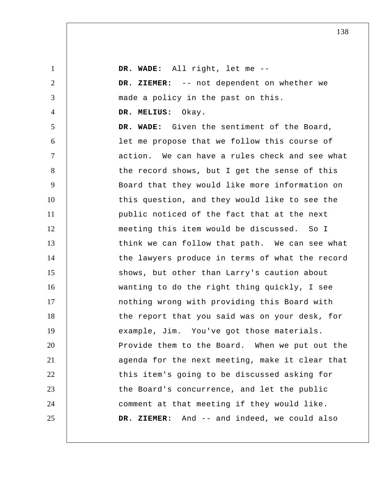| $\mathbf{1}$   | DR. WADE: All right, let me --                  |
|----------------|-------------------------------------------------|
| $\overline{2}$ | DR. ZIEMER: -- not dependent on whether we      |
| 3              | made a policy in the past on this.              |
| $\overline{4}$ | DR. MELIUS: Okay.                               |
| 5              | DR. WADE: Given the sentiment of the Board,     |
| 6              | let me propose that we follow this course of    |
| $\tau$         | action. We can have a rules check and see what  |
| 8              | the record shows, but I get the sense of this   |
| 9              | Board that they would like more information on  |
| 10             | this question, and they would like to see the   |
| 11             | public noticed of the fact that at the next     |
| 12             | meeting this item would be discussed. So I      |
| 13             | think we can follow that path. We can see what  |
| 14             | the lawyers produce in terms of what the record |
| 15             | shows, but other than Larry's caution about     |
| 16             | wanting to do the right thing quickly, I see    |
| 17             | nothing wrong with providing this Board with    |
| 18             | the report that you said was on your desk, for  |
| 19             | example, Jim. You've got those materials.       |
| 20             | Provide them to the Board. When we put out the  |
| 21             | agenda for the next meeting, make it clear that |
| 22             | this item's going to be discussed asking for    |
| 23             | the Board's concurrence, and let the public     |
| 24             | comment at that meeting if they would like.     |
| 25             | DR. ZIEMER: And -- and indeed, we could also    |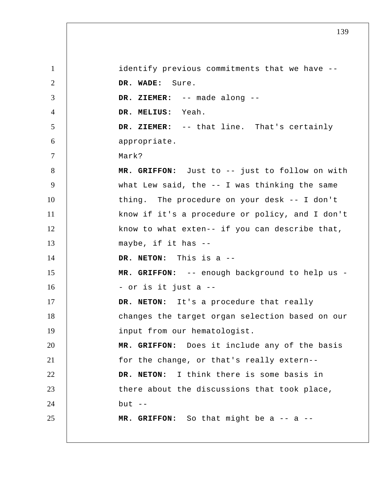1 2 3 4 5 6 7 8 9 10 11 12 13 14 15 16 17 18 19 20 21 22 23 24 25 identify previous commitments that we have --  **DR. WADE:** Sure.  **DR. ZIEMER:** -- made along --  **DR. MELIUS:** Yeah.  **DR. ZIEMER:** -- that line. That's certainly appropriate. Mark?  **MR. GRIFFON:** Just to -- just to follow on with what Lew said, the -- I was thinking the same thing. The procedure on your desk -- I don't know if it's a procedure or policy, and I don't know to what exten-- if you can describe that, maybe, if it has -- **DR. NETON:** This is a --  **MR. GRIFFON:** -- enough background to help us - - or is it just a -- **DR. NETON:** It's a procedure that really changes the target organ selection based on our input from our hematologist.  **MR. GRIFFON:** Does it include any of the basis for the change, or that's really extern-- **DR. NETON:** I think there is some basis in there about the discussions that took place, but  $--$  **MR. GRIFFON:** So that might be a -- a --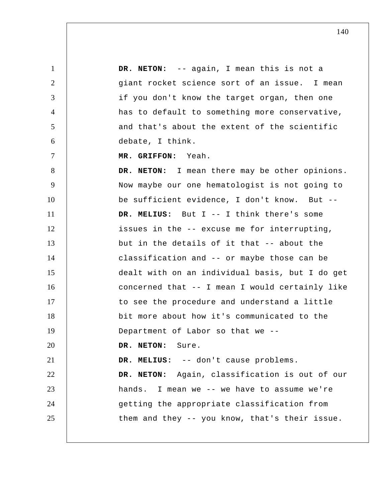1 2 3 4 5 6 7 8 9 10 11 12 13 14 15 16 17 18 19 20 21 22 23 24 25 **DR. NETON:** -- again, I mean this is not a giant rocket science sort of an issue. I mean if you don't know the target organ, then one has to default to something more conservative, and that's about the extent of the scientific debate, I think.  **MR. GRIFFON:** Yeah. **DR. NETON:** I mean there may be other opinions. Now maybe our one hematologist is not going to be sufficient evidence, I don't know. But --  **DR. MELIUS:** But I -- I think there's some issues in the -- excuse me for interrupting, but in the details of it that -- about the classification and -- or maybe those can be dealt with on an individual basis, but I do get concerned that -- I mean I would certainly like to see the procedure and understand a little bit more about how it's communicated to the Department of Labor so that we -- **DR. NETON:** Sure.  **DR. MELIUS:** -- don't cause problems. **DR. NETON:** Again, classification is out of our hands. I mean we -- we have to assume we're getting the appropriate classification from them and they -- you know, that's their issue.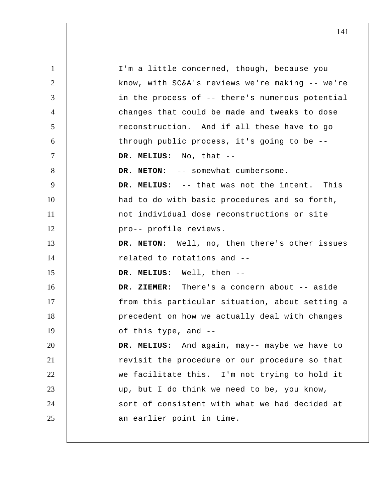1 2 3 4 5 6 7 8 9 10 11 12 13 14 15 16 17 18 19 20 21 22 23 24 25 I'm a little concerned, though, because you know, with SC&A's reviews we're making -- we're in the process of -- there's numerous potential changes that could be made and tweaks to dose reconstruction. And if all these have to go through public process, it's going to be --  **DR. MELIUS:** No, that -- DR. NETON: -- somewhat cumbersome.  **DR. MELIUS:** -- that was not the intent. This had to do with basic procedures and so forth, not individual dose reconstructions or site pro-- profile reviews. **DR. NETON:** Well, no, then there's other issues related to rotations and --  **DR. MELIUS:** Well, then --  **DR. ZIEMER:** There's a concern about -- aside from this particular situation, about setting a precedent on how we actually deal with changes of this type, and --  **DR. MELIUS:** And again, may-- maybe we have to revisit the procedure or our procedure so that we facilitate this. I'm not trying to hold it up, but I do think we need to be, you know, sort of consistent with what we had decided at an earlier point in time.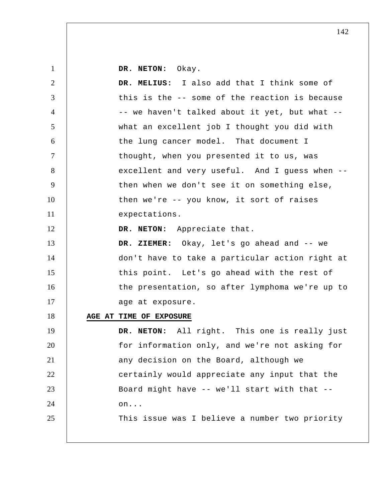**DR. NETON:** Okay.

| $\overline{2}$ | DR. MELIUS: I also add that I think some of     |
|----------------|-------------------------------------------------|
| 3              | this is the -- some of the reaction is because  |
| $\overline{4}$ | -- we haven't talked about it yet, but what --  |
| $\mathfrak{S}$ | what an excellent job I thought you did with    |
| 6              | the lung cancer model. That document I          |
| $\tau$         | thought, when you presented it to us, was       |
| 8              | excellent and very useful. And I guess when --  |
| 9              | then when we don't see it on something else,    |
| 10             | then we're -- you know, it sort of raises       |
| 11             | expectations.                                   |
| 12             | DR. NETON: Appreciate that.                     |
| 13             | DR. ZIEMER: Okay, let's go ahead and -- we      |
| 14             | don't have to take a particular action right at |
| 15             | this point. Let's go ahead with the rest of     |
| 16             | the presentation, so after lymphoma we're up to |
| 17             | age at exposure.                                |
| 18             | AGE AT TIME OF EXPOSURE                         |
| 19             | DR. NETON: All right. This one is really just   |
| 20             | for information only, and we're not asking for  |
| 21             | any decision on the Board, although we          |
| 22             | certainly would appreciate any input that the   |
| 23             | Board might have -- we'll start with that --    |
| 24             | on                                              |
| 25             | This issue was I believe a number two priority  |
|                |                                                 |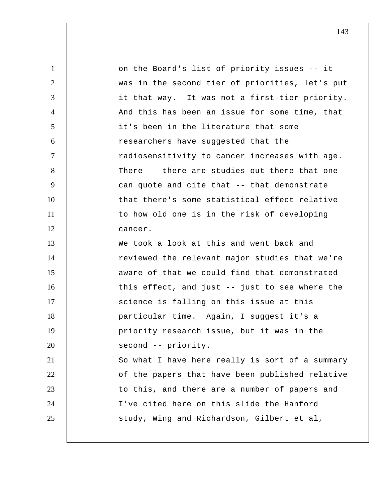1 2 3 4 5 6 7 8 9 10 11 12 13 14 15 16 17 18 19 20 21 22 23 24 25 on the Board's list of priority issues -- it was in the second tier of priorities, let's put it that way. It was not a first-tier priority. And this has been an issue for some time, that it's been in the literature that some researchers have suggested that the radiosensitivity to cancer increases with age. There -- there are studies out there that one can quote and cite that -- that demonstrate that there's some statistical effect relative to how old one is in the risk of developing cancer. We took a look at this and went back and reviewed the relevant major studies that we're aware of that we could find that demonstrated this effect, and just -- just to see where the science is falling on this issue at this particular time. Again, I suggest it's a priority research issue, but it was in the second -- priority. So what I have here really is sort of a summary of the papers that have been published relative to this, and there are a number of papers and I've cited here on this slide the Hanford study, Wing and Richardson, Gilbert et al,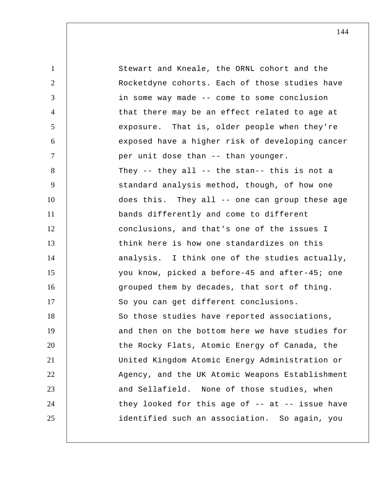1 2 3 4 5 6 7 8 9 10 11 12 13 14 15 16 17 18 19 20 21 22 23 24 25 Stewart and Kneale, the ORNL cohort and the Rocketdyne cohorts. Each of those studies have in some way made -- come to some conclusion that there may be an effect related to age at exposure. That is, older people when they're exposed have a higher risk of developing cancer per unit dose than -- than younger. They -- they all -- the stan-- this is not a standard analysis method, though, of how one does this. They all -- one can group these age bands differently and come to different conclusions, and that's one of the issues I think here is how one standardizes on this analysis. I think one of the studies actually, you know, picked a before-45 and after-45; one grouped them by decades, that sort of thing. So you can get different conclusions. So those studies have reported associations, and then on the bottom here we have studies for the Rocky Flats, Atomic Energy of Canada, the United Kingdom Atomic Energy Administration or Agency, and the UK Atomic Weapons Establishment and Sellafield. None of those studies, when they looked for this age of  $-$ - at  $-$ - issue have identified such an association. So again, you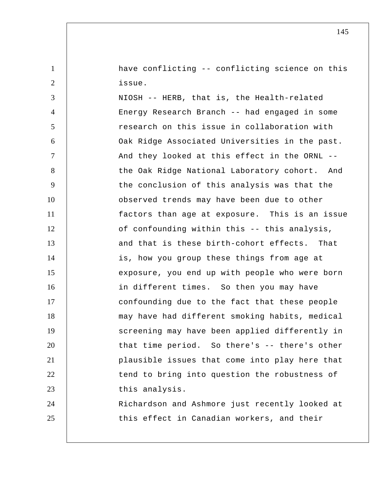have conflicting -- conflicting science on this issue.

1

2

3 4 5 6 7 8 9 10 11 12 13 14 15 16 17 18 19 20 21 22 23 24 25 NIOSH -- HERB, that is, the Health-related Energy Research Branch -- had engaged in some research on this issue in collaboration with Oak Ridge Associated Universities in the past. And they looked at this effect in the ORNL - the Oak Ridge National Laboratory cohort. And the conclusion of this analysis was that the observed trends may have been due to other factors than age at exposure. This is an issue of confounding within this -- this analysis, and that is these birth-cohort effects. That is, how you group these things from age at exposure, you end up with people who were born in different times. So then you may have confounding due to the fact that these people may have had different smoking habits, medical screening may have been applied differently in that time period. So there's -- there's other plausible issues that come into play here that tend to bring into question the robustness of this analysis. Richardson and Ashmore just recently looked at this effect in Canadian workers, and their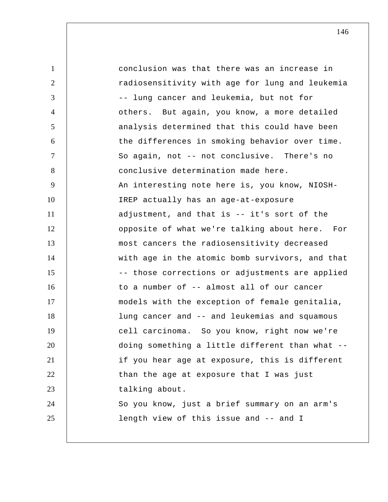1 2 3 4 5 6 7 8 9 10 11 12 13 14 15 16 17 18 19 20 21 22 23 24 25 conclusion was that there was an increase in radiosensitivity with age for lung and leukemia -- lung cancer and leukemia, but not for others. But again, you know, a more detailed analysis determined that this could have been the differences in smoking behavior over time. So again, not -- not conclusive. There's no conclusive determination made here. An interesting note here is, you know, NIOSH-IREP actually has an age-at-exposure adjustment, and that is -- it's sort of the opposite of what we're talking about here. For most cancers the radiosensitivity decreased with age in the atomic bomb survivors, and that -- those corrections or adjustments are applied to a number of -- almost all of our cancer models with the exception of female genitalia, lung cancer and -- and leukemias and squamous cell carcinoma. So you know, right now we're doing something a little different than what - if you hear age at exposure, this is different than the age at exposure that I was just talking about. So you know, just a brief summary on an arm's length view of this issue and -- and I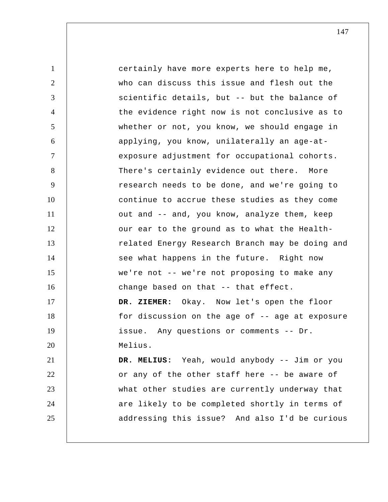1 2 3 4 5 6 7 8 9 10 11 12 13 14 15 16 17 18 19 20 21 22 23 24 25 certainly have more experts here to help me, who can discuss this issue and flesh out the scientific details, but -- but the balance of the evidence right now is not conclusive as to whether or not, you know, we should engage in applying, you know, unilaterally an age-atexposure adjustment for occupational cohorts. There's certainly evidence out there. More research needs to be done, and we're going to continue to accrue these studies as they come out and -- and, you know, analyze them, keep our ear to the ground as to what the Healthrelated Energy Research Branch may be doing and see what happens in the future. Right now we're not -- we're not proposing to make any change based on that -- that effect.  **DR. ZIEMER:** Okay. Now let's open the floor for discussion on the age of -- age at exposure issue. Any questions or comments -- Dr. Melius.  **DR. MELIUS:** Yeah, would anybody -- Jim or you or any of the other staff here -- be aware of what other studies are currently underway that are likely to be completed shortly in terms of addressing this issue? And also I'd be curious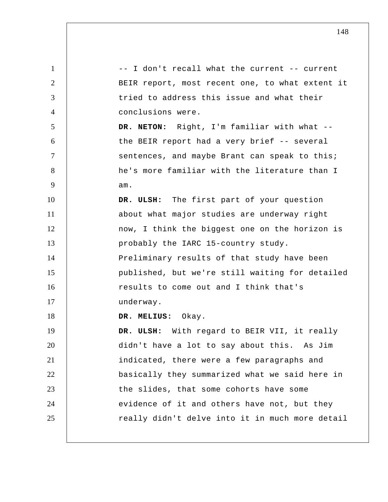1 2 3 4 5 6 7 8 9 10 11 12 13 14 15 16 17 18 19 20 21 22 23 24 25 -- I don't recall what the current -- current BEIR report, most recent one, to what extent it tried to address this issue and what their conclusions were. **DR. NETON:** Right, I'm familiar with what - the BEIR report had a very brief -- several sentences, and maybe Brant can speak to this; he's more familiar with the literature than I am.  **DR. ULSH:** The first part of your question about what major studies are underway right now, I think the biggest one on the horizon is probably the IARC 15-country study. Preliminary results of that study have been published, but we're still waiting for detailed results to come out and I think that's underway.  **DR. MELIUS:** Okay.  **DR. ULSH:** With regard to BEIR VII, it really didn't have a lot to say about this. As Jim indicated, there were a few paragraphs and basically they summarized what we said here in the slides, that some cohorts have some evidence of it and others have not, but they really didn't delve into it in much more detail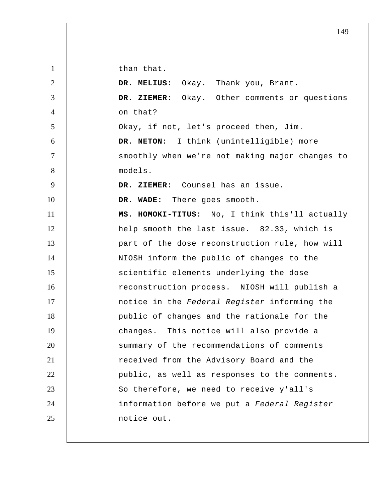than that.

1

2 3 4 5 6 7 8 9 10 11 12 13 14 15 16 17 18 19 20 21 22 23 24 25  **DR. MELIUS:** Okay. Thank you, Brant.  **DR. ZIEMER:** Okay. Other comments or questions on that? Okay, if not, let's proceed then, Jim. **DR. NETON:** I think (unintelligible) more smoothly when we're not making major changes to models.  **DR. ZIEMER:** Counsel has an issue.  **DR. WADE:** There goes smooth. **MS. HOMOKI-TITUS:** No, I think this'll actually help smooth the last issue. 82.33, which is part of the dose reconstruction rule, how will NIOSH inform the public of changes to the scientific elements underlying the dose reconstruction process. NIOSH will publish a notice in the *Federal Register* informing the public of changes and the rationale for the changes. This notice will also provide a summary of the recommendations of comments received from the Advisory Board and the public, as well as responses to the comments. So therefore, we need to receive y'all's information before we put a *Federal Register*  notice out.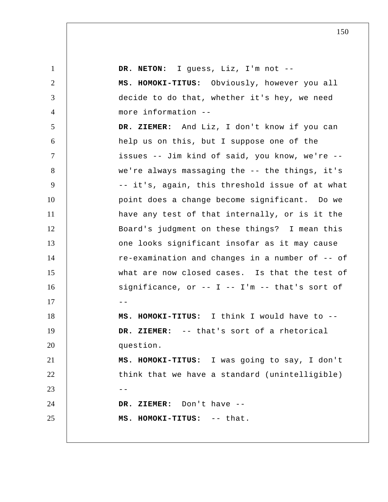| $\mathbf{1}$   | DR. NETON: I guess, Liz, I'm not --              |
|----------------|--------------------------------------------------|
| $\overline{2}$ | MS. HOMOKI-TITUS: Obviously, however you all     |
| 3              | decide to do that, whether it's hey, we need     |
| $\overline{4}$ | more information --                              |
| 5              | DR. ZIEMER: And Liz, I don't know if you can     |
| 6              | help us on this, but I suppose one of the        |
| $\overline{7}$ | issues -- Jim kind of said, you know, we're --   |
| 8              | we're always massaging the -- the things, it's   |
| 9              | -- it's, again, this threshold issue of at what  |
| 10             | point does a change become significant. Do we    |
| 11             | have any test of that internally, or is it the   |
| 12             | Board's judgment on these things? I mean this    |
| 13             | one looks significant insofar as it may cause    |
| 14             | re-examination and changes in a number of -- of  |
| 15             | what are now closed cases. Is that the test of   |
| 16             | $significance, or -- I -- I'm -- that's sort of$ |
| 17             | - -                                              |
| 18             | MS. HOMOKI-TITUS: I think I would have to --     |
| 19             | DR. ZIEMER: -- that's sort of a rhetorical       |
| 20             | question.                                        |
| 21             | MS. HOMOKI-TITUS: I was going to say, I don't    |
| 22             | think that we have a standard (unintelligible)   |
| 23             | $- -$                                            |
| 24             | DR. ZIEMER: Don't have --                        |
| 25             | MS. HOMOKI-TITUS: -- that.                       |
|                |                                                  |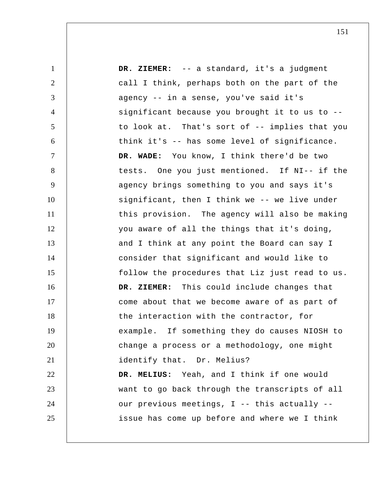| $\mathbf{1}$   | DR. ZIEMER: -- a standard, it's a judgment      |
|----------------|-------------------------------------------------|
| $\overline{2}$ | call I think, perhaps both on the part of the   |
| 3              | agency -- in a sense, you've said it's          |
| $\overline{4}$ | significant because you brought it to us to --  |
| 5              | to look at. That's sort of -- implies that you  |
| 6              | think it's -- has some level of significance.   |
| $\tau$         | DR. WADE: You know, I think there'd be two      |
| 8              | tests. One you just mentioned. If NI-- if the   |
| 9              | agency brings something to you and says it's    |
| 10             | significant, then I think we -- we live under   |
| 11             | this provision. The agency will also be making  |
| 12             | you aware of all the things that it's doing,    |
| 13             | and I think at any point the Board can say I    |
| 14             | consider that significant and would like to     |
| 15             | follow the procedures that Liz just read to us. |
| 16             | DR. ZIEMER: This could include changes that     |
| 17             | come about that we become aware of as part of   |
| 18             | the interaction with the contractor, for        |
| 19             | example. If something they do causes NIOSH to   |
| 20             | change a process or a methodology, one might    |
| 21             | identify that. Dr. Melius?                      |
| 22             | DR. MELIUS: Yeah, and I think if one would      |
| 23             | want to go back through the transcripts of all  |
| 24             | our previous meetings, I -- this actually --    |
| 25             | issue has come up before and where we I think   |
|                |                                                 |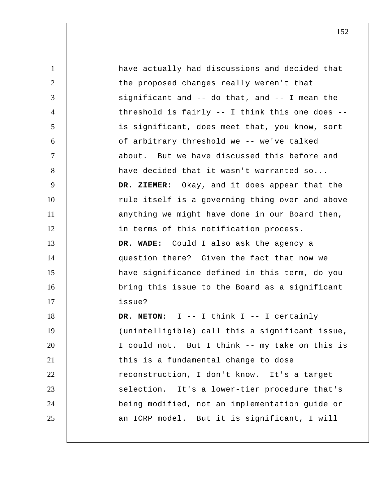1 2 3 4 5 6 7 8 9 10 11 12 13 14 15 16 17 18 19 20 21 22 23 24 25 have actually had discussions and decided that the proposed changes really weren't that significant and -- do that, and -- I mean the threshold is fairly -- I think this one does - is significant, does meet that, you know, sort of arbitrary threshold we -- we've talked about. But we have discussed this before and have decided that it wasn't warranted so...  **DR. ZIEMER:** Okay, and it does appear that the rule itself is a governing thing over and above anything we might have done in our Board then, in terms of this notification process.  **DR. WADE:** Could I also ask the agency a question there? Given the fact that now we have significance defined in this term, do you bring this issue to the Board as a significant issue? **DR. NETON:** I -- I think I -- I certainly (unintelligible) call this a significant issue, I could not. But I think -- my take on this is this is a fundamental change to dose reconstruction, I don't know. It's a target selection. It's a lower-tier procedure that's being modified, not an implementation guide or an ICRP model. But it is significant, I will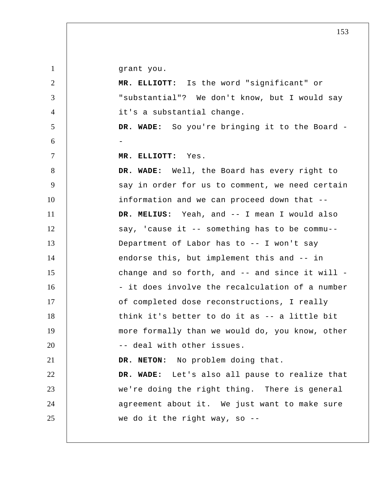grant you.

1

2 3 4 5 6 7 8 9 10 11 12 13 14 15 16 17 18 19 20 21 22 23 24 25  **MR. ELLIOTT:** Is the word "significant" or "substantial"? We don't know, but I would say it's a substantial change.  **DR. WADE:** So you're bringing it to the Board - -  **MR. ELLIOTT:** Yes.  **DR. WADE:** Well, the Board has every right to say in order for us to comment, we need certain information and we can proceed down that --  **DR. MELIUS:** Yeah, and -- I mean I would also say, 'cause it -- something has to be commu-- Department of Labor has to -- I won't say endorse this, but implement this and -- in change and so forth, and -- and since it will - - it does involve the recalculation of a number of completed dose reconstructions, I really think it's better to do it as -- a little bit more formally than we would do, you know, other -- deal with other issues. **DR. NETON:** No problem doing that.  **DR. WADE:** Let's also all pause to realize that we're doing the right thing. There is general agreement about it. We just want to make sure we do it the right way, so --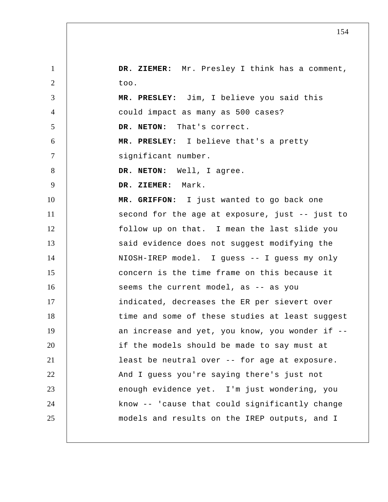| $\mathbf{1}$   | DR. ZIEMER: Mr. Presley I think has a comment,  |
|----------------|-------------------------------------------------|
| 2              | too.                                            |
| 3              | MR. PRESLEY: Jim, I believe you said this       |
| $\overline{4}$ | could impact as many as 500 cases?              |
| 5              | DR. NETON: That's correct.                      |
| 6              | MR. PRESLEY: I believe that's a pretty          |
| $\tau$         | significant number.                             |
| 8              | DR. NETON: Well, I agree.                       |
| 9              | DR. ZIEMER: Mark.                               |
| 10             | MR. GRIFFON: I just wanted to go back one       |
| 11             | second for the age at exposure, just -- just to |
| 12             | follow up on that. I mean the last slide you    |
| 13             | said evidence does not suggest modifying the    |
| 14             | NIOSH-IREP model. I guess -- I guess my only    |
| 15             | concern is the time frame on this because it    |
| 16             | seems the current model, as -- as you           |
| 17             | indicated, decreases the ER per sievert over    |
| 18             | time and some of these studies at least suggest |
| 19             | an increase and yet, you know, you wonder if -- |
| 20             | if the models should be made to say must at     |
| 21             | least be neutral over -- for age at exposure.   |
| 22             | And I guess you're saying there's just not      |
| 23             | enough evidence yet. I'm just wondering, you    |
| 24             | know -- 'cause that could significantly change  |
| 25             | models and results on the IREP outputs, and I   |
|                |                                                 |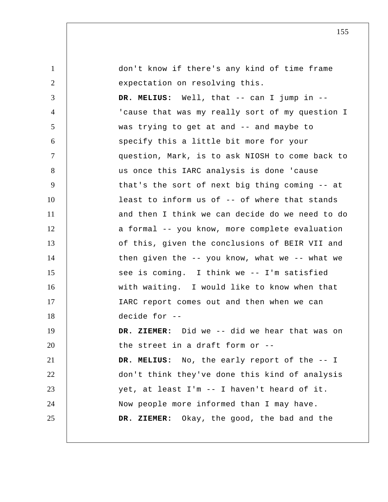| $\mathbf{1}$   | don't know if there's any kind of time frame         |
|----------------|------------------------------------------------------|
| $\overline{2}$ | expectation on resolving this.                       |
| 3              | DR. MELIUS: Well, that -- can I jump in --           |
| $\overline{4}$ | 'cause that was my really sort of my question I      |
| 5              | was trying to get at and -- and maybe to             |
| 6              | specify this a little bit more for your              |
| $\tau$         | question, Mark, is to ask NIOSH to come back to      |
| 8              | us once this IARC analysis is done 'cause            |
| 9              | that's the sort of next big thing coming -- at       |
| 10             | least to inform us of -- of where that stands        |
| 11             | and then I think we can decide do we need to do      |
| 12             | a formal -- you know, more complete evaluation       |
| 13             | of this, given the conclusions of BEIR VII and       |
| 14             | then given the $-$ - you know, what we $-$ - what we |
| 15             | see is coming. I think we -- I'm satisfied           |
| 16             | with waiting. I would like to know when that         |
| 17             | IARC report comes out and then when we can           |
| 18             | decide for --                                        |
| 19             | DR. ZIEMER: Did we -- did we hear that was on        |
| 20             | the street in a draft form or --                     |
| 21             | DR. MELIUS: No, the early report of the -- I         |
| 22             | don't think they've done this kind of analysis       |
| 23             | yet, at least I'm -- I haven't heard of it.          |
| 24             | Now people more informed than I may have.            |
| 25             | Okay, the good, the bad and the<br>DR. ZIEMER:       |
|                |                                                      |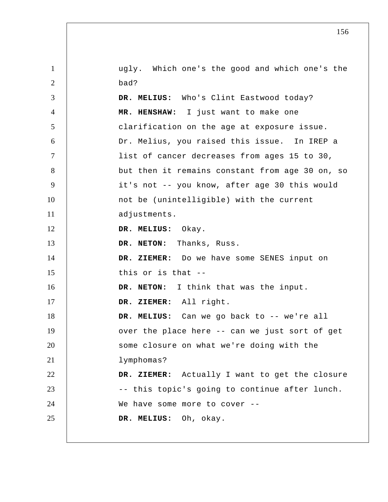| $\mathbf{1}$   | ugly. Which one's the good and which one's the  |
|----------------|-------------------------------------------------|
| 2              | bad?                                            |
| 3              | DR. MELIUS: Who's Clint Eastwood today?         |
| $\overline{4}$ | MR. HENSHAW: I just want to make one            |
| 5              | clarification on the age at exposure issue.     |
| 6              | Dr. Melius, you raised this issue. In IREP a    |
| $\tau$         | list of cancer decreases from ages 15 to 30,    |
| 8              | but then it remains constant from age 30 on, so |
| 9              | it's not -- you know, after age 30 this would   |
| 10             | not be (unintelligible) with the current        |
| 11             | adjustments.                                    |
| 12             | DR. MELIUS: Okay.                               |
| 13             | DR. NETON: Thanks, Russ.                        |
| 14             | DR. ZIEMER: Do we have some SENES input on      |
| 15             | this or is that --                              |
| 16             | DR. NETON: I think that was the input.          |
| 17             | DR. ZIEMER: All right.                          |
| 18             | DR. MELIUS: Can we go back to -- we're all      |
| 19             | over the place here -- can we just sort of get  |
| 20             | some closure on what we're doing with the       |
| 21             | lymphomas?                                      |
| 22             | DR. ZIEMER: Actually I want to get the closure  |
| 23             | -- this topic's going to continue after lunch.  |
| 24             | We have some more to cover --                   |
| 25             | DR. MELIUS: Oh, okay.                           |
|                |                                                 |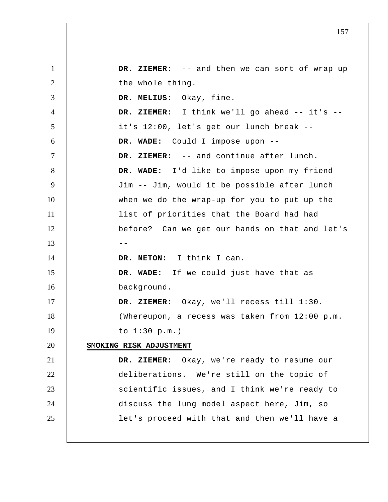1 2 3 4 5 6 7 8 9 10 11 12  $13 \t - -$ 14 15 16 17 18 19 20 21 22 23 24 25  **DR. ZIEMER:** -- and then we can sort of wrap up the whole thing.  **DR. MELIUS:** Okay, fine.  **DR. ZIEMER:** I think we'll go ahead -- it's - it's 12:00, let's get our lunch break --  **DR. WADE:** Could I impose upon --  **DR. ZIEMER:** -- and continue after lunch.  **DR. WADE:** I'd like to impose upon my friend Jim -- Jim, would it be possible after lunch when we do the wrap-up for you to put up the list of priorities that the Board had had before? Can we get our hands on that and let's **DR. NETON:** I think I can.  **DR. WADE:** If we could just have that as background.  **DR. ZIEMER:** Okay, we'll recess till 1:30. (Whereupon, a recess was taken from 12:00 p.m. to 1:30 p.m.) **SMOKING RISK ADJUSTMENT DR. ZIEMER:** Okay, we're ready to resume our deliberations. We're still on the topic of scientific issues, and I think we're ready to discuss the lung model aspect here, Jim, so let's proceed with that and then we'll have a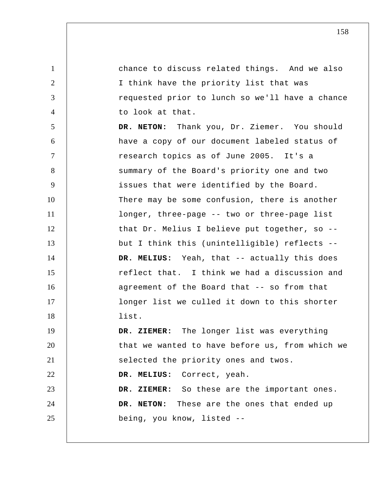1 2 3 4 5 6 7 8 9 10 11 12 13 14 15 16 17 18 19 20 21 22 23 24 25 chance to discuss related things. And we also I think have the priority list that was requested prior to lunch so we'll have a chance to look at that. **DR. NETON:** Thank you, Dr. Ziemer. You should have a copy of our document labeled status of research topics as of June 2005. It's a summary of the Board's priority one and two issues that were identified by the Board. There may be some confusion, there is another longer, three-page -- two or three-page list that Dr. Melius I believe put together, so - but I think this (unintelligible) reflects --  **DR. MELIUS:** Yeah, that -- actually this does reflect that. I think we had a discussion and agreement of the Board that -- so from that longer list we culled it down to this shorter list.  **DR. ZIEMER:** The longer list was everything that we wanted to have before us, from which we selected the priority ones and twos.  **DR. MELIUS:** Correct, yeah.  **DR. ZIEMER:** So these are the important ones. **DR. NETON:** These are the ones that ended up being, you know, listed --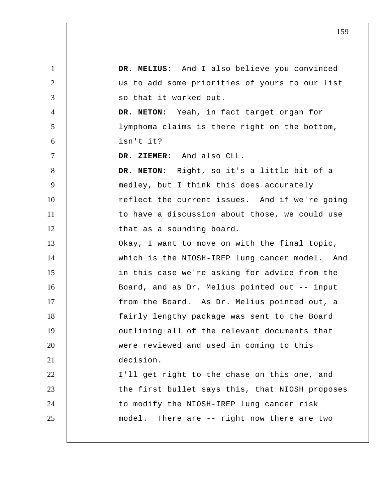1 2 3 4 5 6 7 8 9 10 11 12 13 14 15 16 17 18 19 20 21 22 23 24 25  **DR. MELIUS:** And I also believe you convinced us to add some priorities of yours to our list so that it worked out. **DR. NETON:** Yeah, in fact target organ for lymphoma claims is there right on the bottom, isn't it?  **DR. ZIEMER:** And also CLL. **DR. NETON:** Right, so it's a little bit of a medley, but I think this does accurately reflect the current issues. And if we're going to have a discussion about those, we could use that as a sounding board. Okay, I want to move on with the final topic, which is the NIOSH-IREP lung cancer model. And in this case we're asking for advice from the Board, and as Dr. Melius pointed out -- input from the Board. As Dr. Melius pointed out, a fairly lengthy package was sent to the Board outlining all of the relevant documents that were reviewed and used in coming to this decision. I'll get right to the chase on this one, and the first bullet says this, that NIOSH proposes to modify the NIOSH-IREP lung cancer risk model. There are -- right now there are two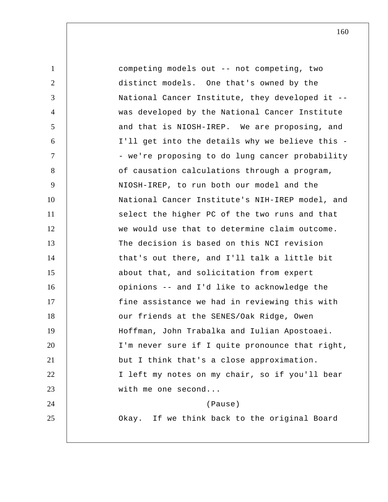| $\mathbf{1}$   | competing models out -- not competing, two      |
|----------------|-------------------------------------------------|
| $\overline{2}$ | distinct models. One that's owned by the        |
| 3              | National Cancer Institute, they developed it -- |
| $\overline{4}$ | was developed by the National Cancer Institute  |
| 5              | and that is NIOSH-IREP. We are proposing, and   |
| 6              | I'll get into the details why we believe this - |
| $\overline{7}$ | - we're proposing to do lung cancer probability |
| 8              | of causation calculations through a program,    |
| 9              | NIOSH-IREP, to run both our model and the       |
| 10             | National Cancer Institute's NIH-IREP model, and |
| 11             | select the higher PC of the two runs and that   |
| 12             | we would use that to determine claim outcome.   |
| 13             | The decision is based on this NCI revision      |
| 14             | that's out there, and I'll talk a little bit    |
| 15             | about that, and solicitation from expert        |
| 16             | opinions -- and I'd like to acknowledge the     |
| 17             | fine assistance we had in reviewing this with   |
| 18             | our friends at the SENES/Oak Ridge, Owen        |
| 19             | Hoffman, John Trabalka and Iulian Apostoaei.    |
| 20             | I'm never sure if I quite pronounce that right, |
| 21             | but I think that's a close approximation.       |
| 22             | I left my notes on my chair, so if you'll bear  |
| 23             | with me one second                              |
| 24             | (Pause)                                         |
| 25             | Okay. If we think back to the original Board    |
|                |                                                 |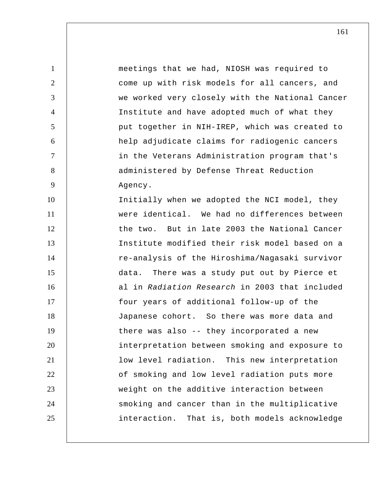1 2 3 4 5 6 7 8 9 10 11 12 13 14 15 16 17 18 19 20 21 22 23 24 25 meetings that we had, NIOSH was required to come up with risk models for all cancers, and we worked very closely with the National Cancer Institute and have adopted much of what they put together in NIH-IREP, which was created to help adjudicate claims for radiogenic cancers in the Veterans Administration program that's administered by Defense Threat Reduction Agency. Initially when we adopted the NCI model, they were identical. We had no differences between the two. But in late 2003 the National Cancer Institute modified their risk model based on a re-analysis of the Hiroshima/Nagasaki survivor data. There was a study put out by Pierce et al in *Radiation Research* in 2003 that included four years of additional follow-up of the Japanese cohort. So there was more data and there was also -- they incorporated a new interpretation between smoking and exposure to low level radiation. This new interpretation of smoking and low level radiation puts more weight on the additive interaction between smoking and cancer than in the multiplicative interaction. That is, both models acknowledge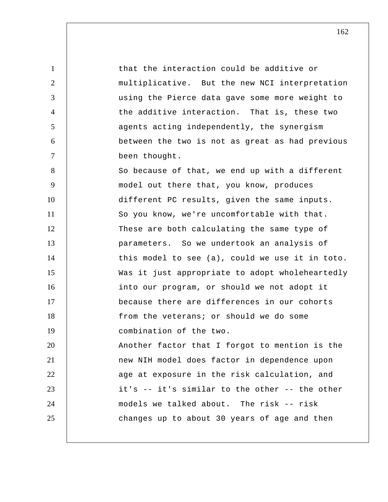1 2 3 4 5 6 7 8 9 10 11 12 13 14 15 16 17 18 19 that the interaction could be additive or multiplicative. But the new NCI interpretation using the Pierce data gave some more weight to the additive interaction. That is, these two agents acting independently, the synergism between the two is not as great as had previous been thought. So because of that, we end up with a different model out there that, you know, produces different PC results, given the same inputs. So you know, we're uncomfortable with that. These are both calculating the same type of parameters. So we undertook an analysis of this model to see (a), could we use it in toto. Was it just appropriate to adopt wholeheartedly into our program, or should we not adopt it because there are differences in our cohorts from the veterans; or should we do some combination of the two.

20 21 22 23 24 25 Another factor that I forgot to mention is the new NIH model does factor in dependence upon age at exposure in the risk calculation, and it's -- it's similar to the other -- the other models we talked about. The risk -- risk changes up to about 30 years of age and then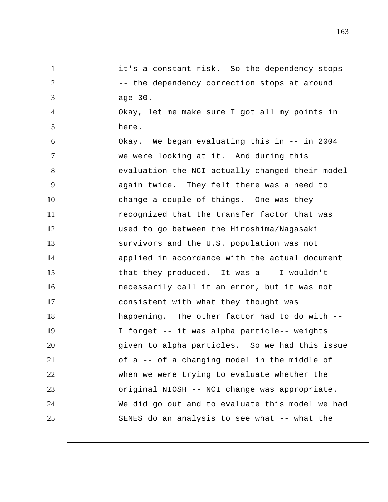1 2 3 4 5 6 7 8 9 10 11 12 13 14 15 16 17 18 19 20 21 22 23 24 25 it's a constant risk. So the dependency stops -- the dependency correction stops at around age 30. Okay, let me make sure I got all my points in here. Okay. We began evaluating this in -- in 2004 we were looking at it. And during this evaluation the NCI actually changed their model again twice. They felt there was a need to change a couple of things. One was they recognized that the transfer factor that was used to go between the Hiroshima/Nagasaki survivors and the U.S. population was not applied in accordance with the actual document that they produced. It was a -- I wouldn't necessarily call it an error, but it was not consistent with what they thought was happening. The other factor had to do with -- I forget -- it was alpha particle-- weights given to alpha particles. So we had this issue of a -- of a changing model in the middle of when we were trying to evaluate whether the original NIOSH -- NCI change was appropriate. We did go out and to evaluate this model we had SENES do an analysis to see what -- what the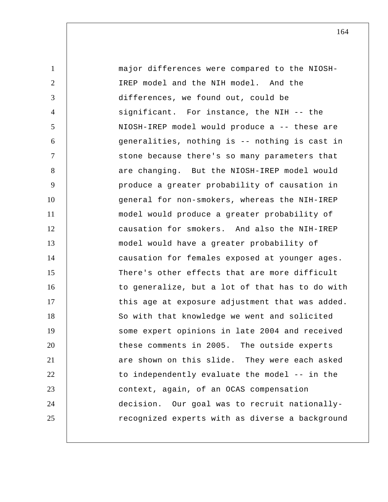1 2 3 4 5 6 7 8 9 10 11 12 13 14 15 16 17 18 19 20 21 22 23 24 25 major differences were compared to the NIOSH-IREP model and the NIH model. And the differences, we found out, could be significant. For instance, the NIH -- the NIOSH-IREP model would produce a -- these are generalities, nothing is -- nothing is cast in stone because there's so many parameters that are changing. But the NIOSH-IREP model would produce a greater probability of causation in general for non-smokers, whereas the NIH-IREP model would produce a greater probability of causation for smokers. And also the NIH-IREP model would have a greater probability of causation for females exposed at younger ages. There's other effects that are more difficult to generalize, but a lot of that has to do with this age at exposure adjustment that was added. So with that knowledge we went and solicited some expert opinions in late 2004 and received these comments in 2005. The outside experts are shown on this slide. They were each asked to independently evaluate the model -- in the context, again, of an OCAS compensation decision. Our goal was to recruit nationallyrecognized experts with as diverse a background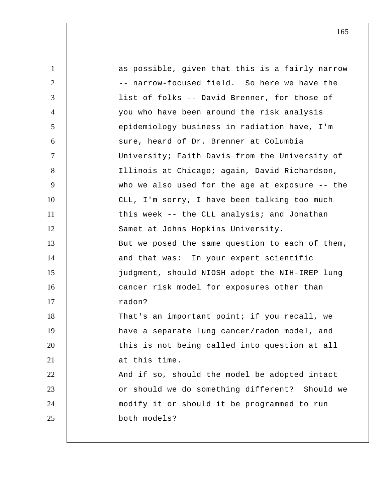| $\mathbf{1}$   | as possible, given that this is a fairly narrow |
|----------------|-------------------------------------------------|
| 2              | -- narrow-focused field. So here we have the    |
| 3              | list of folks -- David Brenner, for those of    |
| $\overline{4}$ | you who have been around the risk analysis      |
| 5              | epidemiology business in radiation have, I'm    |
| 6              | sure, heard of Dr. Brenner at Columbia          |
| $\overline{7}$ | University; Faith Davis from the University of  |
| 8              | Illinois at Chicago; again, David Richardson,   |
| 9              | who we also used for the age at exposure -- the |
| 10             | CLL, I'm sorry, I have been talking too much    |
| 11             | this week -- the CLL analysis; and Jonathan     |
| 12             | Samet at Johns Hopkins University.              |
| 13             | But we posed the same question to each of them, |
| 14             | and that was: In your expert scientific         |
| 15             | judgment, should NIOSH adopt the NIH-IREP lung  |
| 16             | cancer risk model for exposures other than      |
| 17             | radon?                                          |
| 18             | That's an important point; if you recall, we    |
| 19             | have a separate lung cancer/radon model, and    |
| 20             | this is not being called into question at all   |
| 21             | at this time.                                   |
| 22             | And if so, should the model be adopted intact   |
| 23             | or should we do something different? Should we  |
| 24             | modify it or should it be programmed to run     |
| 25             | both models?                                    |
|                |                                                 |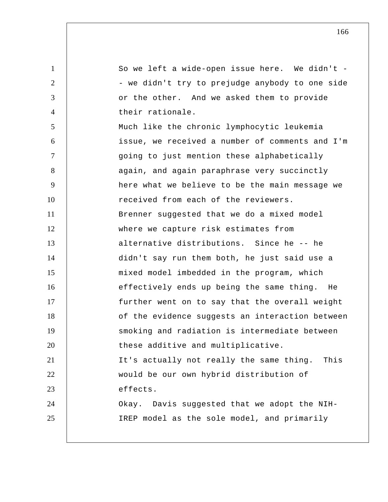1 2 3 4 5 6 7 8 9 10 11 12 13 14 15 16 17 18 19 20 21 22 23 24 25 So we left a wide-open issue here. We didn't - - we didn't try to prejudge anybody to one side or the other. And we asked them to provide their rationale. Much like the chronic lymphocytic leukemia issue, we received a number of comments and I'm going to just mention these alphabetically again, and again paraphrase very succinctly here what we believe to be the main message we received from each of the reviewers. Brenner suggested that we do a mixed model where we capture risk estimates from alternative distributions. Since he -- he didn't say run them both, he just said use a mixed model imbedded in the program, which effectively ends up being the same thing. He further went on to say that the overall weight of the evidence suggests an interaction between smoking and radiation is intermediate between these additive and multiplicative. It's actually not really the same thing. This would be our own hybrid distribution of effects. Okay. Davis suggested that we adopt the NIH-IREP model as the sole model, and primarily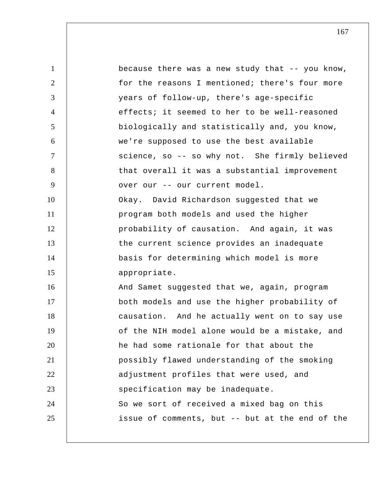1 2 3 4 5 6 7 8 9 10 11 12 13 14 15 16 17 18 19 20 21 22 23 24 25 because there was a new study that -- you know, for the reasons I mentioned; there's four more years of follow-up, there's age-specific effects; it seemed to her to be well-reasoned biologically and statistically and, you know, we're supposed to use the best available science, so -- so why not. She firmly believed that overall it was a substantial improvement over our -- our current model. Okay. David Richardson suggested that we program both models and used the higher probability of causation. And again, it was the current science provides an inadequate basis for determining which model is more appropriate. And Samet suggested that we, again, program both models and use the higher probability of causation. And he actually went on to say use of the NIH model alone would be a mistake, and he had some rationale for that about the possibly flawed understanding of the smoking adjustment profiles that were used, and specification may be inadequate. So we sort of received a mixed bag on this issue of comments, but -- but at the end of the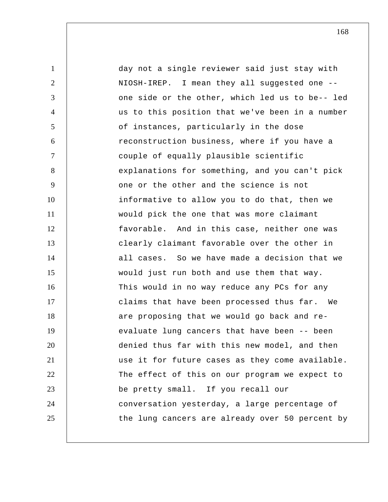1 2 3 4 5 6 7 8 9 10 11 12 13 14 15 16 17 18 19 20 21 22 23 24 25 day not a single reviewer said just stay with NIOSH-IREP. I mean they all suggested one - one side or the other, which led us to be-- led us to this position that we've been in a number of instances, particularly in the dose reconstruction business, where if you have a couple of equally plausible scientific explanations for something, and you can't pick one or the other and the science is not informative to allow you to do that, then we would pick the one that was more claimant favorable. And in this case, neither one was clearly claimant favorable over the other in all cases. So we have made a decision that we would just run both and use them that way. This would in no way reduce any PCs for any claims that have been processed thus far. We are proposing that we would go back and reevaluate lung cancers that have been -- been denied thus far with this new model, and then use it for future cases as they come available. The effect of this on our program we expect to be pretty small. If you recall our conversation yesterday, a large percentage of the lung cancers are already over 50 percent by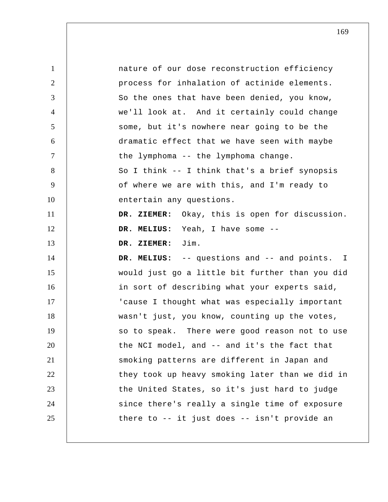| $\mathbf{1}$   | nature of our dose reconstruction efficiency    |
|----------------|-------------------------------------------------|
| $\overline{2}$ | process for inhalation of actinide elements.    |
| 3              | So the ones that have been denied, you know,    |
| $\overline{4}$ | we'll look at. And it certainly could change    |
| 5              | some, but it's nowhere near going to be the     |
| 6              | dramatic effect that we have seen with maybe    |
| $\tau$         | the lymphoma -- the lymphoma change.            |
| 8              | So I think -- I think that's a brief synopsis   |
| 9              | of where we are with this, and I'm ready to     |
| 10             | entertain any questions.                        |
| 11             | DR. ZIEMER: Okay, this is open for discussion.  |
| 12             | DR. MELIUS: Yeah, I have some --                |
| 13             | DR. ZIEMER: Jim.                                |
| 14             | DR. MELIUS: -- questions and -- and points. I   |
| 15             | would just go a little bit further than you did |
| 16             | in sort of describing what your experts said,   |
| 17             | 'cause I thought what was especially important  |
| 18             | wasn't just, you know, counting up the votes,   |
| 19             | so to speak. There were good reason not to use  |
| 20             | the NCI model, and -- and it's the fact that    |
| 21             | smoking patterns are different in Japan and     |
| 22             | they took up heavy smoking later than we did in |
| 23             | the United States, so it's just hard to judge   |
| 24             | since there's really a single time of exposure  |
| 25             | there to -- it just does -- isn't provide an    |
|                |                                                 |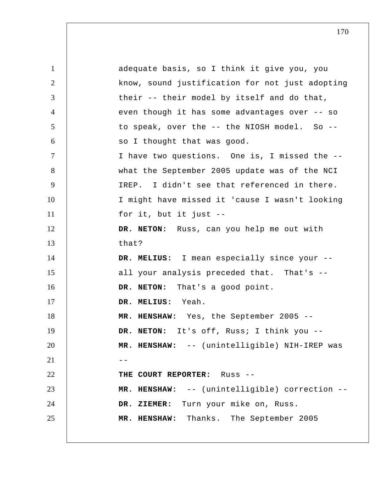1 2 3 4 5 6 7 8 9 10 11 12 13 14 15 16 17 18 19 20  $21$  --22 23 24 25 adequate basis, so I think it give you, you know, sound justification for not just adopting their -- their model by itself and do that, even though it has some advantages over -- so to speak, over the -- the NIOSH model. So - so I thought that was good. I have two questions. One is, I missed the - what the September 2005 update was of the NCI IREP. I didn't see that referenced in there. I might have missed it 'cause I wasn't looking for it, but it just -- **DR. NETON:** Russ, can you help me out with that?  **DR. MELIUS:** I mean especially since your - all your analysis preceded that. That's -- **DR. NETON:** That's a good point.  **DR. MELIUS:** Yeah.  **MR. HENSHAW:** Yes, the September 2005 -- **DR. NETON:** It's off, Russ; I think you --  **MR. HENSHAW:** -- (unintelligible) NIH-IREP was **THE COURT REPORTER:** Russ --  **MR. HENSHAW:** -- (unintelligible) correction --  **DR. ZIEMER:** Turn your mike on, Russ.  **MR. HENSHAW:** Thanks. The September 2005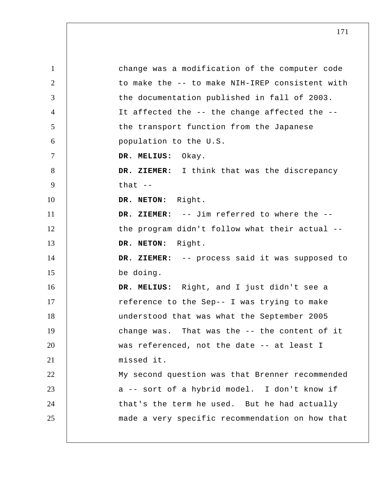1 2 3 4 5 6 7 8 9 10 11 12 13 14 15 16 17 18 19 20 21 22 23 24 25 change was a modification of the computer code to make the -- to make NIH-IREP consistent with the documentation published in fall of 2003. It affected the -- the change affected the - the transport function from the Japanese population to the U.S.  **DR. MELIUS:** Okay.  **DR. ZIEMER:** I think that was the discrepancy that  $--$ **DR. NETON:** Right.  **DR. ZIEMER:** -- Jim referred to where the - the program didn't follow what their actual -- **DR. NETON:** Right.  **DR. ZIEMER:** -- process said it was supposed to be doing.  **DR. MELIUS:** Right, and I just didn't see a reference to the Sep-- I was trying to make understood that was what the September 2005 change was. That was the -- the content of it was referenced, not the date -- at least I missed it. My second question was that Brenner recommended a -- sort of a hybrid model. I don't know if that's the term he used. But he had actually made a very specific recommendation on how that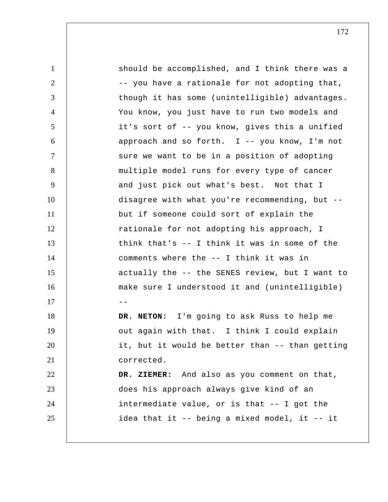1 2 3 4 5 6 7 8 9 10 11 12 13 14 15 16  $17$  --18 19 20 21 22 23 24 25 should be accomplished, and I think there was a -- you have a rationale for not adopting that, though it has some (unintelligible) advantages. You know, you just have to run two models and it's sort of -- you know, gives this a unified approach and so forth. I -- you know, I'm not sure we want to be in a position of adopting multiple model runs for every type of cancer and just pick out what's best. Not that I disagree with what you're recommending, but - but if someone could sort of explain the rationale for not adopting his approach, I think that's -- I think it was in some of the comments where the -- I think it was in actually the -- the SENES review, but I want to make sure I understood it and (unintelligible) **DR. NETON:** I'm going to ask Russ to help me out again with that. I think I could explain it, but it would be better than -- than getting corrected.  **DR. ZIEMER:** And also as you comment on that, does his approach always give kind of an intermediate value, or is that -- I got the idea that it -- being a mixed model, it -- it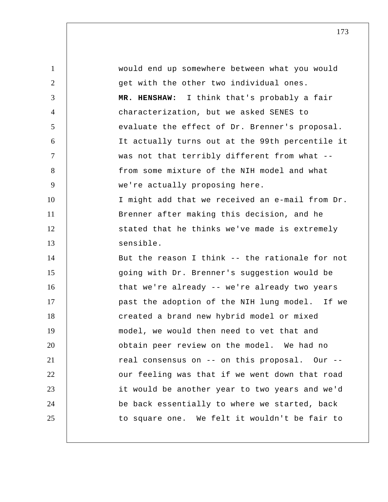1 2 3 4 5 6 7 8 9 10 11 12 13 14 15 16 17 18 19 20 21 22 23 24 25 would end up somewhere between what you would get with the other two individual ones.  **MR. HENSHAW:** I think that's probably a fair characterization, but we asked SENES to evaluate the effect of Dr. Brenner's proposal. It actually turns out at the 99th percentile it was not that terribly different from what - from some mixture of the NIH model and what we're actually proposing here. I might add that we received an e-mail from Dr. Brenner after making this decision, and he stated that he thinks we've made is extremely sensible. But the reason I think -- the rationale for not going with Dr. Brenner's suggestion would be that we're already -- we're already two years past the adoption of the NIH lung model. If we created a brand new hybrid model or mixed model, we would then need to vet that and obtain peer review on the model. We had no real consensus on -- on this proposal. Our - our feeling was that if we went down that road it would be another year to two years and we'd be back essentially to where we started, back to square one. We felt it wouldn't be fair to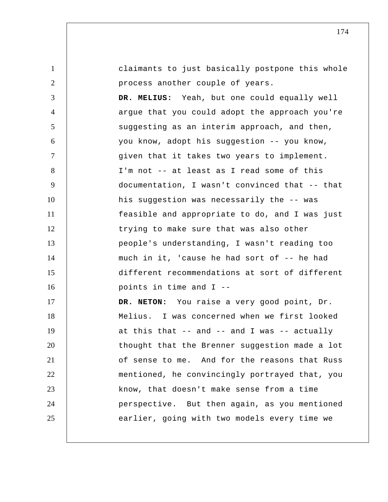| $\mathbf{1}$   | claimants to just basically postpone this whole |
|----------------|-------------------------------------------------|
| $\overline{2}$ | process another couple of years.                |
| 3              | DR. MELIUS: Yeah, but one could equally well    |
| $\overline{4}$ | argue that you could adopt the approach you're  |
| 5              | suggesting as an interim approach, and then,    |
| 6              | you know, adopt his suggestion -- you know,     |
| $\tau$         | given that it takes two years to implement.     |
| 8              | I'm not -- at least as I read some of this      |
| 9              | documentation, I wasn't convinced that -- that  |
| 10             | his suggestion was necessarily the -- was       |
| 11             | feasible and appropriate to do, and I was just  |
| 12             | trying to make sure that was also other         |
| 13             | people's understanding, I wasn't reading too    |
| 14             | much in it, 'cause he had sort of -- he had     |
| 15             | different recommendations at sort of different  |
| 16             | points in time and I --                         |
| 17             | DR. NETON: You raise a very good point, Dr.     |
| 18             | Melius. I was concerned when we first looked    |
| 19             | at this that -- and -- and I was -- actually    |
| 20             | thought that the Brenner suggestion made a lot  |
| 21             | of sense to me. And for the reasons that Russ   |
| 22             | mentioned, he convincingly portrayed that, you  |
| 23             | know, that doesn't make sense from a time       |
| 24             | perspective. But then again, as you mentioned   |
| 25             | earlier, going with two models every time we    |
|                |                                                 |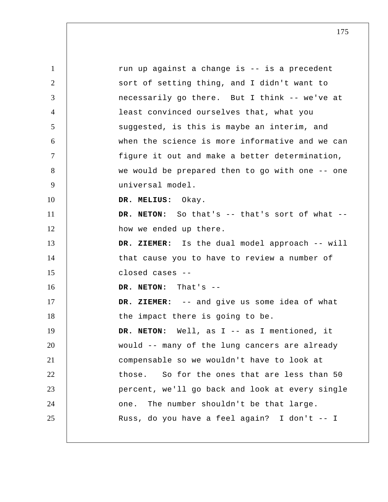1 2 3 4 5 6 7 8 9 10 11 12 13 14 15 16 17 18 19 20 21 22 23 24 25 run up against a change is -- is a precedent sort of setting thing, and I didn't want to necessarily go there. But I think -- we've at least convinced ourselves that, what you suggested, is this is maybe an interim, and when the science is more informative and we can figure it out and make a better determination, we would be prepared then to go with one -- one universal model.  **DR. MELIUS:** Okay. **DR. NETON:** So that's -- that's sort of what - how we ended up there.  **DR. ZIEMER:** Is the dual model approach -- will that cause you to have to review a number of closed cases -- **DR. NETON:** That's --  **DR. ZIEMER:** -- and give us some idea of what the impact there is going to be. **DR. NETON:** Well, as I -- as I mentioned, it would -- many of the lung cancers are already compensable so we wouldn't have to look at those. So for the ones that are less than 50 percent, we'll go back and look at every single one. The number shouldn't be that large. Russ, do you have a feel again? I don't -- I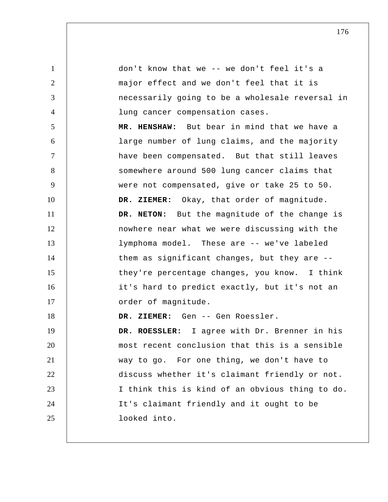1 2 3 4 5 6 7 8 9 10 11 12 13 14 15 16 17 18 19 20 21 22 23 24 25 don't know that we -- we don't feel it's a major effect and we don't feel that it is necessarily going to be a wholesale reversal in lung cancer compensation cases.  **MR. HENSHAW:** But bear in mind that we have a large number of lung claims, and the majority have been compensated. But that still leaves somewhere around 500 lung cancer claims that were not compensated, give or take 25 to 50.  **DR. ZIEMER:** Okay, that order of magnitude. **DR. NETON:** But the magnitude of the change is nowhere near what we were discussing with the lymphoma model. These are -- we've labeled them as significant changes, but they are - they're percentage changes, you know. I think it's hard to predict exactly, but it's not an order of magnitude.  **DR. ZIEMER:** Gen -- Gen Roessler. **DR. ROESSLER:** I agree with Dr. Brenner in his most recent conclusion that this is a sensible way to go. For one thing, we don't have to discuss whether it's claimant friendly or not. I think this is kind of an obvious thing to do. It's claimant friendly and it ought to be looked into.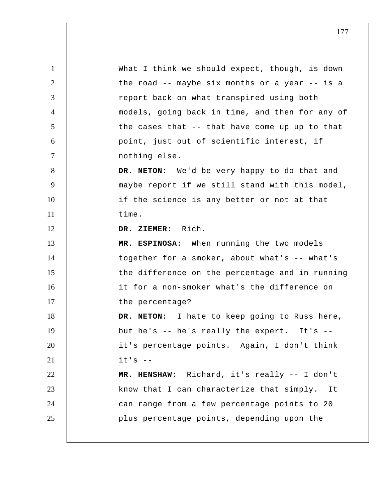1 2 3 4 5 6 7 8 9 10 11 12 13 14 15 16 17 18 19 20 21 22 23 24 25 What I think we should expect, though, is down the road -- maybe six months or a year -- is a report back on what transpired using both models, going back in time, and then for any of the cases that -- that have come up up to that point, just out of scientific interest, if nothing else. **DR. NETON:** We'd be very happy to do that and maybe report if we still stand with this model, if the science is any better or not at that time.  **DR. ZIEMER:** Rich. **MR. ESPINOSA:** When running the two models together for a smoker, about what's -- what's the difference on the percentage and in running it for a non-smoker what's the difference on the percentage? **DR. NETON:** I hate to keep going to Russ here, but he's -- he's really the expert. It's - it's percentage points. Again, I don't think  $it's$   $-$  **MR. HENSHAW:** Richard, it's really -- I don't know that I can characterize that simply. It can range from a few percentage points to 20 plus percentage points, depending upon the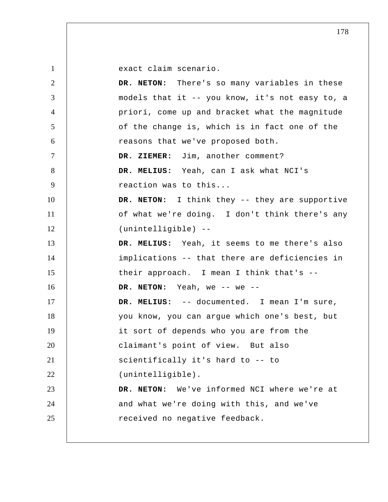exact claim scenario.

| 2              | DR. NETON: There's so many variables in these   |
|----------------|-------------------------------------------------|
| 3              | models that it -- you know, it's not easy to, a |
| $\overline{4}$ | priori, come up and bracket what the magnitude  |
| 5              | of the change is, which is in fact one of the   |
| 6              | reasons that we've proposed both.               |
| $\tau$         | DR. ZIEMER: Jim, another comment?               |
| 8              | DR. MELIUS: Yeah, can I ask what NCI's          |
| 9              | reaction was to this                            |
| 10             | DR. NETON: I think they -- they are supportive  |
| 11             | of what we're doing. I don't think there's any  |
| 12             | (unintelligible) --                             |
| 13             | DR. MELIUS: Yeah, it seems to me there's also   |
| 14             | implications -- that there are deficiencies in  |
| 15             | their approach. I mean I think that's --        |
| 16             | DR. NETON: Yeah, we -- we --                    |
| 17             | DR. MELIUS: -- documented. I mean I'm sure,     |
| 18             | you know, you can argue which one's best, but   |
| 19             | it sort of depends who you are from the         |
| 20             | claimant's point of view. But also              |
| 21             | scientifically it's hard to -- to               |
| 22             | (unintelligible).                               |
| 23             | DR. NETON: We've informed NCI where we're at    |
| 24             | and what we're doing with this, and we've       |
| 25             | received no negative feedback.                  |
|                |                                                 |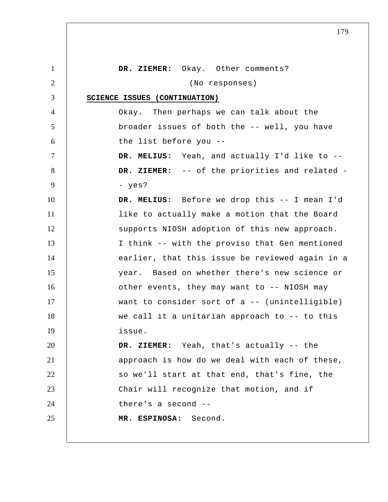| $\mathbf{1}$   | DR. ZIEMER: Okay. Other comments?                |
|----------------|--------------------------------------------------|
| $\overline{2}$ | (No responses)                                   |
| 3              | SCIENCE ISSUES (CONTINUATION)                    |
| $\overline{4}$ | Okay. Then perhaps we can talk about the         |
| 5              | broader issues of both the -- well, you have     |
| 6              | the list before you --                           |
| $\tau$         | DR. MELIUS: Yeah, and actually I'd like to --    |
| 8              | DR. ZIEMER: -- of the priorities and related -   |
| 9              | - yes?                                           |
| 10             | DR. MELIUS: Before we drop this -- I mean I'd    |
| 11             | like to actually make a motion that the Board    |
| 12             | supports NIOSH adoption of this new approach.    |
| 13             | I think -- with the proviso that Gen mentioned   |
| 14             | earlier, that this issue be reviewed again in a  |
| 15             | year. Based on whether there's new science or    |
| 16             | other events, they may want to -- NIOSH may      |
| 17             | want to consider sort of $a$ -- (unintelligible) |
| 18             | we call it a unitarian approach to -- to this    |
| 19             | issue.                                           |
| 20             | DR. ZIEMER: Yeah, that's actually -- the         |
| 21             | approach is how do we deal with each of these,   |
| 22             | so we'll start at that end, that's fine, the     |
| 23             | Chair will recognize that motion, and if         |
| 24             | there's a second $-$ -                           |
| 25             | MR. ESPINOSA: Second.                            |
|                |                                                  |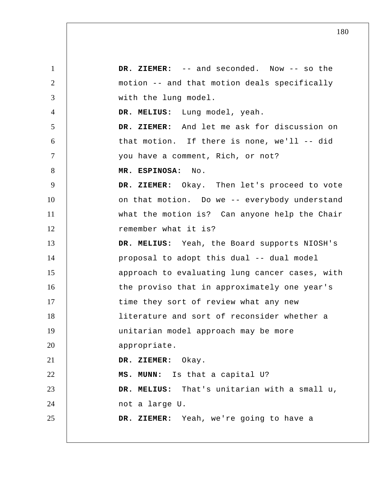1 2 3 4 5 6 7 8 9 10 11 12 13 14 15 16 17 18 19 20 21 22 23 24 25  **DR. ZIEMER:** -- and seconded. Now -- so the motion -- and that motion deals specifically with the lung model.  **DR. MELIUS:** Lung model, yeah.  **DR. ZIEMER:** And let me ask for discussion on that motion. If there is none, we'll -- did you have a comment, Rich, or not? **MR. ESPINOSA:** No.  **DR. ZIEMER:** Okay. Then let's proceed to vote on that motion. Do we -- everybody understand what the motion is? Can anyone help the Chair remember what it is?  **DR. MELIUS:** Yeah, the Board supports NIOSH's proposal to adopt this dual -- dual model approach to evaluating lung cancer cases, with the proviso that in approximately one year's time they sort of review what any new literature and sort of reconsider whether a unitarian model approach may be more appropriate.  **DR. ZIEMER:** Okay.  **MS. MUNN:** Is that a capital U?  **DR. MELIUS:** That's unitarian with a small u, not a large U.  **DR. ZIEMER:** Yeah, we're going to have a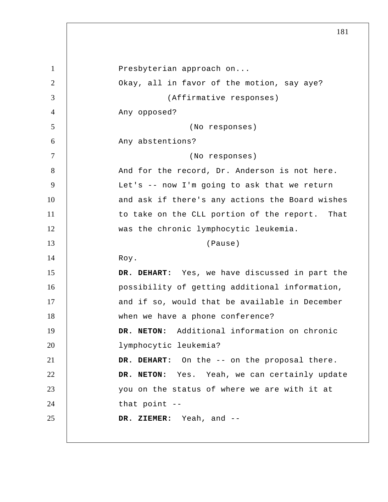| $\mathbf{1}$   | Presbyterian approach on                        |
|----------------|-------------------------------------------------|
| $\overline{2}$ | Okay, all in favor of the motion, say aye?      |
| 3              | (Affirmative responses)                         |
| $\overline{4}$ | Any opposed?                                    |
| 5              | (No responses)                                  |
| 6              | Any abstentions?                                |
| $\overline{7}$ | (No responses)                                  |
| 8              | And for the record, Dr. Anderson is not here.   |
| 9              | Let's -- now I'm going to ask that we return    |
| 10             | and ask if there's any actions the Board wishes |
| 11             | to take on the CLL portion of the report. That  |
| 12             | was the chronic lymphocytic leukemia.           |
| 13             | (Pause)                                         |
|                |                                                 |
| 14             | Roy.                                            |
| 15             | DR. DEHART: Yes, we have discussed in part the  |
| 16             | possibility of getting additional information,  |
| 17             | and if so, would that be available in December  |
| 18             | when we have a phone conference?                |
| 19             | DR. NETON: Additional information on chronic    |
| 20             | lymphocytic leukemia?                           |
| 21             | DR. DEHART: On the -- on the proposal there.    |
| 22             | DR. NETON: Yes. Yeah, we can certainly update   |
| 23             | you on the status of where we are with it at    |
| 24             | that point --                                   |
| 25             | DR. ZIEMER: Yeah, and --                        |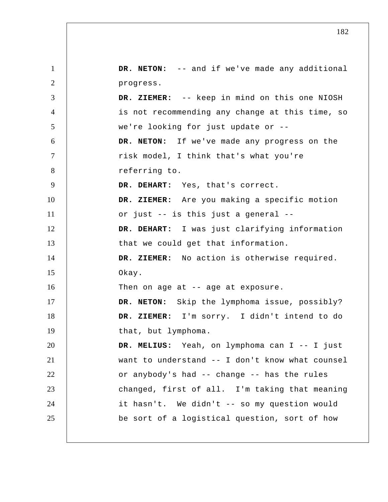1 2 3 4 5 6 7 8 9 10 11 12 13 14 15 16 17 18 19 20 21 22 23 24 25 **DR. NETON:** -- and if we've made any additional progress.  **DR. ZIEMER:** -- keep in mind on this one NIOSH is not recommending any change at this time, so we're looking for just update or -- **DR. NETON:** If we've made any progress on the risk model, I think that's what you're referring to.  **DR. DEHART:** Yes, that's correct.  **DR. ZIEMER:** Are you making a specific motion or just -- is this just a general --  **DR. DEHART:** I was just clarifying information that we could get that information.  **DR. ZIEMER:** No action is otherwise required. Okay. Then on age at -- age at exposure. **DR. NETON:** Skip the lymphoma issue, possibly?  **DR. ZIEMER:** I'm sorry. I didn't intend to do that, but lymphoma.  **DR. MELIUS:** Yeah, on lymphoma can I -- I just want to understand -- I don't know what counsel or anybody's had -- change -- has the rules changed, first of all. I'm taking that meaning it hasn't. We didn't -- so my question would be sort of a logistical question, sort of how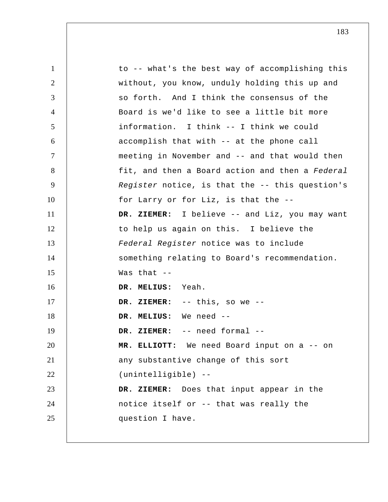1 2 3 4 5 6 7 8 9 10 11 12 13 14 15 16 17 18 19 20 21 22 23 24 25 to -- what's the best way of accomplishing this without, you know, unduly holding this up and so forth. And I think the consensus of the Board is we'd like to see a little bit more information. I think -- I think we could accomplish that with -- at the phone call meeting in November and -- and that would then fit, and then a Board action and then a *Federal Register* notice, is that the -- this question's for Larry or for Liz, is that the --  **DR. ZIEMER:** I believe -- and Liz, you may want to help us again on this. I believe the *Federal Register* notice was to include something relating to Board's recommendation. Was that -- **DR. MELIUS:** Yeah.  **DR. ZIEMER:** -- this, so we --  **DR. MELIUS:** We need --  **DR. ZIEMER:** -- need formal --  **MR. ELLIOTT:** We need Board input on a -- on any substantive change of this sort (unintelligible) --  **DR. ZIEMER:** Does that input appear in the notice itself or -- that was really the question I have.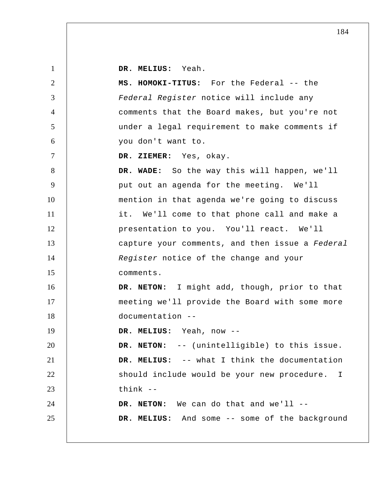**DR. MELIUS:** Yeah.

1

2 3 4 5 6 7 8 9 10 11 12 13 14 15 16 17 18 19 20 21 22 23 24 25 **MS. HOMOKI-TITUS:** For the Federal -- the *Federal Register* notice will include any comments that the Board makes, but you're not under a legal requirement to make comments if you don't want to.  **DR. ZIEMER:** Yes, okay.  **DR. WADE:** So the way this will happen, we'll put out an agenda for the meeting. We'll mention in that agenda we're going to discuss it. We'll come to that phone call and make a presentation to you. You'll react. We'll capture your comments, and then issue a *Federal Register* notice of the change and your comments. **DR. NETON:** I might add, though, prior to that meeting we'll provide the Board with some more documentation --  **DR. MELIUS:** Yeah, now -- **DR. NETON:** -- (unintelligible) to this issue.  **DR. MELIUS:** -- what I think the documentation should include would be your new procedure. think -- **DR. NETON:** We can do that and we'll --  **DR. MELIUS:** And some -- some of the background I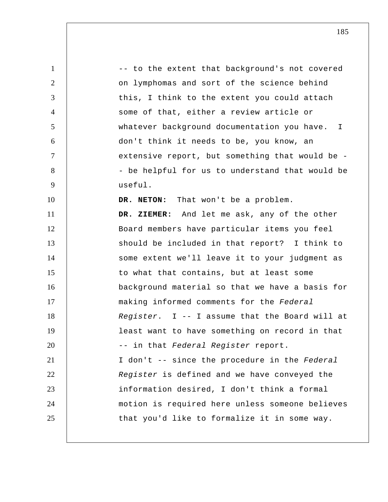1 2 3 4 5 6 7 8 9 10 11 12 13 14 15 16 17 18 19 20 21 22 23 24 25 -- to the extent that background's not covered on lymphomas and sort of the science behind this, I think to the extent you could attach some of that, either a review article or whatever background documentation you have. don't think it needs to be, you know, an extensive report, but something that would be - - be helpful for us to understand that would be useful. **DR. NETON:** That won't be a problem.  **DR. ZIEMER:** And let me ask, any of the other Board members have particular items you feel should be included in that report? I think to some extent we'll leave it to your judgment as to what that contains, but at least some background material so that we have a basis for making informed comments for the *Federal Register*. I -- I assume that the Board will at least want to have something on record in that -- in that *Federal Register* report. I don't -- since the procedure in the *Federal Register* is defined and we have conveyed the information desired, I don't think a formal motion is required here unless someone believes that you'd like to formalize it in some way. I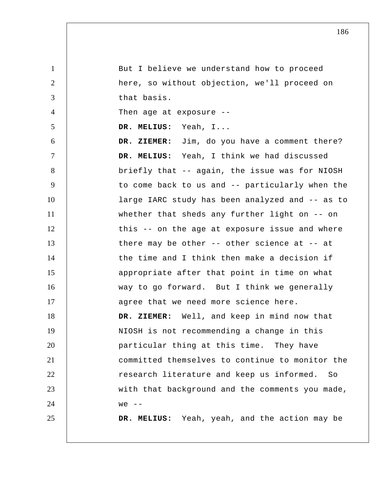| $\mathbf{1}$   | But I believe we understand how to proceed         |
|----------------|----------------------------------------------------|
| 2              | here, so without objection, we'll proceed on       |
| 3              | that basis.                                        |
| $\overline{4}$ | Then age at exposure --                            |
| 5              | DR. MELIUS: Yeah, I                                |
| 6              | DR. ZIEMER: Jim, do you have a comment there?      |
| $\tau$         | DR. MELIUS: Yeah, I think we had discussed         |
| 8              | briefly that -- again, the issue was for NIOSH     |
| 9              | to come back to us and -- particularly when the    |
| 10             | large IARC study has been analyzed and -- as to    |
| 11             | whether that sheds any further light on $-$ on     |
| 12             | this -- on the age at exposure issue and where     |
| 13             | there may be other $-$ - other science at $-$ - at |
| 14             | the time and I think then make a decision if       |
| 15             | appropriate after that point in time on what       |
| 16             | way to go forward. But I think we generally        |
| 17             | agree that we need more science here.              |
| 18             | DR. ZIEMER: Well, and keep in mind now that        |
| 19             | NIOSH is not recommending a change in this         |
| 20             | particular thing at this time. They have           |
| 21             | committed themselves to continue to monitor the    |
| 22             | research literature and keep us informed.<br>So    |
| 23             | with that background and the comments you made,    |
| 24             | $we$ --                                            |
| 25             | DR. MELIUS: Yeah, yeah, and the action may be      |
|                |                                                    |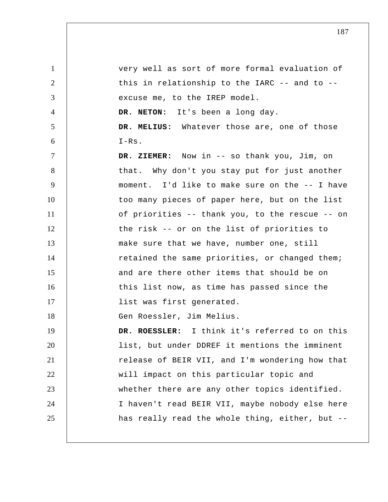1 2 3 4 5 6 7 8 9 10 11 12 13 14 15 16 17 18 19 20 21 22 23 24 25 very well as sort of more formal evaluation of this in relationship to the IARC -- and to - excuse me, to the IREP model. **DR. NETON:** It's been a long day.  **DR. MELIUS:** Whatever those are, one of those I-Rs.  **DR. ZIEMER:** Now in -- so thank you, Jim, on that. Why don't you stay put for just another moment. I'd like to make sure on the -- I have too many pieces of paper here, but on the list of priorities -- thank you, to the rescue -- on the risk -- or on the list of priorities to make sure that we have, number one, still retained the same priorities, or changed them; and are there other items that should be on this list now, as time has passed since the list was first generated. Gen Roessler, Jim Melius. **DR. ROESSLER:** I think it's referred to on this list, but under DDREF it mentions the imminent release of BEIR VII, and I'm wondering how that will impact on this particular topic and whether there are any other topics identified. I haven't read BEIR VII, maybe nobody else here has really read the whole thing, either, but --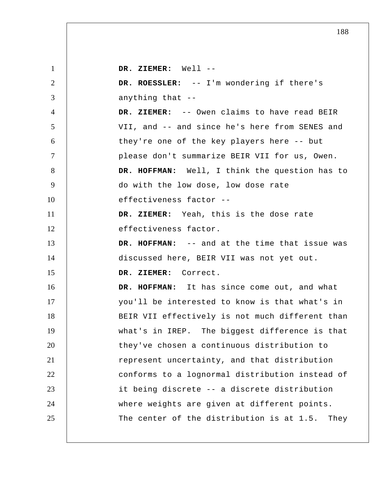1 2 3 4 5 6 7 8 9 10 11 12 13 14 15 16 17 18 19 20 21 22 23 24 25  **DR. ZIEMER:** Well -- **DR. ROESSLER:** -- I'm wondering if there's anything that --  **DR. ZIEMER:** -- Owen claims to have read BEIR VII, and -- and since he's here from SENES and they're one of the key players here -- but please don't summarize BEIR VII for us, Owen.  **DR. HOFFMAN:** Well, I think the question has to do with the low dose, low dose rate effectiveness factor --  **DR. ZIEMER:** Yeah, this is the dose rate effectiveness factor.  **DR. HOFFMAN:** -- and at the time that issue was discussed here, BEIR VII was not yet out.  **DR. ZIEMER:** Correct.  **DR. HOFFMAN:** It has since come out, and what you'll be interested to know is that what's in BEIR VII effectively is not much different than what's in IREP. The biggest difference is that they've chosen a continuous distribution to represent uncertainty, and that distribution conforms to a lognormal distribution instead of it being discrete -- a discrete distribution where weights are given at different points. The center of the distribution is at 1.5. They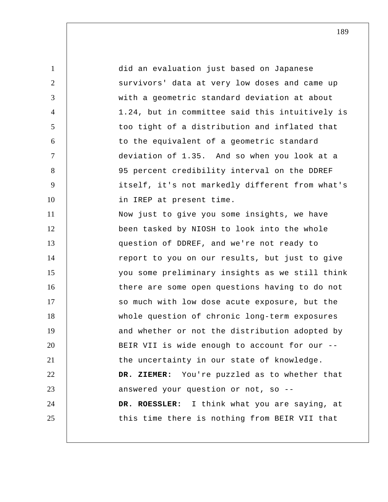1 2 3 4 5 6 7 8 9 10 11 12 13 14 15 16 17 18 19 20 21 22 23 24 25 did an evaluation just based on Japanese survivors' data at very low doses and came up with a geometric standard deviation at about 1.24, but in committee said this intuitively is too tight of a distribution and inflated that to the equivalent of a geometric standard deviation of 1.35. And so when you look at a 95 percent credibility interval on the DDREF itself, it's not markedly different from what's in IREP at present time. Now just to give you some insights, we have been tasked by NIOSH to look into the whole question of DDREF, and we're not ready to report to you on our results, but just to give you some preliminary insights as we still think there are some open questions having to do not so much with low dose acute exposure, but the whole question of chronic long-term exposures and whether or not the distribution adopted by BEIR VII is wide enough to account for our - the uncertainty in our state of knowledge.  **DR. ZIEMER:** You're puzzled as to whether that answered your question or not, so -- **DR. ROESSLER:** I think what you are saying, at this time there is nothing from BEIR VII that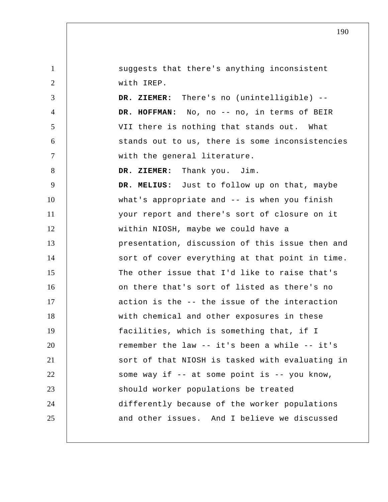1 2 3 4 5 6 7 8 9 10 11 12 13 14 15 16 17 18 19 20 21 22 23 24 25 suggests that there's anything inconsistent with IREP.  **DR. ZIEMER:** There's no (unintelligible) --  **DR. HOFFMAN:** No, no -- no, in terms of BEIR VII there is nothing that stands out. What stands out to us, there is some inconsistencies with the general literature.  **DR. ZIEMER:** Thank you. Jim.  **DR. MELIUS:** Just to follow up on that, maybe what's appropriate and -- is when you finish your report and there's sort of closure on it within NIOSH, maybe we could have a presentation, discussion of this issue then and sort of cover everything at that point in time. The other issue that I'd like to raise that's on there that's sort of listed as there's no action is the -- the issue of the interaction with chemical and other exposures in these facilities, which is something that, if I remember the law -- it's been a while -- it's sort of that NIOSH is tasked with evaluating in some way if  $-$  at some point is  $-$  you know, should worker populations be treated differently because of the worker populations and other issues. And I believe we discussed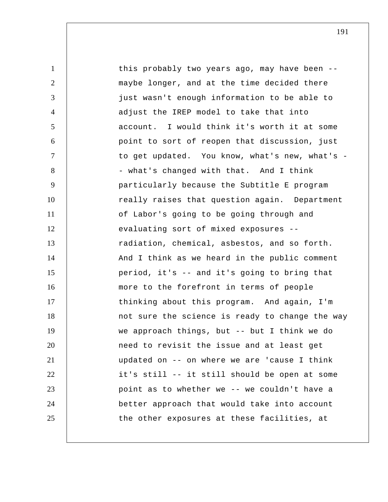| $\mathbf{1}$   | this probably two years ago, may have been --   |
|----------------|-------------------------------------------------|
| $\overline{2}$ | maybe longer, and at the time decided there     |
| 3              | just wasn't enough information to be able to    |
| $\overline{4}$ | adjust the IREP model to take that into         |
| 5              | account. I would think it's worth it at some    |
| 6              | point to sort of reopen that discussion, just   |
| $\tau$         | to get updated. You know, what's new, what's -  |
| 8              | - what's changed with that. And I think         |
| 9              | particularly because the Subtitle E program     |
| 10             | really raises that question again. Department   |
| 11             | of Labor's going to be going through and        |
| 12             | evaluating sort of mixed exposures --           |
| 13             | radiation, chemical, asbestos, and so forth.    |
| 14             | And I think as we heard in the public comment   |
| 15             | period, it's -- and it's going to bring that    |
| 16             | more to the forefront in terms of people        |
| 17             | thinking about this program. And again, I'm     |
| 18             | not sure the science is ready to change the way |
| 19             | we approach things, but -- but I think we do    |
| 20             | need to revisit the issue and at least get      |
| 21             | updated on -- on where we are 'cause I think    |
| 22             | it's still -- it still should be open at some   |
| 23             | point as to whether we -- we couldn't have a    |
| 24             | better approach that would take into account    |
| 25             | the other exposures at these facilities, at     |
|                |                                                 |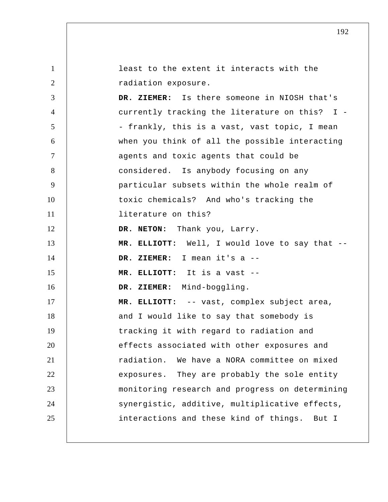1 2 3 4 5 6 7 8 9 10 11 12 13 14 15 16 17 18 19 20 21 22 23 24 25 least to the extent it interacts with the radiation exposure.  **DR. ZIEMER:** Is there someone in NIOSH that's currently tracking the literature on this? I - - frankly, this is a vast, vast topic, I mean when you think of all the possible interacting agents and toxic agents that could be considered. Is anybody focusing on any particular subsets within the whole realm of toxic chemicals? And who's tracking the literature on this? **DR. NETON:** Thank you, Larry.  **MR. ELLIOTT:** Well, I would love to say that --  **DR. ZIEMER:** I mean it's a --  **MR. ELLIOTT:** It is a vast --  **DR. ZIEMER:** Mind-boggling.  **MR. ELLIOTT:** -- vast, complex subject area, and I would like to say that somebody is tracking it with regard to radiation and effects associated with other exposures and radiation. We have a NORA committee on mixed exposures. They are probably the sole entity monitoring research and progress on determining synergistic, additive, multiplicative effects, interactions and these kind of things. But I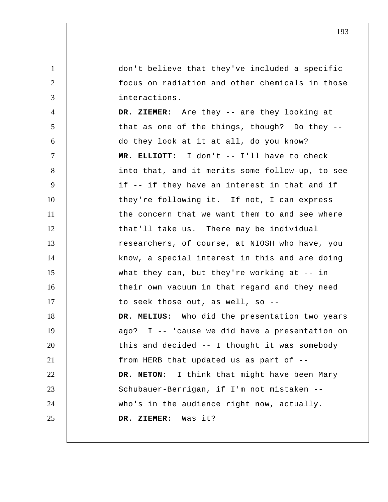don't believe that they've included a specific focus on radiation and other chemicals in those interactions.

1

2

3

4 5 6 7 8 9 10 11 12 13 14 15 16 17 18 19 20 21 22 23 24 25  **DR. ZIEMER:** Are they -- are they looking at that as one of the things, though? Do they - do they look at it at all, do you know?  **MR. ELLIOTT:** I don't -- I'll have to check into that, and it merits some follow-up, to see if -- if they have an interest in that and if they're following it. If not, I can express the concern that we want them to and see where that'll take us. There may be individual researchers, of course, at NIOSH who have, you know, a special interest in this and are doing what they can, but they're working at  $-$ - in their own vacuum in that regard and they need to seek those out, as well, so --  **DR. MELIUS:** Who did the presentation two years ago? I -- 'cause we did have a presentation on this and decided -- I thought it was somebody from HERB that updated us as part of -- **DR. NETON:** I think that might have been Mary Schubauer-Berrigan, if I'm not mistaken - who's in the audience right now, actually.  **DR. ZIEMER:** Was it?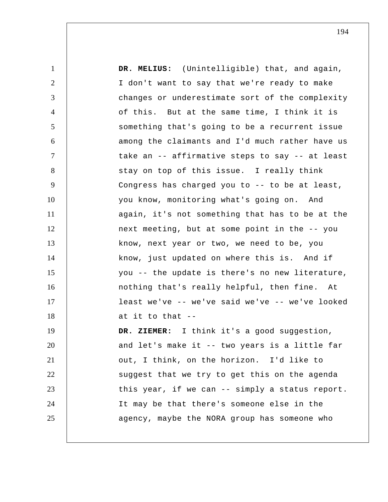1 2 3 4 5 6 7 8 9 10 11 12 13 14 15 16 17 18 19 20 21 22 23 24 25  **DR. MELIUS:** (Unintelligible) that, and again, I don't want to say that we're ready to make changes or underestimate sort of the complexity of this. But at the same time, I think it is something that's going to be a recurrent issue among the claimants and I'd much rather have us take an -- affirmative steps to say -- at least stay on top of this issue. I really think Congress has charged you to -- to be at least, you know, monitoring what's going on. And again, it's not something that has to be at the next meeting, but at some point in the -- you know, next year or two, we need to be, you know, just updated on where this is. And if you -- the update is there's no new literature, nothing that's really helpful, then fine. At least we've -- we've said we've -- we've looked at it to that --  **DR. ZIEMER:** I think it's a good suggestion, and let's make it -- two years is a little far out, I think, on the horizon. I'd like to suggest that we try to get this on the agenda this year, if we can -- simply a status report. It may be that there's someone else in the agency, maybe the NORA group has someone who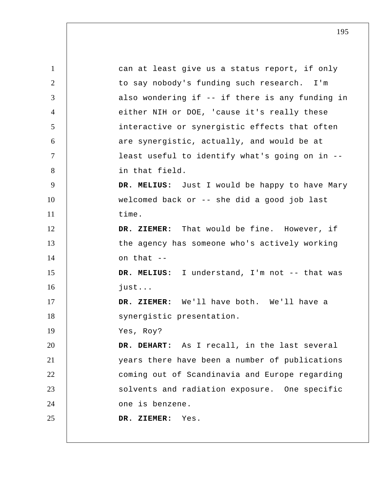1 2 3 4 5 6 7 8 9 10 11 12 13 14 15 16 17 18 19 20 21 22 23 24 25 can at least give us a status report, if only to say nobody's funding such research. I'm also wondering if -- if there is any funding in either NIH or DOE, 'cause it's really these interactive or synergistic effects that often are synergistic, actually, and would be at least useful to identify what's going on in - in that field.  **DR. MELIUS:** Just I would be happy to have Mary welcomed back or -- she did a good job last time.  **DR. ZIEMER:** That would be fine. However, if the agency has someone who's actively working on that --  **DR. MELIUS:** I understand, I'm not -- that was just...  **DR. ZIEMER:** We'll have both. We'll have a synergistic presentation. Yes, Roy?  **DR. DEHART:** As I recall, in the last several years there have been a number of publications coming out of Scandinavia and Europe regarding solvents and radiation exposure. One specific one is benzene.  **DR. ZIEMER:** Yes.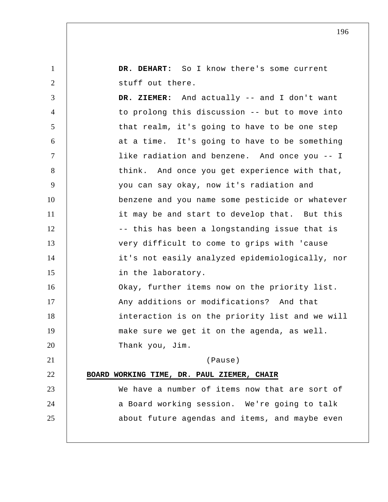1 2 3 4 5 6 7 8 9 10 11 12 13 14 15 16 17 18 19 20 21 22 23 24 25  **DR. DEHART:** So I know there's some current stuff out there.  **DR. ZIEMER:** And actually -- and I don't want to prolong this discussion -- but to move into that realm, it's going to have to be one step at a time. It's going to have to be something like radiation and benzene. And once you -- I think. And once you get experience with that, you can say okay, now it's radiation and benzene and you name some pesticide or whatever it may be and start to develop that. But this -- this has been a longstanding issue that is very difficult to come to grips with 'cause it's not easily analyzed epidemiologically, nor in the laboratory. Okay, further items now on the priority list. Any additions or modifications? And that interaction is on the priority list and we will make sure we get it on the agenda, as well. Thank you, Jim. (Pause) **BOARD WORKING TIME, DR. PAUL ZIEMER, CHAIR**  We have a number of items now that are sort of a Board working session. We're going to talk about future agendas and items, and maybe even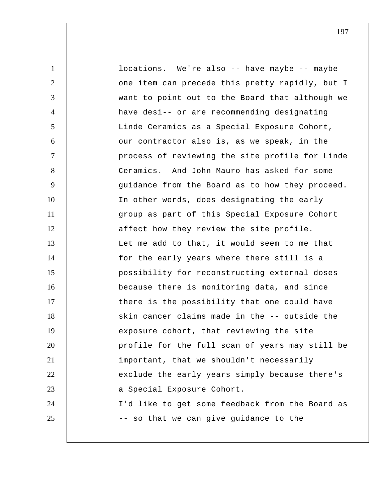1 2 3 4 5 6 7 8 9 10 11 12 13 14 15 16 17 18 19 20 21 22 23 24 25 locations. We're also -- have maybe -- maybe one item can precede this pretty rapidly, but I want to point out to the Board that although we have desi-- or are recommending designating Linde Ceramics as a Special Exposure Cohort, our contractor also is, as we speak, in the process of reviewing the site profile for Linde Ceramics. And John Mauro has asked for some guidance from the Board as to how they proceed. In other words, does designating the early group as part of this Special Exposure Cohort affect how they review the site profile. Let me add to that, it would seem to me that for the early years where there still is a possibility for reconstructing external doses because there is monitoring data, and since there is the possibility that one could have skin cancer claims made in the -- outside the exposure cohort, that reviewing the site profile for the full scan of years may still be important, that we shouldn't necessarily exclude the early years simply because there's a Special Exposure Cohort. I'd like to get some feedback from the Board as -- so that we can give guidance to the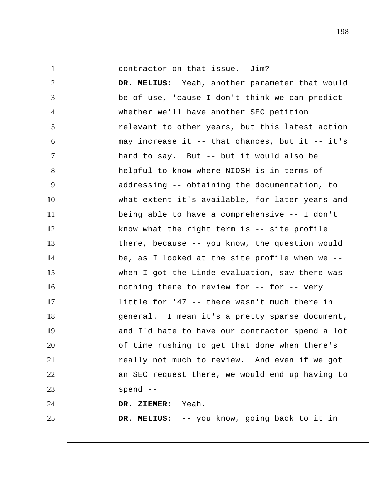contractor on that issue. Jim?

1

2 3 4 5 6 7 8 9 10 11 12 13 14 15 16 17 18 19 20 21 22 23 24 25  **DR. MELIUS:** Yeah, another parameter that would be of use, 'cause I don't think we can predict whether we'll have another SEC petition relevant to other years, but this latest action may increase it  $-$ - that chances, but it  $-$ - it's hard to say. But -- but it would also be helpful to know where NIOSH is in terms of addressing -- obtaining the documentation, to what extent it's available, for later years and being able to have a comprehensive -- I don't know what the right term is -- site profile there, because -- you know, the question would be, as I looked at the site profile when we - when I got the Linde evaluation, saw there was nothing there to review for -- for -- very little for '47 -- there wasn't much there in general. I mean it's a pretty sparse document, and I'd hate to have our contractor spend a lot of time rushing to get that done when there's really not much to review. And even if we got an SEC request there, we would end up having to spend --  **DR. ZIEMER:** Yeah.  **DR. MELIUS:** -- you know, going back to it in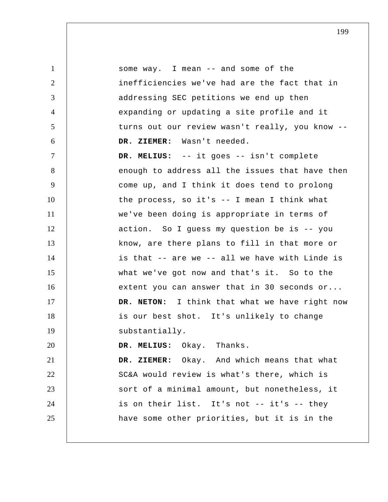1 2 3 4 5 6 7 8 9 10 11 12 13 14 15 16 17 18 19 20 21 22 23 24 25 some way. I mean -- and some of the inefficiencies we've had are the fact that in addressing SEC petitions we end up then expanding or updating a site profile and it turns out our review wasn't really, you know --  **DR. ZIEMER:** Wasn't needed.  **DR. MELIUS:** -- it goes -- isn't complete enough to address all the issues that have then come up, and I think it does tend to prolong the process, so it's -- I mean I think what we've been doing is appropriate in terms of action. So I guess my question be is -- you know, are there plans to fill in that more or is that -- are we -- all we have with Linde is what we've got now and that's it. So to the extent you can answer that in 30 seconds or... **DR. NETON:** I think that what we have right now is our best shot. It's unlikely to change substantially.  **DR. MELIUS:** Okay. Thanks.  **DR. ZIEMER:** Okay. And which means that what SC&A would review is what's there, which is sort of a minimal amount, but nonetheless, it is on their list. It's not -- it's -- they have some other priorities, but it is in the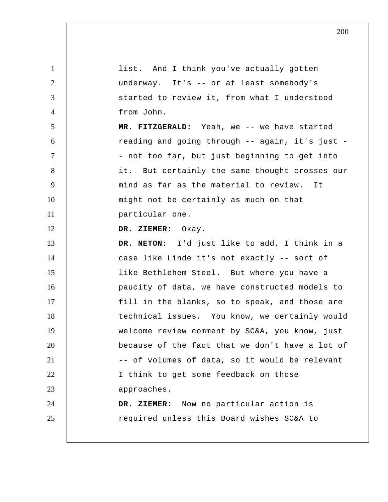| $\mathbf{1}$   | list. And I think you've actually gotten        |
|----------------|-------------------------------------------------|
| $\overline{2}$ | underway. It's -- or at least somebody's        |
| 3              | started to review it, from what I understood    |
| $\overline{4}$ | from John.                                      |
| 5              | MR. FITZGERALD: Yeah, we -- we have started     |
| 6              | reading and going through -- again, it's just - |
| $\overline{7}$ | - not too far, but just beginning to get into   |
| 8              | it. But certainly the same thought crosses our  |
| 9              | mind as far as the material to review. It       |
| 10             | might not be certainly as much on that          |
| 11             | particular one.                                 |
| 12             | DR. ZIEMER: Okay.                               |
| 13             | DR. NETON: I'd just like to add, I think in a   |
| 14             | case like Linde it's not exactly -- sort of     |
| 15             | like Bethlehem Steel. But where you have a      |
| 16             | paucity of data, we have constructed models to  |
| 17             | fill in the blanks, so to speak, and those are  |
| 18             | technical issues. You know, we certainly would  |
| 19             | welcome review comment by SC&A, you know, just  |
| 20             | because of the fact that we don't have a lot of |
| 21             | -- of volumes of data, so it would be relevant  |
| 22             | I think to get some feedback on those           |
| 23             | approaches.                                     |
| 24             | DR. ZIEMER: Now no particular action is         |
| 25             | required unless this Board wishes SC&A to       |
|                |                                                 |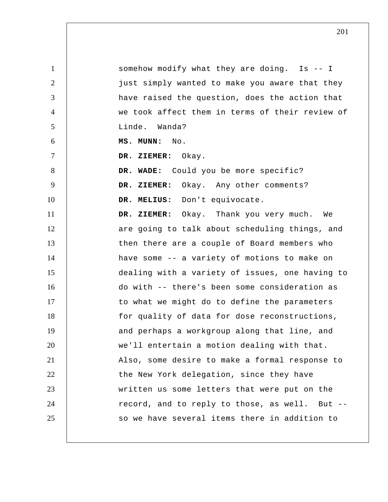1 2 3 4 5 6 7 8 9 10 11 12 13 14 15 16 17 18 19 20 21 22 23 24 25 somehow modify what they are doing. Is -- I just simply wanted to make you aware that they have raised the question, does the action that we took affect them in terms of their review of Linde. Wanda?  **MS. MUNN:** No.  **DR. ZIEMER:** Okay.  **DR. WADE:** Could you be more specific?  **DR. ZIEMER:** Okay. Any other comments?  **DR. MELIUS:** Don't equivocate.  **DR. ZIEMER:** Okay. Thank you very much. We are going to talk about scheduling things, and then there are a couple of Board members who have some -- a variety of motions to make on dealing with a variety of issues, one having to do with -- there's been some consideration as to what we might do to define the parameters for quality of data for dose reconstructions, and perhaps a workgroup along that line, and we'll entertain a motion dealing with that. Also, some desire to make a formal response to the New York delegation, since they have written us some letters that were put on the record, and to reply to those, as well. But - so we have several items there in addition to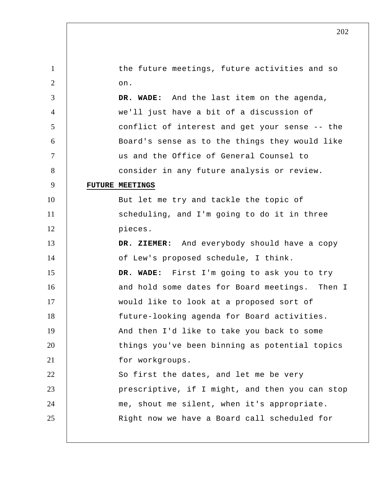| $\mathbf{1}$   | the future meetings, future activities and so   |
|----------------|-------------------------------------------------|
| $\overline{2}$ | on.                                             |
| 3              | DR. WADE: And the last item on the agenda,      |
| $\overline{4}$ | we'll just have a bit of a discussion of        |
| 5              | conflict of interest and get your sense -- the  |
| 6              | Board's sense as to the things they would like  |
| 7              | us and the Office of General Counsel to         |
| 8              | consider in any future analysis or review.      |
| 9              | <b>FUTURE MEETINGS</b>                          |
| 10             | But let me try and tackle the topic of          |
| 11             | scheduling, and I'm going to do it in three     |
| 12             | pieces.                                         |
| 13             | DR. ZIEMER: And everybody should have a copy    |
| 14             | of Lew's proposed schedule, I think.            |
| 15             | DR. WADE: First I'm going to ask you to try     |
| 16             | and hold some dates for Board meetings. Then I  |
| 17             | would like to look at a proposed sort of        |
| 18             | future-looking agenda for Board activities.     |
| 19             | And then I'd like to take you back to some      |
| 20             | things you've been binning as potential topics  |
| 21             | for workgroups.                                 |
| 22             | So first the dates, and let me be very          |
| 23             | prescriptive, if I might, and then you can stop |
| 24             | me, shout me silent, when it's appropriate.     |
| 25             | Right now we have a Board call scheduled for    |
|                |                                                 |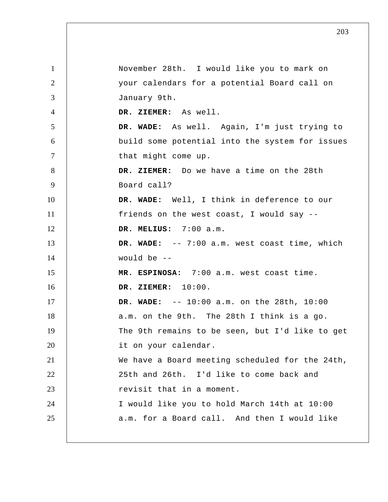1 2 3 4 5 6 7 8 9 10 11 12 13 14 15 16 17 18 19 20 21 22 23 24 25 November 28th. I would like you to mark on your calendars for a potential Board call on January 9th.  **DR. ZIEMER:** As well.  **DR. WADE:** As well. Again, I'm just trying to build some potential into the system for issues that might come up.  **DR. ZIEMER:** Do we have a time on the 28th Board call?  **DR. WADE:** Well, I think in deference to our friends on the west coast, I would say --  **DR. MELIUS:** 7:00 a.m.  **DR. WADE:** -- 7:00 a.m. west coast time, which would be -- **MR. ESPINOSA:** 7:00 a.m. west coast time.  **DR. ZIEMER:** 10:00.  **DR. WADE:** -- 10:00 a.m. on the 28th, 10:00 a.m. on the 9th. The 28th I think is a go. The 9th remains to be seen, but I'd like to get it on your calendar. We have a Board meeting scheduled for the 24th, 25th and 26th. I'd like to come back and revisit that in a moment. I would like you to hold March 14th at 10:00 a.m. for a Board call. And then I would like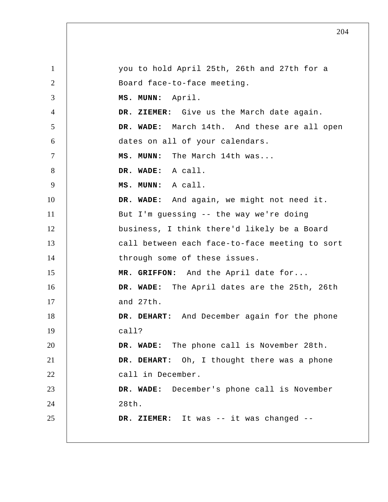1 2 3 4 5 6 7 8 9 10 11 12 13 14 15 16 17 18 19 20 21 22 23 24 25 you to hold April 25th, 26th and 27th for a Board face-to-face meeting.  **MS. MUNN:** April.  **DR. ZIEMER:** Give us the March date again.  **DR. WADE:** March 14th. And these are all open dates on all of your calendars.  **MS. MUNN:** The March 14th was...  **DR. WADE:** A call.  **MS. MUNN:** A call.  **DR. WADE:** And again, we might not need it. But I'm guessing -- the way we're doing business, I think there'd likely be a Board call between each face-to-face meeting to sort through some of these issues.  **MR. GRIFFON:** And the April date for...  **DR. WADE:** The April dates are the 25th, 26th and 27th.  **DR. DEHART:** And December again for the phone call?  **DR. WADE:** The phone call is November 28th.  **DR. DEHART:** Oh, I thought there was a phone call in December.  **DR. WADE:** December's phone call is November 28th.  **DR. ZIEMER:** It was -- it was changed --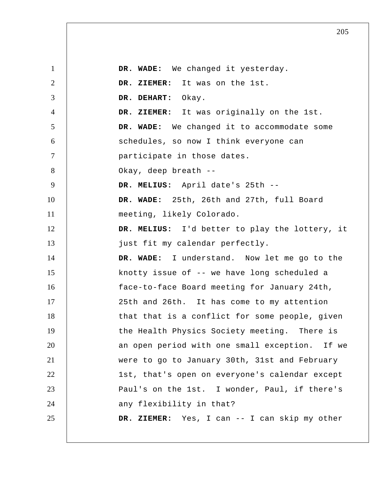1 2 3 4 5 6 7 8 9 10 11 12 13 14 15 16 17 18 19 20 21 22 23 24 25  **DR. WADE:** We changed it yesterday.  **DR. ZIEMER:** It was on the 1st.  **DR. DEHART:** Okay.  **DR. ZIEMER:** It was originally on the 1st.  **DR. WADE:** We changed it to accommodate some schedules, so now I think everyone can participate in those dates. Okay, deep breath --  **DR. MELIUS:** April date's 25th --  **DR. WADE:** 25th, 26th and 27th, full Board meeting, likely Colorado.  **DR. MELIUS:** I'd better to play the lottery, it just fit my calendar perfectly.  **DR. WADE:** I understand. Now let me go to the knotty issue of -- we have long scheduled a face-to-face Board meeting for January 24th, 25th and 26th. It has come to my attention that that is a conflict for some people, given the Health Physics Society meeting. There is an open period with one small exception. If we were to go to January 30th, 31st and February 1st, that's open on everyone's calendar except Paul's on the 1st. I wonder, Paul, if there's any flexibility in that?  **DR. ZIEMER:** Yes, I can -- I can skip my other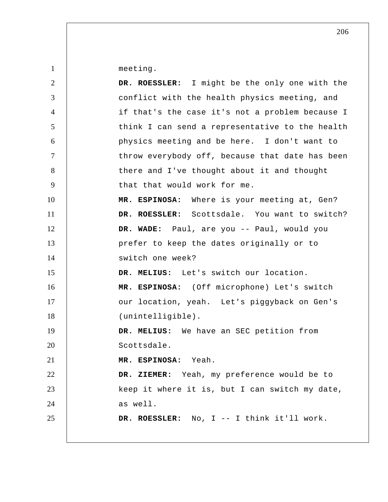meeting.

1

| $\overline{2}$ | DR. ROESSLER: I might be the only one with the  |
|----------------|-------------------------------------------------|
| 3              | conflict with the health physics meeting, and   |
| $\overline{4}$ | if that's the case it's not a problem because I |
| 5              | think I can send a representative to the health |
| 6              | physics meeting and be here. I don't want to    |
| $\tau$         | throw everybody off, because that date has been |
| 8              | there and I've thought about it and thought     |
| 9              | that that would work for me.                    |
| 10             | MR. ESPINOSA: Where is your meeting at, Gen?    |
| 11             | DR. ROESSLER: Scottsdale. You want to switch?   |
| 12             | DR. WADE: Paul, are you -- Paul, would you      |
| 13             | prefer to keep the dates originally or to       |
| 14             | switch one week?                                |
| 15             | DR. MELIUS: Let's switch our location.          |
| 16             | MR. ESPINOSA: (Off microphone) Let's switch     |
| 17             | our location, yeah. Let's piggyback on Gen's    |
| 18             | (unintelligible).                               |
| 19             | DR. MELIUS: We have an SEC petition from        |
| 20             | Scottsdale.                                     |
| 21             | MR. ESPINOSA:<br>Yeah                           |
| 22             | DR. ZIEMER: Yeah, my preference would be to     |
| 23             | keep it where it is, but I can switch my date,  |
| 24             | as well.                                        |
| 25             | DR. ROESSLER: No, I -- I think it'll work.      |
|                |                                                 |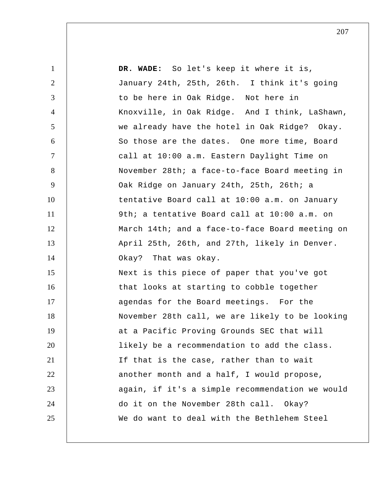| $\mathbf{1}$   | DR. WADE: So let's keep it where it is,         |
|----------------|-------------------------------------------------|
| $\overline{2}$ | January 24th, 25th, 26th. I think it's going    |
| 3              | to be here in Oak Ridge. Not here in            |
| $\overline{4}$ | Knoxville, in Oak Ridge. And I think, LaShawn,  |
| 5              | we already have the hotel in Oak Ridge? Okay.   |
| 6              | So those are the dates. One more time, Board    |
| $\tau$         | call at 10:00 a.m. Eastern Daylight Time on     |
| 8              | November 28th; a face-to-face Board meeting in  |
| 9              | Oak Ridge on January 24th, 25th, 26th; a        |
| 10             | tentative Board call at 10:00 a.m. on January   |
| 11             | 9th; a tentative Board call at 10:00 a.m. on    |
| 12             | March 14th; and a face-to-face Board meeting on |
| 13             | April 25th, 26th, and 27th, likely in Denver.   |
| 14             | Okay? That was okay.                            |
| 15             | Next is this piece of paper that you've got     |
| 16             | that looks at starting to cobble together       |
| 17             | agendas for the Board meetings. For the         |
| 18             | November 28th call, we are likely to be looking |
| 19             | at a Pacific Proving Grounds SEC that will      |
| 20             | likely be a recommendation to add the class.    |
| 21             | If that is the case, rather than to wait        |
| 22             | another month and a half, I would propose,      |
| 23             | again, if it's a simple recommendation we would |
| 24             | do it on the November 28th call. Okay?          |
| 25             | We do want to deal with the Bethlehem Steel     |
|                |                                                 |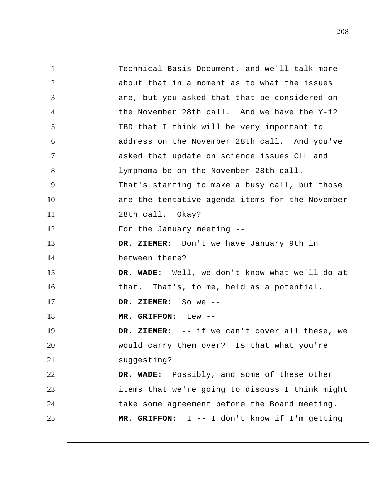1 2 3 4 5 6 7 8 9 10 11 12 13 14 15 16 17 18 19 20 21 22 23 24 25 Technical Basis Document, and we'll talk more about that in a moment as to what the issues are, but you asked that that be considered on the November 28th call. And we have the Y-12 TBD that I think will be very important to address on the November 28th call. And you've asked that update on science issues CLL and lymphoma be on the November 28th call. That's starting to make a busy call, but those are the tentative agenda items for the November 28th call. Okay? For the January meeting --  **DR. ZIEMER:** Don't we have January 9th in between there?  **DR. WADE:** Well, we don't know what we'll do at that. That's, to me, held as a potential.  **DR. ZIEMER:** So we --  **MR. GRIFFON:** Lew --  **DR. ZIEMER:** -- if we can't cover all these, we would carry them over? Is that what you're suggesting?  **DR. WADE:** Possibly, and some of these other items that we're going to discuss I think might take some agreement before the Board meeting.  **MR. GRIFFON:** I -- I don't know if I'm getting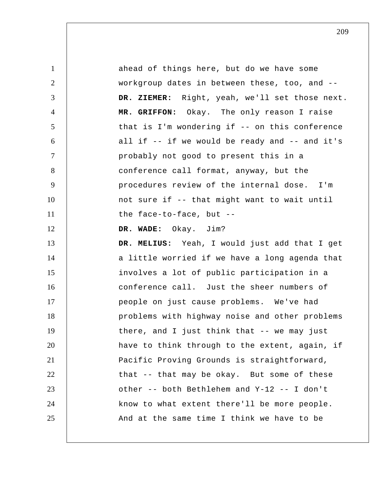1 2 3 4 5 6 7 8 9 10 11 12 13 14 15 16 17 18 19 20 21 22 23 24 25 ahead of things here, but do we have some workgroup dates in between these, too, and --  **DR. ZIEMER:** Right, yeah, we'll set those next.  **MR. GRIFFON:** Okay. The only reason I raise that is I'm wondering if -- on this conference all if -- if we would be ready and -- and it's probably not good to present this in a conference call format, anyway, but the procedures review of the internal dose. I'm not sure if -- that might want to wait until the face-to-face, but --  **DR. WADE:** Okay. Jim?  **DR. MELIUS:** Yeah, I would just add that I get a little worried if we have a long agenda that involves a lot of public participation in a conference call. Just the sheer numbers of people on just cause problems. We've had problems with highway noise and other problems there, and I just think that -- we may just have to think through to the extent, again, if Pacific Proving Grounds is straightforward, that -- that may be okay. But some of these other -- both Bethlehem and Y-12 -- I don't know to what extent there'll be more people. And at the same time I think we have to be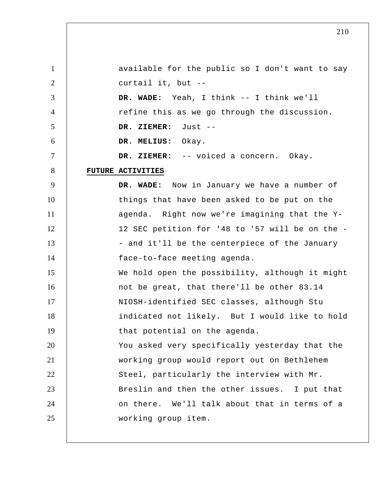| $\mathbf{1}$   | available for the public so I don't want to say |
|----------------|-------------------------------------------------|
| $\overline{2}$ | curtail it, but --                              |
| 3              | DR. WADE: Yeah, I think -- I think we'll        |
| $\overline{4}$ | refine this as we go through the discussion.    |
| 5              | DR. ZIEMER:<br>Just --                          |
| 6              | DR. MELIUS: Okay.                               |
| $\overline{7}$ | DR. ZIEMER: -- voiced a concern. Okay.          |
| 8              | FUTURE ACTIVITIES                               |
| 9              | DR. WADE: Now in January we have a number of    |
| 10             | things that have been asked to be put on the    |
| 11             | agenda. Right now we're imagining that the Y-   |
| 12             | 12 SEC petition for '48 to '57 will be on the - |
| 13             | - and it'll be the centerpiece of the January   |
| 14             | face-to-face meeting agenda.                    |
| 15             | We hold open the possibility, although it might |
| 16             | not be great, that there'll be other 83.14      |
| 17             | NIOSH-identified SEC classes, although Stu      |
| 18             | indicated not likely. But I would like to hold  |
| 19             | that potential on the agenda.                   |
| 20             | You asked very specifically yesterday that the  |
| 21             | working group would report out on Bethlehem     |
| 22             | Steel, particularly the interview with Mr.      |
| 23             | Breslin and then the other issues. I put that   |
| 24             | on there. We'll talk about that in terms of a   |
| 25             | working group item.                             |
|                |                                                 |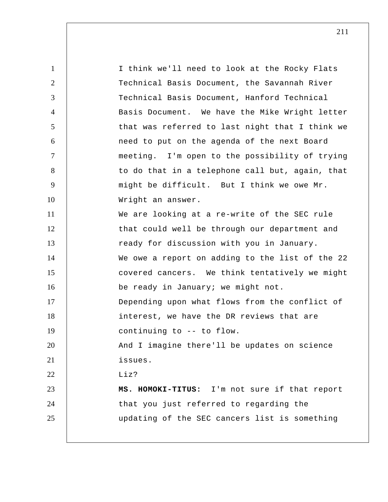| $\mathbf{1}$   | I think we'll need to look at the Rocky Flats   |
|----------------|-------------------------------------------------|
| $\overline{2}$ | Technical Basis Document, the Savannah River    |
| 3              | Technical Basis Document, Hanford Technical     |
| $\overline{4}$ | Basis Document. We have the Mike Wright letter  |
| 5              | that was referred to last night that I think we |
| 6              | need to put on the agenda of the next Board     |
| $\overline{7}$ | meeting. I'm open to the possibility of trying  |
| 8              | to do that in a telephone call but, again, that |
| $\overline{9}$ | might be difficult. But I think we owe Mr.      |
| 10             | Wright an answer.                               |
| 11             | We are looking at a re-write of the SEC rule    |
| 12             | that could well be through our department and   |
| 13             | ready for discussion with you in January.       |
| 14             | We owe a report on adding to the list of the 22 |
| 15             | covered cancers. We think tentatively we might  |
| 16             | be ready in January; we might not.              |
| 17             | Depending upon what flows from the conflict of  |
| 18             | interest, we have the DR reviews that are       |
| 19             | continuing to -- to flow.                       |
| 20             | And I imagine there'll be updates on science    |
| 21             | issues.                                         |
| 22             | Liz?                                            |
| 23             | MS. HOMOKI-TITUS: I'm not sure if that report   |
| 24             | that you just referred to regarding the         |
| 25             | updating of the SEC cancers list is something   |
|                |                                                 |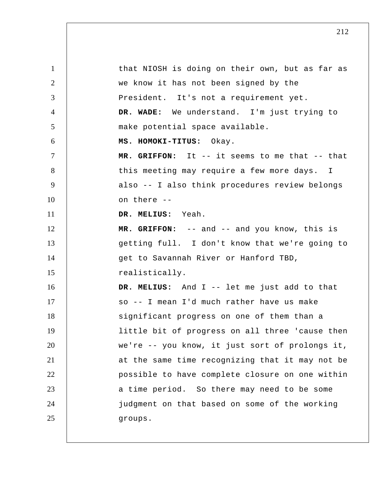1 2 3 4 5 6 7 8 9 10 11 12 13 14 15 16 17 18 19 20 21 22 23 24 25 that NIOSH is doing on their own, but as far as we know it has not been signed by the President. It's not a requirement yet.  **DR. WADE:** We understand. I'm just trying to make potential space available. **MS. HOMOKI-TITUS:** Okay.  **MR. GRIFFON:** It -- it seems to me that -- that this meeting may require a few more days. I also -- I also think procedures review belongs on there --  **DR. MELIUS:** Yeah.  **MR. GRIFFON:** -- and -- and you know, this is getting full. I don't know that we're going to get to Savannah River or Hanford TBD, realistically.  **DR. MELIUS:** And I -- let me just add to that so -- I mean I'd much rather have us make significant progress on one of them than a little bit of progress on all three 'cause then we're -- you know, it just sort of prolongs it, at the same time recognizing that it may not be possible to have complete closure on one within a time period. So there may need to be some judgment on that based on some of the working groups.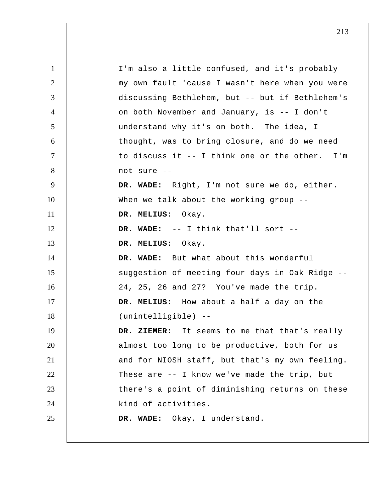1 2 3 4 5 6 7 8 9 10 11 12 13 14 15 16 17 18 19 20 21 22 23 24 25 I'm also a little confused, and it's probably my own fault 'cause I wasn't here when you were discussing Bethlehem, but -- but if Bethlehem's on both November and January, is -- I don't understand why it's on both. The idea, I thought, was to bring closure, and do we need to discuss it -- I think one or the other. I'm not sure --  **DR. WADE:** Right, I'm not sure we do, either. When we talk about the working group -- **DR. MELIUS:** Okay.  **DR. WADE:** -- I think that'll sort --  **DR. MELIUS:** Okay.  **DR. WADE:** But what about this wonderful suggestion of meeting four days in Oak Ridge -- 24, 25, 26 and 27? You've made the trip.  **DR. MELIUS:** How about a half a day on the (unintelligible) --  **DR. ZIEMER:** It seems to me that that's really almost too long to be productive, both for us and for NIOSH staff, but that's my own feeling. These are -- I know we've made the trip, but there's a point of diminishing returns on these kind of activities.  **DR. WADE:** Okay, I understand.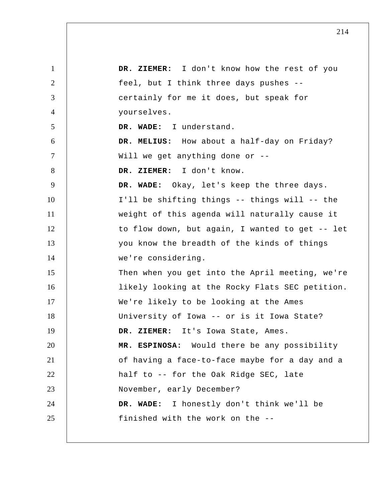| $\mathbf{1}$   | DR. ZIEMER: I don't know how the rest of you    |
|----------------|-------------------------------------------------|
| 2              | feel, but I think three days pushes --          |
| 3              | certainly for me it does, but speak for         |
| 4              | yourselves.                                     |
| 5              | DR. WADE: I understand.                         |
| 6              | DR. MELIUS: How about a half-day on Friday?     |
| $\overline{7}$ | Will we get anything done or --                 |
| 8              | DR. ZIEMER: I don't know.                       |
| 9              | DR. WADE: Okay, let's keep the three days.      |
| 10             | I'll be shifting things -- things will -- the   |
| 11             | weight of this agenda will naturally cause it   |
| 12             | to flow down, but again, I wanted to get -- let |
| 13             | you know the breadth of the kinds of things     |
| 14             | we're considering.                              |
| 15             | Then when you get into the April meeting, we're |
| 16             | likely looking at the Rocky Flats SEC petition. |
| 17             | We're likely to be looking at the Ames          |
| 18             | University of Iowa -- or is it Iowa State?      |
| 19             | DR. ZIEMER: It's Iowa State, Ames.              |
| 20             | MR. ESPINOSA: Would there be any possibility    |
| 21             | of having a face-to-face maybe for a day and a  |
| 22             | half to -- for the Oak Ridge SEC, late          |
| 23             | November, early December?                       |
| 24             | DR. WADE: I honestly don't think we'll be       |
| 25             | finished with the work on the --                |
|                |                                                 |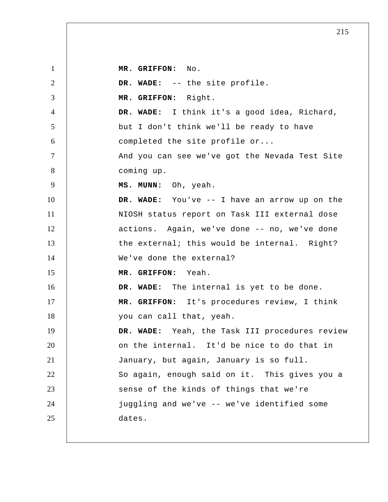1 2 3 4 5 6 7 8 9 10 11 12 13 14 15 16 17 18 19 20 21 22 23 24 25  **MR. GRIFFON:** No.  **DR. WADE:** -- the site profile.  **MR. GRIFFON:** Right.  **DR. WADE:** I think it's a good idea, Richard, but I don't think we'll be ready to have completed the site profile or... And you can see we've got the Nevada Test Site coming up.  **MS. MUNN:** Oh, yeah.  **DR. WADE:** You've -- I have an arrow up on the NIOSH status report on Task III external dose actions. Again, we've done -- no, we've done the external; this would be internal. Right? We've done the external?  **MR. GRIFFON:** Yeah.  **DR. WADE:** The internal is yet to be done.  **MR. GRIFFON:** It's procedures review, I think you can call that, yeah.  **DR. WADE:** Yeah, the Task III procedures review on the internal. It'd be nice to do that in January, but again, January is so full. So again, enough said on it. This gives you a sense of the kinds of things that we're juggling and we've -- we've identified some dates.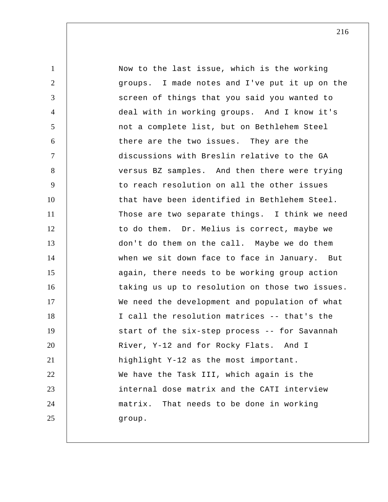1 2 3 4 5 6 7 8 9 10 11 12 13 14 15 16 17 18 19 20 21 22 23 24 25 Now to the last issue, which is the working groups. I made notes and I've put it up on the screen of things that you said you wanted to deal with in working groups. And I know it's not a complete list, but on Bethlehem Steel there are the two issues. They are the discussions with Breslin relative to the GA versus BZ samples. And then there were trying to reach resolution on all the other issues that have been identified in Bethlehem Steel. Those are two separate things. I think we need to do them. Dr. Melius is correct, maybe we don't do them on the call. Maybe we do them when we sit down face to face in January. But again, there needs to be working group action taking us up to resolution on those two issues. We need the development and population of what I call the resolution matrices -- that's the start of the six-step process -- for Savannah River, Y-12 and for Rocky Flats. And I highlight Y-12 as the most important. We have the Task III, which again is the internal dose matrix and the CATI interview matrix. That needs to be done in working group.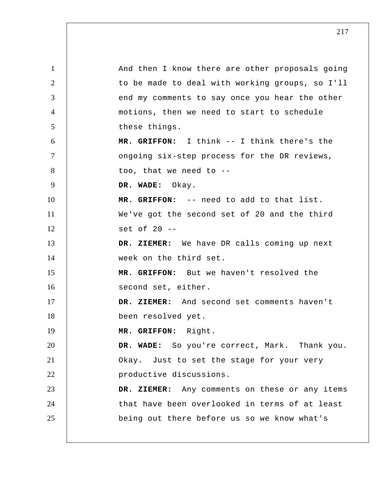1 2 3 4 5 6 7 8 9 10 11 12 13 14 15 16 17 18 19 20 21 22 23 24 25 And then I know there are other proposals going to be made to deal with working groups, so I'll end my comments to say once you hear the other motions, then we need to start to schedule these things.  **MR. GRIFFON:** I think -- I think there's the ongoing six-step process for the DR reviews, too, that we need to --  **DR. WADE:** Okay.  **MR. GRIFFON:** -- need to add to that list. We've got the second set of 20 and the third set of 20 --  **DR. ZIEMER:** We have DR calls coming up next week on the third set.  **MR. GRIFFON:** But we haven't resolved the second set, either.  **DR. ZIEMER:** And second set comments haven't been resolved yet.  **MR. GRIFFON:** Right.  **DR. WADE:** So you're correct, Mark. Thank you. Okay. Just to set the stage for your very productive discussions.  **DR. ZIEMER:** Any comments on these or any items that have been overlooked in terms of at least being out there before us so we know what's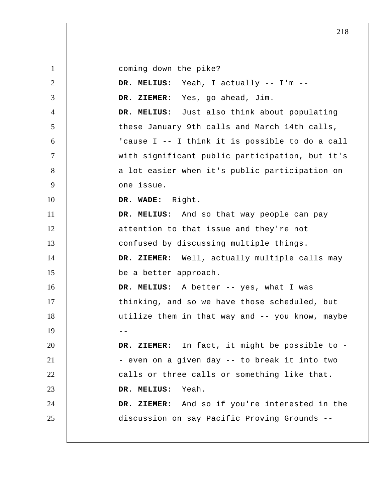1 2 3 4 5 6 7 8 9 10 11 12 13 14 15 16 17 18  $19$  --20 21 22 23 24 25 coming down the pike?  **DR. MELIUS:** Yeah, I actually -- I'm --  **DR. ZIEMER:** Yes, go ahead, Jim.  **DR. MELIUS:** Just also think about populating these January 9th calls and March 14th calls, 'cause I -- I think it is possible to do a call with significant public participation, but it's a lot easier when it's public participation on one issue.  **DR. WADE:** Right.  **DR. MELIUS:** And so that way people can pay attention to that issue and they're not confused by discussing multiple things.  **DR. ZIEMER:** Well, actually multiple calls may be a better approach.  **DR. MELIUS:** A better -- yes, what I was thinking, and so we have those scheduled, but utilize them in that way and -- you know, maybe  **DR. ZIEMER:** In fact, it might be possible to - - even on a given day -- to break it into two calls or three calls or something like that.  **DR. MELIUS:** Yeah.  **DR. ZIEMER:** And so if you're interested in the discussion on say Pacific Proving Grounds --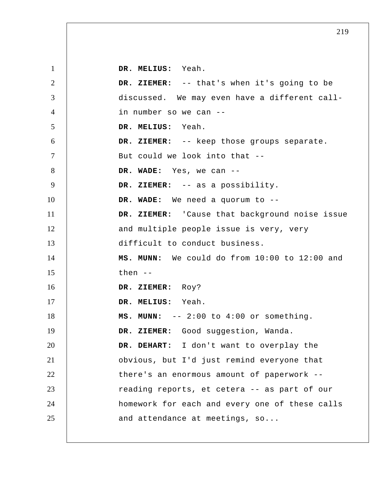1 2 3 4 5 6 7 8 9 10 11 12 13 14 15 16 17 18 19 20 21 22 23 24 25  **DR. MELIUS:** Yeah.  **DR. ZIEMER:** -- that's when it's going to be discussed. We may even have a different callin number so we can --  **DR. MELIUS:** Yeah.  **DR. ZIEMER:** -- keep those groups separate. But could we look into that --  **DR. WADE:** Yes, we can --  **DR. ZIEMER:** -- as a possibility.  **DR. WADE:** We need a quorum to --  **DR. ZIEMER:** 'Cause that background noise issue and multiple people issue is very, very difficult to conduct business.  **MS. MUNN:** We could do from 10:00 to 12:00 and then --  **DR. ZIEMER:** Roy?  **DR. MELIUS:** Yeah.  **MS. MUNN:** -- 2:00 to 4:00 or something. DR. ZIEMER: Good suggestion, Wanda.  **DR. DEHART:** I don't want to overplay the obvious, but I'd just remind everyone that there's an enormous amount of paperwork - reading reports, et cetera -- as part of our homework for each and every one of these calls and attendance at meetings, so...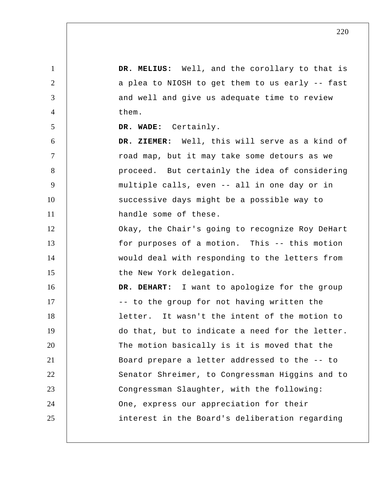1 2 3 4 5 6 7 8 9 10 11 12 13 14 15 16 17 18 19 20 21 22 23 24 25  **DR. MELIUS:** Well, and the corollary to that is a plea to NIOSH to get them to us early -- fast and well and give us adequate time to review them.  **DR. WADE:** Certainly.  **DR. ZIEMER:** Well, this will serve as a kind of road map, but it may take some detours as we proceed. But certainly the idea of considering multiple calls, even -- all in one day or in successive days might be a possible way to handle some of these. Okay, the Chair's going to recognize Roy DeHart for purposes of a motion. This -- this motion would deal with responding to the letters from the New York delegation.  **DR. DEHART:** I want to apologize for the group -- to the group for not having written the letter. It wasn't the intent of the motion to do that, but to indicate a need for the letter. The motion basically is it is moved that the Board prepare a letter addressed to the -- to Senator Shreimer, to Congressman Higgins and to Congressman Slaughter, with the following: One, express our appreciation for their interest in the Board's deliberation regarding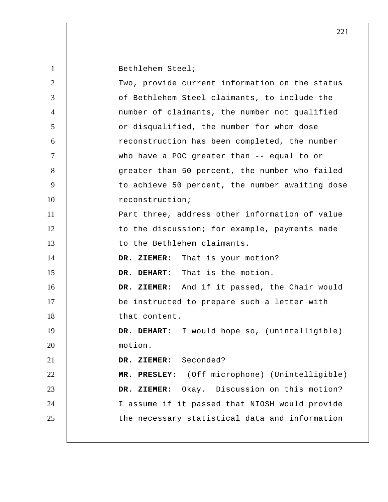| $\mathbf{1}$   | Bethlehem Steel;                                 |
|----------------|--------------------------------------------------|
| $\overline{2}$ | Two, provide current information on the status   |
| 3              | of Bethlehem Steel claimants, to include the     |
| $\overline{4}$ | number of claimants, the number not qualified    |
| 5              | or disqualified, the number for whom dose        |
| 6              | reconstruction has been completed, the number    |
| $\tau$         | who have a POC greater than -- equal to or       |
| 8              | greater than 50 percent, the number who failed   |
| 9              | to achieve 50 percent, the number awaiting dose  |
| 10             | reconstruction;                                  |
| 11             | Part three, address other information of value   |
| 12             | to the discussion; for example, payments made    |
| 13             | to the Bethlehem claimants.                      |
| 14             | DR. ZIEMER: That is your motion?                 |
| 15             | DR. DEHART: That is the motion.                  |
| 16             | DR. ZIEMER: And if it passed, the Chair would    |
| 17             | be instructed to prepare such a letter with      |
| 18             | that content.                                    |
| 19             | I would hope so, (unintelligible)<br>DR. DEHART: |
| 20             | motion.                                          |
| 21             | DR. ZIEMER: Seconded?                            |
| 22             | MR. PRESLEY: (Off microphone) (Unintelligible)   |
| 23             | Okay. Discussion on this motion?<br>DR. ZIEMER:  |
| 24             | I assume if it passed that NIOSH would provide   |
| 25             | the necessary statistical data and information   |
|                |                                                  |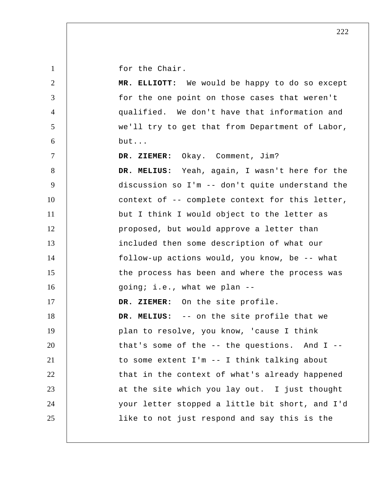for the Chair.

| $\overline{2}$ | MR. ELLIOTT: We would be happy to do so except    |
|----------------|---------------------------------------------------|
| 3              | for the one point on those cases that weren't     |
| $\overline{4}$ | qualified. We don't have that information and     |
| 5              | we'll try to get that from Department of Labor,   |
| 6              | but                                               |
| $\tau$         | DR. ZIEMER: Okay. Comment, Jim?                   |
| 8              | DR. MELIUS: Yeah, again, I wasn't here for the    |
| 9              | discussion so I'm -- don't quite understand the   |
| 10             | context of -- complete context for this letter,   |
| 11             | but I think I would object to the letter as       |
| 12             | proposed, but would approve a letter than         |
| 13             | included then some description of what our        |
| 14             | follow-up actions would, you know, be -- what     |
| 15             | the process has been and where the process was    |
| 16             | going; i.e., what we plan --                      |
| 17             | DR. ZIEMER: On the site profile.                  |
| 18             | DR. MELIUS: -- on the site profile that we        |
| 19             | plan to resolve, you know, 'cause I think         |
| 20             | that's some of the $--$ the questions. And I $--$ |
| 21             | to some extent I'm -- I think talking about       |
| 22             | that in the context of what's already happened    |
| 23             | at the site which you lay out. I just thought     |
| 24             | your letter stopped a little bit short, and I'd   |
| 25             | like to not just respond and say this is the      |
|                |                                                   |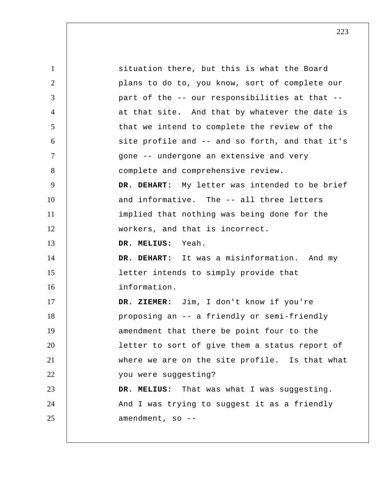1 2 3 4 5 6 7 8 9 10 11 12 13 14 15 16 17 18 19 20 21 22 23 24 25 situation there, but this is what the Board plans to do to, you know, sort of complete our part of the -- our responsibilities at that - at that site. And that by whatever the date is that we intend to complete the review of the site profile and -- and so forth, and that it's gone -- undergone an extensive and very complete and comprehensive review.  **DR. DEHART:** My letter was intended to be brief and informative. The -- all three letters implied that nothing was being done for the workers, and that is incorrect.  **DR. MELIUS:** Yeah.  **DR. DEHART:** It was a misinformation. And my letter intends to simply provide that information.  **DR. ZIEMER:** Jim, I don't know if you're proposing an -- a friendly or semi-friendly amendment that there be point four to the letter to sort of give them a status report of where we are on the site profile. Is that what you were suggesting?  **DR. MELIUS:** That was what I was suggesting. And I was trying to suggest it as a friendly amendment, so --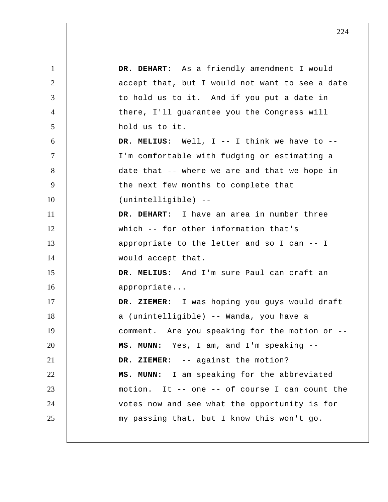1 2 3 4 5 6 7 8 9 10 11 12 13 14 15 16 17 18 19 20 21 22 23 24 25  **DR. DEHART:** As a friendly amendment I would accept that, but I would not want to see a date to hold us to it. And if you put a date in there, I'll guarantee you the Congress will hold us to it.  **DR. MELIUS:** Well, I -- I think we have to -- I'm comfortable with fudging or estimating a date that -- where we are and that we hope in the next few months to complete that (unintelligible) --  **DR. DEHART:** I have an area in number three which -- for other information that's appropriate to the letter and so I can -- I would accept that.  **DR. MELIUS:** And I'm sure Paul can craft an appropriate...  **DR. ZIEMER:** I was hoping you guys would draft a (unintelligible) -- Wanda, you have a comment. Are you speaking for the motion or --  **MS. MUNN:** Yes, I am, and I'm speaking --  **DR. ZIEMER:** -- against the motion?  **MS. MUNN:** I am speaking for the abbreviated motion. It -- one -- of course I can count the votes now and see what the opportunity is for my passing that, but I know this won't go.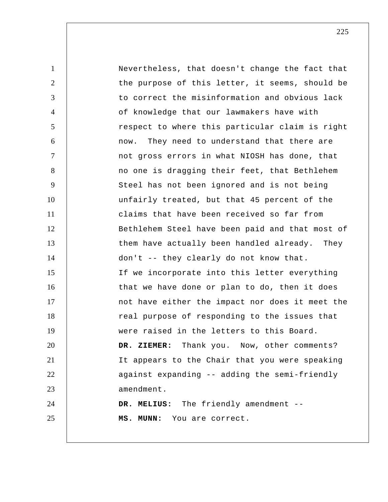1 2 3 4 5 6 7 8 9 10 11 12 13 14 15 16 17 18 19 20 21 22 23 24 25 Nevertheless, that doesn't change the fact that the purpose of this letter, it seems, should be to correct the misinformation and obvious lack of knowledge that our lawmakers have with respect to where this particular claim is right now. They need to understand that there are not gross errors in what NIOSH has done, that no one is dragging their feet, that Bethlehem Steel has not been ignored and is not being unfairly treated, but that 45 percent of the claims that have been received so far from Bethlehem Steel have been paid and that most of them have actually been handled already. They don't -- they clearly do not know that. If we incorporate into this letter everything that we have done or plan to do, then it does not have either the impact nor does it meet the real purpose of responding to the issues that were raised in the letters to this Board.  **DR. ZIEMER:** Thank you. Now, other comments? It appears to the Chair that you were speaking against expanding -- adding the semi-friendly amendment.  **DR. MELIUS:** The friendly amendment --  **MS. MUNN:** You are correct.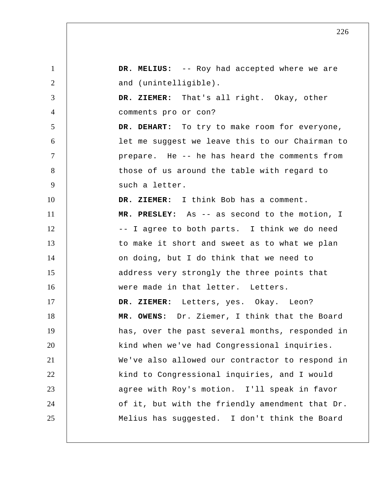1 2 3 4 5 6 7 8 9 10 11 12 13 14 15 16 17 18 19 20 21 22 23 24 25  **DR. MELIUS:** -- Roy had accepted where we are and (unintelligible).  **DR. ZIEMER:** That's all right. Okay, other comments pro or con?  **DR. DEHART:** To try to make room for everyone, let me suggest we leave this to our Chairman to prepare. He -- he has heard the comments from those of us around the table with regard to such a letter.  **DR. ZIEMER:** I think Bob has a comment.  **MR. PRESLEY:** As -- as second to the motion, I -- I agree to both parts. I think we do need to make it short and sweet as to what we plan on doing, but I do think that we need to address very strongly the three points that were made in that letter. Letters.  **DR. ZIEMER:** Letters, yes. Okay. Leon? **MR. OWENS:** Dr. Ziemer, I think that the Board has, over the past several months, responded in kind when we've had Congressional inquiries. We've also allowed our contractor to respond in kind to Congressional inquiries, and I would agree with Roy's motion. I'll speak in favor of it, but with the friendly amendment that Dr. Melius has suggested. I don't think the Board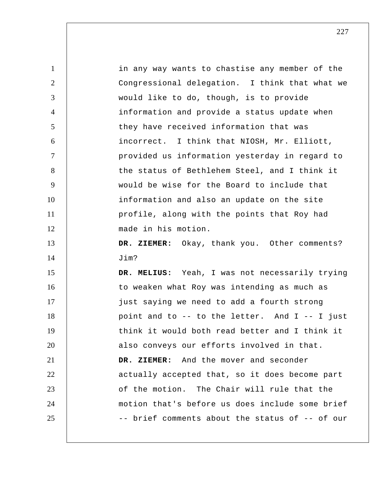| $\mathbf{1}$   | in any way wants to chastise any member of the  |
|----------------|-------------------------------------------------|
| 2              | Congressional delegation. I think that what we  |
| 3              | would like to do, though, is to provide         |
| $\overline{4}$ | information and provide a status update when    |
| 5              | they have received information that was         |
| 6              | incorrect. I think that NIOSH, Mr. Elliott,     |
| $\tau$         | provided us information yesterday in regard to  |
| 8              | the status of Bethlehem Steel, and I think it   |
| 9              | would be wise for the Board to include that     |
| 10             | information and also an update on the site      |
| 11             | profile, along with the points that Roy had     |
| 12             | made in his motion.                             |
| 13             | DR. ZIEMER: Okay, thank you. Other comments?    |
| 14             | Jim?                                            |
| 15             | DR. MELIUS: Yeah, I was not necessarily trying  |
| 16             | to weaken what Roy was intending as much as     |
| 17             | just saying we need to add a fourth strong      |
| 18             | point and to -- to the letter. And I -- I just  |
| 19             | think it would both read better and I think it  |
| 20             | also conveys our efforts involved in that.      |
| 21             | DR. ZIEMER: And the mover and seconder          |
| 22             | actually accepted that, so it does become part  |
| 23             | of the motion. The Chair will rule that the     |
| 24             | motion that's before us does include some brief |
| 25             | -- brief comments about the status of -- of our |
|                |                                                 |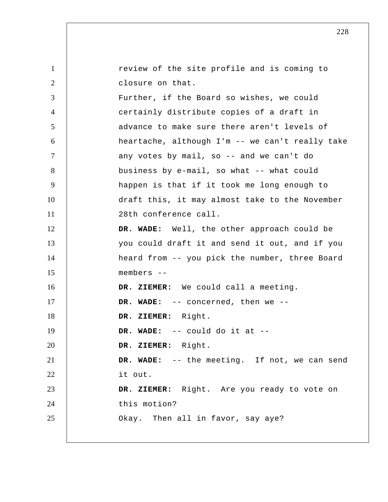| $\mathbf{1}$   | review of the site profile and is coming to     |
|----------------|-------------------------------------------------|
| 2              | closure on that.                                |
| 3              | Further, if the Board so wishes, we could       |
| $\overline{4}$ | certainly distribute copies of a draft in       |
| 5              | advance to make sure there aren't levels of     |
| 6              | heartache, although I'm -- we can't really take |
| $\tau$         | any votes by mail, so -- and we can't do        |
| 8              | business by e-mail, so what -- what could       |
| 9              | happen is that if it took me long enough to     |
| 10             | draft this, it may almost take to the November  |
| 11             | 28th conference call.                           |
| 12             | DR. WADE: Well, the other approach could be     |
| 13             | you could draft it and send it out, and if you  |
| 14             | heard from -- you pick the number, three Board  |
| 15             | members --                                      |
| 16             | DR. ZIEMER: We could call a meeting.            |
| 17             | DR. WADE: -- concerned, then we --              |
| 18             | DR. ZIEMER:<br>Right.                           |
| 19             | DR. WADE: $--$ could do it at $--$              |
| 20             | DR. ZIEMER: Right.                              |
| 21             | DR. WADE: -- the meeting. If not, we can send   |
| 22             | it out.                                         |
| 23             | DR. ZIEMER: Right. Are you ready to vote on     |
| 24             | this motion?                                    |
| 25             | Okay. Then all in favor, say aye?               |
|                |                                                 |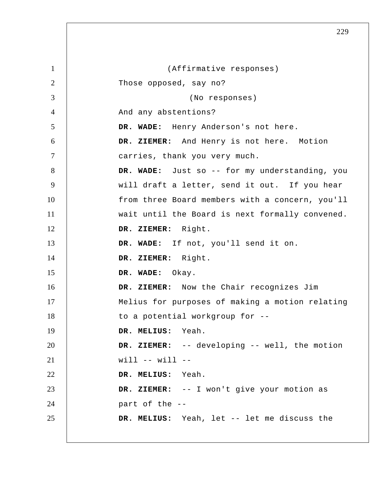| $\mathbf{1}$   | (Affirmative responses)                         |
|----------------|-------------------------------------------------|
| $\overline{2}$ | Those opposed, say no?                          |
| 3              | (No responses)                                  |
| $\overline{4}$ | And any abstentions?                            |
| 5              | DR. WADE: Henry Anderson's not here.            |
| 6              | DR. ZIEMER: And Henry is not here. Motion       |
| $\tau$         | carries, thank you very much.                   |
| 8              | DR. WADE: Just so -- for my understanding, you  |
| 9              | will draft a letter, send it out. If you hear   |
| 10             | from three Board members with a concern, you'll |
| 11             | wait until the Board is next formally convened. |
| 12             | DR. ZIEMER: Right.                              |
| 13             | DR. WADE: If not, you'll send it on.            |
| 14             | DR. ZIEMER: Right.                              |
| 15             | DR. WADE:<br>Okay.                              |
| 16             | DR. ZIEMER: Now the Chair recognizes Jim        |
| 17             | Melius for purposes of making a motion relating |
| 18             | to a potential workgroup for --                 |
| 19             | DR. MELIUS: Yeah.                               |
| 20             | DR. ZIEMER: -- developing -- well, the motion   |
| 21             | $will -- will --$                               |
| 22             | DR. MELIUS: Yeah.                               |
| 23             | DR. ZIEMER: -- I won't give your motion as      |
| 24             | part of the --                                  |
| 25             | DR. MELIUS: Yeah, let -- let me discuss the     |
|                |                                                 |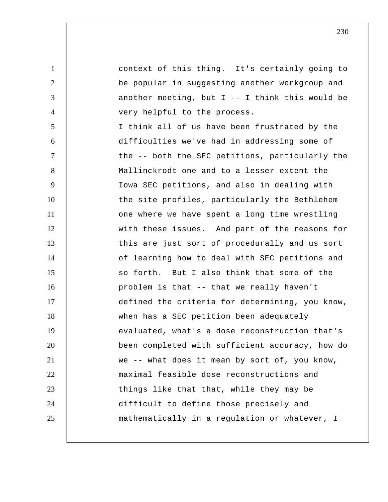context of this thing. It's certainly going to be popular in suggesting another workgroup and another meeting, but  $I$  -- I think this would be very helpful to the process.

1

2

3

4

5 6 7 8 9 10 11 12 13 14 15 16 17 18 19 20 21 22 23 24 25 I think all of us have been frustrated by the difficulties we've had in addressing some of the -- both the SEC petitions, particularly the Mallinckrodt one and to a lesser extent the Iowa SEC petitions, and also in dealing with the site profiles, particularly the Bethlehem one where we have spent a long time wrestling with these issues. And part of the reasons for this are just sort of procedurally and us sort of learning how to deal with SEC petitions and so forth. But I also think that some of the problem is that -- that we really haven't defined the criteria for determining, you know, when has a SEC petition been adequately evaluated, what's a dose reconstruction that's been completed with sufficient accuracy, how do we -- what does it mean by sort of, you know, maximal feasible dose reconstructions and things like that that, while they may be difficult to define those precisely and mathematically in a regulation or whatever, I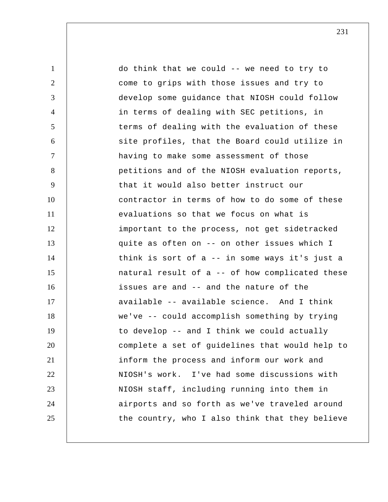1 2 3 4 5 6 7 8 9 10 11 12 13 14 15 16 17 18 19 20 21 22 23 24 25 do think that we could -- we need to try to come to grips with those issues and try to develop some guidance that NIOSH could follow in terms of dealing with SEC petitions, in terms of dealing with the evaluation of these site profiles, that the Board could utilize in having to make some assessment of those petitions and of the NIOSH evaluation reports, that it would also better instruct our contractor in terms of how to do some of these evaluations so that we focus on what is important to the process, not get sidetracked quite as often on -- on other issues which I think is sort of a -- in some ways it's just a natural result of a -- of how complicated these issues are and -- and the nature of the available -- available science. And I think we've -- could accomplish something by trying to develop -- and I think we could actually complete a set of guidelines that would help to inform the process and inform our work and NIOSH's work. I've had some discussions with NIOSH staff, including running into them in airports and so forth as we've traveled around the country, who I also think that they believe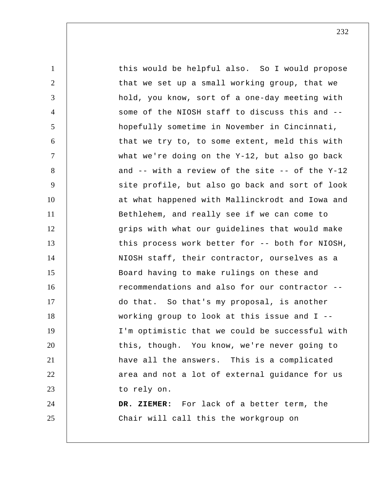1 2 3 4 5 6 7 8 9 10 11 12 13 14 15 16 17 18 19 20 21 22 23 24 25 this would be helpful also. So I would propose that we set up a small working group, that we hold, you know, sort of a one-day meeting with some of the NIOSH staff to discuss this and - hopefully sometime in November in Cincinnati, that we try to, to some extent, meld this with what we're doing on the Y-12, but also go back and -- with a review of the site -- of the Y-12 site profile, but also go back and sort of look at what happened with Mallinckrodt and Iowa and Bethlehem, and really see if we can come to grips with what our guidelines that would make this process work better for -- both for NIOSH, NIOSH staff, their contractor, ourselves as a Board having to make rulings on these and recommendations and also for our contractor - do that. So that's my proposal, is another working group to look at this issue and I -- I'm optimistic that we could be successful with this, though. You know, we're never going to have all the answers. This is a complicated area and not a lot of external guidance for us to rely on.  **DR. ZIEMER:** For lack of a better term, the Chair will call this the workgroup on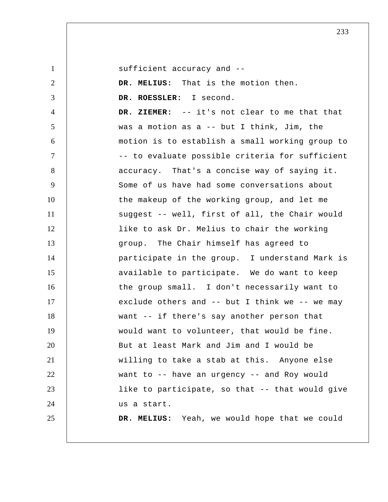sufficient accuracy and --

1

2 3 4 5 6 7 8 9 10 11 12 13 14 15 16 17 18 19 20 21 22 23 24 25  **DR. MELIUS:** That is the motion then. **DR. ROESSLER:** I second.  **DR. ZIEMER:** -- it's not clear to me that that was a motion as a -- but I think, Jim, the motion is to establish a small working group to -- to evaluate possible criteria for sufficient accuracy. That's a concise way of saying it. Some of us have had some conversations about the makeup of the working group, and let me suggest -- well, first of all, the Chair would like to ask Dr. Melius to chair the working group. The Chair himself has agreed to participate in the group. I understand Mark is available to participate. We do want to keep the group small. I don't necessarily want to exclude others and -- but I think we -- we may want -- if there's say another person that would want to volunteer, that would be fine. But at least Mark and Jim and I would be willing to take a stab at this. Anyone else want to -- have an urgency -- and Roy would like to participate, so that -- that would give us a start.  **DR. MELIUS:** Yeah, we would hope that we could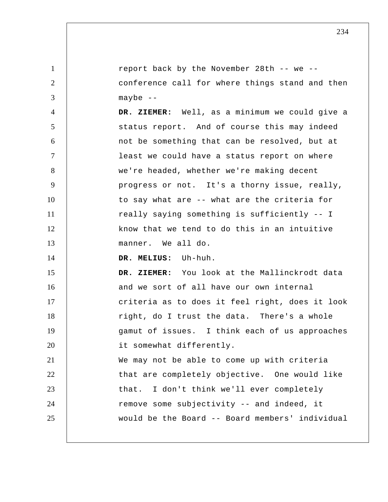1 2 3 4 5 6 7 8 9 10 11 12 13 14 15 16 17 18 19 20 21 22 23 24 25 report back by the November 28th -- we - conference call for where things stand and then maybe --  **DR. ZIEMER:** Well, as a minimum we could give a status report. And of course this may indeed not be something that can be resolved, but at least we could have a status report on where we're headed, whether we're making decent progress or not. It's a thorny issue, really, to say what are -- what are the criteria for really saying something is sufficiently -- I know that we tend to do this in an intuitive manner. We all do.  **DR. MELIUS:** Uh-huh.  **DR. ZIEMER:** You look at the Mallinckrodt data and we sort of all have our own internal criteria as to does it feel right, does it look right, do I trust the data. There's a whole gamut of issues. I think each of us approaches it somewhat differently. We may not be able to come up with criteria that are completely objective. One would like that. I don't think we'll ever completely remove some subjectivity -- and indeed, it would be the Board -- Board members' individual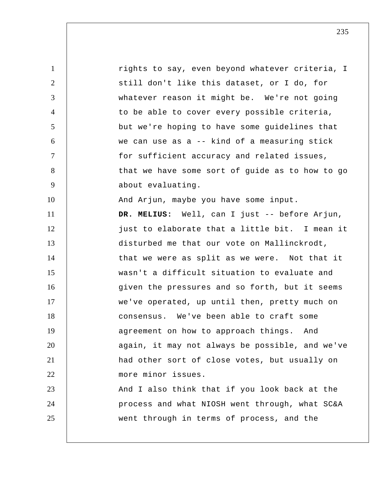1 2 3 4 5 6 7 8 9 10 11 12 13 14 15 16 17 18 19 20 21 22 23 24 25 rights to say, even beyond whatever criteria, I still don't like this dataset, or I do, for whatever reason it might be. We're not going to be able to cover every possible criteria, but we're hoping to have some guidelines that we can use as a -- kind of a measuring stick for sufficient accuracy and related issues, that we have some sort of guide as to how to go about evaluating. And Arjun, maybe you have some input.  **DR. MELIUS:** Well, can I just -- before Arjun, just to elaborate that a little bit. I mean it disturbed me that our vote on Mallinckrodt, that we were as split as we were. Not that it wasn't a difficult situation to evaluate and given the pressures and so forth, but it seems we've operated, up until then, pretty much on consensus. We've been able to craft some agreement on how to approach things. And again, it may not always be possible, and we've had other sort of close votes, but usually on more minor issues. And I also think that if you look back at the process and what NIOSH went through, what SC&A went through in terms of process, and the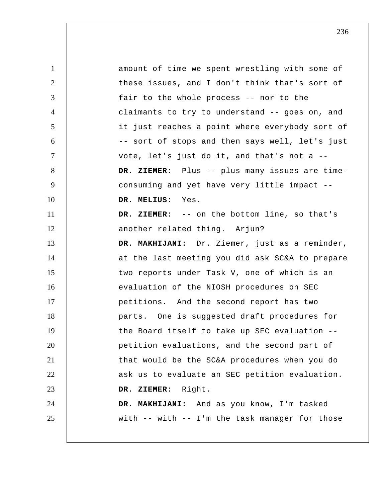1 2 3 4 5 6 7 8 9 10 11 12 13 14 15 16 17 18 19 20 21 22 23 24 25 amount of time we spent wrestling with some of these issues, and I don't think that's sort of fair to the whole process -- nor to the claimants to try to understand -- goes on, and it just reaches a point where everybody sort of -- sort of stops and then says well, let's just vote, let's just do it, and that's not a --  **DR. ZIEMER:** Plus -- plus many issues are timeconsuming and yet have very little impact --  **DR. MELIUS:** Yes.  **DR. ZIEMER:** -- on the bottom line, so that's another related thing. Arjun?  **DR. MAKHIJANI:** Dr. Ziemer, just as a reminder, at the last meeting you did ask SC&A to prepare two reports under Task V, one of which is an evaluation of the NIOSH procedures on SEC petitions. And the second report has two parts. One is suggested draft procedures for the Board itself to take up SEC evaluation - petition evaluations, and the second part of that would be the SC&A procedures when you do ask us to evaluate an SEC petition evaluation.  **DR. ZIEMER:** Right.  **DR. MAKHIJANI:** And as you know, I'm tasked with -- with -- I'm the task manager for those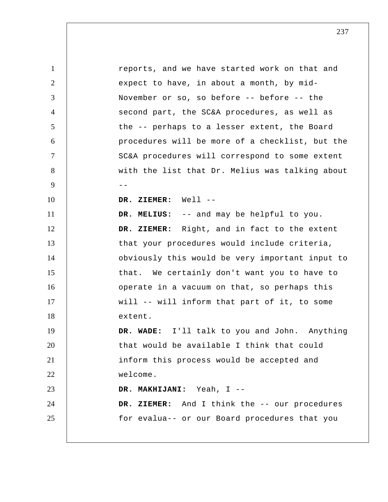1 2 3 4 5 6 7 8 9 -- 10 11 12 13 14 15 16 17 18 19 20 21 22 23 24 25 reports, and we have started work on that and expect to have, in about a month, by mid-November or so, so before -- before -- the second part, the SC&A procedures, as well as the -- perhaps to a lesser extent, the Board procedures will be more of a checklist, but the SC&A procedures will correspond to some extent with the list that Dr. Melius was talking about  **DR. ZIEMER:** Well --  **DR. MELIUS:** -- and may be helpful to you.  **DR. ZIEMER:** Right, and in fact to the extent that your procedures would include criteria, obviously this would be very important input to that. We certainly don't want you to have to operate in a vacuum on that, so perhaps this will -- will inform that part of it, to some extent.  **DR. WADE:** I'll talk to you and John. Anything that would be available I think that could inform this process would be accepted and welcome.  **DR. MAKHIJANI:** Yeah, I --  **DR. ZIEMER:** And I think the -- our procedures for evalua-- or our Board procedures that you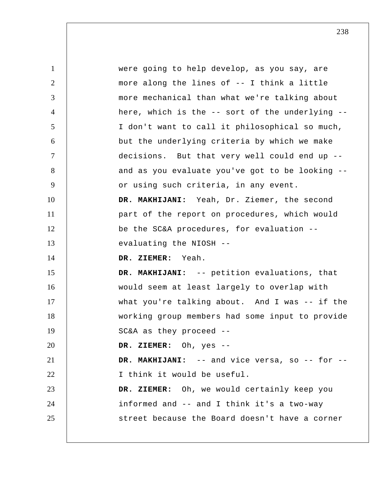1 2 3 4 5 6 7 8 9 10 11 12 13 14 15 16 17 18 19 20 21 22 23 24 25 were going to help develop, as you say, are more along the lines of -- I think a little more mechanical than what we're talking about here, which is the -- sort of the underlying -- I don't want to call it philosophical so much, but the underlying criteria by which we make decisions. But that very well could end up - and as you evaluate you've got to be looking - or using such criteria, in any event.  **DR. MAKHIJANI:** Yeah, Dr. Ziemer, the second part of the report on procedures, which would be the SC&A procedures, for evaluation - evaluating the NIOSH --  **DR. ZIEMER:** Yeah.  **DR. MAKHIJANI:** -- petition evaluations, that would seem at least largely to overlap with what you're talking about. And I was -- if the working group members had some input to provide SC&A as they proceed --  **DR. ZIEMER:** Oh, yes --  **DR. MAKHIJANI:** -- and vice versa, so -- for -- I think it would be useful.  **DR. ZIEMER:** Oh, we would certainly keep you informed and -- and I think it's a two-way street because the Board doesn't have a corner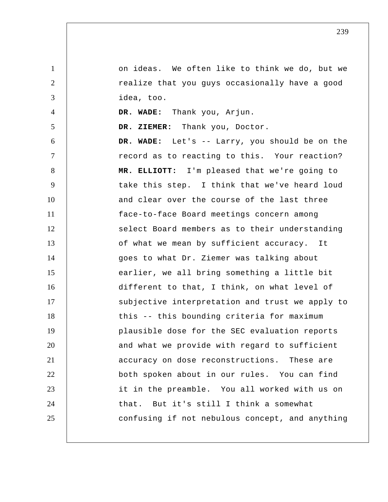1 2 3 4 5 6 7 8 9 10 11 12 13 14 15 16 17 18 19 20 21 22 23 24 25 on ideas. We often like to think we do, but we realize that you guys occasionally have a good idea, too.  **DR. WADE:** Thank you, Arjun.  **DR. ZIEMER:** Thank you, Doctor.  **DR. WADE:** Let's -- Larry, you should be on the record as to reacting to this. Your reaction?  **MR. ELLIOTT:** I'm pleased that we're going to take this step. I think that we've heard loud and clear over the course of the last three face-to-face Board meetings concern among select Board members as to their understanding of what we mean by sufficient accuracy. It goes to what Dr. Ziemer was talking about earlier, we all bring something a little bit different to that, I think, on what level of subjective interpretation and trust we apply to this -- this bounding criteria for maximum plausible dose for the SEC evaluation reports and what we provide with regard to sufficient accuracy on dose reconstructions. These are both spoken about in our rules. You can find it in the preamble. You all worked with us on that. But it's still I think a somewhat confusing if not nebulous concept, and anything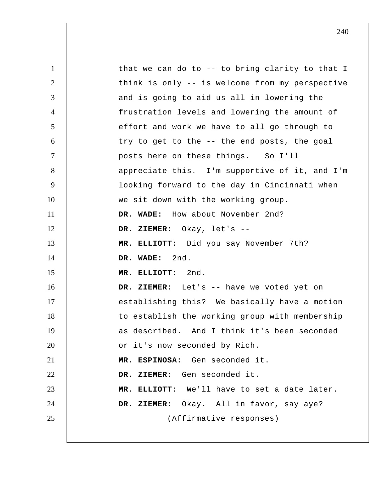1 2 3 4 5 6 7 8 9 10 11 12 13 14 15 16 17 18 19 20 21 22 23 24 25 that we can do to -- to bring clarity to that I think is only -- is welcome from my perspective and is going to aid us all in lowering the frustration levels and lowering the amount of effort and work we have to all go through to try to get to the -- the end posts, the goal posts here on these things. So I'll appreciate this. I'm supportive of it, and I'm looking forward to the day in Cincinnati when we sit down with the working group.  **DR. WADE:** How about November 2nd?  **DR. ZIEMER:** Okay, let's --  **MR. ELLIOTT:** Did you say November 7th?  **DR. WADE:** 2nd.  **MR. ELLIOTT:** 2nd.  **DR. ZIEMER:** Let's -- have we voted yet on establishing this? We basically have a motion to establish the working group with membership as described. And I think it's been seconded or it's now seconded by Rich. **MR. ESPINOSA:** Gen seconded it.  **DR. ZIEMER:** Gen seconded it.  **MR. ELLIOTT:** We'll have to set a date later.  **DR. ZIEMER:** Okay. All in favor, say aye? (Affirmative responses)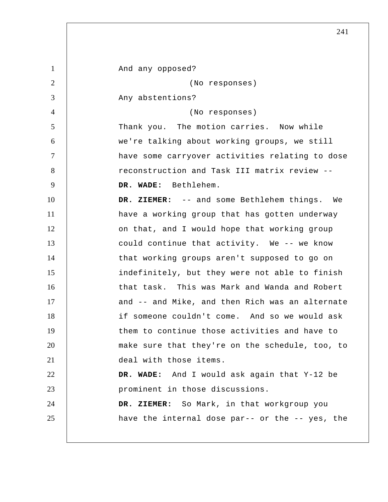1 2 3 4 5 6 7 8 9 10 11 12 13 14 15 16 17 18 19 20 21 22 23 24 25 And any opposed? (No responses) Any abstentions? (No responses) Thank you. The motion carries. Now while we're talking about working groups, we still have some carryover activities relating to dose reconstruction and Task III matrix review --  **DR. WADE:** Bethlehem.  **DR. ZIEMER:** -- and some Bethlehem things. We have a working group that has gotten underway on that, and I would hope that working group could continue that activity. We -- we know that working groups aren't supposed to go on indefinitely, but they were not able to finish that task. This was Mark and Wanda and Robert and -- and Mike, and then Rich was an alternate if someone couldn't come. And so we would ask them to continue those activities and have to make sure that they're on the schedule, too, to deal with those items.  **DR. WADE:** And I would ask again that Y-12 be prominent in those discussions.  **DR. ZIEMER:** So Mark, in that workgroup you have the internal dose par-- or the -- yes, the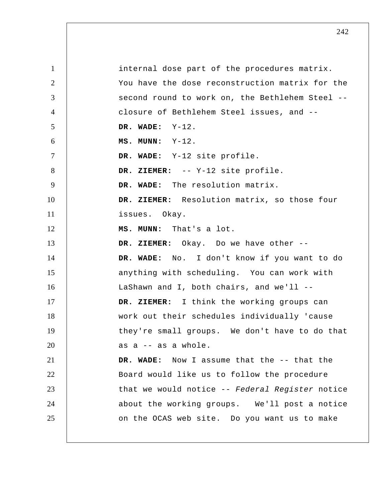1 2 3 4 5 6 7 8 9 10 11 12 13 14 15 16 17 18 19 20 21 22 23 24 25 internal dose part of the procedures matrix. You have the dose reconstruction matrix for the second round to work on, the Bethlehem Steel - closure of Bethlehem Steel issues, and --  **DR. WADE:** Y-12.  **MS. MUNN:** Y-12.  **DR. WADE:** Y-12 site profile.  **DR. ZIEMER:** -- Y-12 site profile.  **DR. WADE:** The resolution matrix.  **DR. ZIEMER:** Resolution matrix, so those four issues. Okay.  **MS. MUNN:** That's a lot.  **DR. ZIEMER:** Okay. Do we have other --  **DR. WADE:** No. I don't know if you want to do anything with scheduling. You can work with LaShawn and I, both chairs, and we'll --  **DR. ZIEMER:** I think the working groups can work out their schedules individually 'cause they're small groups. We don't have to do that as a -- as a whole.  **DR. WADE:** Now I assume that the -- that the Board would like us to follow the procedure that we would notice -- *Federal Register* notice about the working groups. We'll post a notice on the OCAS web site. Do you want us to make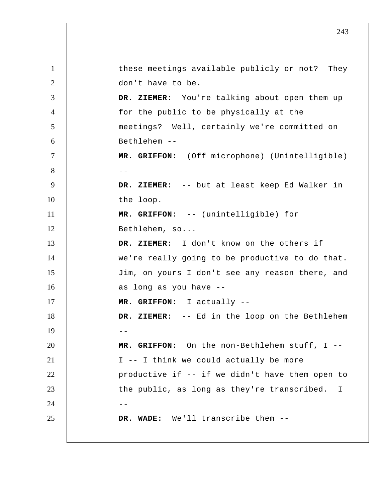1 2 3 4 5 6 7 8 --9 10 11 12 13 14 15 16 17 18  $19$  --20 21 22 23  $24$  --25 these meetings available publicly or not? They don't have to be.  **DR. ZIEMER:** You're talking about open them up for the public to be physically at the meetings? Well, certainly we're committed on Bethlehem --  **MR. GRIFFON:** (Off microphone) (Unintelligible)  **DR. ZIEMER:** -- but at least keep Ed Walker in the loop.  **MR. GRIFFON:** -- (unintelligible) for Bethlehem, so...  **DR. ZIEMER:** I don't know on the others if we're really going to be productive to do that. Jim, on yours I don't see any reason there, and as long as you have --  **MR. GRIFFON:** I actually --  **DR. ZIEMER:** -- Ed in the loop on the Bethlehem  **MR. GRIFFON:** On the non-Bethlehem stuff, I -- I -- I think we could actually be more productive if -- if we didn't have them open to the public, as long as they're transcribed.  **DR. WADE:** We'll transcribe them -- I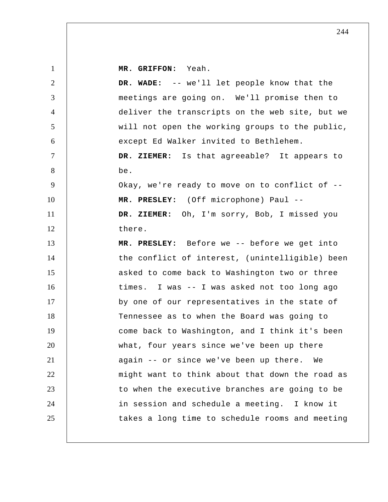**MR. GRIFFON:** Yeah.

| $\overline{2}$ | DR. WADE: -- we'll let people know that the     |
|----------------|-------------------------------------------------|
| 3              | meetings are going on. We'll promise then to    |
| $\overline{4}$ | deliver the transcripts on the web site, but we |
| 5              | will not open the working groups to the public, |
| 6              | except Ed Walker invited to Bethlehem.          |
| $\tau$         | DR. ZIEMER: Is that agreeable? It appears to    |
| 8              | be.                                             |
| 9              | Okay, we're ready to move on to conflict of --  |
| 10             | MR. PRESLEY: (Off microphone) Paul --           |
| 11             | DR. ZIEMER: Oh, I'm sorry, Bob, I missed you    |
| 12             | there.                                          |
| 13             | MR. PRESLEY: Before we -- before we get into    |
| 14             | the conflict of interest, (unintelligible) been |
| 15             | asked to come back to Washington two or three   |
| 16             | times. I was -- I was asked not too long ago    |
| 17             | by one of our representatives in the state of   |
| 18             | Tennessee as to when the Board was going to     |
| 19             | come back to Washington, and I think it's been  |
| 20             | what, four years since we've been up there      |
| 21             | again -- or since we've been up there. We       |
| 22             | might want to think about that down the road as |
| 23             | to when the executive branches are going to be  |
| 24             | in session and schedule a meeting. I know it    |
| 25             | takes a long time to schedule rooms and meeting |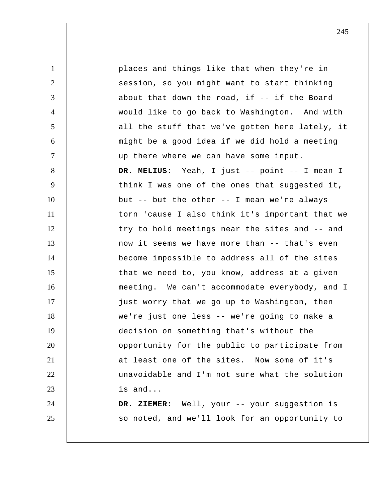1 2 3 4 5 6 7 8 9 10 11 12 13 14 15 16 17 18 19 20 21 22 23 24 25 places and things like that when they're in session, so you might want to start thinking about that down the road, if -- if the Board would like to go back to Washington. And with all the stuff that we've gotten here lately, it might be a good idea if we did hold a meeting up there where we can have some input.  **DR. MELIUS:** Yeah, I just -- point -- I mean I think I was one of the ones that suggested it, but -- but the other -- I mean we're always torn 'cause I also think it's important that we try to hold meetings near the sites and -- and now it seems we have more than -- that's even become impossible to address all of the sites that we need to, you know, address at a given meeting. We can't accommodate everybody, and I just worry that we go up to Washington, then we're just one less -- we're going to make a decision on something that's without the opportunity for the public to participate from at least one of the sites. Now some of it's unavoidable and I'm not sure what the solution is and...  **DR. ZIEMER:** Well, your -- your suggestion is so noted, and we'll look for an opportunity to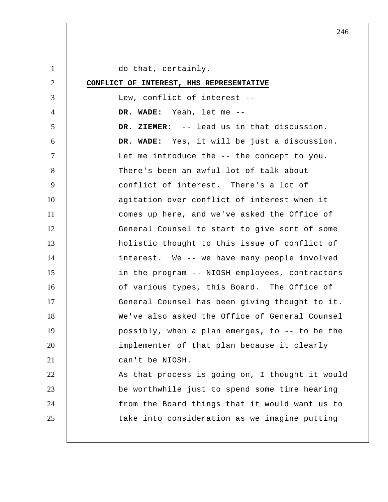1 2 3 4 5 6 7 8 9 10 11 12 13 14 15 16 17 18 19 20 21 22 23 24 25 do that, certainly. **CONFLICT OF INTEREST, HHS REPRESENTATIVE** Lew, conflict of interest --  **DR. WADE:** Yeah, let me --  **DR. ZIEMER:** -- lead us in that discussion.  **DR. WADE:** Yes, it will be just a discussion. Let me introduce the -- the concept to you. There's been an awful lot of talk about conflict of interest. There's a lot of agitation over conflict of interest when it comes up here, and we've asked the Office of General Counsel to start to give sort of some holistic thought to this issue of conflict of interest. We -- we have many people involved in the program -- NIOSH employees, contractors of various types, this Board. The Office of General Counsel has been giving thought to it. We've also asked the Office of General Counsel possibly, when a plan emerges, to -- to be the implementer of that plan because it clearly can't be NIOSH. As that process is going on, I thought it would be worthwhile just to spend some time hearing from the Board things that it would want us to take into consideration as we imagine putting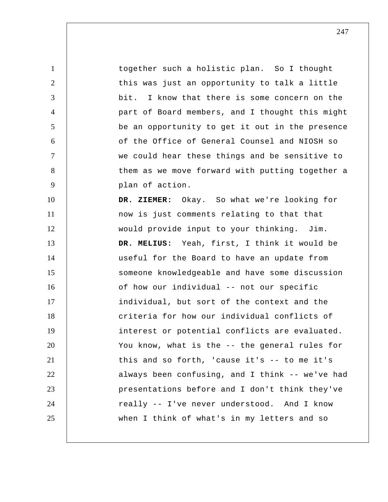together such a holistic plan. So I thought this was just an opportunity to talk a little bit. I know that there is some concern on the part of Board members, and I thought this might be an opportunity to get it out in the presence of the Office of General Counsel and NIOSH so we could hear these things and be sensitive to them as we move forward with putting together a plan of action.  **DR. ZIEMER:** Okay. So what we're looking for now is just comments relating to that that would provide input to your thinking. Jim.  **DR. MELIUS:** Yeah, first, I think it would be useful for the Board to have an update from

1

2

3

4

5

6

7

8

9

10

11

12

13

14 15 16 17 18 19 20 21 22 23 24 25 someone knowledgeable and have some discussion of how our individual -- not our specific individual, but sort of the context and the criteria for how our individual conflicts of interest or potential conflicts are evaluated. You know, what is the -- the general rules for this and so forth, 'cause it's -- to me it's always been confusing, and I think -- we've had presentations before and I don't think they've really -- I've never understood. And I know when I think of what's in my letters and so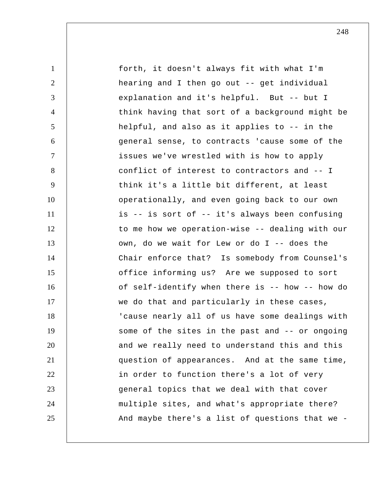| $\mathbf{1}$   | forth, it doesn't always fit with what I'm      |
|----------------|-------------------------------------------------|
| $\overline{2}$ | hearing and I then go out -- get individual     |
| 3              | explanation and it's helpful. But -- but I      |
| $\overline{4}$ | think having that sort of a background might be |
| 5              | helpful, and also as it applies to -- in the    |
| 6              | general sense, to contracts 'cause some of the  |
| $\tau$         | issues we've wrestled with is how to apply      |
| 8              | conflict of interest to contractors and -- I    |
| 9              | think it's a little bit different, at least     |
| 10             | operationally, and even going back to our own   |
| 11             | is -- is sort of -- it's always been confusing  |
| 12             | to me how we operation-wise -- dealing with our |
| 13             | own, do we wait for Lew or do I -- does the     |
| 14             | Chair enforce that? Is somebody from Counsel's  |
| 15             | office informing us? Are we supposed to sort    |
| 16             | of self-identify when there is -- how -- how do |
| 17             | we do that and particularly in these cases,     |
| 18             | 'cause nearly all of us have some dealings with |
| 19             | some of the sites in the past and -- or ongoing |
| 20             | and we really need to understand this and this  |
| 21             | question of appearances. And at the same time,  |
| 22             | in order to function there's a lot of very      |
| 23             | general topics that we deal with that cover     |
| 24             | multiple sites, and what's appropriate there?   |
| 25             | And maybe there's a list of questions that we - |
|                |                                                 |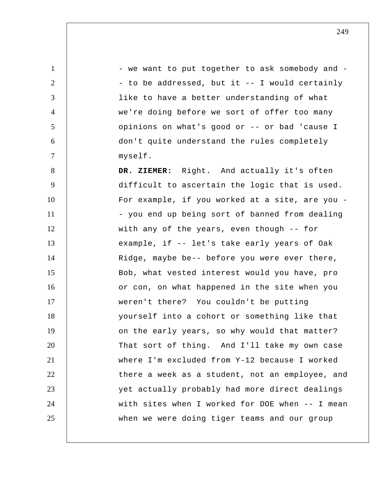1 2 3 4 5 6 7 8 9 10 11 12 13 14 15 16 17 18 19 20 21 22 23 24 25 - we want to put together to ask somebody and - - to be addressed, but it -- I would certainly like to have a better understanding of what we're doing before we sort of offer too many opinions on what's good or -- or bad 'cause I don't quite understand the rules completely myself.  **DR. ZIEMER:** Right. And actually it's often difficult to ascertain the logic that is used. For example, if you worked at a site, are you - - you end up being sort of banned from dealing with any of the years, even though -- for example, if -- let's take early years of Oak Ridge, maybe be-- before you were ever there, Bob, what vested interest would you have, pro or con, on what happened in the site when you weren't there? You couldn't be putting yourself into a cohort or something like that on the early years, so why would that matter? That sort of thing. And I'll take my own case where I'm excluded from Y-12 because I worked there a week as a student, not an employee, and yet actually probably had more direct dealings with sites when I worked for DOE when -- I mean when we were doing tiger teams and our group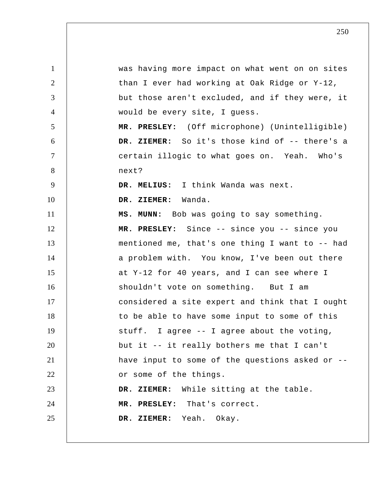1 2 3 4 5 6 7 8 9 10 11 12 13 14 15 16 17 18 19 20 21 22 23 24 25 was having more impact on what went on on sites than I ever had working at Oak Ridge or Y-12, but those aren't excluded, and if they were, it would be every site, I guess.  **MR. PRESLEY:** (Off microphone) (Unintelligible) DR. ZIEMER: So it's those kind of -- there's a certain illogic to what goes on. Yeah. Who's next?  **DR. MELIUS:** I think Wanda was next.  **DR. ZIEMER:** Wanda.  **MS. MUNN:** Bob was going to say something.  **MR. PRESLEY:** Since -- since you -- since you mentioned me, that's one thing I want to -- had a problem with. You know, I've been out there at Y-12 for 40 years, and I can see where I shouldn't vote on something. But I am considered a site expert and think that I ought to be able to have some input to some of this stuff. I agree -- I agree about the voting, but it -- it really bothers me that I can't have input to some of the questions asked or - or some of the things.  **DR. ZIEMER:** While sitting at the table.  **MR. PRESLEY:** That's correct.  **DR. ZIEMER:** Yeah. Okay.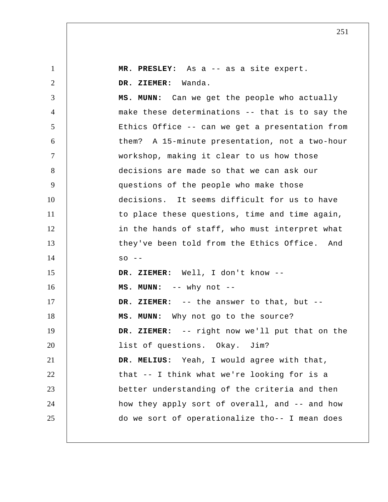| $\mathbf{1}$   | MR. PRESLEY: As a -- as a site expert.            |
|----------------|---------------------------------------------------|
| $\overline{2}$ | DR. ZIEMER: Wanda.                                |
| 3              | MS. MUNN: Can we get the people who actually      |
| $\overline{4}$ | make these determinations -- that is to say the   |
| 5              | Ethics Office -- can we get a presentation from   |
| 6              | them? A 15-minute presentation, not a two-hour    |
| $\overline{7}$ | workshop, making it clear to us how those         |
| 8              | decisions are made so that we can ask our         |
| 9              | questions of the people who make those            |
| 10             | decisions. It seems difficult for us to have      |
| 11             | to place these questions, time and time again,    |
| 12             | in the hands of staff, who must interpret what    |
| 13             | they've been told from the Ethics Office. And     |
| 14             | $SO$ --                                           |
| 15             | DR. ZIEMER: Well, I don't know --                 |
| 16             | $MS. MUNN: -- why not --$                         |
| 17             | DR. ZIEMER: -- the answer to that, but --         |
| 18             | Why not go to the source?<br>MS. MUNN:            |
| 19             | -- right now we'll put that on the<br>DR. ZIEMER: |
| 20             | list of questions. Okay. Jim?                     |
| 21             | DR. MELIUS: Yeah, I would agree with that,        |
| 22             | that -- I think what we're looking for is a       |
| 23             | better understanding of the criteria and then     |
| 24             | how they apply sort of overall, and -- and how    |
| 25             | do we sort of operationalize tho-- I mean does    |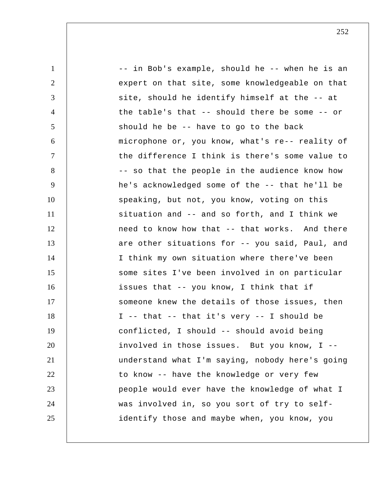| $\mathbf{1}$   | -- in Bob's example, should he -- when he is an |
|----------------|-------------------------------------------------|
| 2              | expert on that site, some knowledgeable on that |
| 3              | site, should he identify himself at the -- at   |
| $\overline{4}$ | the table's that -- should there be some -- or  |
| 5              | should he be -- have to go to the back          |
| 6              | microphone or, you know, what's re-- reality of |
| $\tau$         | the difference I think is there's some value to |
| 8              | -- so that the people in the audience know how  |
| 9              | he's acknowledged some of the -- that he'll be  |
| 10             | speaking, but not, you know, voting on this     |
| 11             | situation and -- and so forth, and I think we   |
| 12             | need to know how that -- that works. And there  |
| 13             | are other situations for -- you said, Paul, and |
| 14             | I think my own situation where there've been    |
| 15             | some sites I've been involved in on particular  |
| 16             | issues that -- you know, I think that if        |
| 17             | someone knew the details of those issues, then  |
| 18             | I -- that -- that it's very -- I should be      |
| 19             | conflicted, I should -- should avoid being      |
| 20             | involved in those issues. But you know, I --    |
| 21             | understand what I'm saying, nobody here's going |
| 22             | to know -- have the knowledge or very few       |
| 23             | people would ever have the knowledge of what I  |
| 24             | was involved in, so you sort of try to self-    |
| 25             | identify those and maybe when, you know, you    |
|                |                                                 |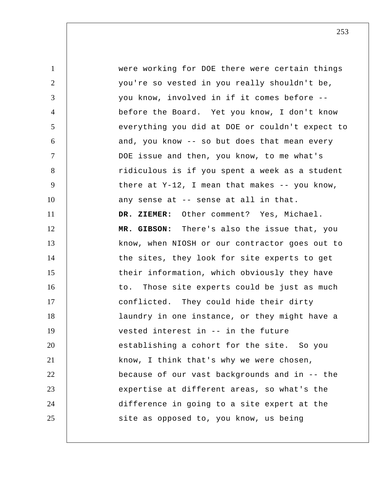1 2 3 4 5 6 7 8 9 10 11 12 13 14 15 16 17 18 19 20 21 22 23 24 25 were working for DOE there were certain things you're so vested in you really shouldn't be, you know, involved in if it comes before - before the Board. Yet you know, I don't know everything you did at DOE or couldn't expect to and, you know -- so but does that mean every DOE issue and then, you know, to me what's ridiculous is if you spent a week as a student there at  $Y-12$ , I mean that makes  $-$ - you know, any sense at -- sense at all in that.  **DR. ZIEMER:** Other comment? Yes, Michael.  **MR. GIBSON:** There's also the issue that, you know, when NIOSH or our contractor goes out to the sites, they look for site experts to get their information, which obviously they have to. Those site experts could be just as much conflicted. They could hide their dirty laundry in one instance, or they might have a vested interest in -- in the future establishing a cohort for the site. So you know, I think that's why we were chosen, because of our vast backgrounds and in -- the expertise at different areas, so what's the difference in going to a site expert at the site as opposed to, you know, us being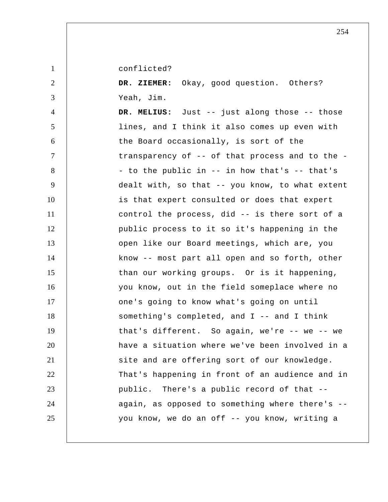conflicted?

1

2

3

 **DR. ZIEMER:** Okay, good question. Others? Yeah, Jim.

4 5 6 7 8 9 10 11 12 13 14 15 16 17 18 19 20 21 22 23 24 25  **DR. MELIUS:** Just -- just along those -- those lines, and I think it also comes up even with the Board occasionally, is sort of the transparency of -- of that process and to the - - to the public in -- in how that's -- that's dealt with, so that -- you know, to what extent is that expert consulted or does that expert control the process, did -- is there sort of a public process to it so it's happening in the open like our Board meetings, which are, you know -- most part all open and so forth, other than our working groups. Or is it happening, you know, out in the field someplace where no one's going to know what's going on until something's completed, and I -- and I think that's different. So again, we're -- we -- we have a situation where we've been involved in a site and are offering sort of our knowledge. That's happening in front of an audience and in public. There's a public record of that - again, as opposed to something where there's - you know, we do an off -- you know, writing a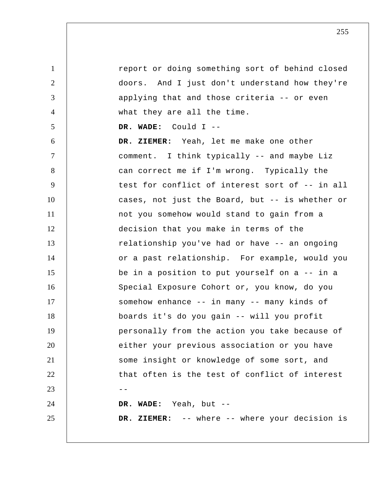1 2 3 4 5 6 7 8 9 10 11 12 13 14 15 16 17 18 19 20 21 22  $23$  --24 25 report or doing something sort of behind closed doors. And I just don't understand how they're applying that and those criteria -- or even what they are all the time.  **DR. WADE:** Could I --  **DR. ZIEMER:** Yeah, let me make one other comment. I think typically -- and maybe Liz can correct me if I'm wrong. Typically the test for conflict of interest sort of -- in all cases, not just the Board, but -- is whether or not you somehow would stand to gain from a decision that you make in terms of the relationship you've had or have -- an ongoing or a past relationship. For example, would you be in a position to put yourself on a -- in a Special Exposure Cohort or, you know, do you somehow enhance -- in many -- many kinds of boards it's do you gain -- will you profit personally from the action you take because of either your previous association or you have some insight or knowledge of some sort, and that often is the test of conflict of interest  **DR. WADE:** Yeah, but --  **DR. ZIEMER:** -- where -- where your decision is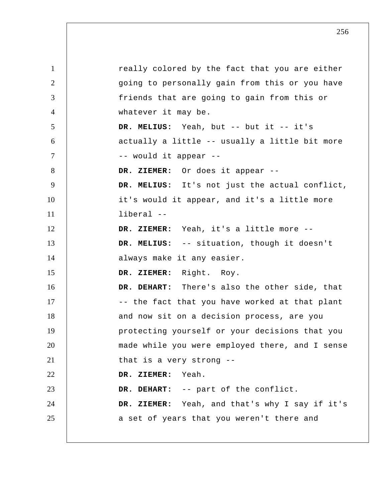1 2 3 4 5 6 7 8 9 10 11 12 13 14 15 16 17 18 19 20 21 22 23 24 25 really colored by the fact that you are either going to personally gain from this or you have friends that are going to gain from this or whatever it may be.  **DR. MELIUS:** Yeah, but -- but it -- it's actually a little -- usually a little bit more -- would it appear --  **DR. ZIEMER:** Or does it appear --  **DR. MELIUS:** It's not just the actual conflict, it's would it appear, and it's a little more liberal --  **DR. ZIEMER:** Yeah, it's a little more --  **DR. MELIUS:** -- situation, though it doesn't always make it any easier.  **DR. ZIEMER:** Right. Roy.  **DR. DEHART:** There's also the other side, that -- the fact that you have worked at that plant and now sit on a decision process, are you protecting yourself or your decisions that you made while you were employed there, and I sense that is a very strong --  **DR. ZIEMER:** Yeah.  **DR. DEHART:** -- part of the conflict.  **DR. ZIEMER:** Yeah, and that's why I say if it's a set of years that you weren't there and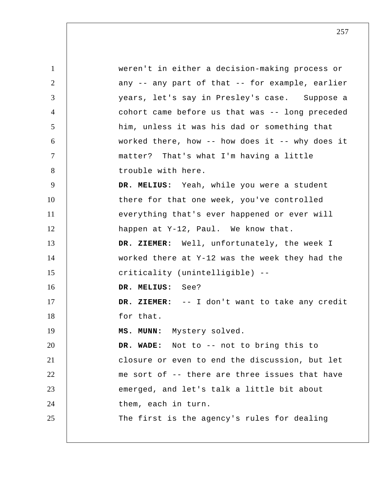1 2 3 4 5 6 7 8 9 10 11 12 13 14 15 16 17 18 19 20 21 22 23 24 25 weren't in either a decision-making process or any -- any part of that -- for example, earlier years, let's say in Presley's case. Suppose a cohort came before us that was -- long preceded him, unless it was his dad or something that worked there, how -- how does it -- why does it matter? That's what I'm having a little trouble with here.  **DR. MELIUS:** Yeah, while you were a student there for that one week, you've controlled everything that's ever happened or ever will happen at Y-12, Paul. We know that.  **DR. ZIEMER:** Well, unfortunately, the week I worked there at Y-12 was the week they had the criticality (unintelligible) --  **DR. MELIUS:** See?  **DR. ZIEMER:** -- I don't want to take any credit for that.  **MS. MUNN:** Mystery solved.  **DR. WADE:** Not to -- not to bring this to closure or even to end the discussion, but let me sort of -- there are three issues that have emerged, and let's talk a little bit about them, each in turn. The first is the agency's rules for dealing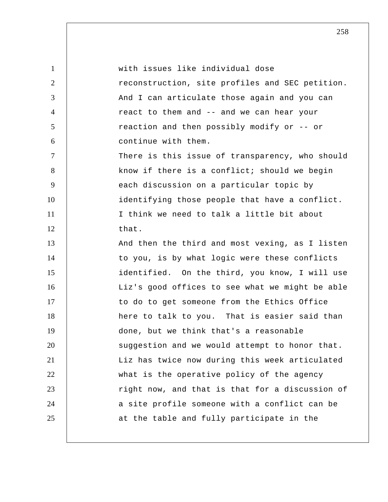| $\mathbf{1}$   | with issues like individual dose                |
|----------------|-------------------------------------------------|
| 2              | reconstruction, site profiles and SEC petition. |
| 3              | And I can articulate those again and you can    |
| $\overline{4}$ | react to them and -- and we can hear your       |
| 5              | reaction and then possibly modify or -- or      |
| 6              | continue with them.                             |
| $\overline{7}$ | There is this issue of transparency, who should |
| 8              | know if there is a conflict; should we begin    |
| 9              | each discussion on a particular topic by        |
| 10             | identifying those people that have a conflict.  |
| 11             | I think we need to talk a little bit about      |
| 12             | that.                                           |
| 13             | And then the third and most vexing, as I listen |
| 14             | to you, is by what logic were these conflicts   |
| 15             | identified. On the third, you know, I will use  |
| 16             | Liz's good offices to see what we might be able |
| 17             | to do to get someone from the Ethics Office     |
| 18             | here to talk to you. That is easier said than   |
| 19             | done, but we think that's a reasonable          |
| 20             | suggestion and we would attempt to honor that.  |
| 21             | Liz has twice now during this week articulated  |
| 22             | what is the operative policy of the agency      |
| 23             | right now, and that is that for a discussion of |
| 24             | a site profile someone with a conflict can be   |
| 25             | at the table and fully participate in the       |
|                |                                                 |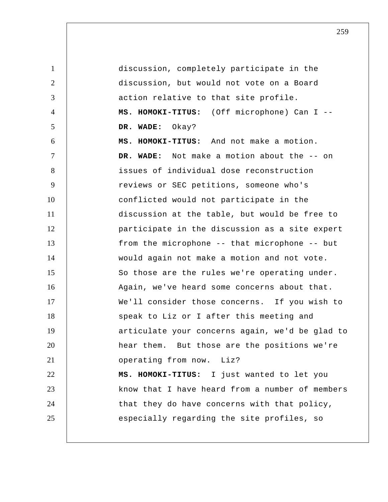1 2 3 4 5 6 7 8 9 10 11 12 13 14 15 16 17 18 19 20 21 22 23 24 25 discussion, completely participate in the discussion, but would not vote on a Board action relative to that site profile. **MS. HOMOKI-TITUS:** (Off microphone) Can I --  **DR. WADE:** Okay? **MS. HOMOKI-TITUS:** And not make a motion.  **DR. WADE:** Not make a motion about the -- on issues of individual dose reconstruction reviews or SEC petitions, someone who's conflicted would not participate in the discussion at the table, but would be free to participate in the discussion as a site expert from the microphone -- that microphone -- but would again not make a motion and not vote. So those are the rules we're operating under. Again, we've heard some concerns about that. We'll consider those concerns. If you wish to speak to Liz or I after this meeting and articulate your concerns again, we'd be glad to hear them. But those are the positions we're operating from now. Liz? **MS. HOMOKI-TITUS:** I just wanted to let you know that I have heard from a number of members that they do have concerns with that policy, especially regarding the site profiles, so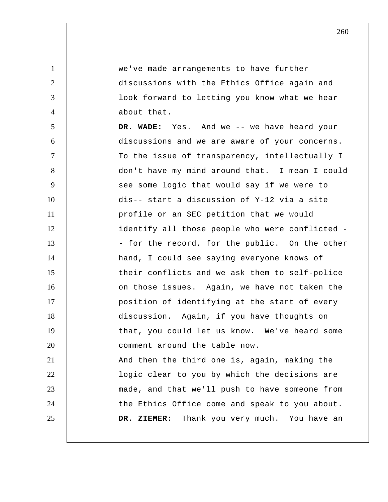1 2 3 4 5 6 7 8 9 10 11 12 13 14 15 16 17 18 19 20 21 22 23 24 25 we've made arrangements to have further discussions with the Ethics Office again and look forward to letting you know what we hear about that.  **DR. WADE:** Yes. And we -- we have heard your discussions and we are aware of your concerns. To the issue of transparency, intellectually I don't have my mind around that. I mean I could see some logic that would say if we were to dis-- start a discussion of Y-12 via a site profile or an SEC petition that we would identify all those people who were conflicted - - for the record, for the public. On the other hand, I could see saying everyone knows of their conflicts and we ask them to self-police on those issues. Again, we have not taken the position of identifying at the start of every discussion. Again, if you have thoughts on that, you could let us know. We've heard some comment around the table now. And then the third one is, again, making the logic clear to you by which the decisions are made, and that we'll push to have someone from the Ethics Office come and speak to you about.  **DR. ZIEMER:** Thank you very much. You have an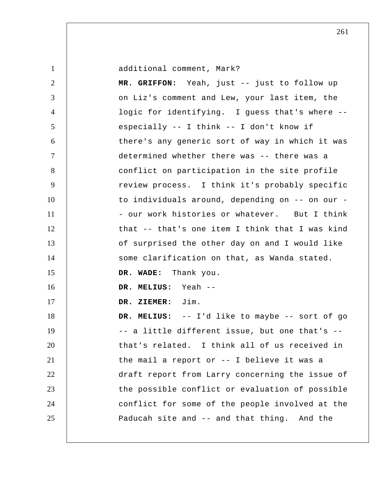additional comment, Mark?

1

2 3 4 5 6 7 8 9 10 11 12 13 14 15 16 17 18 19 20 21 22 23 24 25  **MR. GRIFFON:** Yeah, just -- just to follow up on Liz's comment and Lew, your last item, the logic for identifying. I guess that's where - especially -- I think -- I don't know if there's any generic sort of way in which it was determined whether there was -- there was a conflict on participation in the site profile review process. I think it's probably specific to individuals around, depending on -- on our - - our work histories or whatever. But I think that -- that's one item I think that I was kind of surprised the other day on and I would like some clarification on that, as Wanda stated.  **DR. WADE:** Thank you.  **DR. MELIUS:** Yeah --  **DR. ZIEMER:** Jim.  **DR. MELIUS:** -- I'd like to maybe -- sort of go -- a little different issue, but one that's - that's related. I think all of us received in the mail a report or -- I believe it was a draft report from Larry concerning the issue of the possible conflict or evaluation of possible conflict for some of the people involved at the Paducah site and -- and that thing. And the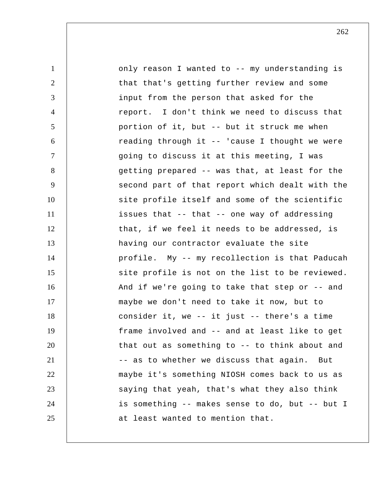1 2 3 4 5 6 7 8 9 10 11 12 13 14 15 16 17 18 19 20 21 22 23 24 25 only reason I wanted to -- my understanding is that that's getting further review and some input from the person that asked for the report. I don't think we need to discuss that portion of it, but -- but it struck me when reading through it -- 'cause I thought we were going to discuss it at this meeting, I was getting prepared -- was that, at least for the second part of that report which dealt with the site profile itself and some of the scientific issues that -- that -- one way of addressing that, if we feel it needs to be addressed, is having our contractor evaluate the site profile. My -- my recollection is that Paducah site profile is not on the list to be reviewed. And if we're going to take that step or -- and maybe we don't need to take it now, but to consider it, we -- it just -- there's a time frame involved and -- and at least like to get that out as something to -- to think about and -- as to whether we discuss that again. But maybe it's something NIOSH comes back to us as saying that yeah, that's what they also think is something -- makes sense to do, but -- but I at least wanted to mention that.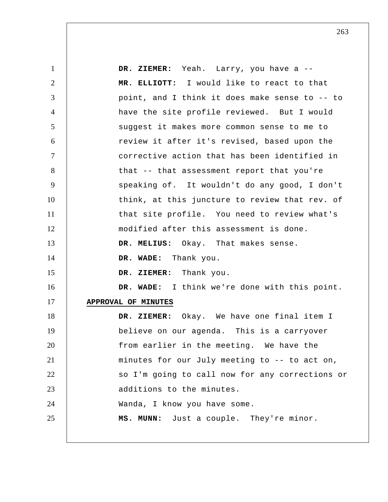1 2 3 4 5 6 7 8 9 10 11 12 13 14 15 16 17 18 19 20 21 22 23 24 25  **DR. ZIEMER:** Yeah. Larry, you have a --  **MR. ELLIOTT:** I would like to react to that point, and I think it does make sense to -- to have the site profile reviewed. But I would suggest it makes more common sense to me to review it after it's revised, based upon the corrective action that has been identified in that -- that assessment report that you're speaking of. It wouldn't do any good, I don't think, at this juncture to review that rev. of that site profile. You need to review what's modified after this assessment is done.  **DR. MELIUS:** Okay. That makes sense.  **DR. WADE:** Thank you.  **DR. ZIEMER:** Thank you.  **DR. WADE:** I think we're done with this point. **APPROVAL OF MINUTES DR. ZIEMER:** Okay. We have one final item I believe on our agenda. This is a carryover from earlier in the meeting. We have the minutes for our July meeting to -- to act on, so I'm going to call now for any corrections or additions to the minutes. Wanda, I know you have some.  **MS. MUNN:** Just a couple. They're minor.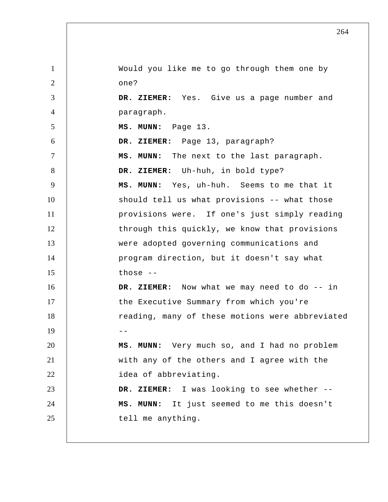1 2 3 4 5 6 7 8 9 10 11 12 13 14 15 16 17 18  $19$  --20 21 22 23 24 25 Would you like me to go through them one by one?  **DR. ZIEMER:** Yes. Give us a page number and paragraph.  **MS. MUNN:** Page 13.  **DR. ZIEMER:** Page 13, paragraph?  **MS. MUNN:** The next to the last paragraph.  **DR. ZIEMER:** Uh-huh, in bold type?  **MS. MUNN:** Yes, uh-huh. Seems to me that it should tell us what provisions -- what those provisions were. If one's just simply reading through this quickly, we know that provisions were adopted governing communications and program direction, but it doesn't say what those --  **DR. ZIEMER:** Now what we may need to do -- in the Executive Summary from which you're reading, many of these motions were abbreviated  **MS. MUNN:** Very much so, and I had no problem with any of the others and I agree with the idea of abbreviating.  **DR. ZIEMER:** I was looking to see whether --  **MS. MUNN:** It just seemed to me this doesn't tell me anything.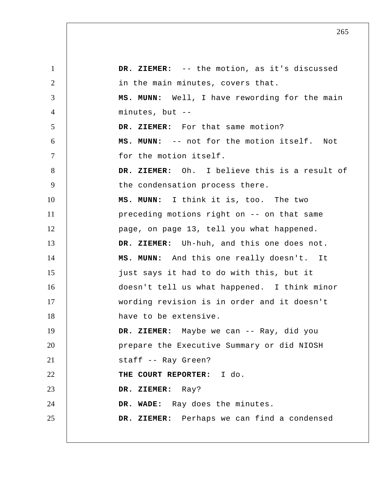1 2 3 4 5 6 7 8 9 10 11 12 13 14 15 16 17 18 19 20 21 22 23 24 25  **DR. ZIEMER:** -- the motion, as it's discussed in the main minutes, covers that.  **MS. MUNN:** Well, I have rewording for the main minutes, but --  **DR. ZIEMER:** For that same motion?  **MS. MUNN:** -- not for the motion itself. Not for the motion itself.  **DR. ZIEMER:** Oh. I believe this is a result of the condensation process there.  **MS. MUNN:** I think it is, too. The two preceding motions right on -- on that same page, on page 13, tell you what happened.  **DR. ZIEMER:** Uh-huh, and this one does not.  **MS. MUNN:** And this one really doesn't. It just says it had to do with this, but it doesn't tell us what happened. I think minor wording revision is in order and it doesn't have to be extensive.  **DR. ZIEMER:** Maybe we can -- Ray, did you prepare the Executive Summary or did NIOSH staff -- Ray Green? **THE COURT REPORTER:** I do.  **DR. ZIEMER:** Ray?  **DR. WADE:** Ray does the minutes.  **DR. ZIEMER:** Perhaps we can find a condensed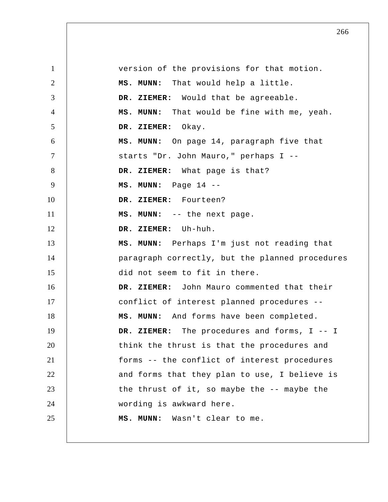1 2 3 4 5 6 7 8 9 10 11 12 13 14 15 16 17 18 19 20 21 22 23 24 25 version of the provisions for that motion.  **MS. MUNN:** That would help a little.  **DR. ZIEMER:** Would that be agreeable.  **MS. MUNN:** That would be fine with me, yeah.  **DR. ZIEMER:** Okay.  **MS. MUNN:** On page 14, paragraph five that starts "Dr. John Mauro," perhaps I --  **DR. ZIEMER:** What page is that?  **MS. MUNN:** Page 14 --  **DR. ZIEMER:** Fourteen?  **MS. MUNN:** -- the next page.  **DR. ZIEMER:** Uh-huh.  **MS. MUNN:** Perhaps I'm just not reading that paragraph correctly, but the planned procedures did not seem to fit in there.  **DR. ZIEMER:** John Mauro commented that their conflict of interest planned procedures --  **MS. MUNN:** And forms have been completed.  **DR. ZIEMER:** The procedures and forms, I -- I think the thrust is that the procedures and forms -- the conflict of interest procedures and forms that they plan to use, I believe is the thrust of it, so maybe the -- maybe the wording is awkward here.  **MS. MUNN:** Wasn't clear to me.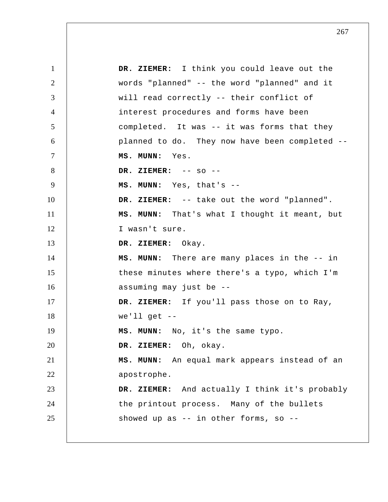1 2 3 4 5 6 7 8 9 10 11 12 13 14 15 16 17 18 19 20 21 22 23 24 25  **DR. ZIEMER:** I think you could leave out the words "planned" -- the word "planned" and it will read correctly -- their conflict of interest procedures and forms have been completed. It was -- it was forms that they planned to do. They now have been completed --  **MS. MUNN:** Yes.  **DR. ZIEMER:** -- so --  **MS. MUNN:** Yes, that's --  **DR. ZIEMER:** -- take out the word "planned".  **MS. MUNN:** That's what I thought it meant, but I wasn't sure.  **DR. ZIEMER:** Okay.  **MS. MUNN:** There are many places in the -- in these minutes where there's a typo, which I'm assuming may just be --  **DR. ZIEMER:** If you'll pass those on to Ray, we'll get  $--$  **MS. MUNN:** No, it's the same typo.  **DR. ZIEMER:** Oh, okay.  **MS. MUNN:** An equal mark appears instead of an apostrophe.  **DR. ZIEMER:** And actually I think it's probably the printout process. Many of the bullets showed up as  $-$  in other forms, so  $-$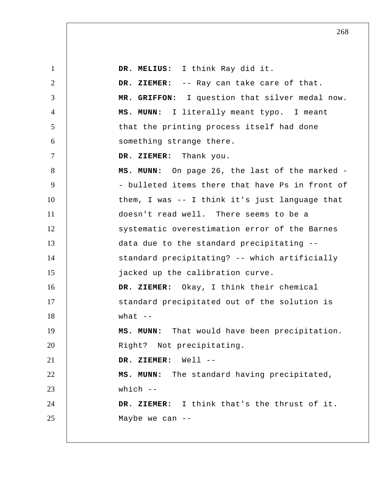1 2 3 4 5 6 7 8 9 10 11 12 13 14 15 16 17 18 19 20 21 22 23 24 25  **DR. MELIUS:** I think Ray did it.  **DR. ZIEMER:** -- Ray can take care of that.  **MR. GRIFFON:** I question that silver medal now. **MS. MUNN:** I literally meant typo. I meant that the printing process itself had done something strange there.  **DR. ZIEMER:** Thank you.  **MS. MUNN:** On page 26, the last of the marked - - bulleted items there that have Ps in front of them, I was -- I think it's just language that doesn't read well. There seems to be a systematic overestimation error of the Barnes data due to the standard precipitating - standard precipitating? -- which artificially jacked up the calibration curve.  **DR. ZIEMER:** Okay, I think their chemical standard precipitated out of the solution is what  $--$  **MS. MUNN:** That would have been precipitation. Right? Not precipitating.  **DR. ZIEMER:** Well --  **MS. MUNN:** The standard having precipitated, which --  **DR. ZIEMER:** I think that's the thrust of it. Maybe we can --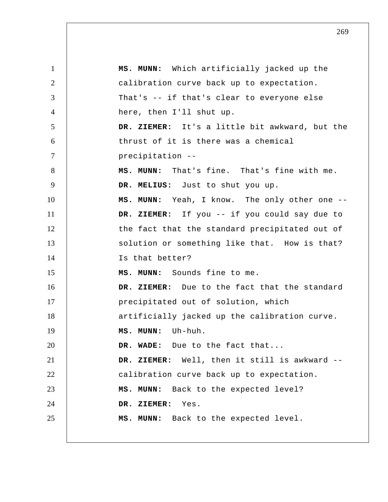1 2 3 4 5 6 7 8 9 10 11 12 13 14 15 16 17 18 19 20 21 22 23 24 25  **MS. MUNN:** Which artificially jacked up the calibration curve back up to expectation. That's -- if that's clear to everyone else here, then I'll shut up.  **DR. ZIEMER:** It's a little bit awkward, but the thrust of it is there was a chemical precipitation -- **MS. MUNN:** That's fine. That's fine with me.  **DR. MELIUS:** Just to shut you up.  **MS. MUNN:** Yeah, I know. The only other one --  **DR. ZIEMER:** If you -- if you could say due to the fact that the standard precipitated out of solution or something like that. How is that? Is that better?  **MS. MUNN:** Sounds fine to me.  **DR. ZIEMER:** Due to the fact that the standard precipitated out of solution, which artificially jacked up the calibration curve.  **MS. MUNN:** Uh-huh.  **DR. WADE:** Due to the fact that...  **DR. ZIEMER:** Well, then it still is awkward - calibration curve back up to expectation.  **MS. MUNN:** Back to the expected level?  **DR. ZIEMER:** Yes.  **MS. MUNN:** Back to the expected level.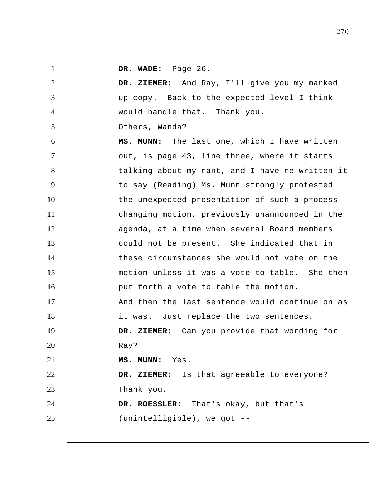**DR. WADE:** Page 26.

1

| $\overline{2}$ | DR. ZIEMER: And Ray, I'll give you my marked    |
|----------------|-------------------------------------------------|
| 3              | up copy. Back to the expected level I think     |
| $\overline{4}$ | would handle that. Thank you.                   |
| 5              | Others, Wanda?                                  |
| 6              | MS. MUNN: The last one, which I have written    |
| $\tau$         | out, is page 43, line three, where it starts    |
| 8              | talking about my rant, and I have re-written it |
| 9              | to say (Reading) Ms. Munn strongly protested    |
| 10             | the unexpected presentation of such a process-  |
| 11             | changing motion, previously unannounced in the  |
| 12             | agenda, at a time when several Board members    |
| 13             | could not be present. She indicated that in     |
| 14             | these circumstances she would not vote on the   |
| 15             | motion unless it was a vote to table. She then  |
| 16             | put forth a vote to table the motion.           |
| 17             | And then the last sentence would continue on as |
| 18             | it was. Just replace the two sentences.         |
| 19             | DR. ZIEMER: Can you provide that wording for    |
| 20             | Ray?                                            |
| 21             | MS. MUNN: Yes.                                  |
| 22             | DR. ZIEMER: Is that agreeable to everyone?      |
| 23             | Thank you.                                      |
| 24             | DR. ROESSLER: That's okay, but that's           |
| 25             | (unintelligible), we got --                     |
|                |                                                 |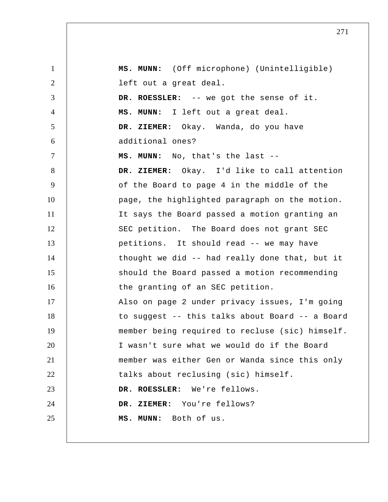| $\mathbf{1}$   | MS. MUNN: (Off microphone) (Unintelligible)     |
|----------------|-------------------------------------------------|
| $\overline{2}$ | left out a great deal.                          |
| 3              | DR. ROESSLER: -- we got the sense of it.        |
| $\overline{4}$ | MS. MUNN: I left out a great deal.              |
| 5              | DR. ZIEMER: Okay. Wanda, do you have            |
| 6              | additional ones?                                |
| $\tau$         | MS. MUNN: No, that's the last --                |
| 8              | DR. ZIEMER: Okay. I'd like to call attention    |
| 9              | of the Board to page 4 in the middle of the     |
| 10             | page, the highlighted paragraph on the motion.  |
| 11             | It says the Board passed a motion granting an   |
| 12             | SEC petition. The Board does not grant SEC      |
| 13             | petitions. It should read -- we may have        |
| 14             | thought we did -- had really done that, but it  |
| 15             | should the Board passed a motion recommending   |
| 16             | the granting of an SEC petition.                |
| 17             | Also on page 2 under privacy issues, I'm going  |
| 18             | to suggest -- this talks about Board -- a Board |
| 19             | member being required to recluse (sic) himself. |
| 20             | I wasn't sure what we would do if the Board     |
| 21             | member was either Gen or Wanda since this only  |
| 22             | talks about reclusing (sic) himself.            |
| 23             | DR. ROESSLER: We're fellows.                    |
| 24             | DR. ZIEMER: You're fellows?                     |
| 25             | MS. MUNN: Both of us.                           |
|                |                                                 |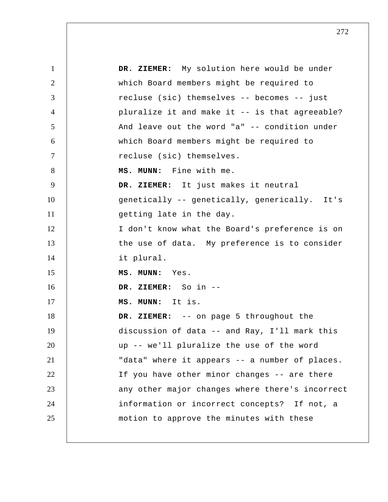| $\mathbf{1}$   | DR. ZIEMER: My solution here would be under     |
|----------------|-------------------------------------------------|
| $\overline{2}$ | which Board members might be required to        |
| 3              | recluse (sic) themselves -- becomes -- just     |
| $\overline{4}$ | pluralize it and make it -- is that agreeable?  |
| 5              | And leave out the word "a" -- condition under   |
| 6              | which Board members might be required to        |
| $\tau$         | recluse (sic) themselves.                       |
| 8              | MS. MUNN: Fine with me.                         |
| 9              | DR. ZIEMER: It just makes it neutral            |
| 10             | genetically -- genetically, generically. It's   |
| 11             | getting late in the day.                        |
| 12             | I don't know what the Board's preference is on  |
| 13             | the use of data. My preference is to consider   |
| 14             | it plural.                                      |
| 15             | MS. MUNN: Yes.                                  |
| 16             | DR. ZIEMER: So in --                            |
| 17             | MS. MUNN: It is.                                |
| 18             | DR. ZIEMER: -- on page 5 throughout the         |
| 19             | discussion of data -- and Ray, I'll mark this   |
| 20             | up -- we'll pluralize the use of the word       |
| 21             | "data" where it appears -- a number of places.  |
| 22             | If you have other minor changes -- are there    |
| 23             | any other major changes where there's incorrect |
| 24             | information or incorrect concepts? If not, a    |
| 25             | motion to approve the minutes with these        |
|                |                                                 |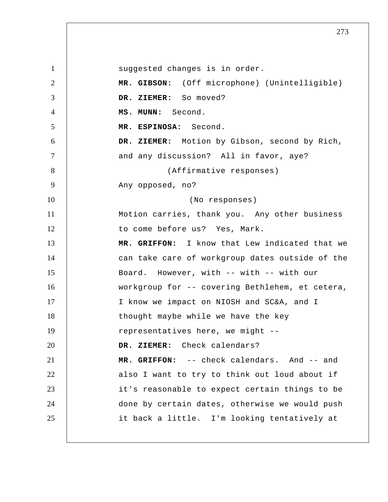1 2 3 4 5 6 7 8 9 10 11 12 13 14 15 16 17 18 19 20 21 22 23 24 25 suggested changes is in order.  **MR. GIBSON:** (Off microphone) (Unintelligible)  **DR. ZIEMER:** So moved?  **MS. MUNN:** Second. **MR. ESPINOSA:** Second.  **DR. ZIEMER:** Motion by Gibson, second by Rich, and any discussion? All in favor, aye? (Affirmative responses) Any opposed, no? (No responses) Motion carries, thank you. Any other business to come before us? Yes, Mark.  **MR. GRIFFON:** I know that Lew indicated that we can take care of workgroup dates outside of the Board. However, with -- with -- with our workgroup for -- covering Bethlehem, et cetera, I know we impact on NIOSH and SC&A, and I thought maybe while we have the key representatives here, we might --  **DR. ZIEMER:** Check calendars?  **MR. GRIFFON:** -- check calendars. And -- and also I want to try to think out loud about if it's reasonable to expect certain things to be done by certain dates, otherwise we would push it back a little. I'm looking tentatively at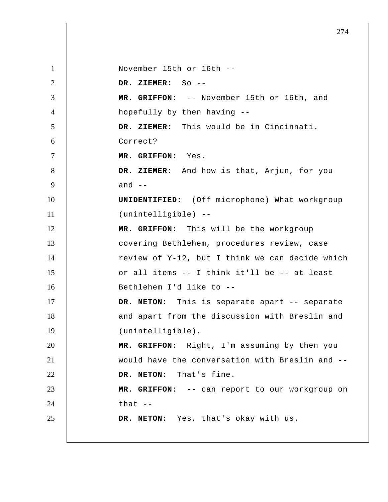1 2 3 4 5 6 7 8 9 10 11 12 13 14 15 16 17 18 19 20 21 22 23 24 25 November 15th or 16th --  **DR. ZIEMER:** So --  **MR. GRIFFON:** -- November 15th or 16th, and hopefully by then having --  **DR. ZIEMER:** This would be in Cincinnati. Correct?  **MR. GRIFFON:** Yes.  **DR. ZIEMER:** And how is that, Arjun, for you and  $--$ **UNIDENTIFIED:** (Off microphone) What workgroup (unintelligible) --  **MR. GRIFFON:** This will be the workgroup covering Bethlehem, procedures review, case review of Y-12, but I think we can decide which or all items -- I think it'll be -- at least Bethlehem I'd like to -- **DR. NETON:** This is separate apart -- separate and apart from the discussion with Breslin and (unintelligible).  **MR. GRIFFON:** Right, I'm assuming by then you would have the conversation with Breslin and -- **DR. NETON:** That's fine.  **MR. GRIFFON:** -- can report to our workgroup on that  $--$ **DR. NETON:** Yes, that's okay with us.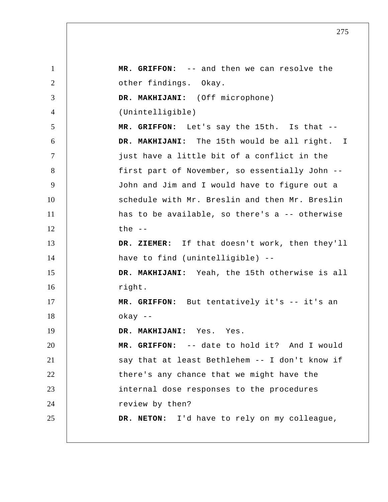1 2 3 4 5 6 7 8 9 10 11 12 13 14 15 16 17 18 19 20 21 22 23 24 25  **MR. GRIFFON:** -- and then we can resolve the other findings. Okay.  **DR. MAKHIJANI:** (Off microphone) (Unintelligible)  **MR. GRIFFON:** Let's say the 15th. Is that --  **DR. MAKHIJANI:** The 15th would be all right. I just have a little bit of a conflict in the first part of November, so essentially John -- John and Jim and I would have to figure out a schedule with Mr. Breslin and then Mr. Breslin has to be available, so there's a -- otherwise the  $--$  **DR. ZIEMER:** If that doesn't work, then they'll have to find (unintelligible) --  **DR. MAKHIJANI:** Yeah, the 15th otherwise is all right.  **MR. GRIFFON:** But tentatively it's -- it's an okay --  **DR. MAKHIJANI:** Yes. Yes.  **MR. GRIFFON:** -- date to hold it? And I would say that at least Bethlehem -- I don't know if there's any chance that we might have the internal dose responses to the procedures review by then? **DR. NETON:** I'd have to rely on my colleague,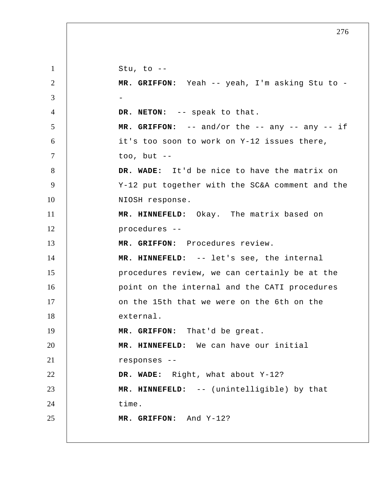1 2 3 4 5 6 7 8 9 10 11 12 13 14 15 16 17 18 19 20 21 22 23 24 25 Stu, to  $-$  **MR. GRIFFON:** Yeah -- yeah, I'm asking Stu to - - **DR. NETON:** -- speak to that.  **MR. GRIFFON:** -- and/or the -- any -- any -- if it's too soon to work on Y-12 issues there, too, but --  **DR. WADE:** It'd be nice to have the matrix on Y-12 put together with the SC&A comment and the NIOSH response.  **MR. HINNEFELD:** Okay. The matrix based on procedures --  **MR. GRIFFON:** Procedures review.  **MR. HINNEFELD:** -- let's see, the internal procedures review, we can certainly be at the point on the internal and the CATI procedures on the 15th that we were on the 6th on the external.  **MR. GRIFFON:** That'd be great.  **MR. HINNEFELD:** We can have our initial responses --  **DR. WADE:** Right, what about Y-12?  **MR. HINNEFELD:** -- (unintelligible) by that time.  **MR. GRIFFON:** And Y-12?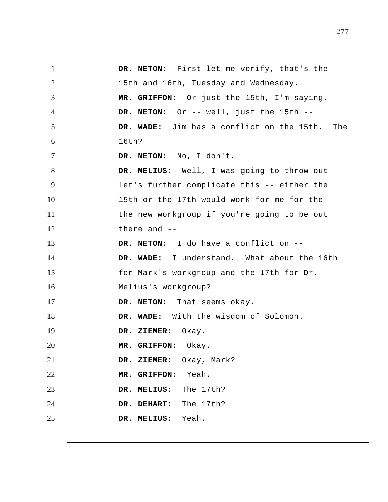| $\mathbf{1}$   | DR. NETON: First let me verify, that's the    |
|----------------|-----------------------------------------------|
| $\overline{2}$ | 15th and 16th, Tuesday and Wednesday.         |
| 3              | MR. GRIFFON: Or just the 15th, I'm saying.    |
| $\overline{4}$ | DR. NETON: Or -- well, just the 15th --       |
| 5              | DR. WADE: Jim has a conflict on the 15th. The |
| 6              | 16th?                                         |
| $\tau$         | DR. NETON: No, I don't.                       |
| 8              | DR. MELIUS: Well, I was going to throw out    |
| 9              | let's further complicate this -- either the   |
| 10             | 15th or the 17th would work for me for the -- |
| 11             | the new workgroup if you're going to be out   |
| 12             | there and --                                  |
| 13             | DR. NETON: I do have a conflict on --         |
| 14             | DR. WADE: I understand. What about the 16th   |
| 15             | for Mark's workgroup and the 17th for Dr.     |
| 16             | Melius's workgroup?                           |
| 17             | DR. NETON: That seems okay.                   |
| 18             | DR. WADE: With the wisdom of Solomon.         |
| 19             | DR. ZIEMER: Okay.                             |
| 20             | MR. GRIFFON: Okay.                            |
| 21             | DR. ZIEMER: Okay, Mark?                       |
| 22             | MR. GRIFFON: Yeah.                            |
| 23             | DR. MELIUS: The 17th?                         |
| 24             | DR. DEHART: The 17th?                         |
| 25             | DR. MELIUS: Yeah.                             |
|                |                                               |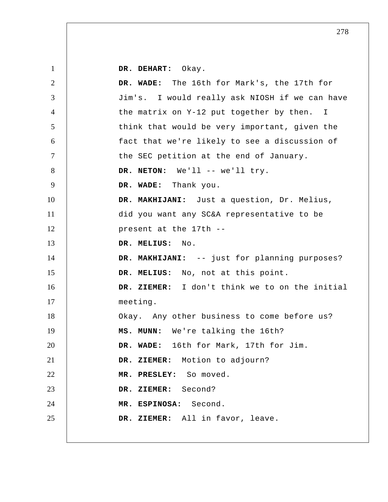| $\mathbf{1}$ | DR. DEHART: Okay.                              |
|--------------|------------------------------------------------|
| 2            | DR. WADE: The 16th for Mark's, the 17th for    |
| 3            | Jim's. I would really ask NIOSH if we can have |
| 4            | the matrix on Y-12 put together by then. I     |
| 5            | think that would be very important, given the  |
| 6            | fact that we're likely to see a discussion of  |
| $\tau$       | the SEC petition at the end of January.        |
| 8            | DR. NETON: We'll -- we'll try.                 |
| 9            | DR. WADE: Thank you.                           |
| 10           | DR. MAKHIJANI: Just a question, Dr. Melius,    |
| 11           | did you want any SC&A representative to be     |
| 12           | present at the 17th --                         |
| 13           | DR. MELIUS:<br>No.                             |
| 14           | DR. MAKHIJANI: -- just for planning purposes?  |
| 15           | DR. MELIUS: No, not at this point.             |
|              |                                                |
| 16           | DR. ZIEMER: I don't think we to on the initial |
| 17           | meeting.                                       |
| 18           | Okay. Any other business to come before us?    |
| 19           | MS. MUNN: We're talking the 16th?              |
| 20           | DR. WADE: 16th for Mark, 17th for Jim.         |
| 21           | DR. ZIEMER: Motion to adjourn?                 |
| 22           | MR. PRESLEY: So moved.                         |
| 23           | ZIEMER: Second?<br>DR.                         |
| 24           | MR. ESPINOSA: Second.                          |
| 25           | DR. ZIEMER: All in favor, leave.               |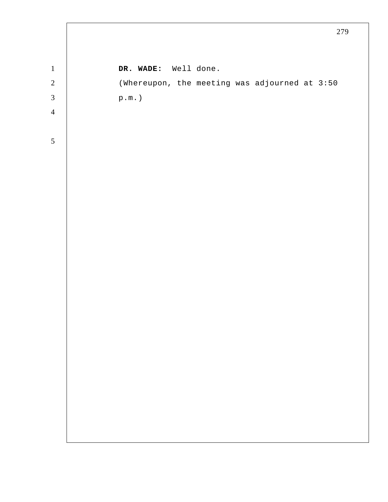|                |                                               | 279 |
|----------------|-----------------------------------------------|-----|
|                |                                               |     |
| $\,1\,$        | DR. WADE: Well done.                          |     |
| $\overline{c}$ | (Whereupon, the meeting was adjourned at 3:50 |     |
| $\overline{3}$ | $\texttt{p.m.}$ )                             |     |
| $\overline{4}$ |                                               |     |
|                |                                               |     |
| 5              |                                               |     |
|                |                                               |     |
|                |                                               |     |
|                |                                               |     |
|                |                                               |     |
|                |                                               |     |
|                |                                               |     |
|                |                                               |     |
|                |                                               |     |
|                |                                               |     |
|                |                                               |     |
|                |                                               |     |
|                |                                               |     |
|                |                                               |     |
|                |                                               |     |
|                |                                               |     |
|                |                                               |     |
|                |                                               |     |
|                |                                               |     |
|                |                                               |     |
|                |                                               |     |